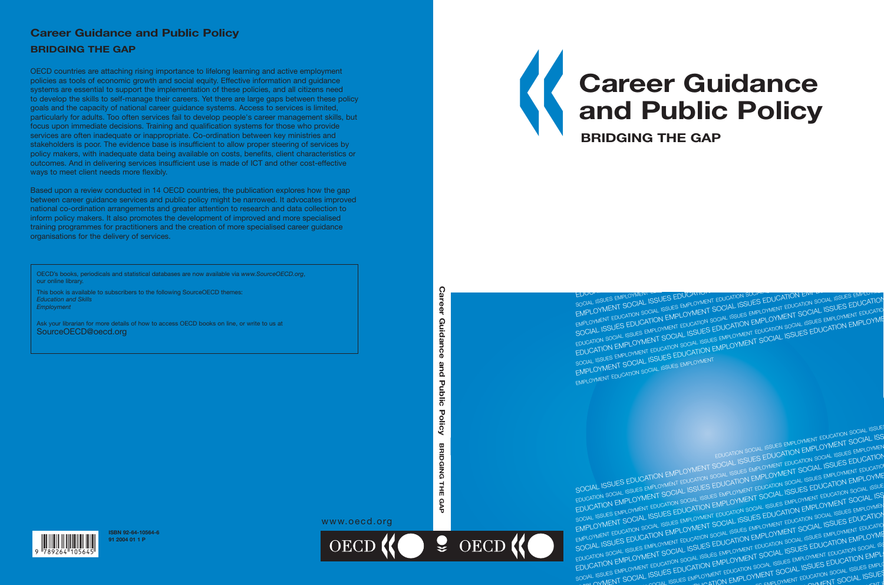

EDUCATION EMPLOYMENT LANDER EDITION CONTINUES EDUCATION EMPLOYMENT SOCIAL ISSUES EDUCATION EMPLOYMENT SOCIAL ISSUES EDUCATION EMPLOYMENT SOCIAL ISSUES EDUCATION EMPLOYMENT SOCIAL ISSUES EDUCATION EMPLOYMENT SOCIAL ISSUES E EDUCATION<br>SOCIAL ISSUES EMPLOYMENT LESSUES EDUCATION FOUCATION SOCIAL EDUCATION EMPLOYMENT SOCIAL ISSUES<br>EMPLOYMENT SOCIAL ISSUES EMPLOYMENT SOCIAL ISSUES EMPLOYMENT EDUCATION SOCIAL ISSUES EDUCTAL ISSUES EMPLOYMENT EDUCATION FOUGATION SOCIAL ISSUES EMPLOYMENT EDUCATION SOCIAL ISSUES EDUCTION CONTRO<br>EMPLOYMENT EDUCATION SOCIAL ISSUES EMPLOYMENT SOCIAL ISSUES EMPLOYMENT<br>EMPLOYMENT CIUS EDUCATION EMPLOYMENT SOC BUT AN ISSUES EMPLOYMENT EDUCATION COLOR AND SOCIAL ISSUES EMPLOYMENT SOCIAL ISSUES EMPLOYMENT SOCIAL ISSUES ENTROP<br>EMPLOYMENT SOCIAL ISSUES EMPLOYMENT SOCIAL ISSUES EDUCATION SOCIAL ISSUES EDUCATION<br>EMPLOYMENT EDUCATION S EDUCATION SOCIAL ISSUES EMPLOYMENT EDUCATION SOCIAL ISSUES EMPLOYMENT EDUCATION SOCIAL ISSUES EMPLOYMEN SOCIAL ISSUES EMPLOYMENT EDUCATION SOCIAL ISSUES EDUCATION SOCIAL ISSUES EDUCATION<br>EMPLOYMENT EDUCATION SOCIAL ISSUES EMPLOYMENT SOCIAL ISSUES EMPLOYMENT EDUCATION<br>EMPLOYMENT EDUCATION EMPLOYMENT EDUCATION SOCIAL ISSUES EM SOCIAL ISSUES EMPLOYMENT EDUCATION SOCIAL ISSUES EMPLOYMENT EDUCATION SOCIAL ISSUES EMPLOYMENT EDUCATION SOCIAL ISSUES EMPLOYMENT EDUCATION SOCIAL ISSUES EMPLOYMENT EDUCATION SOCIAL ISSUES EMPLOYMENT EDUCATION CONTR<br>EMPLOYMENT SOCIAL ISSUES EDUCATION EMPLOYMENT SOCIAL ISSUES EDUCATION EMPLOYMENT EMPLOYMENT EDUCATION SOCIAL ISSUES EMPLOYMENT



SOCIAL ISSUES EDUCATION EMPLOYMENT SOCIAL ISSUES ENPLOYMENT EDUCATION SOCIAL ISSUES SOUTHE TOUCH EDUCATION ENT EDUCATION SOCIAL ISSUES EMPLOYMENT EDUCATION SOCIAL ISSUES EMPLOYMENT CONTROLLED TO THE CONTROLLED TO THE CONTROLLED TO THE CONTROLLED TO THE CONTROLLED TO THE CONTROLLED TO THE CONTROLLED TO THE EDUCATION SOCIAL ISSUES EMPLOYMENT EDUCATION SOCIAL ISSUES EMPLOYMENT EDUCATION SOCIAL ISSUES EDUCATION SOCIAL ISSUES EMPLOYMENT EDUCATION SOCIAL ISSUES EMPLOYMENT EDUCATION SOCIAL ISSUES EMPLOYMENT EDUCATION SOCIAL ISSUES EMPLOYMENT EDUCATION SOCIAL ISSUES EMPLOYMENT SOCIAL ISSUES EDUCATION SOCIAL ISSUES EDUCATION SOCIAL ISSUES EDUCATION SOCIAL ISSUES EDUCATION SOCIAL ISSUES EDUCATION SOCIAL ISSUES EDUCATION SOCIAL ISSUES EDUC EMPLOYMENT EDUCATION SOCIAL ISSUES EMPLOYMENT EDUCATION SOCIAL ISSUES EMPLOYMENT EDUCATION SOCIAL ISSUES EMPLOTMENT EDUCATION SUCIAL ISSUES EMPLOTMENT EDUCATION SUCIAL ISSUES EMPLOYMENT EDUCATION SOCIAL ISSUES SUCIAL ISSUES EMPLOYMENT EDUCATION SOCIAL ISSUES EMPLOYMENT EDUCATION SOCIAL ISSUES EMPLOYMENT EDUCATION SOCIAL ISSUES EMPLOYMENT EDUCATION SOCIAL ISSUES EMPLOYMENT EDUCATION SOCIAL ISSUES EDUCATION SOCIAL ISSUES EMPLOYMENT EDUCATION SOCIAL ISSUES EMPLOYMENT EDUCATION SOCIAL ISSUES EDUCATION EMPLOYMENT EDUCATION SOCIAL ISSUES EMPLOYMENT EDUCATION SOCIAL ISSUES EMPLOYMENT EDUCATION EMPLOYMENT EDUCATION EMPLOYMENT EDUCATION SOCIAL ISSUES EMPLOYMENT EDUCATION SOCIAL ISSUES EMPLOYMENT EDUCATION SOCIAL ISSUES EMPLO WPLOYMENT EDUCATION EMPLOYMENT EDUCATION SOCIAL ISSUES EMPLOYMENT EDUCATION EMPLOYMENT EDUCATION EMPLOYMENT EDUCATION SOCIAL ISSUES EMPLOYMENT EDUCATION EMPLOYMENT EDUCATION SOCIAL ISSUES EMPLOYMENT EDUCATION SOCIAL ISSUES

EDUCATION SOCIAL ISSUES EMPLOYMENT EDUCATION SOCIAL ISSUES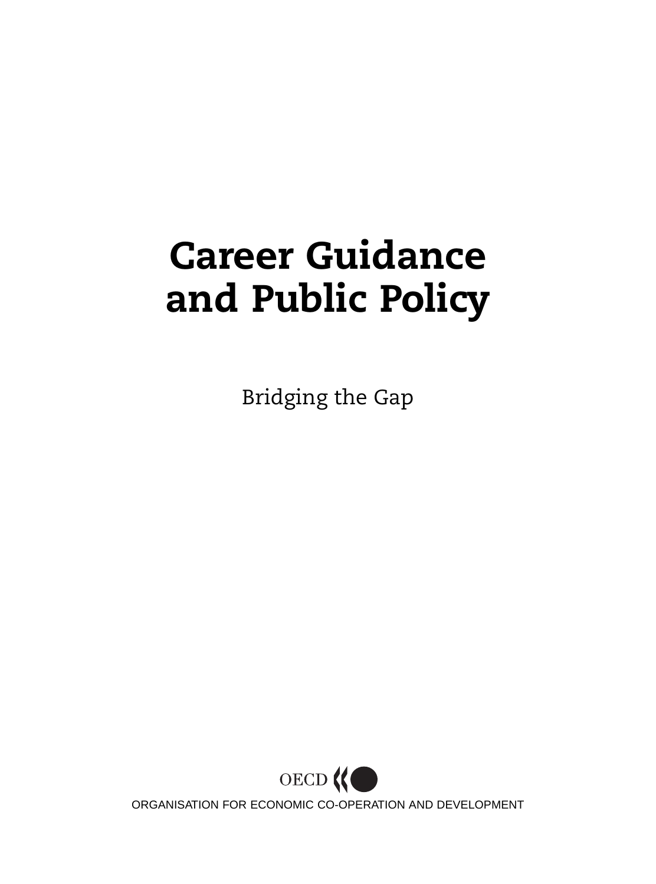# **Career Guidance and Public Policy**

Bridging the Gap



ORGANISATION FOR ECONOMIC CO-OPERATION AND DEVELOPMENT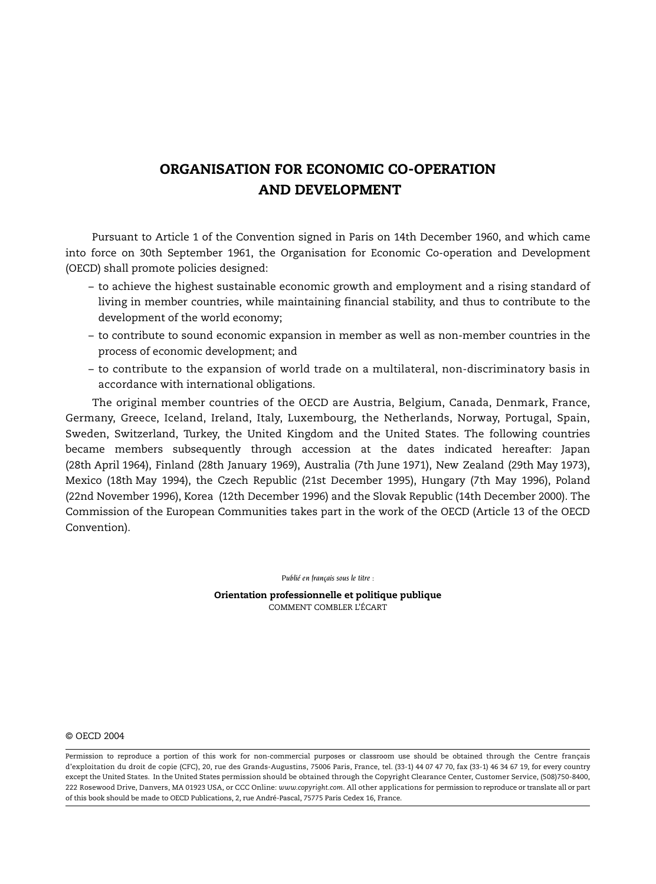# **ORGANISATION FOR ECONOMIC CO-OPERATION AND DEVELOPMENT**

 Pursuant to Article 1 of the Convention signed in Paris on 14th December 1960, and which came into force on 30th September 1961, the Organisation for Economic Co-operation and Development (OECD) shall promote policies designed:

- to achieve the highest sustainable economic growth and employment and a rising standard of living in member countries, while maintaining financial stability, and thus to contribute to the development of the world economy;
- to contribute to sound economic expansion in member as well as non-member countries in the process of economic development; and
- to contribute to the expansion of world trade on a multilateral, non-discriminatory basis in accordance with international obligations.

 The original member countries of the OECD are Austria, Belgium, Canada, Denmark, France, Germany, Greece, Iceland, Ireland, Italy, Luxembourg, the Netherlands, Norway, Portugal, Spain, Sweden, Switzerland, Turkey, the United Kingdom and the United States. The following countries became members subsequently through accession at the dates indicated hereafter: Japan (28th April 1964), Finland (28th January 1969), Australia (7th June 1971), New Zealand (29th May 1973), Mexico (18th May 1994), the Czech Republic (21st December 1995), Hungary (7th May 1996), Poland (22nd November 1996), Korea (12th December 1996) and the Slovak Republic (14th December 2000). The Commission of the European Communities takes part in the work of the OECD (Article 13 of the OECD Convention).

> *Publié en français sous le titre :* **Orientation professionnelle et politique publique** COMMENT COMBLER L'ÉCART

### © OECD 2004

Permission to reproduce a portion of this work for non-commercial purposes or classroom use should be obtained through the Centre français d'exploitation du droit de copie (CFC), 20, rue des Grands-Augustins, 75006 Paris, France, tel. (33-1) 44 07 47 70, fax (33-1) 46 34 67 19, for every country except the United States. In the United States permission should be obtained through the Copyright Clearance Center, Customer Service, (508)750-8400, 222 Rosewood Drive, Danvers, MA 01923 USA, or CCC Online: *www.copyright.com*. All other applications for permission to reproduce or translate all or part of this book should be made to OECD Publications, 2, rue André-Pascal, 75775 Paris Cedex 16, France.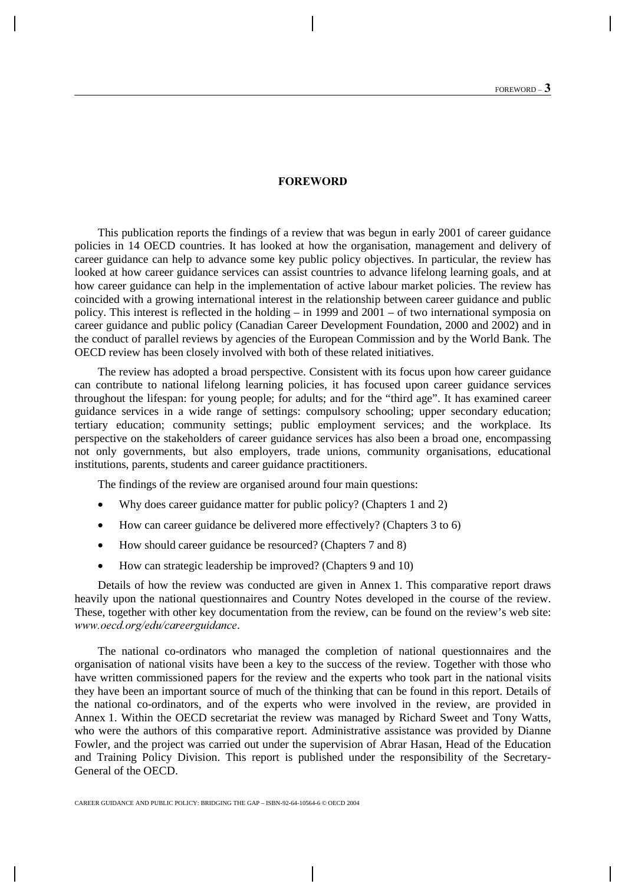# **FOREWORD**

This publication reports the findings of a review that was begun in early 2001 of career guidance policies in 14 OECD countries. It has looked at how the organisation, management and delivery of career guidance can help to advance some key public policy objectives. In particular, the review has looked at how career guidance services can assist countries to advance lifelong learning goals, and at how career guidance can help in the implementation of active labour market policies. The review has coincided with a growing international interest in the relationship between career guidance and public policy. This interest is reflected in the holding – in 1999 and 2001 – of two international symposia on career guidance and public policy (Canadian Career Development Foundation, 2000 and 2002) and in the conduct of parallel reviews by agencies of the European Commission and by the World Bank. The OECD review has been closely involved with both of these related initiatives.

The review has adopted a broad perspective. Consistent with its focus upon how career guidance can contribute to national lifelong learning policies, it has focused upon career guidance services throughout the lifespan: for young people; for adults; and for the "third age". It has examined career guidance services in a wide range of settings: compulsory schooling; upper secondary education; tertiary education; community settings; public employment services; and the workplace. Its perspective on the stakeholders of career guidance services has also been a broad one, encompassing not only governments, but also employers, trade unions, community organisations, educational institutions, parents, students and career guidance practitioners.

The findings of the review are organised around four main questions:

- Why does career guidance matter for public policy? (Chapters 1 and 2)
- How can career guidance be delivered more effectively? (Chapters 3 to 6)
- How should career guidance be resourced? (Chapters 7 and 8)
- How can strategic leadership be improved? (Chapters 9 and 10)

Details of how the review was conducted are given in Annex 1. This comparative report draws heavily upon the national questionnaires and Country Notes developed in the course of the review. These, together with other key documentation from the review, can be found on the review's web site: *www.oecd.org/edu/careerguidance.* 

The national co-ordinators who managed the completion of national questionnaires and the organisation of national visits have been a key to the success of the review. Together with those who have written commissioned papers for the review and the experts who took part in the national visits they have been an important source of much of the thinking that can be found in this report. Details of the national co-ordinators, and of the experts who were involved in the review, are provided in Annex 1. Within the OECD secretariat the review was managed by Richard Sweet and Tony Watts, who were the authors of this comparative report. Administrative assistance was provided by Dianne Fowler, and the project was carried out under the supervision of Abrar Hasan, Head of the Education and Training Policy Division. This report is published under the responsibility of the Secretary-General of the OECD.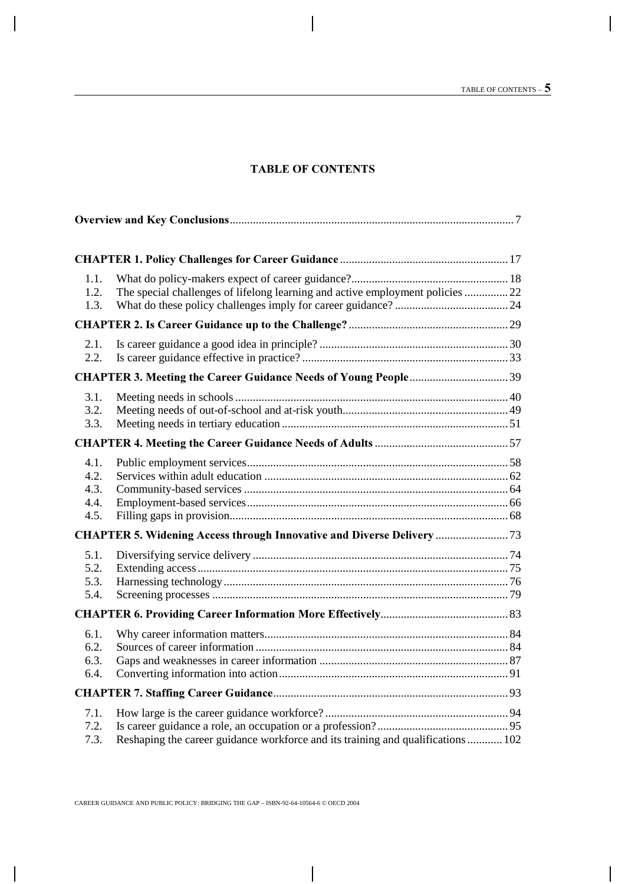# **TABLE OF CONTENTS**

| 1.1. |                                                                                  |  |
|------|----------------------------------------------------------------------------------|--|
| 1.2. | The special challenges of lifelong learning and active employment policies  22   |  |
| 1.3. |                                                                                  |  |
|      |                                                                                  |  |
| 2.1. |                                                                                  |  |
| 2.2. |                                                                                  |  |
|      |                                                                                  |  |
| 3.1. |                                                                                  |  |
| 3.2. |                                                                                  |  |
| 3.3. |                                                                                  |  |
|      |                                                                                  |  |
| 4.1. |                                                                                  |  |
| 4.2. |                                                                                  |  |
| 4.3. |                                                                                  |  |
| 4.4. |                                                                                  |  |
| 4.5. |                                                                                  |  |
|      | CHAPTER 5. Widening Access through Innovative and Diverse Delivery  73           |  |
| 5.1. |                                                                                  |  |
| 5.2. |                                                                                  |  |
| 5.3. |                                                                                  |  |
| 5.4. |                                                                                  |  |
|      |                                                                                  |  |
| 6.1. |                                                                                  |  |
| 6.2. |                                                                                  |  |
| 6.3. |                                                                                  |  |
| 6.4. |                                                                                  |  |
|      |                                                                                  |  |
| 7.1. |                                                                                  |  |
| 7.2. |                                                                                  |  |
| 7.3. | Reshaping the career guidance workforce and its training and qualifications  102 |  |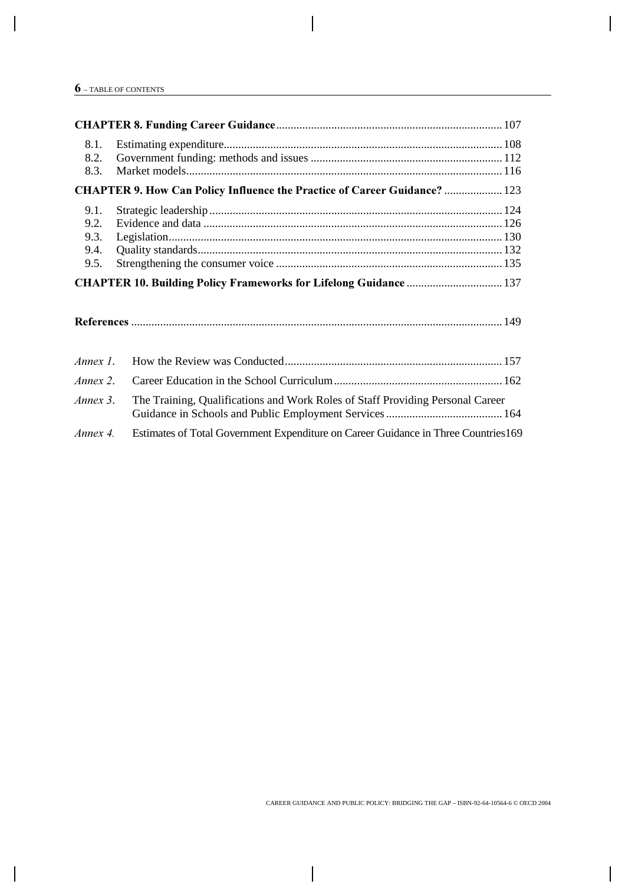| 8.1.                                                                      |  |  |  |  |
|---------------------------------------------------------------------------|--|--|--|--|
| 8.2.                                                                      |  |  |  |  |
| 8.3.                                                                      |  |  |  |  |
| CHAPTER 9. How Can Policy Influence the Practice of Career Guidance?  123 |  |  |  |  |
| 9.1.                                                                      |  |  |  |  |
| 9.2.                                                                      |  |  |  |  |
| 9.3.                                                                      |  |  |  |  |
| 9.4.                                                                      |  |  |  |  |
| 9.5.                                                                      |  |  |  |  |
| CHAPTER 10. Building Policy Frameworks for Lifelong Guidance 137          |  |  |  |  |

| <i>Annex 3.</i> The Training, Qualifications and Work Roles of Staff Providing Personal Career      |  |
|-----------------------------------------------------------------------------------------------------|--|
| <i>Annex 4.</i> Estimates of Total Government Expenditure on Career Guidance in Three Countries 169 |  |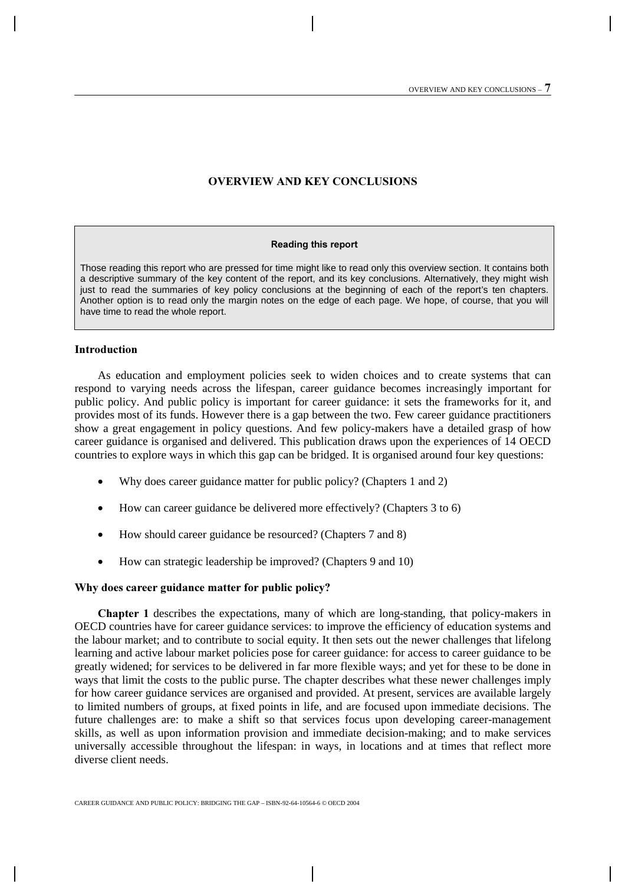# **OVERVIEW AND KEY CONCLUSIONS**

### **Reading this report**

Those reading this report who are pressed for time might like to read only this overview section. It contains both a descriptive summary of the key content of the report, and its key conclusions. Alternatively, they might wish just to read the summaries of key policy conclusions at the beginning of each of the report's ten chapters. Another option is to read only the margin notes on the edge of each page. We hope, of course, that you will have time to read the whole report.

### **Introduction**

As education and employment policies seek to widen choices and to create systems that can respond to varying needs across the lifespan, career guidance becomes increasingly important for public policy. And public policy is important for career guidance: it sets the frameworks for it, and provides most of its funds. However there is a gap between the two. Few career guidance practitioners show a great engagement in policy questions. And few policy-makers have a detailed grasp of how career guidance is organised and delivered. This publication draws upon the experiences of 14 OECD countries to explore ways in which this gap can be bridged. It is organised around four key questions:

- Why does career guidance matter for public policy? (Chapters 1 and 2)
- How can career guidance be delivered more effectively? (Chapters 3 to 6)
- How should career guidance be resourced? (Chapters 7 and 8)
- How can strategic leadership be improved? (Chapters 9 and 10)

# Why does career guidance matter for public policy?

**Chapter 1** describes the expectations, many of which are long-standing, that policy-makers in OECD countries have for career guidance services: to improve the efficiency of education systems and the labour market; and to contribute to social equity. It then sets out the newer challenges that lifelong learning and active labour market policies pose for career guidance: for access to career guidance to be greatly widened; for services to be delivered in far more flexible ways; and yet for these to be done in ways that limit the costs to the public purse. The chapter describes what these newer challenges imply for how career guidance services are organised and provided. At present, services are available largely to limited numbers of groups, at fixed points in life, and are focused upon immediate decisions. The future challenges are: to make a shift so that services focus upon developing career-management skills, as well as upon information provision and immediate decision-making; and to make services universally accessible throughout the lifespan: in ways, in locations and at times that reflect more diverse client needs.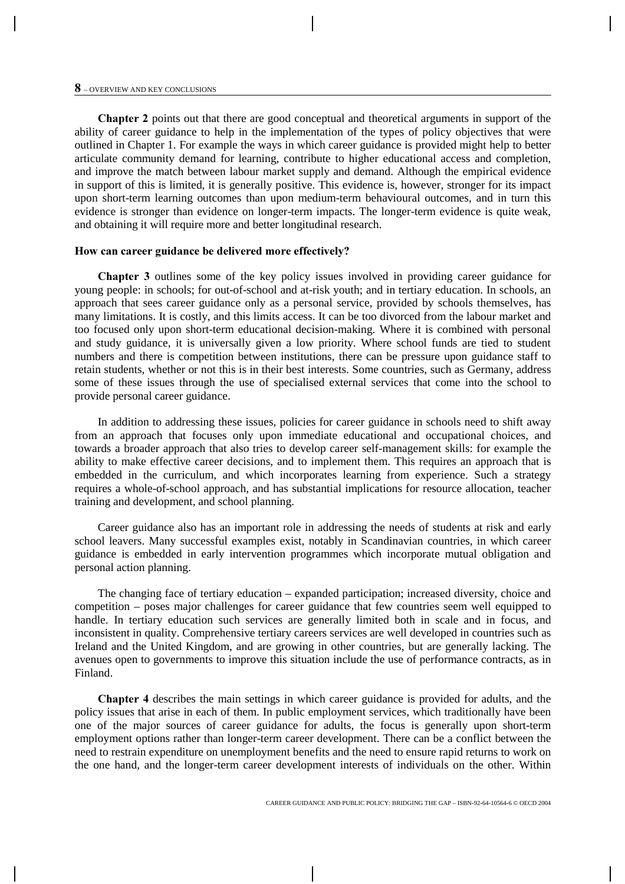**Chapter 2** points out that there are good conceptual and theoretical arguments in support of the ability of career guidance to help in the implementation of the types of policy objectives that were outlined in Chapter 1. For example the ways in which career guidance is provided might help to better articulate community demand for learning, contribute to higher educational access and completion, and improve the match between labour market supply and demand. Although the empirical evidence in support of this is limited, it is generally positive. This evidence is, however, stronger for its impact upon short-term learning outcomes than upon medium-term behavioural outcomes, and in turn this evidence is stronger than evidence on longer-term impacts. The longer-term evidence is quite weak, and obtaining it will require more and better longitudinal research.

# How can career guidance be delivered more effectively?

**Chapter 3** outlines some of the key policy issues involved in providing career guidance for young people: in schools; for out-of-school and at-risk youth; and in tertiary education. In schools, an approach that sees career guidance only as a personal service, provided by schools themselves, has many limitations. It is costly, and this limits access. It can be too divorced from the labour market and too focused only upon short-term educational decision-making. Where it is combined with personal and study guidance, it is universally given a low priority. Where school funds are tied to student numbers and there is competition between institutions, there can be pressure upon guidance staff to retain students, whether or not this is in their best interests. Some countries, such as Germany, address some of these issues through the use of specialised external services that come into the school to provide personal career guidance.

In addition to addressing these issues, policies for career guidance in schools need to shift away from an approach that focuses only upon immediate educational and occupational choices, and towards a broader approach that also tries to develop career self-management skills: for example the ability to make effective career decisions, and to implement them. This requires an approach that is embedded in the curriculum, and which incorporates learning from experience. Such a strategy requires a whole-of-school approach, and has substantial implications for resource allocation, teacher training and development, and school planning.

Career guidance also has an important role in addressing the needs of students at risk and early school leavers. Many successful examples exist, notably in Scandinavian countries, in which career guidance is embedded in early intervention programmes which incorporate mutual obligation and personal action planning.

The changing face of tertiary education – expanded participation; increased diversity, choice and competition – poses major challenges for career guidance that few countries seem well equipped to handle. In tertiary education such services are generally limited both in scale and in focus, and inconsistent in quality. Comprehensive tertiary careers services are well developed in countries such as Ireland and the United Kingdom, and are growing in other countries, but are generally lacking. The avenues open to governments to improve this situation include the use of performance contracts, as in Finland.

**Chapter 4** describes the main settings in which career guidance is provided for adults, and the policy issues that arise in each of them. In public employment services, which traditionally have been one of the major sources of career guidance for adults, the focus is generally upon short-term employment options rather than longer-term career development. There can be a conflict between the need to restrain expenditure on unemployment benefits and the need to ensure rapid returns to work on the one hand, and the longer-term career development interests of individuals on the other. Within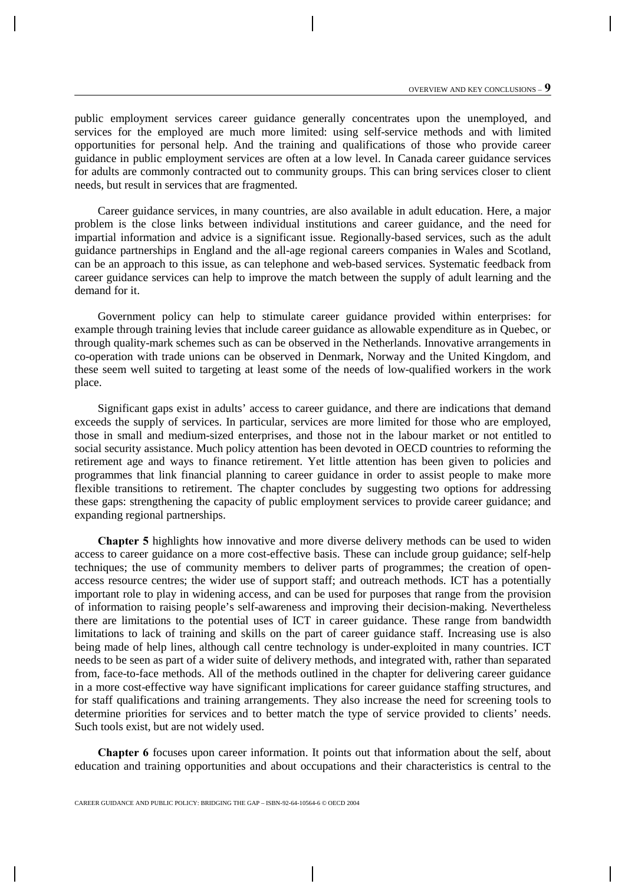public employment services career guidance generally concentrates upon the unemployed, and services for the employed are much more limited: using self-service methods and with limited opportunities for personal help. And the training and qualifications of those who provide career guidance in public employment services are often at a low level. In Canada career guidance services for adults are commonly contracted out to community groups. This can bring services closer to client needs, but result in services that are fragmented.

Career guidance services, in many countries, are also available in adult education. Here, a major problem is the close links between individual institutions and career guidance, and the need for impartial information and advice is a significant issue. Regionally-based services, such as the adult guidance partnerships in England and the all-age regional careers companies in Wales and Scotland, can be an approach to this issue, as can telephone and web-based services. Systematic feedback from career guidance services can help to improve the match between the supply of adult learning and the demand for it.

Government policy can help to stimulate career guidance provided within enterprises: for example through training levies that include career guidance as allowable expenditure as in Quebec, or through quality-mark schemes such as can be observed in the Netherlands. Innovative arrangements in co-operation with trade unions can be observed in Denmark, Norway and the United Kingdom, and these seem well suited to targeting at least some of the needs of low-qualified workers in the work place.

Significant gaps exist in adults' access to career guidance, and there are indications that demand exceeds the supply of services. In particular, services are more limited for those who are employed, those in small and medium-sized enterprises, and those not in the labour market or not entitled to social security assistance. Much policy attention has been devoted in OECD countries to reforming the retirement age and ways to finance retirement. Yet little attention has been given to policies and programmes that link financial planning to career guidance in order to assist people to make more flexible transitions to retirement. The chapter concludes by suggesting two options for addressing these gaps: strengthening the capacity of public employment services to provide career guidance; and expanding regional partnerships.

**Chapter 5** highlights how innovative and more diverse delivery methods can be used to widen access to career guidance on a more cost-effective basis. These can include group guidance; self-help techniques; the use of community members to deliver parts of programmes; the creation of openaccess resource centres; the wider use of support staff; and outreach methods. ICT has a potentially important role to play in widening access, and can be used for purposes that range from the provision of information to raising people's self-awareness and improving their decision-making. Nevertheless there are limitations to the potential uses of ICT in career guidance. These range from bandwidth limitations to lack of training and skills on the part of career guidance staff. Increasing use is also being made of help lines, although call centre technology is under-exploited in many countries. ICT needs to be seen as part of a wider suite of delivery methods, and integrated with, rather than separated from, face-to-face methods. All of the methods outlined in the chapter for delivering career guidance in a more cost-effective way have significant implications for career guidance staffing structures, and for staff qualifications and training arrangements. They also increase the need for screening tools to determine priorities for services and to better match the type of service provided to clients' needs. Such tools exist, but are not widely used.

**Chapter 6** focuses upon career information. It points out that information about the self, about education and training opportunities and about occupations and their characteristics is central to the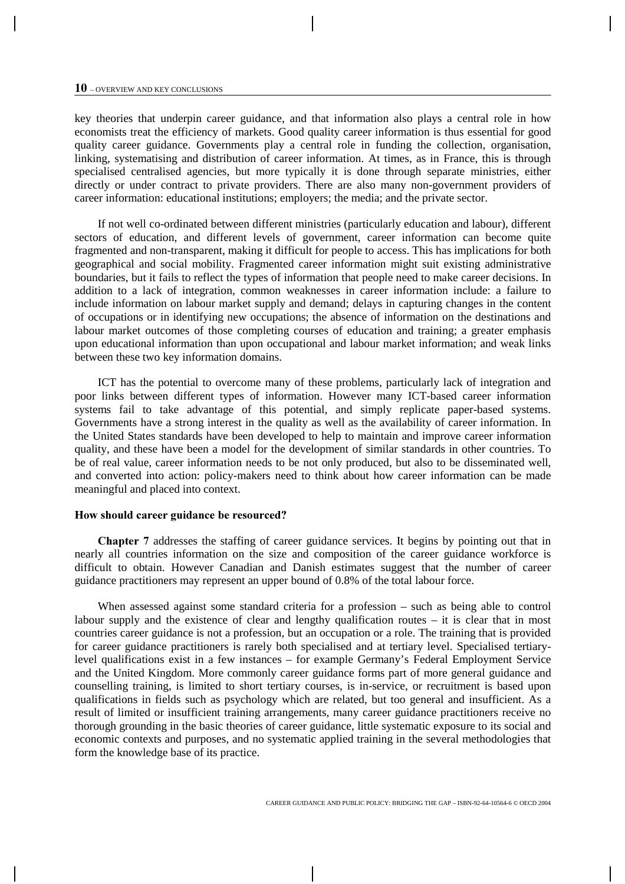key theories that underpin career guidance, and that information also plays a central role in how economists treat the efficiency of markets. Good quality career information is thus essential for good quality career guidance. Governments play a central role in funding the collection, organisation, linking, systematising and distribution of career information. At times, as in France, this is through specialised centralised agencies, but more typically it is done through separate ministries, either directly or under contract to private providers. There are also many non-government providers of career information: educational institutions; employers; the media; and the private sector.

If not well co-ordinated between different ministries (particularly education and labour), different sectors of education, and different levels of government, career information can become quite fragmented and non-transparent, making it difficult for people to access. This has implications for both geographical and social mobility. Fragmented career information might suit existing administrative boundaries, but it fails to reflect the types of information that people need to make career decisions. In addition to a lack of integration, common weaknesses in career information include: a failure to include information on labour market supply and demand; delays in capturing changes in the content of occupations or in identifying new occupations; the absence of information on the destinations and labour market outcomes of those completing courses of education and training; a greater emphasis upon educational information than upon occupational and labour market information; and weak links between these two key information domains.

ICT has the potential to overcome many of these problems, particularly lack of integration and poor links between different types of information. However many ICT-based career information systems fail to take advantage of this potential, and simply replicate paper-based systems. Governments have a strong interest in the quality as well as the availability of career information. In the United States standards have been developed to help to maintain and improve career information quality, and these have been a model for the development of similar standards in other countries. To be of real value, career information needs to be not only produced, but also to be disseminated well, and converted into action: policy-makers need to think about how career information can be made meaningful and placed into context.

# How should career guidance be resourced?

**Chapter** 7 addresses the staffing of career guidance services. It begins by pointing out that in nearly all countries information on the size and composition of the career guidance workforce is difficult to obtain. However Canadian and Danish estimates suggest that the number of career guidance practitioners may represent an upper bound of 0.8% of the total labour force.

When assessed against some standard criteria for a profession – such as being able to control labour supply and the existence of clear and lengthy qualification routes – it is clear that in most countries career guidance is not a profession, but an occupation or a role. The training that is provided for career guidance practitioners is rarely both specialised and at tertiary level. Specialised tertiarylevel qualifications exist in a few instances – for example Germany's Federal Employment Service and the United Kingdom. More commonly career guidance forms part of more general guidance and counselling training, is limited to short tertiary courses, is in-service, or recruitment is based upon qualifications in fields such as psychology which are related, but too general and insufficient. As a result of limited or insufficient training arrangements, many career guidance practitioners receive no thorough grounding in the basic theories of career guidance, little systematic exposure to its social and economic contexts and purposes, and no systematic applied training in the several methodologies that form the knowledge base of its practice.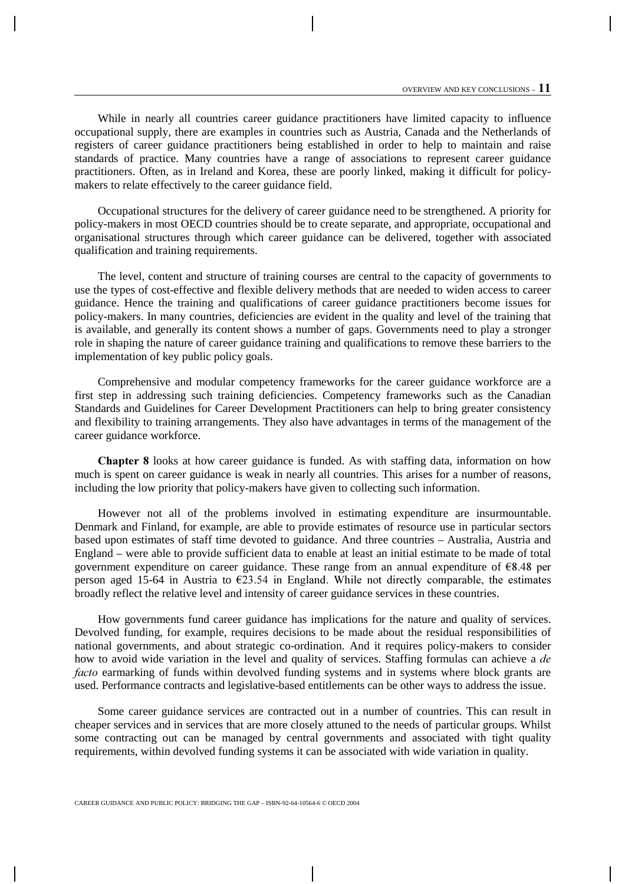While in nearly all countries career guidance practitioners have limited capacity to influence occupational supply, there are examples in countries such as Austria, Canada and the Netherlands of registers of career guidance practitioners being established in order to help to maintain and raise standards of practice. Many countries have a range of associations to represent career guidance practitioners. Often, as in Ireland and Korea, these are poorly linked, making it difficult for policymakers to relate effectively to the career guidance field.

Occupational structures for the delivery of career guidance need to be strengthened. A priority for policy-makers in most OECD countries should be to create separate, and appropriate, occupational and organisational structures through which career guidance can be delivered, together with associated qualification and training requirements.

The level, content and structure of training courses are central to the capacity of governments to use the types of cost-effective and flexible delivery methods that are needed to widen access to career guidance. Hence the training and qualifications of career guidance practitioners become issues for policy-makers. In many countries, deficiencies are evident in the quality and level of the training that is available, and generally its content shows a number of gaps. Governments need to play a stronger role in shaping the nature of career guidance training and qualifications to remove these barriers to the implementation of key public policy goals.

Comprehensive and modular competency frameworks for the career guidance workforce are a first step in addressing such training deficiencies. Competency frameworks such as the Canadian Standards and Guidelines for Career Development Practitioners can help to bring greater consistency and flexibility to training arrangements. They also have advantages in terms of the management of the career guidance workforce.

**Chapter 8** looks at how career guidance is funded. As with staffing data, information on how much is spent on career guidance is weak in nearly all countries. This arises for a number of reasons, including the low priority that policy-makers have given to collecting such information.

However not all of the problems involved in estimating expenditure are insurmountable. Denmark and Finland, for example, are able to provide estimates of resource use in particular sectors based upon estimates of staff time devoted to guidance. And three countries – Australia, Austria and England – were able to provide sufficient data to enable at least an initial estimate to be made of total government expenditure on career guidance. These range from an annual expenditure of  $€8.48$  per person aged 15-64 in Austria to  $\epsilon$ 23.54 in England. While not directly comparable, the estimates broadly reflect the relative level and intensity of career guidance services in these countries.

How governments fund career guidance has implications for the nature and quality of services. Devolved funding, for example, requires decisions to be made about the residual responsibilities of national governments, and about strategic co-ordination. And it requires policy-makers to consider how to avoid wide variation in the level and quality of services. Staffing formulas can achieve a de facto earmarking of funds within devolved funding systems and in systems where block grants are used. Performance contracts and legislative-based entitlements can be other ways to address the issue.

Some career guidance services are contracted out in a number of countries. This can result in cheaper services and in services that are more closely attuned to the needs of particular groups. Whilst some contracting out can be managed by central governments and associated with tight quality requirements, within devolved funding systems it can be associated with wide variation in quality.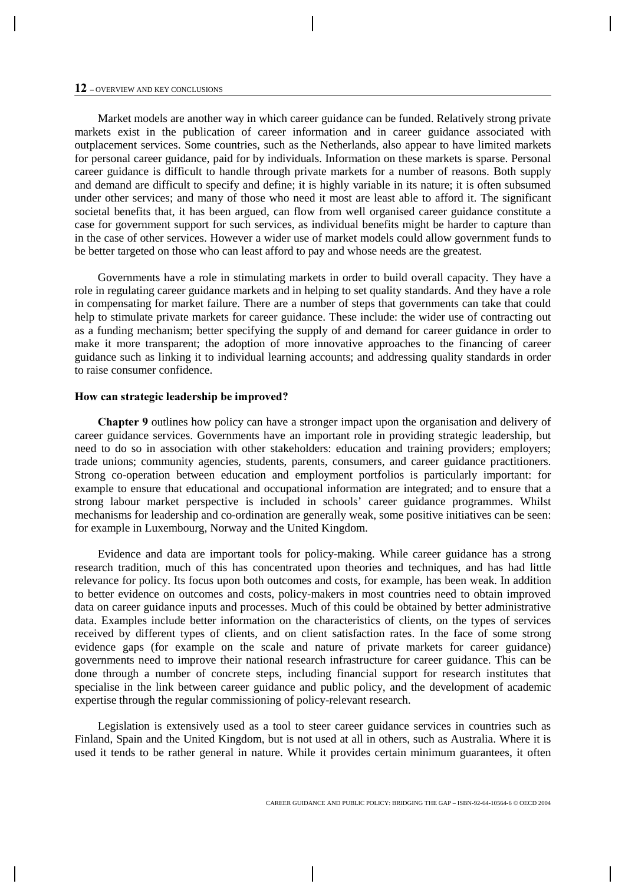Market models are another way in which career guidance can be funded. Relatively strong private markets exist in the publication of career information and in career guidance associated with outplacement services. Some countries, such as the Netherlands, also appear to have limited markets for personal career guidance, paid for by individuals. Information on these markets is sparse. Personal career guidance is difficult to handle through private markets for a number of reasons. Both supply and demand are difficult to specify and define; it is highly variable in its nature; it is often subsumed under other services; and many of those who need it most are least able to afford it. The significant societal benefits that, it has been argued, can flow from well organised career guidance constitute a case for government support for such services, as individual benefits might be harder to capture than in the case of other services. However a wider use of market models could allow government funds to be better targeted on those who can least afford to pay and whose needs are the greatest.

Governments have a role in stimulating markets in order to build overall capacity. They have a role in regulating career guidance markets and in helping to set quality standards. And they have a role in compensating for market failure. There are a number of steps that governments can take that could help to stimulate private markets for career guidance. These include: the wider use of contracting out as a funding mechanism; better specifying the supply of and demand for career guidance in order to make it more transparent; the adoption of more innovative approaches to the financing of career guidance such as linking it to individual learning accounts; and addressing quality standards in order to raise consumer confidence.

# How can strategic leadership be improved?

**Chapter 9** outlines how policy can have a stronger impact upon the organisation and delivery of career guidance services. Governments have an important role in providing strategic leadership, but need to do so in association with other stakeholders: education and training providers; employers; trade unions; community agencies, students, parents, consumers, and career guidance practitioners. Strong co-operation between education and employment portfolios is particularly important: for example to ensure that educational and occupational information are integrated; and to ensure that a strong labour market perspective is included in schools' career guidance programmes. Whilst mechanisms for leadership and co-ordination are generally weak, some positive initiatives can be seen: for example in Luxembourg, Norway and the United Kingdom.

Evidence and data are important tools for policy-making. While career guidance has a strong research tradition, much of this has concentrated upon theories and techniques, and has had little relevance for policy. Its focus upon both outcomes and costs, for example, has been weak. In addition to better evidence on outcomes and costs, policy-makers in most countries need to obtain improved data on career guidance inputs and processes. Much of this could be obtained by better administrative data. Examples include better information on the characteristics of clients, on the types of services received by different types of clients, and on client satisfaction rates. In the face of some strong evidence gaps (for example on the scale and nature of private markets for career guidance) governments need to improve their national research infrastructure for career guidance. This can be done through a number of concrete steps, including financial support for research institutes that specialise in the link between career guidance and public policy, and the development of academic expertise through the regular commissioning of policy-relevant research.

Legislation is extensively used as a tool to steer career guidance services in countries such as Finland, Spain and the United Kingdom, but is not used at all in others, such as Australia. Where it is used it tends to be rather general in nature. While it provides certain minimum guarantees, it often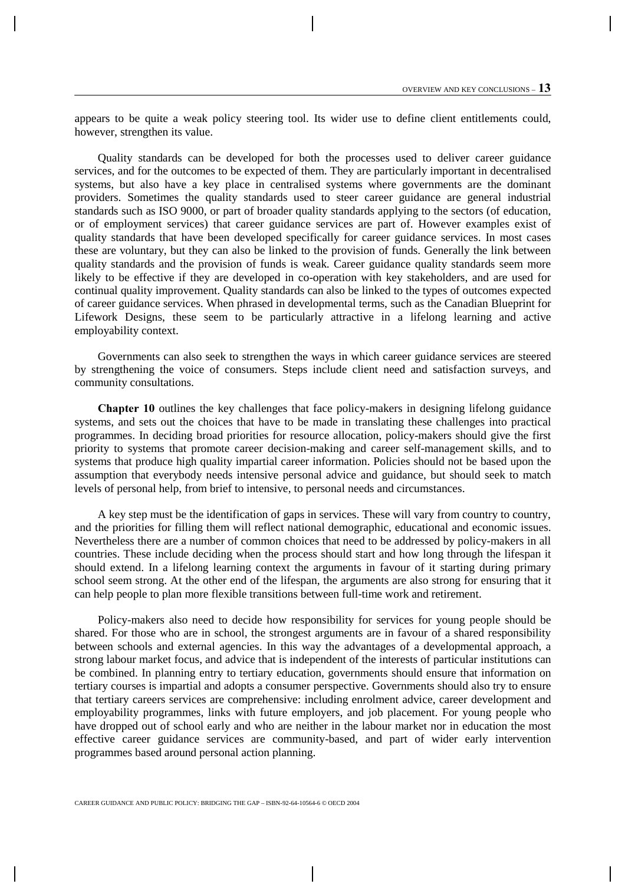appears to be quite a weak policy steering tool. Its wider use to define client entitlements could, however, strengthen its value.

Quality standards can be developed for both the processes used to deliver career guidance services, and for the outcomes to be expected of them. They are particularly important in decentralised systems, but also have a key place in centralised systems where governments are the dominant providers. Sometimes the quality standards used to steer career guidance are general industrial standards such as ISO 9000, or part of broader quality standards applying to the sectors (of education, or of employment services) that career guidance services are part of. However examples exist of quality standards that have been developed specifically for career guidance services. In most cases these are voluntary, but they can also be linked to the provision of funds. Generally the link between quality standards and the provision of funds is weak. Career guidance quality standards seem more likely to be effective if they are developed in co-operation with key stakeholders, and are used for continual quality improvement. Quality standards can also be linked to the types of outcomes expected of career guidance services. When phrased in developmental terms, such as the Canadian Blueprint for Lifework Designs, these seem to be particularly attractive in a lifelong learning and active employability context.

Governments can also seek to strengthen the ways in which career guidance services are steered by strengthening the voice of consumers. Steps include client need and satisfaction surveys, and community consultations.

**Chapter 10** outlines the key challenges that face policy-makers in designing lifelong guidance systems, and sets out the choices that have to be made in translating these challenges into practical programmes. In deciding broad priorities for resource allocation, policy-makers should give the first priority to systems that promote career decision-making and career self-management skills, and to systems that produce high quality impartial career information. Policies should not be based upon the assumption that everybody needs intensive personal advice and guidance, but should seek to match levels of personal help, from brief to intensive, to personal needs and circumstances.

A key step must be the identification of gaps in services. These will vary from country to country, and the priorities for filling them will reflect national demographic, educational and economic issues. Nevertheless there are a number of common choices that need to be addressed by policy-makers in all countries. These include deciding when the process should start and how long through the lifespan it should extend. In a lifelong learning context the arguments in favour of it starting during primary school seem strong. At the other end of the lifespan, the arguments are also strong for ensuring that it can help people to plan more flexible transitions between full-time work and retirement.

Policy-makers also need to decide how responsibility for services for young people should be shared. For those who are in school, the strongest arguments are in favour of a shared responsibility between schools and external agencies. In this way the advantages of a developmental approach, a strong labour market focus, and advice that is independent of the interests of particular institutions can be combined. In planning entry to tertiary education, governments should ensure that information on tertiary courses is impartial and adopts a consumer perspective. Governments should also try to ensure that tertiary careers services are comprehensive: including enrolment advice, career development and employability programmes, links with future employers, and job placement. For young people who have dropped out of school early and who are neither in the labour market nor in education the most effective career guidance services are community-based, and part of wider early intervention programmes based around personal action planning.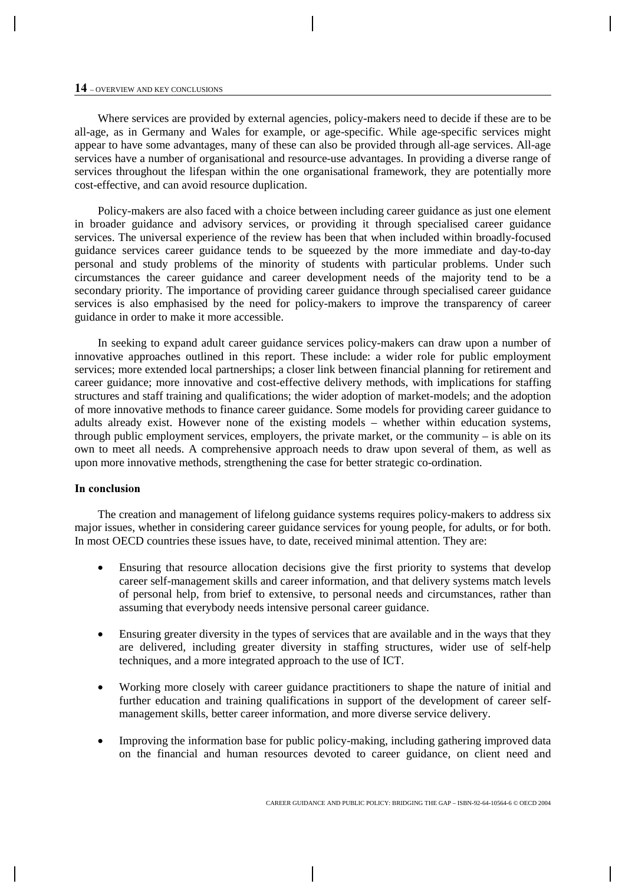Where services are provided by external agencies, policy-makers need to decide if these are to be all-age, as in Germany and Wales for example, or age-specific. While age-specific services might appear to have some advantages, many of these can also be provided through all-age services. All-age services have a number of organisational and resource-use advantages. In providing a diverse range of services throughout the lifespan within the one organisational framework, they are potentially more cost-effective, and can avoid resource duplication.

Policy-makers are also faced with a choice between including career guidance as just one element in broader guidance and advisory services, or providing it through specialised career guidance services. The universal experience of the review has been that when included within broadly-focused guidance services career guidance tends to be squeezed by the more immediate and day-to-day personal and study problems of the minority of students with particular problems. Under such circumstances the career guidance and career development needs of the majority tend to be a secondary priority. The importance of providing career guidance through specialised career guidance services is also emphasised by the need for policy-makers to improve the transparency of career guidance in order to make it more accessible.

In seeking to expand adult career guidance services policy-makers can draw upon a number of innovative approaches outlined in this report. These include: a wider role for public employment services; more extended local partnerships; a closer link between financial planning for retirement and career guidance; more innovative and cost-effective delivery methods, with implications for staffing structures and staff training and qualifications; the wider adoption of market-models; and the adoption of more innovative methods to finance career guidance. Some models for providing career guidance to adults already exist. However none of the existing models – whether within education systems, through public employment services, employers, the private market, or the community – is able on its own to meet all needs. A comprehensive approach needs to draw upon several of them, as well as upon more innovative methods, strengthening the case for better strategic co-ordination.

# In conclusion

The creation and management of lifelong guidance systems requires policy-makers to address six major issues, whether in considering career guidance services for young people, for adults, or for both. In most OECD countries these issues have, to date, received minimal attention. They are:

- Ensuring that resource allocation decisions give the first priority to systems that develop career self-management skills and career information, and that delivery systems match levels of personal help, from brief to extensive, to personal needs and circumstances, rather than assuming that everybody needs intensive personal career guidance.
- Ensuring greater diversity in the types of services that are available and in the ways that they are delivered, including greater diversity in staffing structures, wider use of self-help techniques, and a more integrated approach to the use of ICT.
- Working more closely with career guidance practitioners to shape the nature of initial and further education and training qualifications in support of the development of career selfmanagement skills, better career information, and more diverse service delivery.
- Improving the information base for public policy-making, including gathering improved data on the financial and human resources devoted to career guidance, on client need and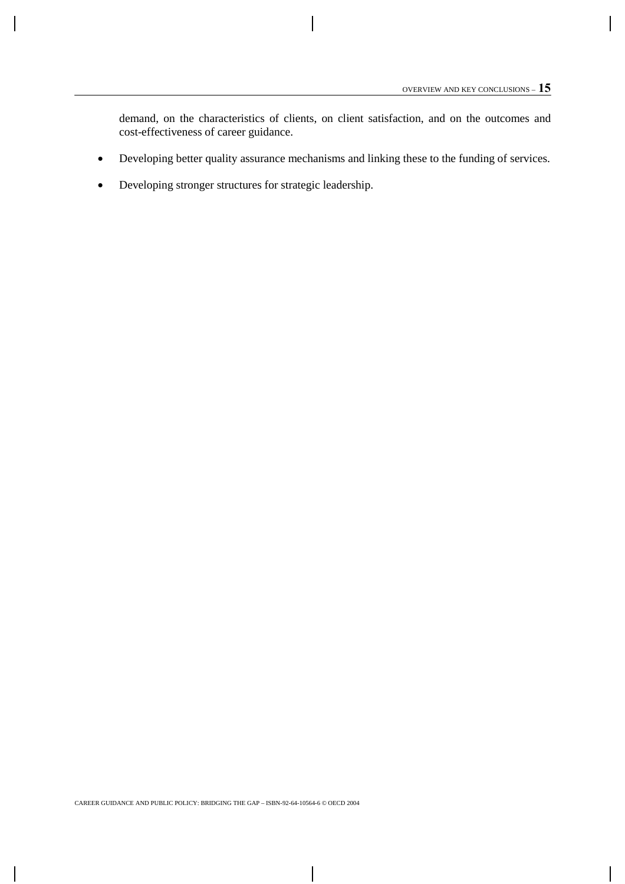demand, on the characteristics of clients, on client satisfaction, and on the outcomes and cost-effectiveness of career guidance.

- Developing better quality assurance mechanisms and linking these to the funding of services.
- Developing stronger structures for strategic leadership.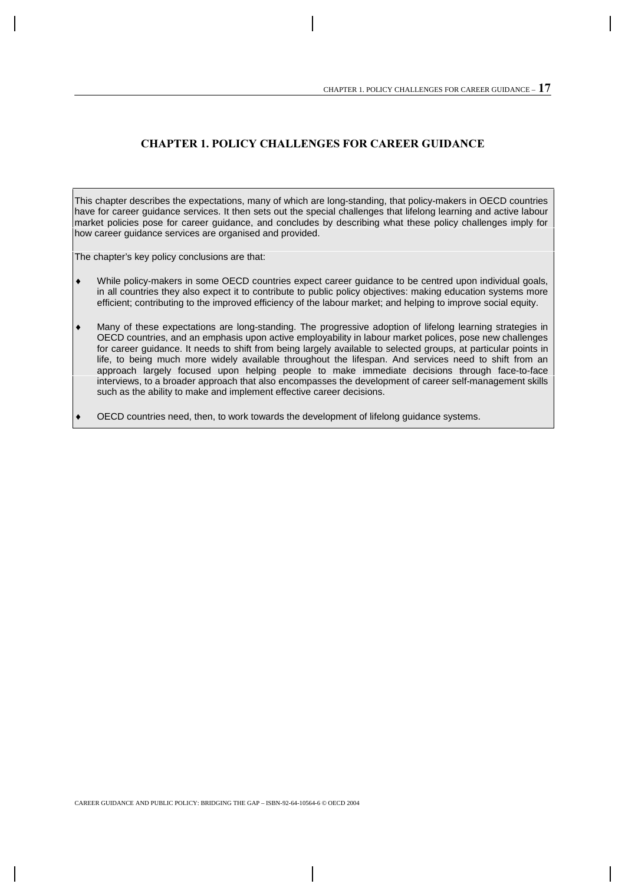# CHAPTER 1. POLICY CHALLENGES FOR CAREER GUIDANCE

This chapter describes the expectations, many of which are long-standing, that policy-makers in OECD countries have for career guidance services. It then sets out the special challenges that lifelong learning and active labour market policies pose for career guidance, and concludes by describing what these policy challenges imply for how career guidance services are organised and provided.

The chapter's key policy conclusions are that:

- $\blacklozenge$  While policy-makers in some OECD countries expect career guidance to be centred upon individual goals, in all countries they also expect it to contribute to public policy objectives: making education systems more efficient; contributing to the improved efficiency of the labour market; and helping to improve social equity.
- $\blacklozenge$  Many of these expectations are long-standing. The progressive adoption of lifelong learning strategies in OECD countries, and an emphasis upon active employability in labour market polices, pose new challenges for career guidance. It needs to shift from being largely available to selected groups, at particular points in life, to being much more widely available throughout the lifespan. And services need to shift from an approach largely focused upon helping people to make immediate decisions through face-to-face interviews, to a broader approach that also encompasses the development of career self-management skills such as the ability to make and implement effective career decisions.
- $\blacklozenge$ OECD countries need, then, to work towards the development of lifelong guidance systems.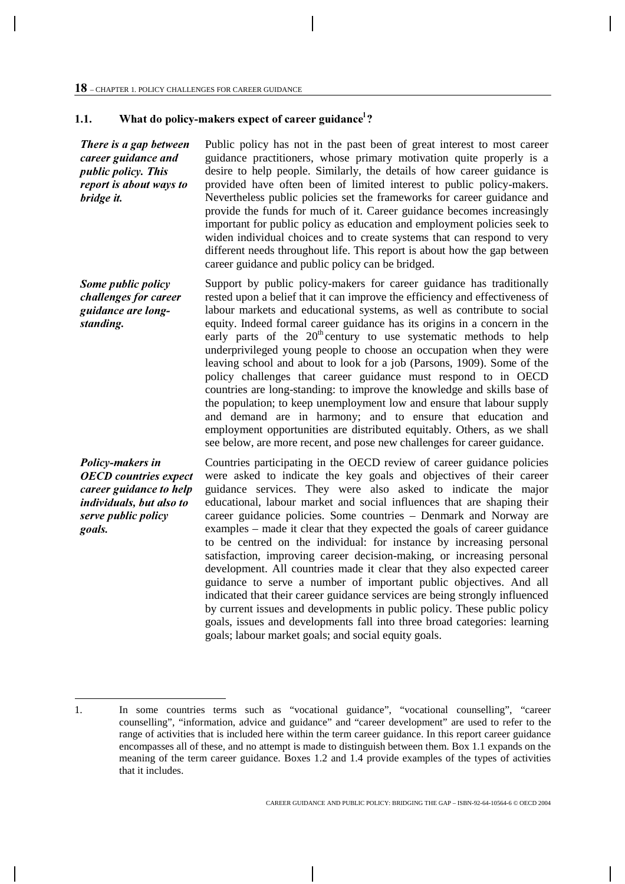# 1.1. What do policy-makers expect of career guidance<sup>1</sup>?

**There is a gap between** career guidance and *public policy. This report is about ways to bridge it.* 

**Some public policy** challenges for career *guidance are long*standing.

Policy-makers in OECD countries expect career guidance to help *individuals, but also to* **serve public policy** goals.

 $\overline{a}$ 

Public policy has not in the past been of great interest to most career guidance practitioners, whose primary motivation quite properly is a desire to help people. Similarly, the details of how career guidance is provided have often been of limited interest to public policy-makers. Nevertheless public policies set the frameworks for career guidance and provide the funds for much of it. Career guidance becomes increasingly important for public policy as education and employment policies seek to widen individual choices and to create systems that can respond to very different needs throughout life. This report is about how the gap between career guidance and public policy can be bridged.

Support by public policy-makers for career guidance has traditionally rested upon a belief that it can improve the efficiency and effectiveness of labour markets and educational systems, as well as contribute to social equity. Indeed formal career guidance has its origins in a concern in the early parts of the  $20<sup>th</sup>$  century to use systematic methods to help underprivileged young people to choose an occupation when they were leaving school and about to look for a job (Parsons, 1909). Some of the policy challenges that career guidance must respond to in OECD countries are long-standing: to improve the knowledge and skills base of the population; to keep unemployment low and ensure that labour supply and demand are in harmony; and to ensure that education and employment opportunities are distributed equitably. Others, as we shall see below, are more recent, and pose new challenges for career guidance.

Countries participating in the OECD review of career guidance policies were asked to indicate the key goals and objectives of their career guidance services. They were also asked to indicate the major educational, labour market and social influences that are shaping their career guidance policies. Some countries – Denmark and Norway are examples – made it clear that they expected the goals of career guidance to be centred on the individual: for instance by increasing personal satisfaction, improving career decision-making, or increasing personal development. All countries made it clear that they also expected career guidance to serve a number of important public objectives. And all indicated that their career guidance services are being strongly influenced by current issues and developments in public policy. These public policy goals, issues and developments fall into three broad categories: learning goals; labour market goals; and social equity goals.

<sup>1.</sup> In some countries terms such as "vocational guidance", "vocational counselling", "career counselling", "information, advice and guidance" and "career development" are used to refer to the range of activities that is included here within the term career guidance. In this report career guidance encompasses all of these, and no attempt is made to distinguish between them. Box 1.1 expands on the meaning of the term career guidance. Boxes 1.2 and 1.4 provide examples of the types of activities that it includes.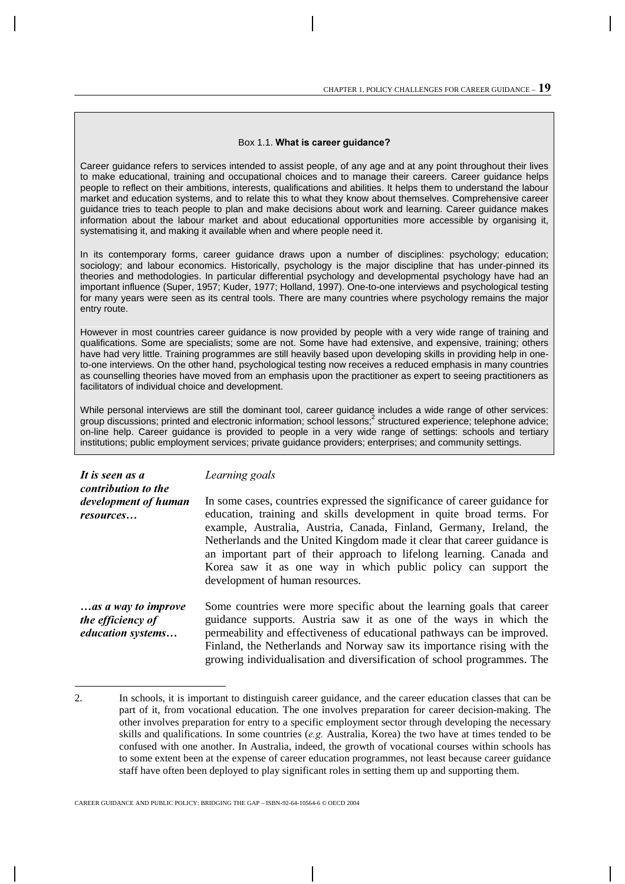### Box 1.1. What is career guidance?

Career guidance refers to services intended to assist people, of any age and at any point throughout their lives to make educational, training and occupational choices and to manage their careers. Career guidance helps people to reflect on their ambitions, interests, qualifications and abilities. It helps them to understand the labour market and education systems, and to relate this to what they know about themselves. Comprehensive career guidance tries to teach people to plan and make decisions about work and learning. Career guidance makes information about the labour market and about educational opportunities more accessible by organising it, systematising it, and making it available when and where people need it.

In its contemporary forms, career guidance draws upon a number of disciplines: psychology; education; sociology; and labour economics. Historically, psychology is the major discipline that has under-pinned its theories and methodologies. In particular differential psychology and developmental psychology have had an important influence (Super, 1957; Kuder, 1977; Holland, 1997). One-to-one interviews and psychological testing for many years were seen as its central tools. There are many countries where psychology remains the major entry route.

However in most countries career guidance is now provided by people with a very wide range of training and qualifications. Some are specialists; some are not. Some have had extensive, and expensive, training; others have had very little. Training programmes are still heavily based upon developing skills in providing help in oneto-one interviews. On the other hand, psychological testing now receives a reduced emphasis in many countries as counselling theories have moved from an emphasis upon the practitioner as expert to seeing practitioners as facilitators of individual choice and development.

While personal interviews are still the dominant tool, career guidance includes a wide range of other services: group discussions; printed and electronic information; school lessons;<sup>2</sup> structured experience; telephone advice; on-line help. Career guidance is provided to people in a very wide range of settings: schools and tertiary institutions; public employment services; private guidance providers; enterprises; and community settings.

| It is seen as a<br>contribution to the                        | Learning goals                                                                                                                                                                                                                                                                                                                                                                                                                                                                     |
|---------------------------------------------------------------|------------------------------------------------------------------------------------------------------------------------------------------------------------------------------------------------------------------------------------------------------------------------------------------------------------------------------------------------------------------------------------------------------------------------------------------------------------------------------------|
| development of human<br>resources                             | In some cases, countries expressed the significance of career guidance for<br>education, training and skills development in quite broad terms. For<br>example, Australia, Austria, Canada, Finland, Germany, Ireland, the<br>Netherlands and the United Kingdom made it clear that career guidance is<br>an important part of their approach to lifelong learning. Canada and<br>Korea saw it as one way in which public policy can support the<br>development of human resources. |
| as a way to improve<br>the efficiency of<br>education systems | Some countries were more specific about the learning goals that career<br>guidance supports. Austria saw it as one of the ways in which the<br>permeability and effectiveness of educational pathways can be improved.<br>Finland, the Netherlands and Norway saw its importance rising with the<br>growing individualisation and diversification of school programmes. The                                                                                                        |

 $\overline{a}$ 

<sup>2.</sup> In schools, it is important to distinguish career guidance, and the career education classes that can be part of it, from vocational education. The one involves preparation for career decision-making. The other involves preparation for entry to a specific employment sector through developing the necessary skills and qualifications. In some countries (e.g. Australia, Korea) the two have at times tended to be confused with one another. In Australia, indeed, the growth of vocational courses within schools has to some extent been at the expense of career education programmes, not least because career guidance staff have often been deployed to play significant roles in setting them up and supporting them.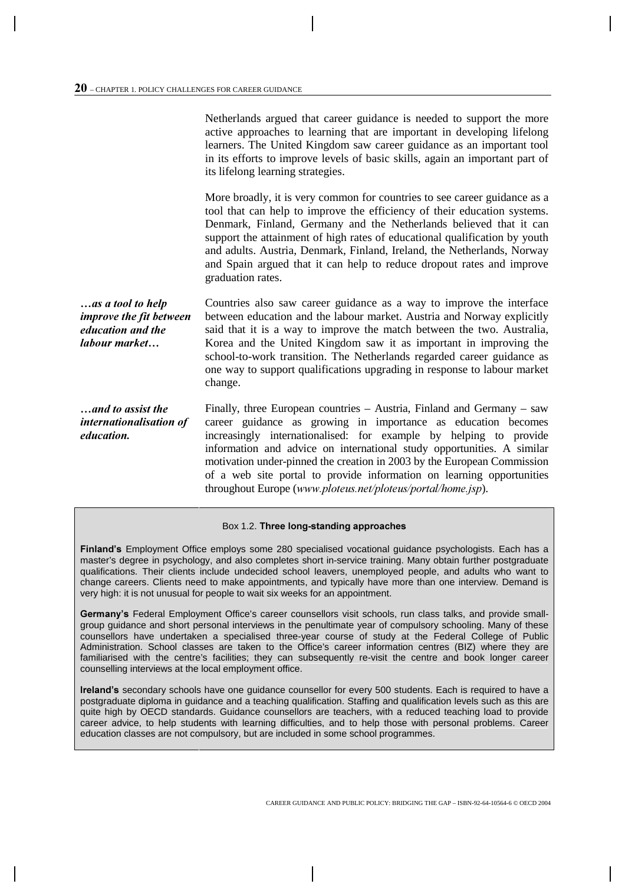Netherlands argued that career guidance is needed to support the more active approaches to learning that are important in developing lifelong learners. The United Kingdom saw career guidance as an important tool in its efforts to improve levels of basic skills, again an important part of its lifelong learning strategies.

More broadly, it is very common for countries to see career guidance as a tool that can help to improve the efficiency of their education systems. Denmark, Finland, Germany and the Netherlands believed that it can support the attainment of high rates of educational qualification by youth and adults. Austria, Denmark, Finland, Ireland, the Netherlands, Norway and Spain argued that it can help to reduce dropout rates and improve graduation rates.

...as a tool to help *improve the fit between* education and the *labour market...* Countries also saw career guidance as a way to improve the interface between education and the labour market. Austria and Norway explicitly said that it is a way to improve the match between the two. Australia, Korea and the United Kingdom saw it as important in improving the school-to-work transition. The Netherlands regarded career guidance as one way to support qualifications upgrading in response to labour market change.

...and to assist the internationalisation of *<u>education.</u>* Finally, three European countries – Austria, Finland and Germany – saw career guidance as growing in importance as education becomes increasingly internationalised: for example by helping to provide information and advice on international study opportunities. A similar motivation under-pinned the creation in 2003 by the European Commission of a web site portal to provide information on learning opportunities throughout Europe (www.ploteus.net/ploteus/portal/home.jsp).

### Box 1.2. Three long-standing approaches

Finland's Employment Office employs some 280 specialised vocational guidance psychologists. Each has a master's degree in psychology, and also completes short in-service training. Many obtain further postgraduate qualifications. Their clients include undecided school leavers, unemployed people, and adults who want to change careers. Clients need to make appointments, and typically have more than one interview. Demand is very high: it is not unusual for people to wait six weeks for an appointment.

Germany's Federal Employment Office's career counsellors visit schools, run class talks, and provide smallgroup guidance and short personal interviews in the penultimate year of compulsory schooling. Many of these counsellors have undertaken a specialised three-year course of study at the Federal College of Public Administration. School classes are taken to the Office's career information centres (BIZ) where they are familiarised with the centre's facilities; they can subsequently re-visit the centre and book longer career counselling interviews at the local employment office.

Ireland's secondary schools have one guidance counsellor for every 500 students. Each is required to have a postgraduate diploma in guidance and a teaching qualification. Staffing and qualification levels such as this are quite high by OECD standards. Guidance counsellors are teachers, with a reduced teaching load to provide career advice, to help students with learning difficulties, and to help those with personal problems. Career education classes are not compulsory, but are included in some school programmes.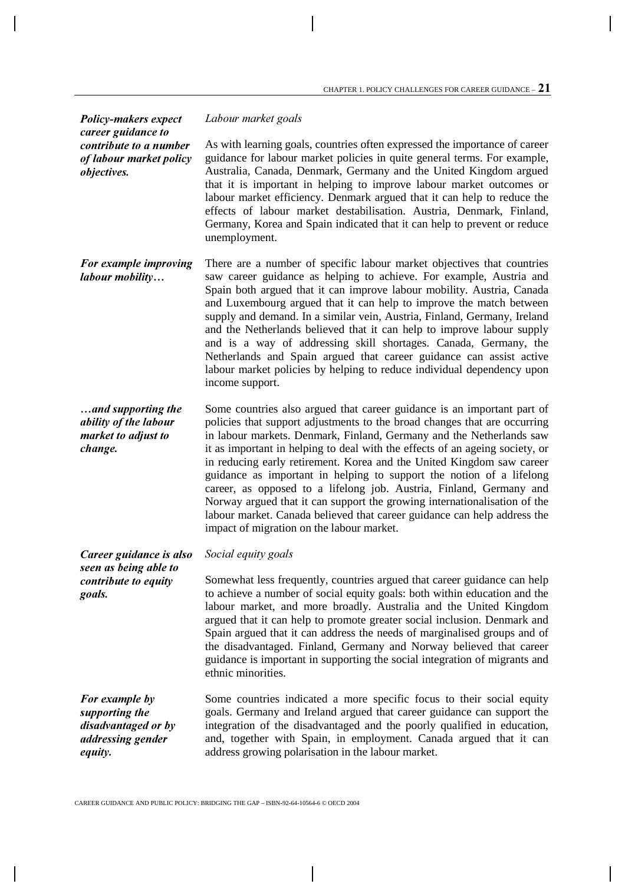Policy-makers expect career guidance to contribute to a number of labour market policy  $obiectives.$ Labour market goals As with learning goals, countries often expressed the importance of career guidance for labour market policies in quite general terms. For example, Australia, Canada, Denmark, Germany and the United Kingdom argued that it is important in helping to improve labour market outcomes or labour market efficiency. Denmark argued that it can help to reduce the effects of labour market destabilisation. Austria, Denmark, Finland, Germany, Korea and Spain indicated that it can help to prevent or reduce unemployment. *For example improving*  $labour$  *mobility*... There are a number of specific labour market objectives that countries saw career guidance as helping to achieve. For example, Austria and Spain both argued that it can improve labour mobility. Austria, Canada and Luxembourg argued that it can help to improve the match between supply and demand. In a similar vein, Austria, Finland, Germany, Ireland and the Netherlands believed that it can help to improve labour supply and is a way of addressing skill shortages. Canada, Germany, the Netherlands and Spain argued that career guidance can assist active labour market policies by helping to reduce individual dependency upon income support.

...and supporting the ability of the labour market to adjust to *-*  Some countries also argued that career guidance is an important part of policies that support adjustments to the broad changes that are occurring in labour markets. Denmark, Finland, Germany and the Netherlands saw it as important in helping to deal with the effects of an ageing society, or in reducing early retirement. Korea and the United Kingdom saw career guidance as important in helping to support the notion of a lifelong career, as opposed to a lifelong job. Austria, Finland, Germany and Norway argued that it can support the growing internationalisation of the labour market. Canada believed that career guidance can help address the impact of migration on the labour market.

*Career guidance is also* seen as being able to contribute to equity goals.

*Social equity goals* 

Somewhat less frequently, countries argued that career guidance can help to achieve a number of social equity goals: both within education and the labour market, and more broadly. Australia and the United Kingdom argued that it can help to promote greater social inclusion. Denmark and Spain argued that it can address the needs of marginalised groups and of the disadvantaged. Finland, Germany and Norway believed that career guidance is important in supporting the social integration of migrants and ethnic minorities.

**For example by** supporting the *disadvantaged or by addressing gender* equity. Some countries indicated a more specific focus to their social equity goals. Germany and Ireland argued that career guidance can support the integration of the disadvantaged and the poorly qualified in education, and, together with Spain, in employment. Canada argued that it can address growing polarisation in the labour market.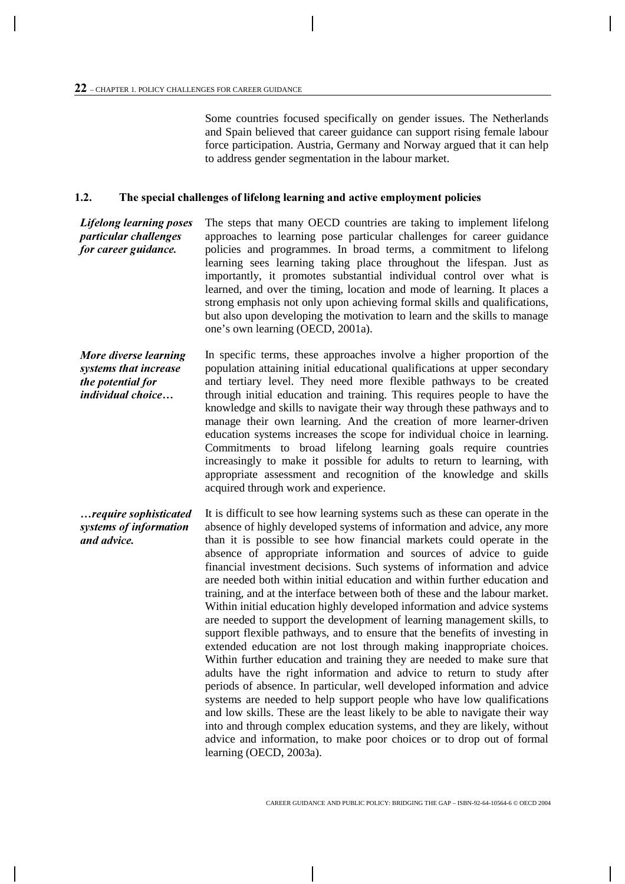Some countries focused specifically on gender issues. The Netherlands and Spain believed that career guidance can support rising female labour force participation. Austria, Germany and Norway argued that it can help to address gender segmentation in the labour market.

#### $1.2.$ The special challenges of lifelong learning and active employment policies

*Lifelong learning poses rarticular challenges for career guidance.* The steps that many OECD countries are taking to implement lifelong approaches to learning pose particular challenges for career guidance policies and programmes. In broad terms, a commitment to lifelong learning sees learning taking place throughout the lifespan. Just as importantly, it promotes substantial individual control over what is learned, and over the timing, location and mode of learning. It places a strong emphasis not only upon achieving formal skills and qualifications, but also upon developing the motivation to learn and the skills to manage one's own learning (OECD, 2001a).

*More diverse learning* systems that increase the potential for individual choice... In specific terms, these approaches involve a higher proportion of the population attaining initial educational qualifications at upper secondary and tertiary level. They need more flexible pathways to be created through initial education and training. This requires people to have the knowledge and skills to navigate their way through these pathways and to manage their own learning. And the creation of more learner-driven education systems increases the scope for individual choice in learning. Commitments to broad lifelong learning goals require countries increasingly to make it possible for adults to return to learning, with appropriate assessment and recognition of the knowledge and skills acquired through work and experience.

...require sophisticated systems of information *and advice.* It is difficult to see how learning systems such as these can operate in the absence of highly developed systems of information and advice, any more than it is possible to see how financial markets could operate in the absence of appropriate information and sources of advice to guide financial investment decisions. Such systems of information and advice are needed both within initial education and within further education and training, and at the interface between both of these and the labour market. Within initial education highly developed information and advice systems are needed to support the development of learning management skills, to support flexible pathways, and to ensure that the benefits of investing in extended education are not lost through making inappropriate choices. Within further education and training they are needed to make sure that adults have the right information and advice to return to study after periods of absence. In particular, well developed information and advice systems are needed to help support people who have low qualifications and low skills. These are the least likely to be able to navigate their way into and through complex education systems, and they are likely, without advice and information, to make poor choices or to drop out of formal learning (OECD, 2003a).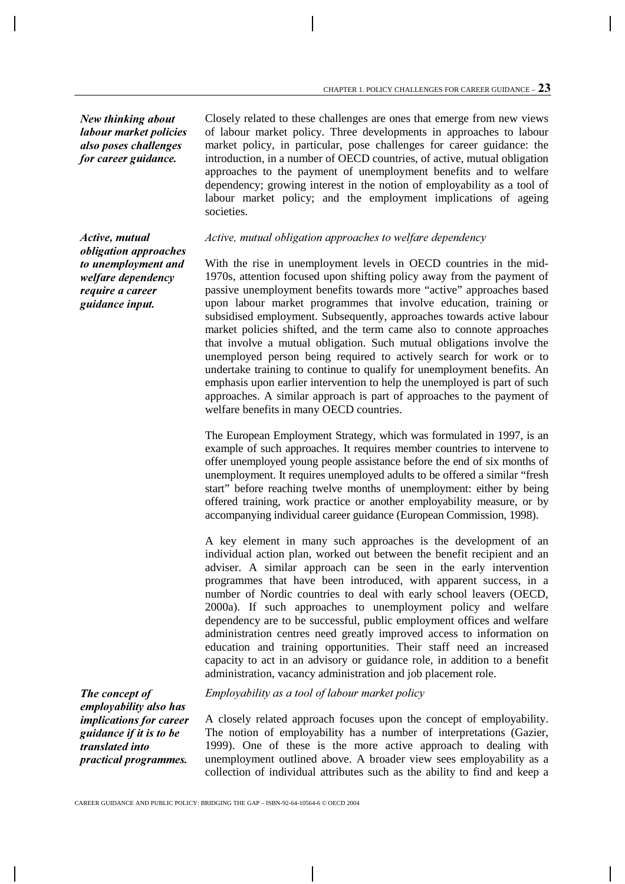New thinking about labour market policies *also poses challenges for career guidance.* 

Closely related to these challenges are ones that emerge from new views of labour market policy. Three developments in approaches to labour market policy, in particular, pose challenges for career guidance: the introduction, in a number of OECD countries, of active, mutual obligation approaches to the payment of unemployment benefits and to welfare dependency; growing interest in the notion of employability as a tool of labour market policy; and the employment implications of ageing societies.

Active, mutual *<i><i><u>bligation</u>* approaches to unemployment and welfare dependency require a career guidance input.

# *Active, mutual obligation approaches to welfare dependency*

With the rise in unemployment levels in OECD countries in the mid-1970s, attention focused upon shifting policy away from the payment of passive unemployment benefits towards more "active" approaches based upon labour market programmes that involve education, training or subsidised employment. Subsequently, approaches towards active labour market policies shifted, and the term came also to connote approaches that involve a mutual obligation. Such mutual obligations involve the unemployed person being required to actively search for work or to undertake training to continue to qualify for unemployment benefits. An emphasis upon earlier intervention to help the unemployed is part of such approaches. A similar approach is part of approaches to the payment of welfare benefits in many OECD countries.

The European Employment Strategy, which was formulated in 1997, is an example of such approaches. It requires member countries to intervene to offer unemployed young people assistance before the end of six months of unemployment. It requires unemployed adults to be offered a similar "fresh start" before reaching twelve months of unemployment: either by being offered training, work practice or another employability measure, or by accompanying individual career guidance (European Commission, 1998).

A key element in many such approaches is the development of an individual action plan, worked out between the benefit recipient and an adviser. A similar approach can be seen in the early intervention programmes that have been introduced, with apparent success, in a number of Nordic countries to deal with early school leavers (OECD, 2000a). If such approaches to unemployment policy and welfare dependency are to be successful, public employment offices and welfare administration centres need greatly improved access to information on education and training opportunities. Their staff need an increased capacity to act in an advisory or guidance role, in addition to a benefit administration, vacancy administration and job placement role.

**The concept of** employability also has *implications for career <u>guidance</u>* if it is to be translated into *practical programmes.* 

Employability as a tool of labour market policy

A closely related approach focuses upon the concept of employability. The notion of employability has a number of interpretations (Gazier, 1999). One of these is the more active approach to dealing with unemployment outlined above. A broader view sees employability as a collection of individual attributes such as the ability to find and keep a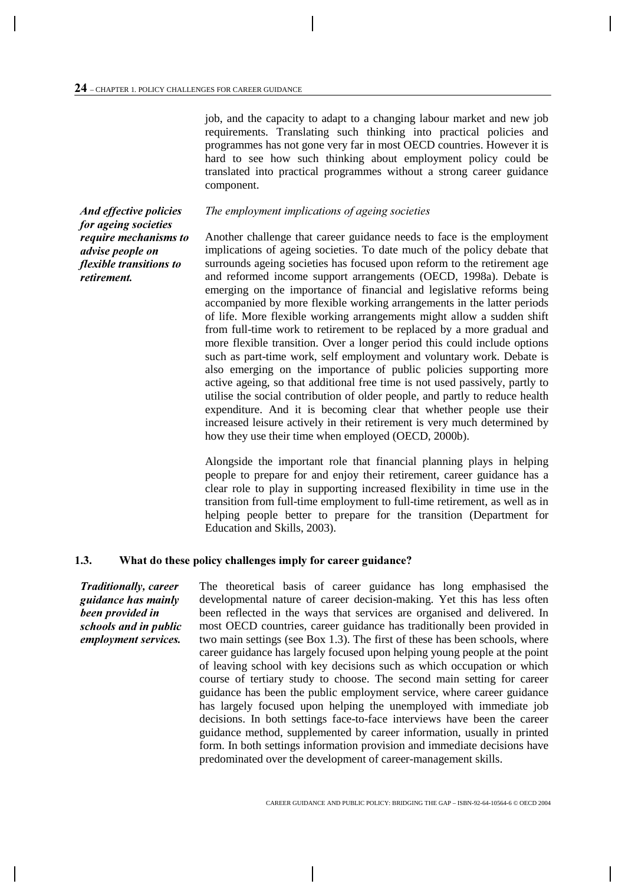job, and the capacity to adapt to a changing labour market and new job requirements. Translating such thinking into practical policies and programmes has not gone very far in most OECD countries. However it is hard to see how such thinking about employment policy could be translated into practical programmes without a strong career guidance component.

And effective policies *for ageing societies require mechanisms to* advise people on flexible transitions to 

# The employment implications of ageing societies

Another challenge that career guidance needs to face is the employment implications of ageing societies. To date much of the policy debate that surrounds ageing societies has focused upon reform to the retirement age and reformed income support arrangements (OECD, 1998a). Debate is emerging on the importance of financial and legislative reforms being accompanied by more flexible working arrangements in the latter periods of life. More flexible working arrangements might allow a sudden shift from full-time work to retirement to be replaced by a more gradual and more flexible transition. Over a longer period this could include options such as part-time work, self employment and voluntary work. Debate is also emerging on the importance of public policies supporting more active ageing, so that additional free time is not used passively, partly to utilise the social contribution of older people, and partly to reduce health expenditure. And it is becoming clear that whether people use their increased leisure actively in their retirement is very much determined by how they use their time when employed (OECD, 2000b).

Alongside the important role that financial planning plays in helping people to prepare for and enjoy their retirement, career guidance has a clear role to play in supporting increased flexibility in time use in the transition from full-time employment to full-time retirement, as well as in helping people better to prepare for the transition (Department for Education and Skills, 2003).

# 1.3. What do these policy challenges imply for career guidance?

**Traditionally, career** guidance has mainly *been provided in* schools and in public employment services. The theoretical basis of career guidance has long emphasised the developmental nature of career decision-making. Yet this has less often been reflected in the ways that services are organised and delivered. In most OECD countries, career guidance has traditionally been provided in two main settings (see Box 1.3). The first of these has been schools, where career guidance has largely focused upon helping young people at the point of leaving school with key decisions such as which occupation or which course of tertiary study to choose. The second main setting for career guidance has been the public employment service, where career guidance has largely focused upon helping the unemployed with immediate job decisions. In both settings face-to-face interviews have been the career guidance method, supplemented by career information, usually in printed form. In both settings information provision and immediate decisions have predominated over the development of career-management skills.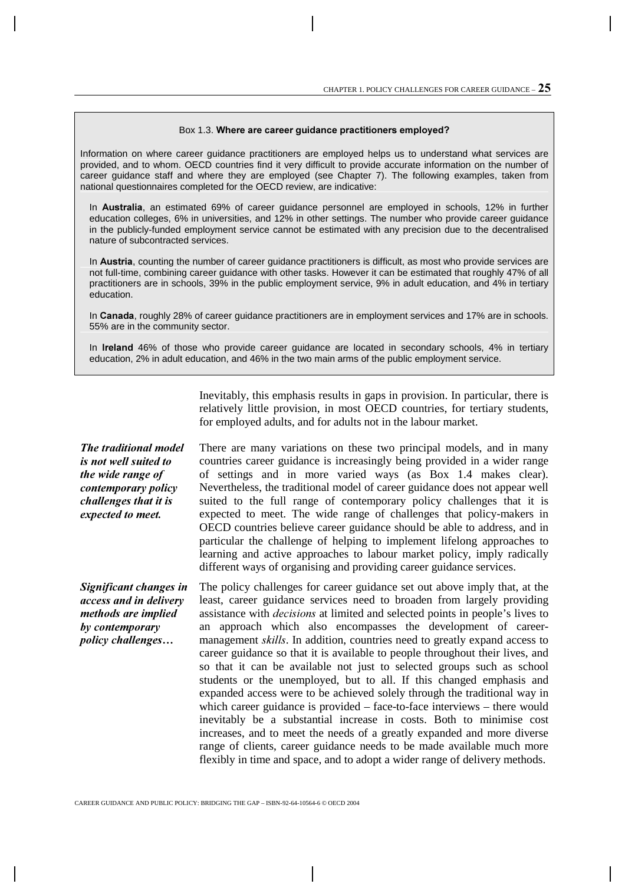### Box 1.3. Where are career guidance practitioners employed?

Information on where career guidance practitioners are employed helps us to understand what services are provided, and to whom. OECD countries find it very difficult to provide accurate information on the number of career guidance staff and where they are employed (see Chapter 7). The following examples, taken from national questionnaires completed for the OECD review, are indicative:

In Australia, an estimated 69% of career guidance personnel are employed in schools, 12% in further education colleges, 6% in universities, and 12% in other settings. The number who provide career guidance in the publicly-funded employment service cannot be estimated with any precision due to the decentralised nature of subcontracted services.

In Austria, counting the number of career guidance practitioners is difficult, as most who provide services are not full-time, combining career guidance with other tasks. However it can be estimated that roughly 47% of all practitioners are in schools, 39% in the public employment service, 9% in adult education, and 4% in tertiary education.

In Canada, roughly 28% of career guidance practitioners are in employment services and 17% are in schools. 55% are in the community sector.

In Ireland 46% of those who provide career guidance are located in secondary schools, 4% in tertiary education, 2% in adult education, and 46% in the two main arms of the public employment service.

> Inevitably, this emphasis results in gaps in provision. In particular, there is relatively little provision, in most OECD countries, for tertiary students, for employed adults, and for adults not in the labour market.

There are many variations on these two principal models, and in many countries career guidance is increasingly being provided in a wider range of settings and in more varied ways (as Box 1.4 makes clear). Nevertheless, the traditional model of career guidance does not appear well suited to the full range of contemporary policy challenges that it is expected to meet. The wide range of challenges that policy-makers in OECD countries believe career guidance should be able to address, and in particular the challenge of helping to implement lifelong approaches to learning and active approaches to labour market policy, imply radically different ways of organising and providing career guidance services.

The policy challenges for career guidance set out above imply that, at the least, career guidance services need to broaden from largely providing assistance with *decisions* at limited and selected points in people's lives to an approach which also encompasses the development of careermanagement *skills*. In addition, countries need to greatly expand access to career guidance so that it is available to people throughout their lives, and so that it can be available not just to selected groups such as school students or the unemployed, but to all. If this changed emphasis and expanded access were to be achieved solely through the traditional way in which career guidance is provided – face-to-face interviews – there would inevitably be a substantial increase in costs. Both to minimise cost increases, and to meet the needs of a greatly expanded and more diverse range of clients, career guidance needs to be made available much more flexibly in time and space, and to adopt a wider range of delivery methods.

**The traditional model** *is not well suited to the wide range of* contemporary policy challenges that it is expected to meet.

**Significant changes in** *access and in delivery* methods are implied by contemporary *policy challenges...*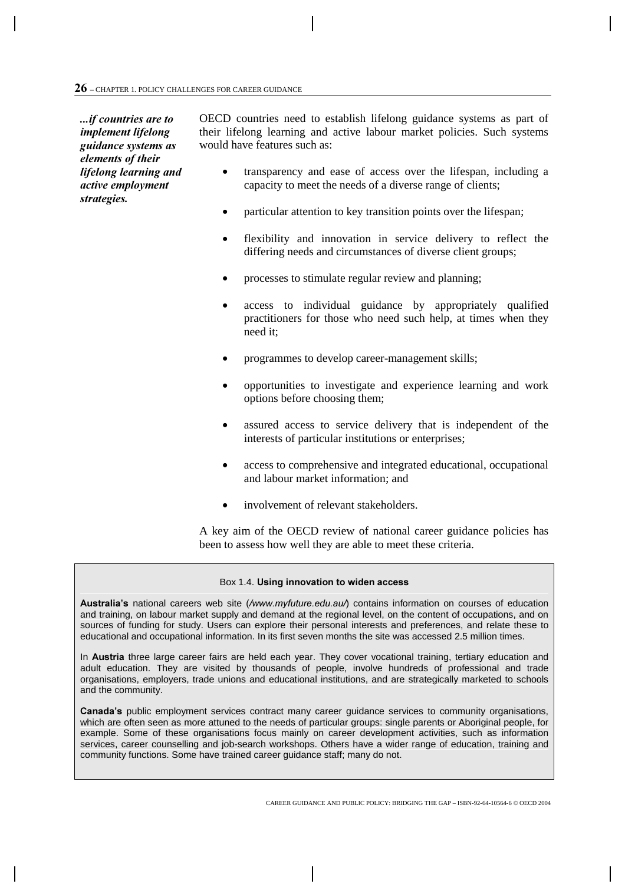...*if countries are to implement lifelong <u>guidance</u> systems as* elements of their *lifelong learning and* active employment strategies.

OECD countries need to establish lifelong guidance systems as part of their lifelong learning and active labour market policies. Such systems would have features such as:

- transparency and ease of access over the lifespan, including a capacity to meet the needs of a diverse range of clients;
- particular attention to key transition points over the lifespan;
- flexibility and innovation in service delivery to reflect the differing needs and circumstances of diverse client groups;
- processes to stimulate regular review and planning;
- access to individual guidance by appropriately qualified practitioners for those who need such help, at times when they need it;
- programmes to develop career-management skills;
- opportunities to investigate and experience learning and work options before choosing them;
- assured access to service delivery that is independent of the interests of particular institutions or enterprises;
- access to comprehensive and integrated educational, occupational and labour market information; and
- involvement of relevant stakeholders.

A key aim of the OECD review of national career guidance policies has been to assess how well they are able to meet these criteria.

# Box 1.4. Using innovation to widen access

Australia's national careers web site (/www.myfuture.edu.au/) contains information on courses of education and training, on labour market supply and demand at the regional level, on the content of occupations, and on sources of funding for study. Users can explore their personal interests and preferences, and relate these to educational and occupational information. In its first seven months the site was accessed 2.5 million times.

In Austria three large career fairs are held each year. They cover vocational training, tertiary education and adult education. They are visited by thousands of people, involve hundreds of professional and trade organisations, employers, trade unions and educational institutions, and are strategically marketed to schools and the community.

Canada's public employment services contract many career guidance services to community organisations, which are often seen as more attuned to the needs of particular groups: single parents or Aboriginal people, for example. Some of these organisations focus mainly on career development activities, such as information services, career counselling and job-search workshops. Others have a wider range of education, training and community functions. Some have trained career guidance staff; many do not.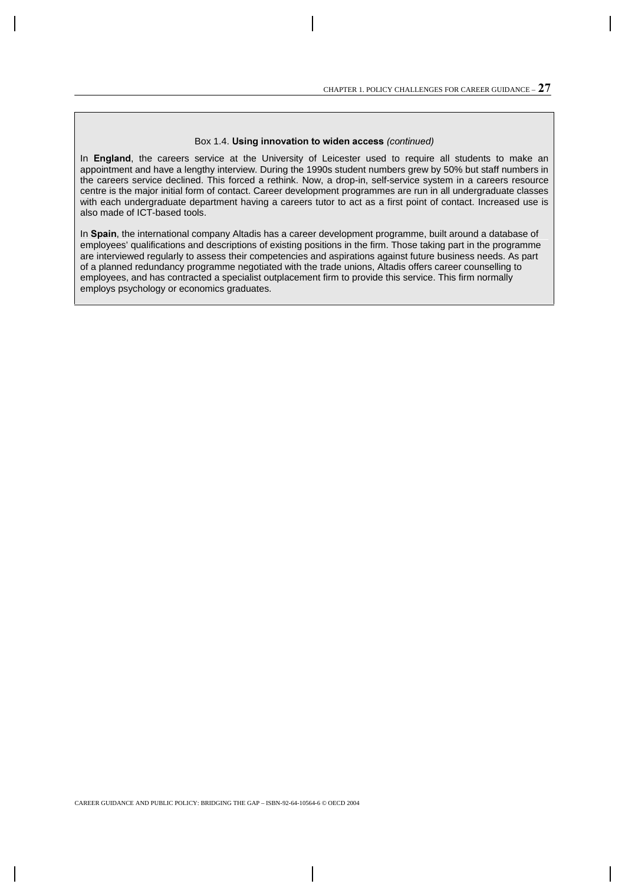### Box 1.4. Using innovation to widen access (continued)

In England, the careers service at the University of Leicester used to require all students to make an appointment and have a lengthy interview. During the 1990s student numbers grew by 50% but staff numbers in the careers service declined. This forced a rethink. Now, a drop-in, self-service system in a careers resource centre is the major initial form of contact. Career development programmes are run in all undergraduate classes with each undergraduate department having a careers tutor to act as a first point of contact. Increased use is also made of ICT-based tools.

In Spain, the international company Altadis has a career development programme, built around a database of employees' qualifications and descriptions of existing positions in the firm. Those taking part in the programme are interviewed regularly to assess their competencies and aspirations against future business needs. As part of a planned redundancy programme negotiated with the trade unions, Altadis offers career counselling to employees, and has contracted a specialist outplacement firm to provide this service. This firm normally employs psychology or economics graduates.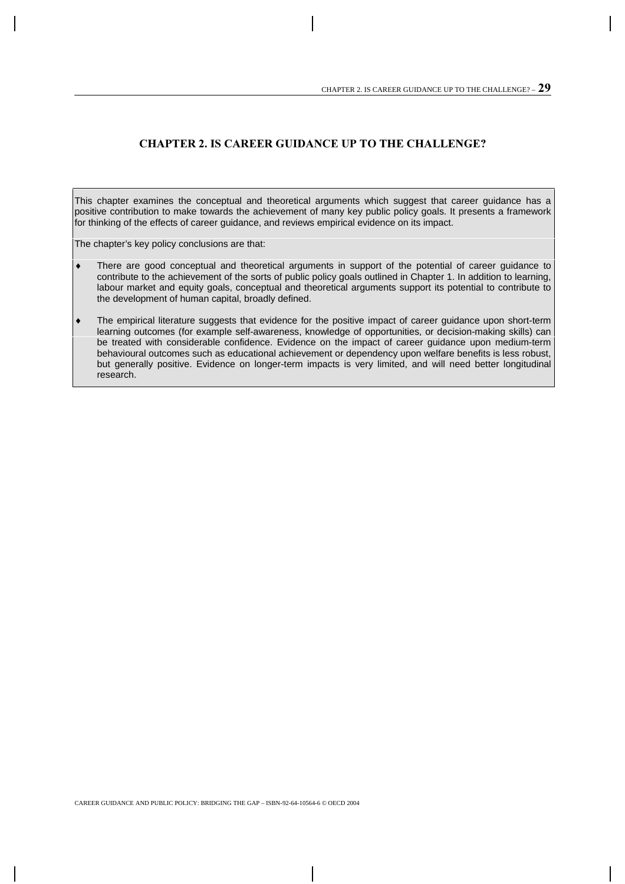# CHAPTER 2. IS CAREER GUIDANCE UP TO THE CHALLENGE?

This chapter examines the conceptual and theoretical arguments which suggest that career guidance has a positive contribution to make towards the achievement of many key public policy goals. It presents a framework for thinking of the effects of career guidance, and reviews empirical evidence on its impact.

The chapter's key policy conclusions are that:

- $\bullet$  There are good conceptual and theoretical arguments in support of the potential of career guidance to contribute to the achievement of the sorts of public policy goals outlined in Chapter 1. In addition to learning, labour market and equity goals, conceptual and theoretical arguments support its potential to contribute to the development of human capital, broadly defined.
- $\bullet$  The empirical literature suggests that evidence for the positive impact of career guidance upon short-term learning outcomes (for example self-awareness, knowledge of opportunities, or decision-making skills) can be treated with considerable confidence. Evidence on the impact of career guidance upon medium-term behavioural outcomes such as educational achievement or dependency upon welfare benefits is less robust, but generally positive. Evidence on longer-term impacts is very limited, and will need better longitudinal research.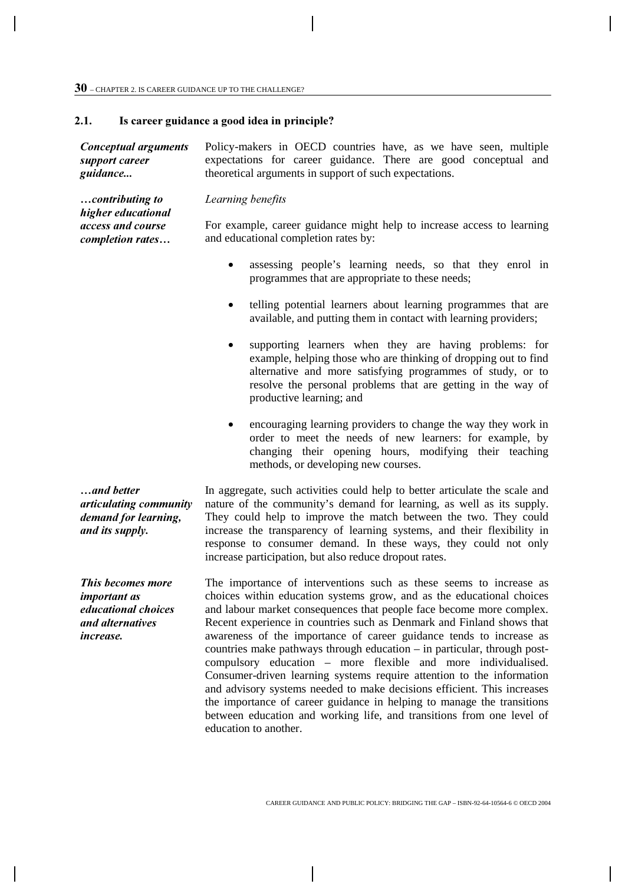# 2.1. Is career guidance a good idea in principle?

| Conceptual arguments | Policy-makers in OECD countries have, as we have seen, multiple |  |  |  |  |  |  |  |  |
|----------------------|-----------------------------------------------------------------|--|--|--|--|--|--|--|--|
| support career       | expectations for career guidance. There are good conceptual and |  |  |  |  |  |  |  |  |
| guidance             | theoretical arguments in support of such expectations.          |  |  |  |  |  |  |  |  |

...contributing to *higher educational* access and course completion rates... Learning benefits

For example, career guidance might help to increase access to learning and educational completion rates by:

- assessing people's learning needs, so that they enrol in programmes that are appropriate to these needs;
- telling potential learners about learning programmes that are available, and putting them in contact with learning providers;
- supporting learners when they are having problems: for example, helping those who are thinking of dropping out to find alternative and more satisfying programmes of study, or to resolve the personal problems that are getting in the way of productive learning; and
- encouraging learning providers to change the way they work in order to meet the needs of new learners: for example, by changing their opening hours, modifying their teaching methods, or developing new courses.

...and better *articulating community demand for learning, and its supply.* 

**This becomes more** *important as* educational choices and alternatives *increase.* 

In aggregate, such activities could help to better articulate the scale and nature of the community's demand for learning, as well as its supply. They could help to improve the match between the two. They could increase the transparency of learning systems, and their flexibility in response to consumer demand. In these ways, they could not only increase participation, but also reduce dropout rates.

The importance of interventions such as these seems to increase as choices within education systems grow, and as the educational choices and labour market consequences that people face become more complex. Recent experience in countries such as Denmark and Finland shows that awareness of the importance of career guidance tends to increase as countries make pathways through education – in particular, through postcompulsory education – more flexible and more individualised. Consumer-driven learning systems require attention to the information and advisory systems needed to make decisions efficient. This increases the importance of career guidance in helping to manage the transitions between education and working life, and transitions from one level of education to another.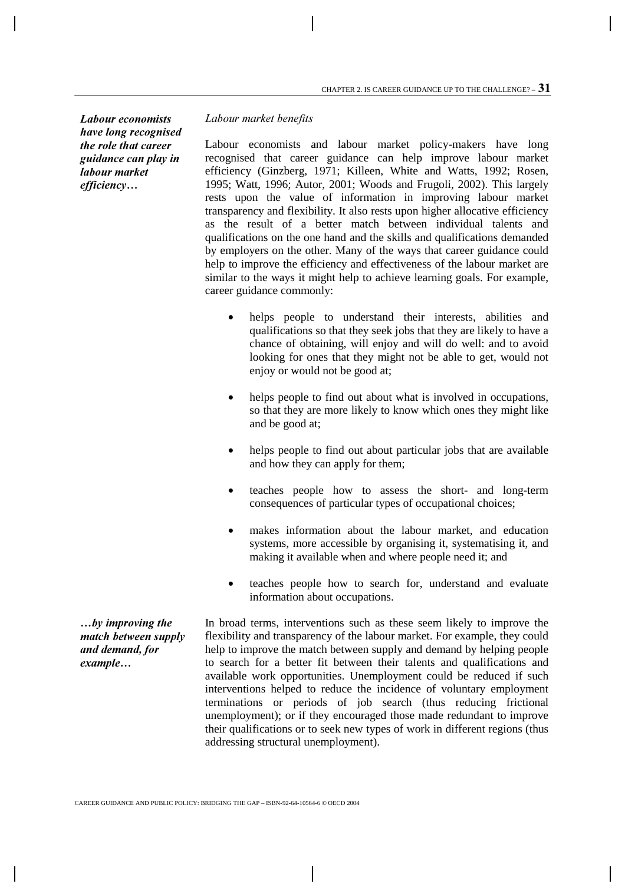*Labour economists have long recognised* the role that career guidance can play in labour market  $efficiency...$ 

# Labour market benefits

Labour economists and labour market policy-makers have long recognised that career guidance can help improve labour market efficiency (Ginzberg, 1971; Killeen, White and Watts, 1992; Rosen, 1995; Watt, 1996; Autor, 2001; Woods and Frugoli, 2002). This largely rests upon the value of information in improving labour market transparency and flexibility. It also rests upon higher allocative efficiency as the result of a better match between individual talents and qualifications on the one hand and the skills and qualifications demanded by employers on the other. Many of the ways that career guidance could help to improve the efficiency and effectiveness of the labour market are similar to the ways it might help to achieve learning goals. For example, career guidance commonly:

- helps people to understand their interests, abilities and qualifications so that they seek jobs that they are likely to have a chance of obtaining, will enjoy and will do well: and to avoid looking for ones that they might not be able to get, would not enjoy or would not be good at;
- helps people to find out about what is involved in occupations, so that they are more likely to know which ones they might like and be good at;
- helps people to find out about particular jobs that are available and how they can apply for them;
- teaches people how to assess the short- and long-term consequences of particular types of occupational choices;
- makes information about the labour market, and education systems, more accessible by organising it, systematising it, and making it available when and where people need it; and
- teaches people how to search for, understand and evaluate information about occupations.

In broad terms, interventions such as these seem likely to improve the flexibility and transparency of the labour market. For example, they could help to improve the match between supply and demand by helping people to search for a better fit between their talents and qualifications and available work opportunities. Unemployment could be reduced if such interventions helped to reduce the incidence of voluntary employment terminations or periods of job search (thus reducing frictional unemployment); or if they encouraged those made redundant to improve their qualifications or to seek new types of work in different regions (thus addressing structural unemployment).

...by improving the match between supply and demand, for example...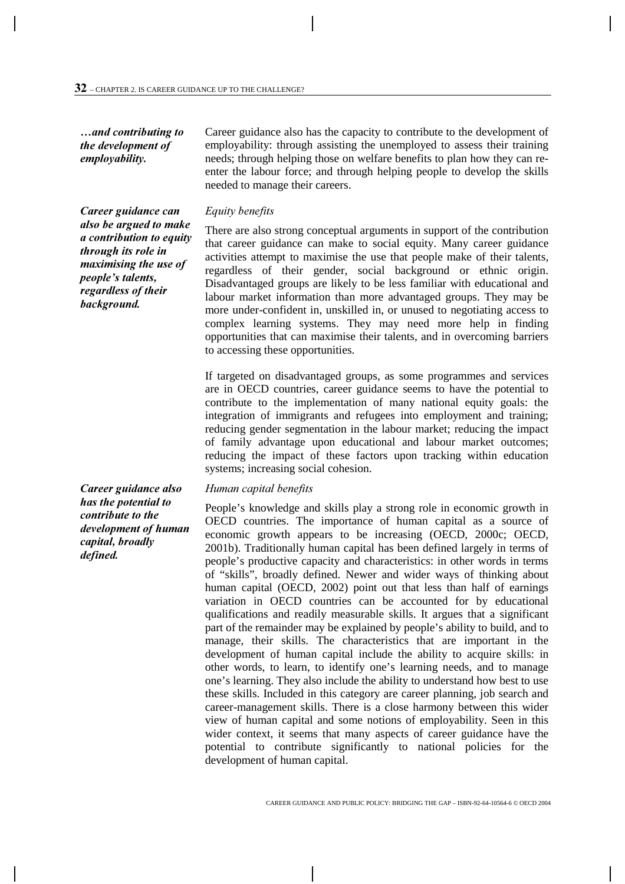...and contributing to *the development of* employability.

*Career guidance can* also be argued to make a contribution to equity *through its role in* maximising the use of *people's talents,* regardless of their background.

**Career guidance also** *has the potential to* contribute to the development of human *capital, broadly* defined.

Career guidance also has the capacity to contribute to the development of employability: through assisting the unemployed to assess their training needs; through helping those on welfare benefits to plan how they can reenter the labour force; and through helping people to develop the skills needed to manage their careers.

# Equity benefits

There are also strong conceptual arguments in support of the contribution that career guidance can make to social equity. Many career guidance activities attempt to maximise the use that people make of their talents, regardless of their gender, social background or ethnic origin. Disadvantaged groups are likely to be less familiar with educational and labour market information than more advantaged groups. They may be more under-confident in, unskilled in, or unused to negotiating access to complex learning systems. They may need more help in finding opportunities that can maximise their talents, and in overcoming barriers to accessing these opportunities.

If targeted on disadvantaged groups, as some programmes and services are in OECD countries, career guidance seems to have the potential to contribute to the implementation of many national equity goals: the integration of immigrants and refugees into employment and training; reducing gender segmentation in the labour market; reducing the impact of family advantage upon educational and labour market outcomes; reducing the impact of these factors upon tracking within education systems; increasing social cohesion.

# *Human capital benefits*

People's knowledge and skills play a strong role in economic growth in OECD countries. The importance of human capital as a source of economic growth appears to be increasing (OECD, 2000c; OECD, 2001b). Traditionally human capital has been defined largely in terms of people's productive capacity and characteristics: in other words in terms of "skills", broadly defined. Newer and wider ways of thinking about human capital (OECD, 2002) point out that less than half of earnings variation in OECD countries can be accounted for by educational qualifications and readily measurable skills. It argues that a significant part of the remainder may be explained by people's ability to build, and to manage, their skills. The characteristics that are important in the development of human capital include the ability to acquire skills: in other words, to learn, to identify one's learning needs, and to manage one's learning. They also include the ability to understand how best to use these skills. Included in this category are career planning, job search and career-management skills. There is a close harmony between this wider view of human capital and some notions of employability. Seen in this wider context, it seems that many aspects of career guidance have the potential to contribute significantly to national policies for the development of human capital.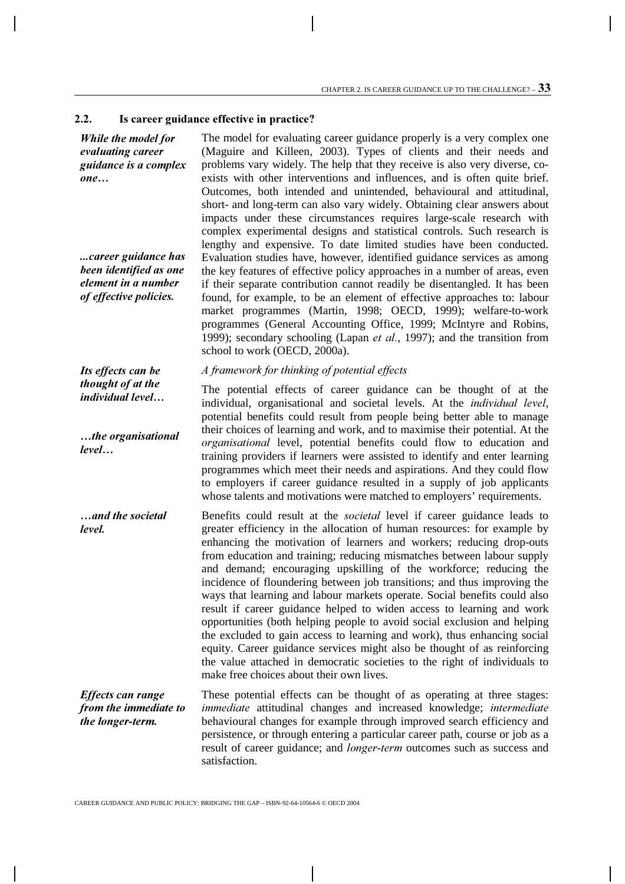# 2.2. Is career guidance effective in practice?

*While the model for evaluating career* guidance is a complex *one*...

...career guidance has been identified as one *<u>element</u>* in a number of effective policies.

The model for evaluating career guidance properly is a very complex one (Maguire and Killeen, 2003). Types of clients and their needs and problems vary widely. The help that they receive is also very diverse, coexists with other interventions and influences, and is often quite brief. Outcomes, both intended and unintended, behavioural and attitudinal, short- and long-term can also vary widely. Obtaining clear answers about impacts under these circumstances requires large-scale research with complex experimental designs and statistical controls. Such research is lengthy and expensive. To date limited studies have been conducted. Evaluation studies have, however, identified guidance services as among the key features of effective policy approaches in a number of areas, even if their separate contribution cannot readily be disentangled. It has been found, for example, to be an element of effective approaches to: labour market programmes (Martin, 1998; OECD, 1999); welfare-to-work programmes (General Accounting Office, 1999; McIntyre and Robins, 1999); secondary schooling (Lapan et al., 1997); and the transition from school to work (OECD, 2000a).

Its effects can be thought of at the *individual level...* 

...the organisational *level...* 

The potential effects of career guidance can be thought of at the individual, organisational and societal levels. At the *individual level*, potential benefits could result from people being better able to manage their choices of learning and work, and to maximise their potential. At the *organisational* level, potential benefits could flow to education and training providers if learners were assisted to identify and enter learning programmes which meet their needs and aspirations. And they could flow to employers if career guidance resulted in a supply of job applicants

whose talents and motivations were matched to employers' requirements.

...and the societal *!* Benefits could result at the *societal* level if career guidance leads to greater efficiency in the allocation of human resources: for example by enhancing the motivation of learners and workers; reducing drop-outs from education and training; reducing mismatches between labour supply and demand; encouraging upskilling of the workforce; reducing the incidence of floundering between job transitions; and thus improving the ways that learning and labour markets operate. Social benefits could also result if career guidance helped to widen access to learning and work opportunities (both helping people to avoid social exclusion and helping the excluded to gain access to learning and work), thus enhancing social equity. Career guidance services might also be thought of as reinforcing the value attached in democratic societies to the right of individuals to make free choices about their own lives.

A framework for thinking of potential effects

*Effects can range* from the immediate to the longer-term. These potential effects can be thought of as operating at three stages: immediate attitudinal changes and increased knowledge; *intermediate* behavioural changes for example through improved search efficiency and persistence, or through entering a particular career path, course or job as a result of career guidance; and *longer-term* outcomes such as success and satisfaction.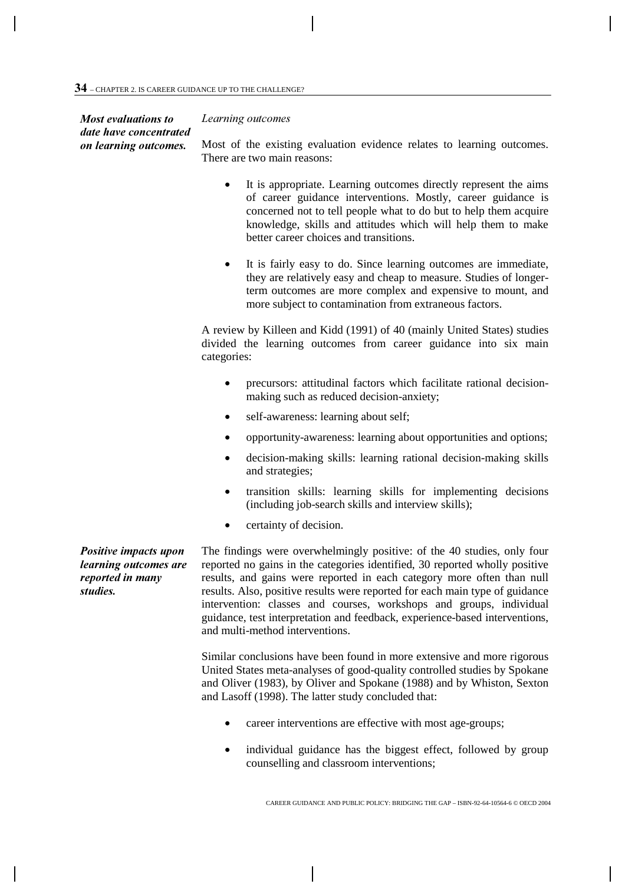*Most evaluations to* date have concentrated *<u>on learning outcomes.</u>* 

# Learning outcomes

Most of the existing evaluation evidence relates to learning outcomes. There are two main reasons:

- It is appropriate. Learning outcomes directly represent the aims of career guidance interventions. Mostly, career guidance is concerned not to tell people what to do but to help them acquire knowledge, skills and attitudes which will help them to make better career choices and transitions.
- It is fairly easy to do. Since learning outcomes are immediate, they are relatively easy and cheap to measure. Studies of longerterm outcomes are more complex and expensive to mount, and more subject to contamination from extraneous factors.

A review by Killeen and Kidd (1991) of 40 (mainly United States) studies divided the learning outcomes from career guidance into six main categories:

- precursors: attitudinal factors which facilitate rational decisionmaking such as reduced decision-anxiety;
- self-awareness: learning about self;
- opportunity-awareness: learning about opportunities and options;
- decision-making skills: learning rational decision-making skills and strategies;
- transition skills: learning skills for implementing decisions (including job-search skills and interview skills);
- certainty of decision.

**Positive impacts upon** *learning outcomes are reported in many* studies.

The findings were overwhelmingly positive: of the 40 studies, only four reported no gains in the categories identified, 30 reported wholly positive results, and gains were reported in each category more often than null results. Also, positive results were reported for each main type of guidance intervention: classes and courses, workshops and groups, individual guidance, test interpretation and feedback, experience-based interventions, and multi-method interventions.

Similar conclusions have been found in more extensive and more rigorous United States meta-analyses of good-quality controlled studies by Spokane and Oliver (1983), by Oliver and Spokane (1988) and by Whiston, Sexton and Lasoff (1998). The latter study concluded that:

- career interventions are effective with most age-groups;
- individual guidance has the biggest effect, followed by group counselling and classroom interventions;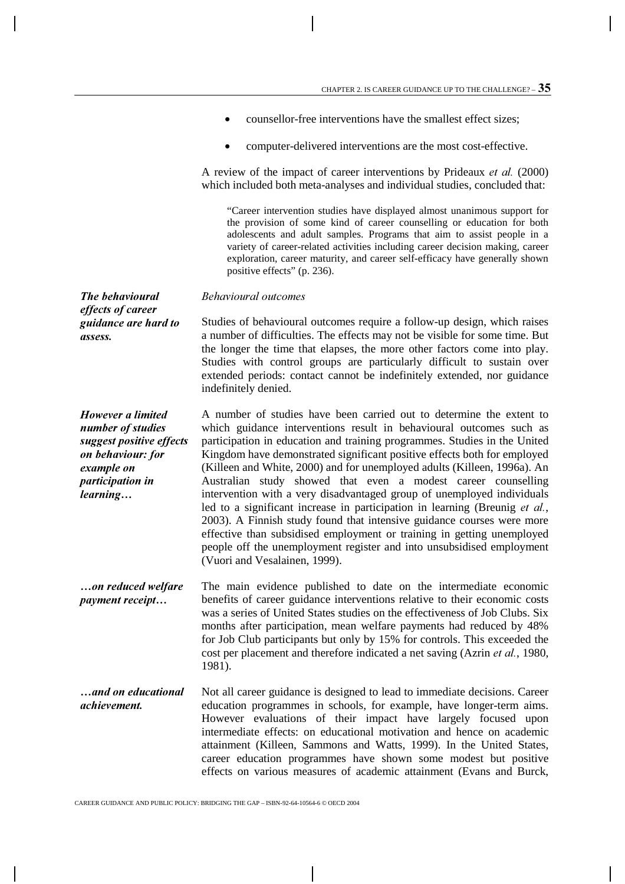- counsellor-free interventions have the smallest effect sizes;
- computer-delivered interventions are the most cost-effective.

A review of the impact of career interventions by Prideaux *et al.* (2000) which included both meta-analyses and individual studies, concluded that:

"Career intervention studies have displayed almost unanimous support for the provision of some kind of career counselling or education for both adolescents and adult samples. Programs that aim to assist people in a variety of career-related activities including career decision making, career exploration, career maturity, and career self-efficacy have generally shown positive effects" (p. 236).

# *Behavioural outcomes*

**The behavioural** effects of career

assess.

guidance are hard to Studies of behavioural outcomes require a follow-up design, which raises a number of difficulties. The effects may not be visible for some time. But the longer the time that elapses, the more other factors come into play. Studies with control groups are particularly difficult to sustain over extended periods: contact cannot be indefinitely extended, nor guidance indefinitely denied.

**However a limited** *number of studies* suggest positive effects *<i><u>on behaviour: for*</u> example on  *learning...* A number of studies have been carried out to determine the extent to which guidance interventions result in behavioural outcomes such as participation in education and training programmes. Studies in the United Kingdom have demonstrated significant positive effects both for employed (Killeen and White, 2000) and for unemployed adults (Killeen, 1996a). An Australian study showed that even a modest career counselling intervention with a very disadvantaged group of unemployed individuals led to a significant increase in participation in learning (Breunig et al., 2003). A Finnish study found that intensive guidance courses were more effective than subsidised employment or training in getting unemployed people off the unemployment register and into unsubsidised employment (Vuori and Vesalainen, 1999).

...on reduced welfare payment receipt... The main evidence published to date on the intermediate economic benefits of career guidance interventions relative to their economic costs was a series of United States studies on the effectiveness of Job Clubs. Six months after participation, mean welfare payments had reduced by 48% for Job Club participants but only by 15% for controls. This exceeded the cost per placement and therefore indicated a net saving (Azrin et al., 1980, 1981).

...and on educational achievement. Not all career guidance is designed to lead to immediate decisions. Career education programmes in schools, for example, have longer-term aims. However evaluations of their impact have largely focused upon intermediate effects: on educational motivation and hence on academic attainment (Killeen, Sammons and Watts, 1999). In the United States, career education programmes have shown some modest but positive effects on various measures of academic attainment (Evans and Burck,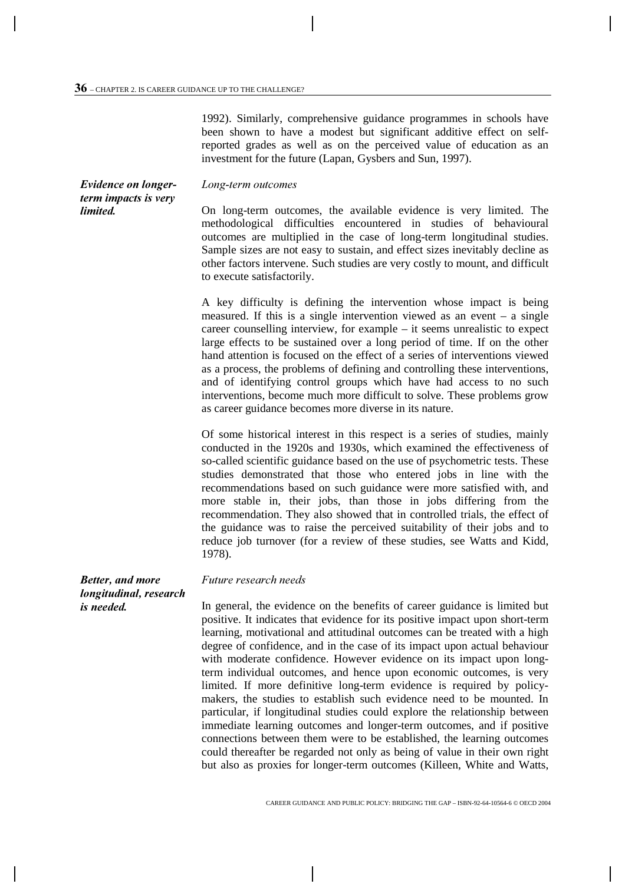1992). Similarly, comprehensive guidance programmes in schools have been shown to have a modest but significant additive effect on selfreported grades as well as on the perceived value of education as an investment for the future (Lapan, Gysbers and Sun, 1997).

*Evidence on longerterm impacts is very limited.* 

# *(*

On long-term outcomes, the available evidence is very limited. The methodological difficulties encountered in studies of behavioural outcomes are multiplied in the case of long-term longitudinal studies. Sample sizes are not easy to sustain, and effect sizes inevitably decline as other factors intervene. Such studies are very costly to mount, and difficult to execute satisfactorily.

A key difficulty is defining the intervention whose impact is being measured. If this is a single intervention viewed as an event – a single career counselling interview, for example – it seems unrealistic to expect large effects to be sustained over a long period of time. If on the other hand attention is focused on the effect of a series of interventions viewed as a process, the problems of defining and controlling these interventions, and of identifying control groups which have had access to no such interventions, become much more difficult to solve. These problems grow as career guidance becomes more diverse in its nature.

Of some historical interest in this respect is a series of studies, mainly conducted in the 1920s and 1930s, which examined the effectiveness of so-called scientific guidance based on the use of psychometric tests. These studies demonstrated that those who entered jobs in line with the recommendations based on such guidance were more satisfied with, and more stable in, their jobs, than those in jobs differing from the recommendation. They also showed that in controlled trials, the effect of the guidance was to raise the perceived suitability of their jobs and to reduce job turnover (for a review of these studies, see Watts and Kidd, 1978).

*Better, and more longitudinal, research* is needed.

Future research needs

In general, the evidence on the benefits of career guidance is limited but positive. It indicates that evidence for its positive impact upon short-term learning, motivational and attitudinal outcomes can be treated with a high degree of confidence, and in the case of its impact upon actual behaviour with moderate confidence. However evidence on its impact upon longterm individual outcomes, and hence upon economic outcomes, is very limited. If more definitive long-term evidence is required by policymakers, the studies to establish such evidence need to be mounted. In particular, if longitudinal studies could explore the relationship between immediate learning outcomes and longer-term outcomes, and if positive connections between them were to be established, the learning outcomes could thereafter be regarded not only as being of value in their own right but also as proxies for longer-term outcomes (Killeen, White and Watts,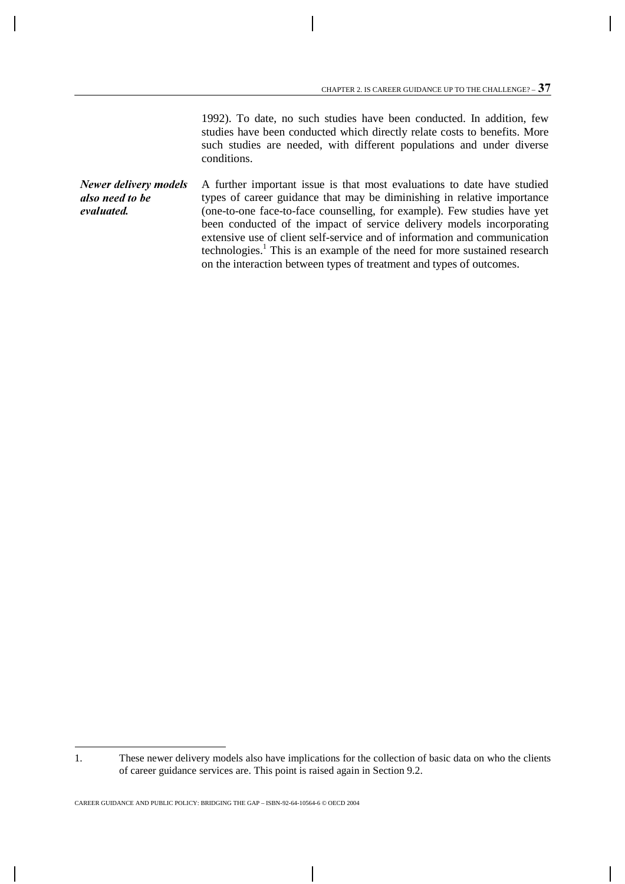1992). To date, no such studies have been conducted. In addition, few studies have been conducted which directly relate costs to benefits. More such studies are needed, with different populations and under diverse conditions.

*Newer delivery models* also need to be *evaluated.* A further important issue is that most evaluations to date have studied types of career guidance that may be diminishing in relative importance (one-to-one face-to-face counselling, for example). Few studies have yet been conducted of the impact of service delivery models incorporating extensive use of client self-service and of information and communication technologies.<sup>1</sup> This is an example of the need for more sustained research on the interaction between types of treatment and types of outcomes.

 $\overline{a}$ 

<sup>1.</sup> These newer delivery models also have implications for the collection of basic data on who the clients of career guidance services are. This point is raised again in Section 9.2.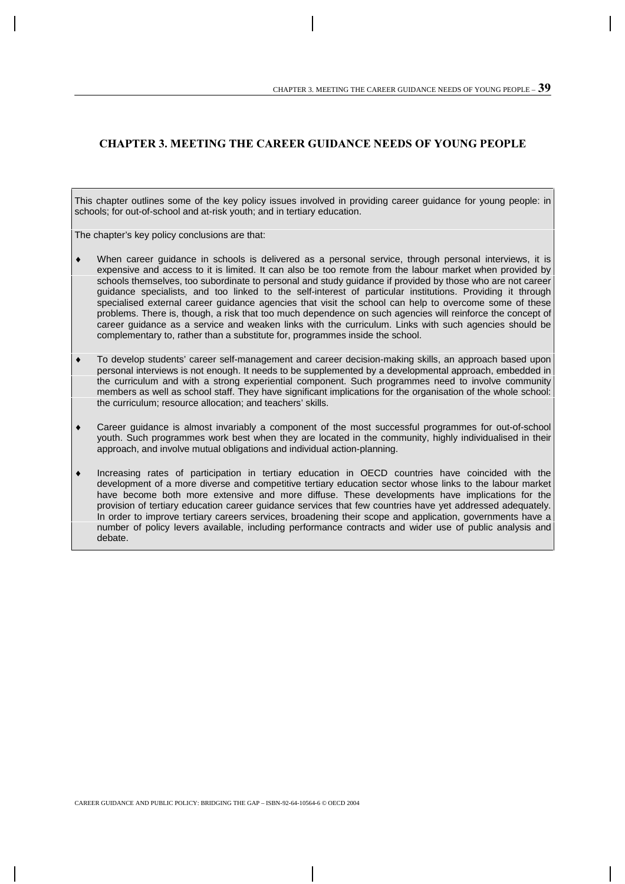# CHAPTER 3. MEETING THE CAREER GUIDANCE NEEDS OF YOUNG PEOPLE

This chapter outlines some of the key policy issues involved in providing career guidance for young people: in schools; for out-of-school and at-risk youth; and in tertiary education.

The chapter's key policy conclusions are that:

- $\blacklozenge$  When career guidance in schools is delivered as a personal service, through personal interviews, it is expensive and access to it is limited. It can also be too remote from the labour market when provided by schools themselves, too subordinate to personal and study guidance if provided by those who are not career guidance specialists, and too linked to the self-interest of particular institutions. Providing it through specialised external career guidance agencies that visit the school can help to overcome some of these problems. There is, though, a risk that too much dependence on such agencies will reinforce the concept of career guidance as a service and weaken links with the curriculum. Links with such agencies should be complementary to, rather than a substitute for, programmes inside the school.
- $\blacklozenge$  To develop students' career self-management and career decision-making skills, an approach based upon personal interviews is not enough. It needs to be supplemented by a developmental approach, embedded in the curriculum and with a strong experiential component. Such programmes need to involve community members as well as school staff. They have significant implications for the organisation of the whole school: the curriculum; resource allocation; and teachers' skills.
- $\bullet$  Career guidance is almost invariably a component of the most successful programmes for out-of-school youth. Such programmes work best when they are located in the community, highly individualised in their approach, and involve mutual obligations and individual action-planning.
- $\blacklozenge$  Increasing rates of participation in tertiary education in OECD countries have coincided with the development of a more diverse and competitive tertiary education sector whose links to the labour market have become both more extensive and more diffuse. These developments have implications for the provision of tertiary education career guidance services that few countries have yet addressed adequately. In order to improve tertiary careers services, broadening their scope and application, governments have a number of policy levers available, including performance contracts and wider use of public analysis and debate.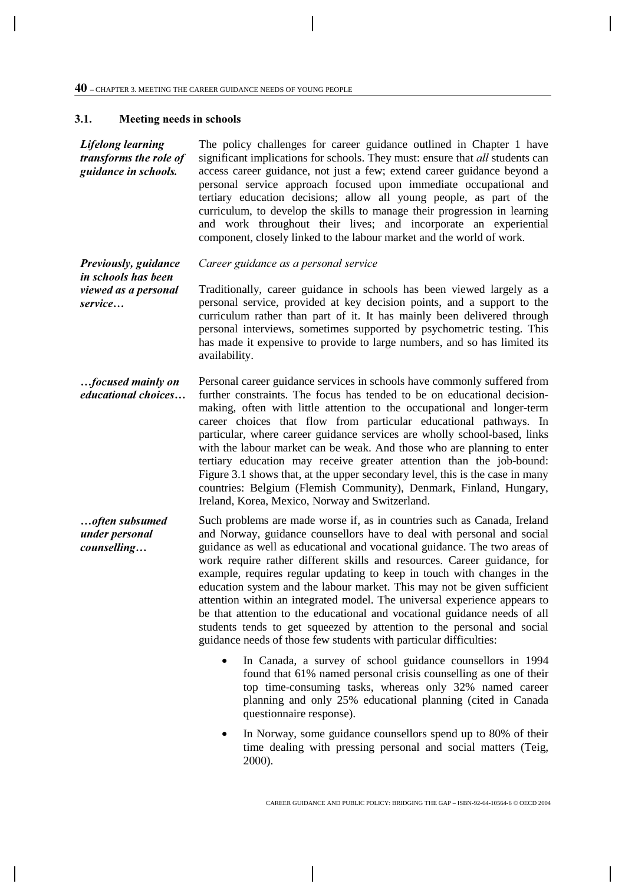# 3.1. Meeting needs in schools

*Lifelong learning* transforms the role of guidance in schools. The policy challenges for career guidance outlined in Chapter 1 have significant implications for schools. They must: ensure that all students can access career guidance, not just a few; extend career guidance beyond a personal service approach focused upon immediate occupational and tertiary education decisions; allow all young people, as part of the curriculum, to develop the skills to manage their progression in learning and work throughout their lives; and incorporate an experiential component, closely linked to the labour market and the world of work.

**Previously, guidance** in schools has been viewed as a personal  $s$ ervice...

# Career guidance as a personal service

Traditionally, career guidance in schools has been viewed largely as a personal service, provided at key decision points, and a support to the curriculum rather than part of it. It has mainly been delivered through personal interviews, sometimes supported by psychometric testing. This has made it expensive to provide to large numbers, and so has limited its availability.

...*focused mainly on* educational choices... Personal career guidance services in schools have commonly suffered from further constraints. The focus has tended to be on educational decisionmaking, often with little attention to the occupational and longer-term career choices that flow from particular educational pathways. In particular, where career guidance services are wholly school-based, links with the labour market can be weak. And those who are planning to enter tertiary education may receive greater attention than the job-bound: Figure 3.1 shows that, at the upper secondary level, this is the case in many countries: Belgium (Flemish Community), Denmark, Finland, Hungary, Ireland, Korea, Mexico, Norway and Switzerland.

...often subsumed  *counselling...* Such problems are made worse if, as in countries such as Canada, Ireland and Norway, guidance counsellors have to deal with personal and social guidance as well as educational and vocational guidance. The two areas of work require rather different skills and resources. Career guidance, for example, requires regular updating to keep in touch with changes in the education system and the labour market. This may not be given sufficient attention within an integrated model. The universal experience appears to be that attention to the educational and vocational guidance needs of all students tends to get squeezed by attention to the personal and social guidance needs of those few students with particular difficulties:

- In Canada, a survey of school guidance counsellors in 1994 found that 61% named personal crisis counselling as one of their top time-consuming tasks, whereas only 32% named career planning and only 25% educational planning (cited in Canada questionnaire response).
- In Norway, some guidance counsellors spend up to 80% of their time dealing with pressing personal and social matters (Teig, 2000).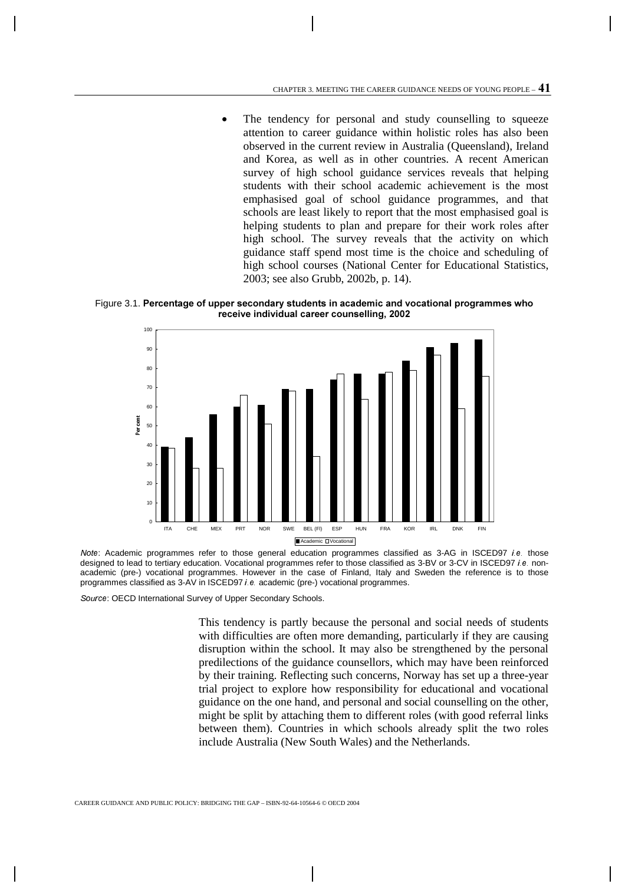The tendency for personal and study counselling to squeeze attention to career guidance within holistic roles has also been observed in the current review in Australia (Queensland), Ireland and Korea, as well as in other countries. A recent American survey of high school guidance services reveals that helping students with their school academic achievement is the most emphasised goal of school guidance programmes, and that schools are least likely to report that the most emphasised goal is helping students to plan and prepare for their work roles after high school. The survey reveals that the activity on which guidance staff spend most time is the choice and scheduling of high school courses (National Center for Educational Statistics, 2003; see also Grubb, 2002b, p. 14).

Figure 3.1. Percentage of upper secondary students in academic and vocational programmes who receive individual career counselling, 2002



Note: Academic programmes refer to those general education programmes classified as 3-AG in ISCED97 *i.e.* those designed to lead to tertiary education. Vocational programmes refer to those classified as 3-BV or 3-CV in ISCED97 *i.e.* nonacademic (pre-) vocational programmes. However in the case of Finland, Italy and Sweden the reference is to those programmes classified as 3-AV in ISCED97 *i.e.* academic (pre-) vocational programmes.

Source: OECD International Survey of Upper Secondary Schools.

This tendency is partly because the personal and social needs of students with difficulties are often more demanding, particularly if they are causing disruption within the school. It may also be strengthened by the personal predilections of the guidance counsellors, which may have been reinforced by their training. Reflecting such concerns, Norway has set up a three-year trial project to explore how responsibility for educational and vocational guidance on the one hand, and personal and social counselling on the other, might be split by attaching them to different roles (with good referral links between them). Countries in which schools already split the two roles include Australia (New South Wales) and the Netherlands.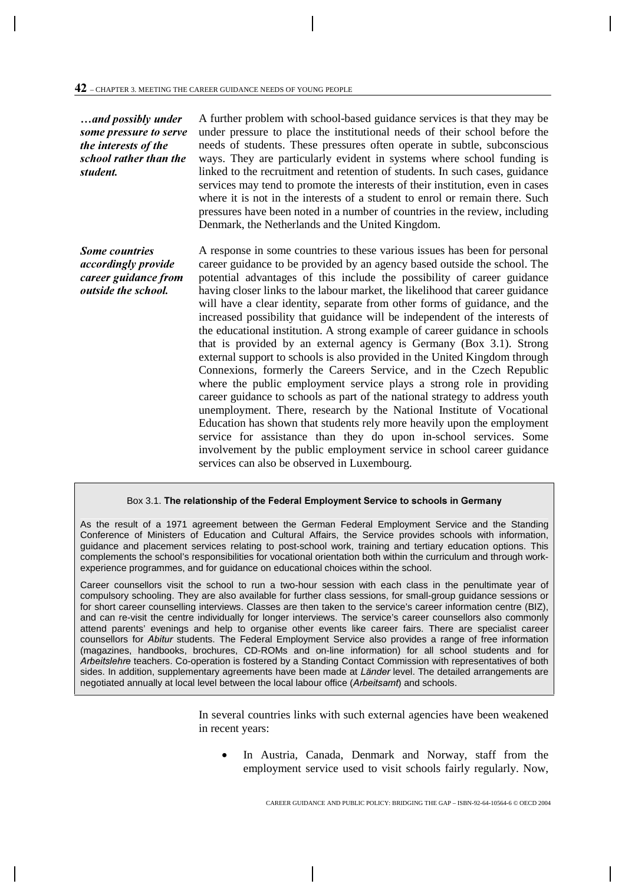...and possibly under some pressure to serve the interests of the school rather than the student.

A further problem with school-based guidance services is that they may be under pressure to place the institutional needs of their school before the needs of students. These pressures often operate in subtle, subconscious ways. They are particularly evident in systems where school funding is linked to the recruitment and retention of students. In such cases, guidance services may tend to promote the interests of their institution, even in cases where it is not in the interests of a student to enrol or remain there. Such pressures have been noted in a number of countries in the review, including Denmark, the Netherlands and the United Kingdom.

*Some countries* accordingly provide career guidance from *outside the school.* 

A response in some countries to these various issues has been for personal career guidance to be provided by an agency based outside the school. The potential advantages of this include the possibility of career guidance having closer links to the labour market, the likelihood that career guidance will have a clear identity, separate from other forms of guidance, and the increased possibility that guidance will be independent of the interests of the educational institution. A strong example of career guidance in schools that is provided by an external agency is Germany (Box 3.1). Strong external support to schools is also provided in the United Kingdom through Connexions, formerly the Careers Service, and in the Czech Republic where the public employment service plays a strong role in providing career guidance to schools as part of the national strategy to address youth unemployment. There, research by the National Institute of Vocational Education has shown that students rely more heavily upon the employment service for assistance than they do upon in-school services. Some involvement by the public employment service in school career guidance services can also be observed in Luxembourg.

# Box 3.1. The relationship of the Federal Employment Service to schools in Germany

As the result of a 1971 agreement between the German Federal Employment Service and the Standing Conference of Ministers of Education and Cultural Affairs, the Service provides schools with information, guidance and placement services relating to post-school work, training and tertiary education options. This complements the school's responsibilities for vocational orientation both within the curriculum and through workexperience programmes, and for guidance on educational choices within the school.

Career counsellors visit the school to run a two-hour session with each class in the penultimate year of compulsory schooling. They are also available for further class sessions, for small-group guidance sessions or for short career counselling interviews. Classes are then taken to the service's career information centre (BIZ), and can re-visit the centre individually for longer interviews. The service's career counsellors also commonly attend parents' evenings and help to organise other events like career fairs. There are specialist career counsellors for *Abitur* students. The Federal Employment Service also provides a range of free information (magazines, handbooks, brochures, CD-ROMs and on-line information) for all school students and for Arbeitslehre teachers. Co-operation is fostered by a Standing Contact Commission with representatives of both sides. In addition, supplementary agreements have been made at *Länder* level. The detailed arrangements are negotiated annually at local level between the local labour office (Arbeitsamt) and schools.

> In several countries links with such external agencies have been weakened in recent years:

 In Austria, Canada, Denmark and Norway, staff from the employment service used to visit schools fairly regularly. Now,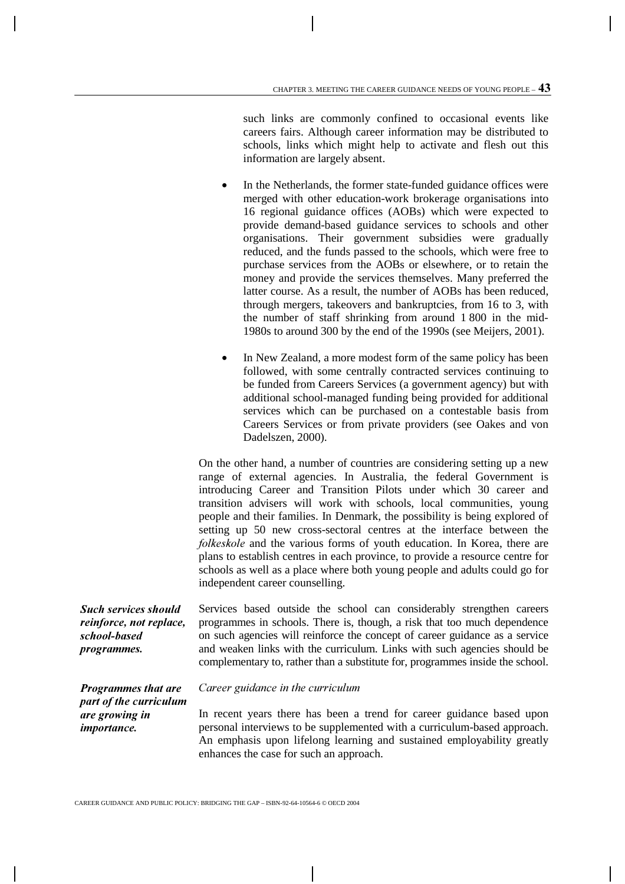such links are commonly confined to occasional events like careers fairs. Although career information may be distributed to schools, links which might help to activate and flesh out this information are largely absent.

- In the Netherlands, the former state-funded guidance offices were merged with other education-work brokerage organisations into 16 regional guidance offices (AOBs) which were expected to provide demand-based guidance services to schools and other organisations. Their government subsidies were gradually reduced, and the funds passed to the schools, which were free to purchase services from the AOBs or elsewhere, or to retain the money and provide the services themselves. Many preferred the latter course. As a result, the number of AOBs has been reduced, through mergers, takeovers and bankruptcies, from 16 to 3, with the number of staff shrinking from around 1 800 in the mid-1980s to around 300 by the end of the 1990s (see Meijers, 2001).
- In New Zealand, a more modest form of the same policy has been followed, with some centrally contracted services continuing to be funded from Careers Services (a government agency) but with additional school-managed funding being provided for additional services which can be purchased on a contestable basis from Careers Services or from private providers (see Oakes and von Dadelszen, 2000).

 On the other hand, a number of countries are considering setting up a new range of external agencies. In Australia, the federal Government is introducing Career and Transition Pilots under which 30 career and transition advisers will work with schools, local communities, young people and their families. In Denmark, the possibility is being explored of setting up 50 new cross-sectoral centres at the interface between the folkeskole and the various forms of youth education. In Korea, there are plans to establish centres in each province, to provide a resource centre for schools as well as a place where both young people and adults could go for independent career counselling.

**Such services should** reinforce, not replace, school-based programmes. Services based outside the school can considerably strengthen careers programmes in schools. There is, though, a risk that too much dependence on such agencies will reinforce the concept of career guidance as a service and weaken links with the curriculum. Links with such agencies should be complementary to, rather than a substitute for, programmes inside the school.

*Programmes that are* part of the curriculum are growing in *importance.* 

Career guidance in the curriculum

In recent years there has been a trend for career guidance based upon personal interviews to be supplemented with a curriculum-based approach. An emphasis upon lifelong learning and sustained employability greatly enhances the case for such an approach.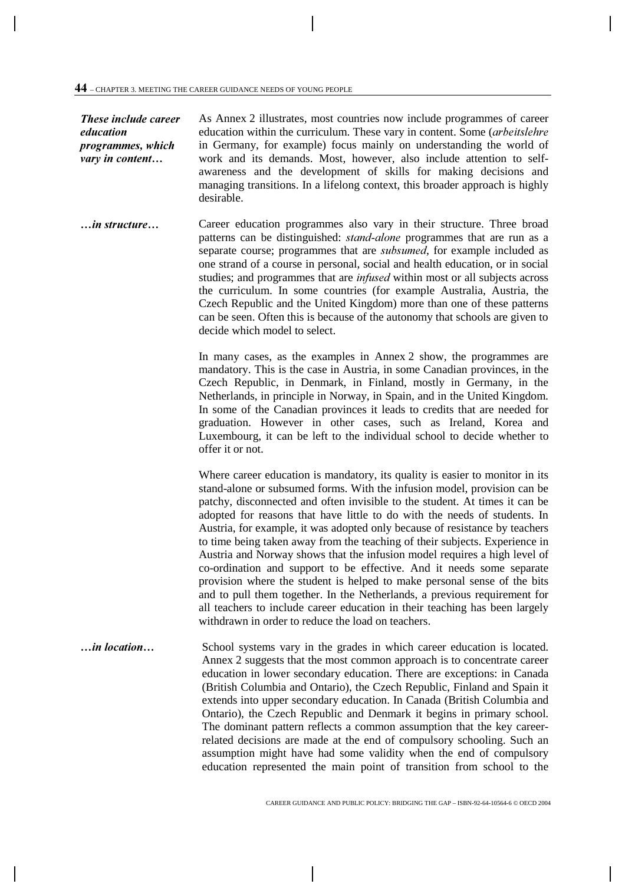**These include career**  *programmes, which* vary in content... As Annex 2 illustrates, most countries now include programmes of career education within the curriculum. These vary in content. Some ( in Germany, for example) focus mainly on understanding the world of work and its demands. Most, however, also include attention to selfawareness and the development of skills for making decisions and managing transitions. In a lifelong context, this broader approach is highly desirable.

...in structure... Career education programmes also vary in their structure. Three broad patterns can be distinguished: *stand-alone* programmes that are run as a separate course; programmes that are *subsumed*, for example included as one strand of a course in personal, social and health education, or in social studies; and programmes that are *infused* within most or all subjects across the curriculum. In some countries (for example Australia, Austria, the Czech Republic and the United Kingdom) more than one of these patterns can be seen. Often this is because of the autonomy that schools are given to decide which model to select.

> In many cases, as the examples in Annex 2 show, the programmes are mandatory. This is the case in Austria, in some Canadian provinces, in the Czech Republic, in Denmark, in Finland, mostly in Germany, in the Netherlands, in principle in Norway, in Spain, and in the United Kingdom. In some of the Canadian provinces it leads to credits that are needed for graduation. However in other cases, such as Ireland, Korea and Luxembourg, it can be left to the individual school to decide whether to offer it or not.

> Where career education is mandatory, its quality is easier to monitor in its stand-alone or subsumed forms. With the infusion model, provision can be patchy, disconnected and often invisible to the student. At times it can be adopted for reasons that have little to do with the needs of students. In Austria, for example, it was adopted only because of resistance by teachers to time being taken away from the teaching of their subjects. Experience in Austria and Norway shows that the infusion model requires a high level of co-ordination and support to be effective. And it needs some separate provision where the student is helped to make personal sense of the bits and to pull them together. In the Netherlands, a previous requirement for all teachers to include career education in their teaching has been largely withdrawn in order to reduce the load on teachers.

..*in location*... School systems vary in the grades in which career education is located. Annex 2 suggests that the most common approach is to concentrate career education in lower secondary education. There are exceptions: in Canada (British Columbia and Ontario), the Czech Republic, Finland and Spain it extends into upper secondary education. In Canada (British Columbia and Ontario), the Czech Republic and Denmark it begins in primary school. The dominant pattern reflects a common assumption that the key careerrelated decisions are made at the end of compulsory schooling. Such an assumption might have had some validity when the end of compulsory education represented the main point of transition from school to the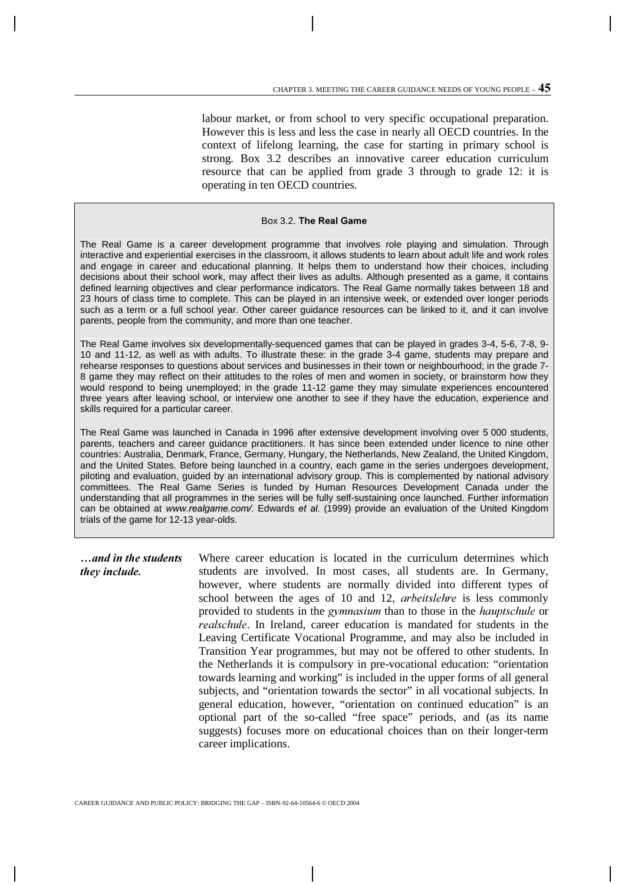labour market, or from school to very specific occupational preparation. However this is less and less the case in nearly all OECD countries. In the context of lifelong learning, the case for starting in primary school is strong. Box 3.2 describes an innovative career education curriculum resource that can be applied from grade 3 through to grade 12: it is operating in ten OECD countries.

#### Box 3.2. The Real Game

The Real Game is a career development programme that involves role playing and simulation. Through interactive and experiential exercises in the classroom, it allows students to learn about adult life and work roles and engage in career and educational planning. It helps them to understand how their choices, including decisions about their school work, may affect their lives as adults. Although presented as a game, it contains defined learning objectives and clear performance indicators. The Real Game normally takes between 18 and 23 hours of class time to complete. This can be played in an intensive week, or extended over longer periods such as a term or a full school year. Other career guidance resources can be linked to it, and it can involve parents, people from the community, and more than one teacher.

The Real Game involves six developmentally-sequenced games that can be played in grades 3-4, 5-6, 7-8, 9- 10 and 11-12, as well as with adults. To illustrate these: in the grade 3-4 game, students may prepare and rehearse responses to questions about services and businesses in their town or neighbourhood; in the grade 7- 8 game they may reflect on their attitudes to the roles of men and women in society, or brainstorm how they would respond to being unemployed; in the grade 11-12 game they may simulate experiences encountered three years after leaving school, or interview one another to see if they have the education, experience and skills required for a particular career.

The Real Game was launched in Canada in 1996 after extensive development involving over 5 000 students, parents, teachers and career guidance practitioners. It has since been extended under licence to nine other countries: Australia, Denmark, France, Germany, Hungary, the Netherlands, New Zealand, the United Kingdom, and the United States. Before being launched in a country, each game in the series undergoes development, piloting and evaluation, guided by an international advisory group. This is complemented by national advisory committees. The Real Game Series is funded by Human Resources Development Canada under the understanding that all programmes in the series will be fully self-sustaining once launched. Further information can be obtained at www.realgame.com/. Edwards et al. (1999) provide an evaluation of the United Kingdom trials of the game for 12-13 year-olds.

...and in the students they include. Where career education is located in the curriculum determines which students are involved. In most cases, all students are. In Germany, however, where students are normally divided into different types of school between the ages of 10 and 12, *arbeitslehre* is less commonly provided to students in the *gymnasium* than to those in the *hauptschule* or realschule. In Ireland, career education is mandated for students in the Leaving Certificate Vocational Programme, and may also be included in Transition Year programmes, but may not be offered to other students. In the Netherlands it is compulsory in pre-vocational education: "orientation towards learning and working" is included in the upper forms of all general subjects, and "orientation towards the sector" in all vocational subjects. In general education, however, "orientation on continued education" is an optional part of the so-called "free space" periods, and (as its name suggests) focuses more on educational choices than on their longer-term career implications.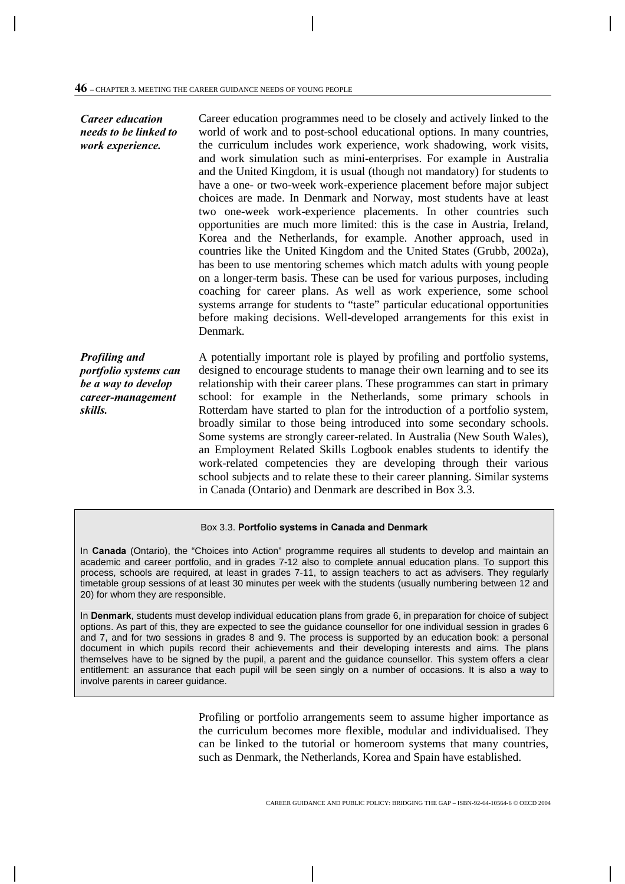# *Career education* needs to be linked to

Career education programmes need to be closely and actively linked to the world of work and to post-school educational options. In many countries, the curriculum includes work experience, work shadowing, work visits, and work simulation such as mini-enterprises. For example in Australia and the United Kingdom, it is usual (though not mandatory) for students to have a one- or two-week work-experience placement before major subject choices are made. In Denmark and Norway, most students have at least two one-week work-experience placements. In other countries such opportunities are much more limited: this is the case in Austria, Ireland, Korea and the Netherlands, for example. Another approach, used in countries like the United Kingdom and the United States (Grubb, 2002a), has been to use mentoring schemes which match adults with young people on a longer-term basis. These can be used for various purposes, including coaching for career plans. As well as work experience, some school systems arrange for students to "taste" particular educational opportunities before making decisions. Well-developed arrangements for this exist in Denmark.

**Profiling and** portfolio systems can be a way to develop career-management skills.

A potentially important role is played by profiling and portfolio systems, designed to encourage students to manage their own learning and to see its relationship with their career plans. These programmes can start in primary school: for example in the Netherlands, some primary schools in Rotterdam have started to plan for the introduction of a portfolio system, broadly similar to those being introduced into some secondary schools. Some systems are strongly career-related. In Australia (New South Wales), an Employment Related Skills Logbook enables students to identify the work-related competencies they are developing through their various school subjects and to relate these to their career planning. Similar systems in Canada (Ontario) and Denmark are described in Box 3.3.

# Box 3.3. Portfolio systems in Canada and Denmark

In Canada (Ontario), the "Choices into Action" programme requires all students to develop and maintain an academic and career portfolio, and in grades 7-12 also to complete annual education plans. To support this process, schools are required, at least in grades 7-11, to assign teachers to act as advisers. They regularly timetable group sessions of at least 30 minutes per week with the students (usually numbering between 12 and 20) for whom they are responsible.

In Denmark, students must develop individual education plans from grade 6, in preparation for choice of subject options. As part of this, they are expected to see the guidance counsellor for one individual session in grades 6 and 7, and for two sessions in grades 8 and 9. The process is supported by an education book: a personal document in which pupils record their achievements and their developing interests and aims. The plans themselves have to be signed by the pupil, a parent and the guidance counsellor. This system offers a clear entitlement: an assurance that each pupil will be seen singly on a number of occasions. It is also a way to involve parents in career guidance.

> Profiling or portfolio arrangements seem to assume higher importance as the curriculum becomes more flexible, modular and individualised. They can be linked to the tutorial or homeroom systems that many countries, such as Denmark, the Netherlands, Korea and Spain have established.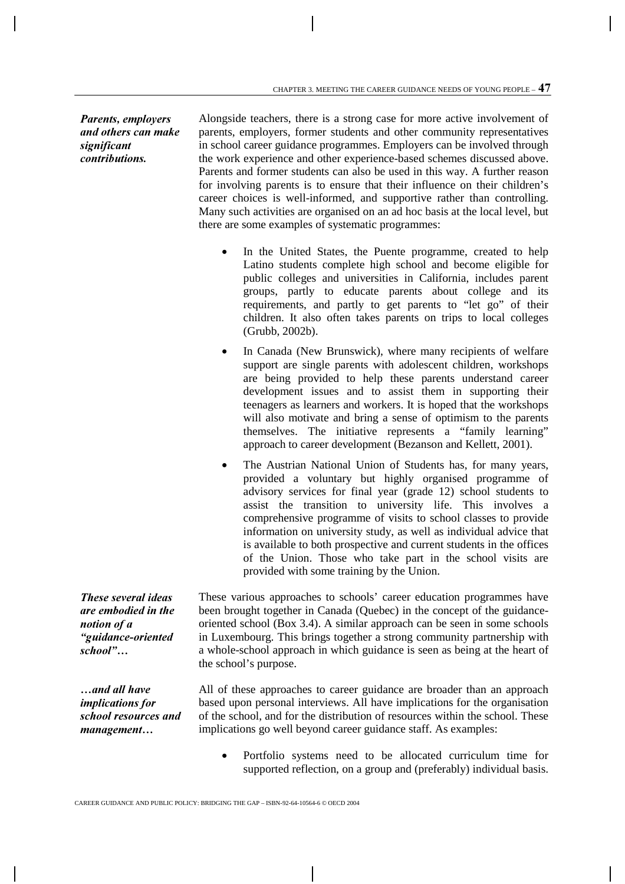**Parents, employers** and others can make *significant*  $contributions.$ 

Alongside teachers, there is a strong case for more active involvement of parents, employers, former students and other community representatives in school career guidance programmes. Employers can be involved through the work experience and other experience-based schemes discussed above. Parents and former students can also be used in this way. A further reason for involving parents is to ensure that their influence on their children's career choices is well-informed, and supportive rather than controlling. Many such activities are organised on an ad hoc basis at the local level, but there are some examples of systematic programmes:

- In the United States, the Puente programme, created to help Latino students complete high school and become eligible for public colleges and universities in California, includes parent groups, partly to educate parents about college and its requirements, and partly to get parents to "let go" of their children. It also often takes parents on trips to local colleges (Grubb, 2002b).
- In Canada (New Brunswick), where many recipients of welfare support are single parents with adolescent children, workshops are being provided to help these parents understand career development issues and to assist them in supporting their teenagers as learners and workers. It is hoped that the workshops will also motivate and bring a sense of optimism to the parents themselves. The initiative represents a "family learning" approach to career development (Bezanson and Kellett, 2001).
- The Austrian National Union of Students has, for many years, provided a voluntary but highly organised programme of advisory services for final year (grade 12) school students to assist the transition to university life. This involves a comprehensive programme of visits to school classes to provide information on university study, as well as individual advice that is available to both prospective and current students in the offices of the Union. Those who take part in the school visits are provided with some training by the Union.

These various approaches to schools' career education programmes have been brought together in Canada (Quebec) in the concept of the guidanceoriented school (Box 3.4). A similar approach can be seen in some schools in Luxembourg. This brings together a strong community partnership with a whole-school approach in which guidance is seen as being at the heart of the school's purpose.

All of these approaches to career guidance are broader than an approach based upon personal interviews. All have implications for the organisation of the school, and for the distribution of resources within the school. These implications go well beyond career guidance staff. As examples:

 Portfolio systems need to be allocated curriculum time for supported reflection, on a group and (preferably) individual basis.

**These several ideas** are embodied in the *notion* of a *diguidance-oriented school"*...

...and all have *implications for* school resources and management...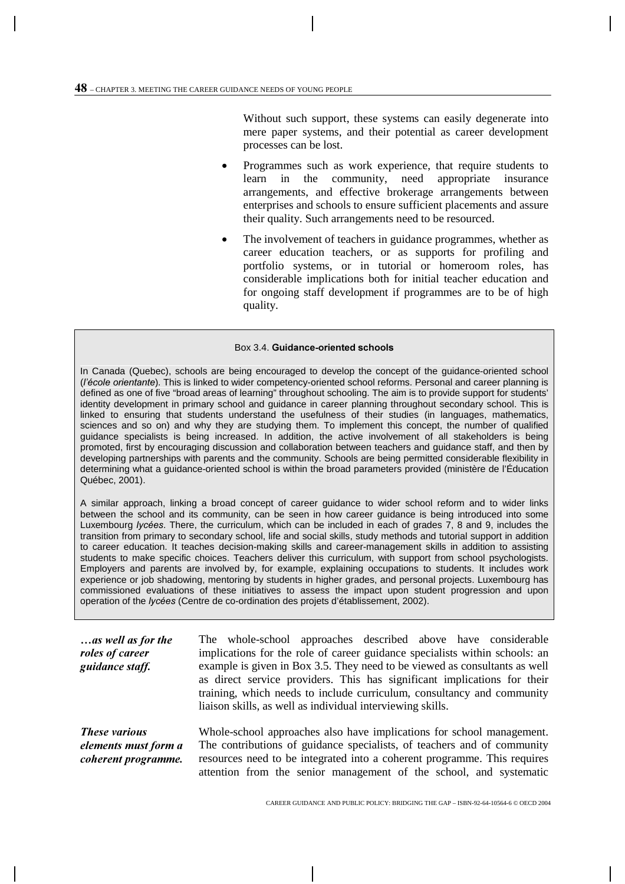Without such support, these systems can easily degenerate into mere paper systems, and their potential as career development processes can be lost.

- Programmes such as work experience, that require students to learn in the community, need appropriate insurance arrangements, and effective brokerage arrangements between enterprises and schools to ensure sufficient placements and assure their quality. Such arrangements need to be resourced.
- The involvement of teachers in guidance programmes, whether as career education teachers, or as supports for profiling and portfolio systems, or in tutorial or homeroom roles, has considerable implications both for initial teacher education and for ongoing staff development if programmes are to be of high quality.

#### Box 3.4. Guidance-oriented schools

In Canada (Quebec), schools are being encouraged to develop the concept of the guidance-oriented school (*l'école orientante*). This is linked to wider competency-oriented school reforms. Personal and career planning is defined as one of five "broad areas of learning" throughout schooling. The aim is to provide support for students' identity development in primary school and guidance in career planning throughout secondary school. This is linked to ensuring that students understand the usefulness of their studies (in languages, mathematics, sciences and so on) and why they are studying them. To implement this concept, the number of qualified guidance specialists is being increased. In addition, the active involvement of all stakeholders is being promoted, first by encouraging discussion and collaboration between teachers and guidance staff, and then by developing partnerships with parents and the community. Schools are being permitted considerable flexibility in determining what a guidance-oriented school is within the broad parameters provided (ministère de l'Éducation Québec, 2001).

A similar approach, linking a broad concept of career guidance to wider school reform and to wider links between the school and its community, can be seen in how career guidance is being introduced into some Luxembourg lycées. There, the curriculum, which can be included in each of grades 7, 8 and 9, includes the transition from primary to secondary school, life and social skills, study methods and tutorial support in addition to career education. It teaches decision-making skills and career-management skills in addition to assisting students to make specific choices. Teachers deliver this curriculum, with support from school psychologists. Employers and parents are involved by, for example, explaining occupations to students. It includes work experience or job shadowing, mentoring by students in higher grades, and personal projects. Luxembourg has commissioned evaluations of these initiatives to assess the impact upon student progression and upon operation of the *lycées* (Centre de co-ordination des projets d'établissement, 2002).

| as well as for the | The whole-school approaches described above have considerable               |
|--------------------|-----------------------------------------------------------------------------|
| roles of career    | implications for the role of career guidance specialists within schools: an |
| guidance staff.    | example is given in Box 3.5. They need to be viewed as consultants as well  |
|                    | as direct service providers. This has significant implications for their    |
|                    | training, which needs to include curriculum, consultancy and community      |
|                    | liaison skills, as well as individual interviewing skills.                  |
|                    |                                                                             |

**These various** *elements must form a*  $\emph{coherent programme.}$ 

Whole-school approaches also have implications for school management. The contributions of guidance specialists, of teachers and of community resources need to be integrated into a coherent programme. This requires attention from the senior management of the school, and systematic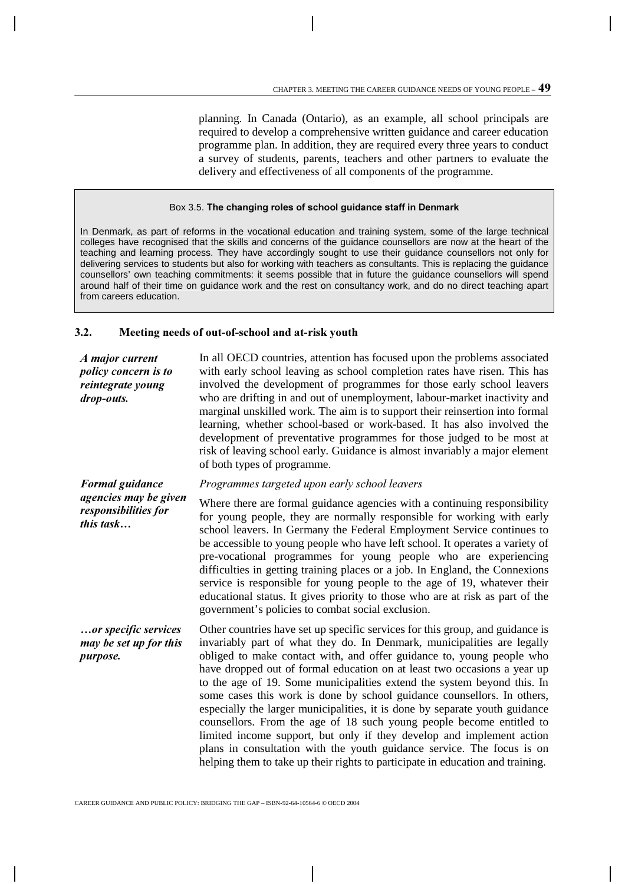planning. In Canada (Ontario), as an example, all school principals are required to develop a comprehensive written guidance and career education programme plan. In addition, they are required every three years to conduct a survey of students, parents, teachers and other partners to evaluate the delivery and effectiveness of all components of the programme.

#### Box 3.5. The changing roles of school guidance staff in Denmark

In Denmark, as part of reforms in the vocational education and training system, some of the large technical colleges have recognised that the skills and concerns of the guidance counsellors are now at the heart of the teaching and learning process. They have accordingly sought to use their guidance counsellors not only for delivering services to students but also for working with teachers as consultants. This is replacing the guidance counsellors' own teaching commitments: it seems possible that in future the guidance counsellors will spend around half of their time on guidance work and the rest on consultancy work, and do no direct teaching apart from careers education.

# 3.2. Meeting needs of out-of-school and at-risk youth

| A major current<br>policy concern is to<br>reintegrate young<br>drop-outs. | In all OECD countries, attention has focused upon the problems associated<br>with early school leaving as school completion rates have risen. This has<br>involved the development of programmes for those early school leavers<br>who are drifting in and out of unemployment, labour-market inactivity and<br>marginal unskilled work. The aim is to support their reinsertion into formal<br>learning, whether school-based or work-based. It has also involved the<br>development of preventative programmes for those judged to be most at<br>risk of leaving school early. Guidance is almost invariably a major element<br>of both types of programme.                                                                                                                                                                                                   |
|----------------------------------------------------------------------------|-----------------------------------------------------------------------------------------------------------------------------------------------------------------------------------------------------------------------------------------------------------------------------------------------------------------------------------------------------------------------------------------------------------------------------------------------------------------------------------------------------------------------------------------------------------------------------------------------------------------------------------------------------------------------------------------------------------------------------------------------------------------------------------------------------------------------------------------------------------------|
| <b>Formal</b> guidance                                                     | Programmes targeted upon early school leavers                                                                                                                                                                                                                                                                                                                                                                                                                                                                                                                                                                                                                                                                                                                                                                                                                   |
| agencies may be given<br>responsibilities for<br>this task                 | Where there are formal guidance agencies with a continuing responsibility<br>for young people, they are normally responsible for working with early<br>school leavers. In Germany the Federal Employment Service continues to<br>be accessible to young people who have left school. It operates a variety of<br>pre-vocational programmes for young people who are experiencing<br>difficulties in getting training places or a job. In England, the Connexions<br>service is responsible for young people to the age of 19, whatever their<br>educational status. It gives priority to those who are at risk as part of the<br>government's policies to combat social exclusion.                                                                                                                                                                              |
| or specific services<br>may be set up for this<br>purpose.                 | Other countries have set up specific services for this group, and guidance is<br>invariably part of what they do. In Denmark, municipalities are legally<br>obliged to make contact with, and offer guidance to, young people who<br>have dropped out of formal education on at least two occasions a year up<br>to the age of 19. Some municipalities extend the system beyond this. In<br>some cases this work is done by school guidance counsellors. In others,<br>especially the larger municipalities, it is done by separate youth guidance<br>counsellors. From the age of 18 such young people become entitled to<br>limited income support, but only if they develop and implement action<br>plans in consultation with the youth guidance service. The focus is on<br>helping them to take up their rights to participate in education and training. |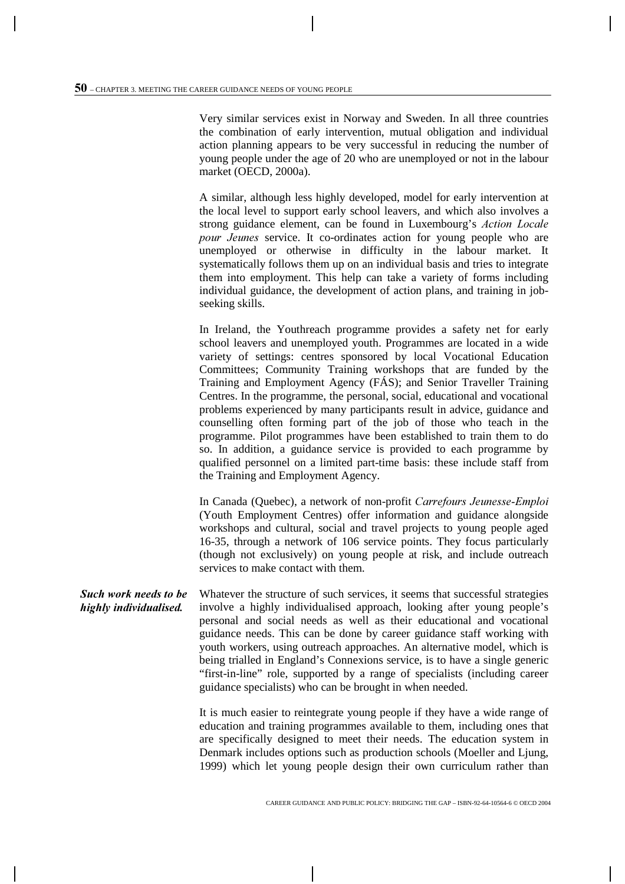Very similar services exist in Norway and Sweden. In all three countries the combination of early intervention, mutual obligation and individual action planning appears to be very successful in reducing the number of young people under the age of 20 who are unemployed or not in the labour market (OECD, 2000a).

A similar, although less highly developed, model for early intervention at the local level to support early school leavers, and which also involves a strong guidance element, can be found in Luxembourg's Action Locale pour Jeunes service. It co-ordinates action for young people who are unemployed or otherwise in difficulty in the labour market. It systematically follows them up on an individual basis and tries to integrate them into employment. This help can take a variety of forms including individual guidance, the development of action plans, and training in jobseeking skills.

In Ireland, the Youthreach programme provides a safety net for early school leavers and unemployed youth. Programmes are located in a wide variety of settings: centres sponsored by local Vocational Education Committees; Community Training workshops that are funded by the Training and Employment Agency (FÁS); and Senior Traveller Training Centres. In the programme, the personal, social, educational and vocational problems experienced by many participants result in advice, guidance and counselling often forming part of the job of those who teach in the programme. Pilot programmes have been established to train them to do so. In addition, a guidance service is provided to each programme by qualified personnel on a limited part-time basis: these include staff from the Training and Employment Agency.

In Canada (Quebec), a network of non-profit Carrefours Jeunesse-Emploi (Youth Employment Centres) offer information and guidance alongside workshops and cultural, social and travel projects to young people aged 16-35, through a network of 106 service points. They focus particularly (though not exclusively) on young people at risk, and include outreach services to make contact with them.

**Such work needs to be** *highly individualised.* Whatever the structure of such services, it seems that successful strategies involve a highly individualised approach, looking after young people's personal and social needs as well as their educational and vocational guidance needs. This can be done by career guidance staff working with youth workers, using outreach approaches. An alternative model, which is being trialled in England's Connexions service, is to have a single generic "first-in-line" role, supported by a range of specialists (including career guidance specialists) who can be brought in when needed.

> It is much easier to reintegrate young people if they have a wide range of education and training programmes available to them, including ones that are specifically designed to meet their needs. The education system in Denmark includes options such as production schools (Moeller and Ljung, 1999) which let young people design their own curriculum rather than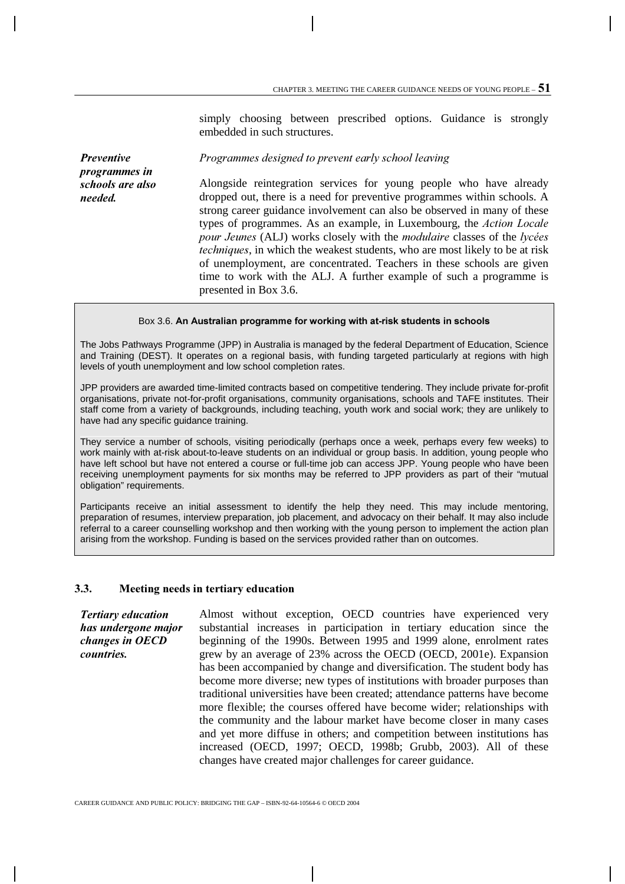simply choosing between prescribed options. Guidance is strongly embedded in such structures.

**Preventive** *programmes in* schools are also needed. Programmes designed to prevent early school leaving Alongside reintegration services for young people who have already dropped out, there is a need for preventive programmes within schools. A strong career guidance involvement can also be observed in many of these types of programmes. As an example, in Luxembourg, the  pour Jeunes (ALJ) works closely with the *modulaire* classes of the *lycées* techniques, in which the weakest students, who are most likely to be at risk of unemployment, are concentrated. Teachers in these schools are given time to work with the ALJ. A further example of such a programme is presented in Box 3.6.

# Box 3.6. An Australian programme for working with at-risk students in schools

The Jobs Pathways Programme (JPP) in Australia is managed by the federal Department of Education, Science and Training (DEST). It operates on a regional basis, with funding targeted particularly at regions with high levels of youth unemployment and low school completion rates.

JPP providers are awarded time-limited contracts based on competitive tendering. They include private for-profit organisations, private not-for-profit organisations, community organisations, schools and TAFE institutes. Their staff come from a variety of backgrounds, including teaching, youth work and social work; they are unlikely to have had any specific guidance training.

They service a number of schools, visiting periodically (perhaps once a week, perhaps every few weeks) to work mainly with at-risk about-to-leave students on an individual or group basis. In addition, young people who have left school but have not entered a course or full-time job can access JPP. Young people who have been receiving unemployment payments for six months may be referred to JPP providers as part of their "mutual obligation" requirements.

Participants receive an initial assessment to identify the help they need. This may include mentoring, preparation of resumes, interview preparation, job placement, and advocacy on their behalf. It may also include referral to a career counselling workshop and then working with the young person to implement the action plan arising from the workshop. Funding is based on the services provided rather than on outcomes.

# 3.3. Meeting needs in tertiary education

**Tertiary** education *has undergone major changes in OECD*  Almost without exception, OECD countries have experienced very substantial increases in participation in tertiary education since the beginning of the 1990s. Between 1995 and 1999 alone, enrolment rates grew by an average of 23% across the OECD (OECD, 2001e). Expansion has been accompanied by change and diversification. The student body has become more diverse; new types of institutions with broader purposes than traditional universities have been created; attendance patterns have become more flexible; the courses offered have become wider; relationships with the community and the labour market have become closer in many cases and yet more diffuse in others; and competition between institutions has increased (OECD, 1997; OECD, 1998b; Grubb, 2003). All of these changes have created major challenges for career guidance.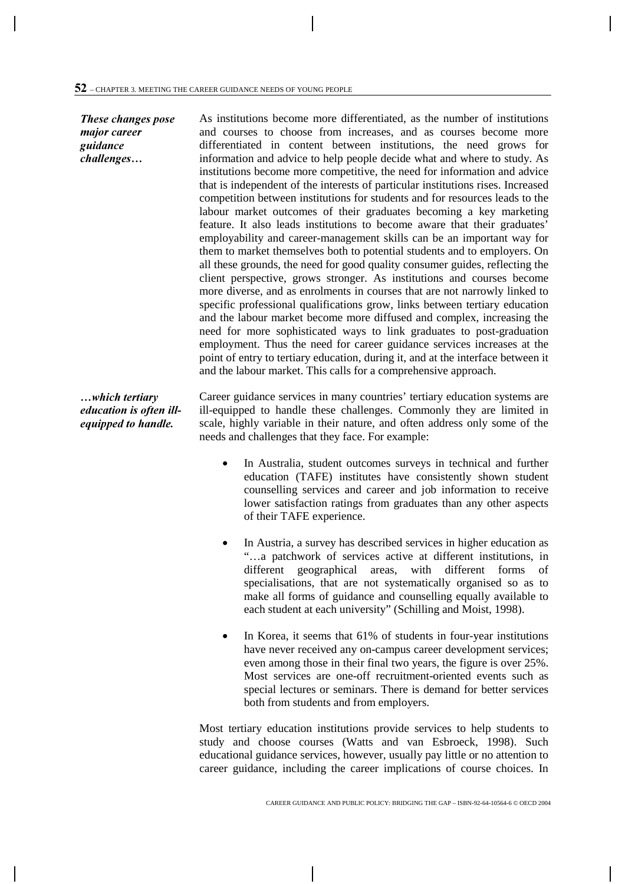**These changes pose** *major* career *guidance* challenges... As institutions become more differentiated, as the number of institutions and courses to choose from increases, and as courses become more differentiated in content between institutions, the need grows for information and advice to help people decide what and where to study. As institutions become more competitive, the need for information and advice that is independent of the interests of particular institutions rises. Increased competition between institutions for students and for resources leads to the labour market outcomes of their graduates becoming a key marketing feature. It also leads institutions to become aware that their graduates' employability and career-management skills can be an important way for them to market themselves both to potential students and to employers. On all these grounds, the need for good quality consumer guides, reflecting the client perspective, grows stronger. As institutions and courses become more diverse, and as enrolments in courses that are not narrowly linked to specific professional qualifications grow, links between tertiary education and the labour market become more diffused and complex, increasing the need for more sophisticated ways to link graduates to post-graduation employment. Thus the need for career guidance services increases at the point of entry to tertiary education, during it, and at the interface between it and the labour market. This calls for a comprehensive approach.

...which tertiary *education is often illequipped to handle.* 

Career guidance services in many countries' tertiary education systems are ill-equipped to handle these challenges. Commonly they are limited in scale, highly variable in their nature, and often address only some of the needs and challenges that they face. For example:

- In Australia, student outcomes surveys in technical and further education (TAFE) institutes have consistently shown student counselling services and career and job information to receive lower satisfaction ratings from graduates than any other aspects of their TAFE experience.
- In Austria, a survey has described services in higher education as "…a patchwork of services active at different institutions, in different geographical areas, with different forms of specialisations, that are not systematically organised so as to make all forms of guidance and counselling equally available to each student at each university" (Schilling and Moist, 1998).
- In Korea, it seems that 61% of students in four-year institutions have never received any on-campus career development services; even among those in their final two years, the figure is over 25%. Most services are one-off recruitment-oriented events such as special lectures or seminars. There is demand for better services both from students and from employers.

Most tertiary education institutions provide services to help students to study and choose courses (Watts and van Esbroeck, 1998). Such educational guidance services, however, usually pay little or no attention to career guidance, including the career implications of course choices. In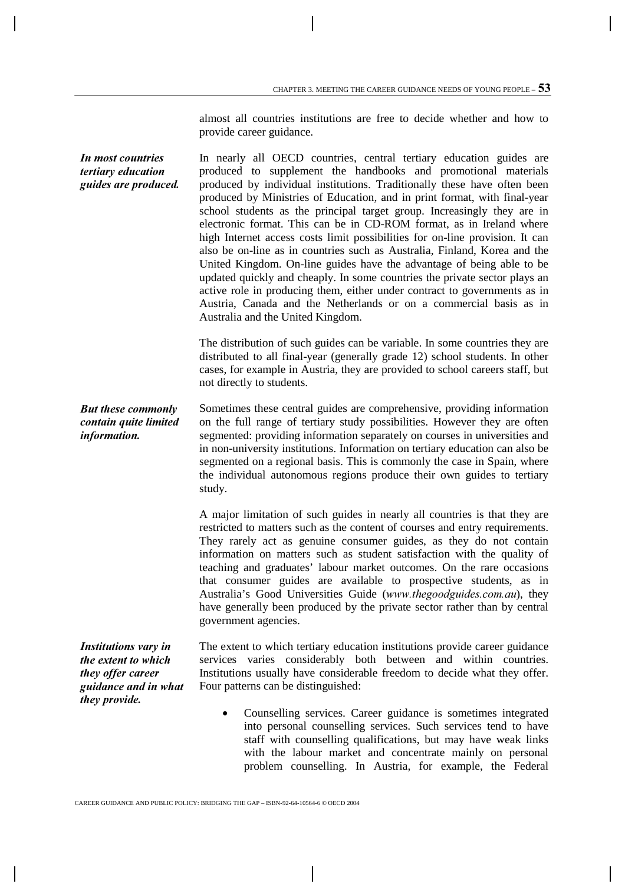almost all countries institutions are free to decide whether and how to provide career guidance.

In most countries tertiary education guides are produced. In nearly all OECD countries, central tertiary education guides are produced to supplement the handbooks and promotional materials produced by individual institutions. Traditionally these have often been produced by Ministries of Education, and in print format, with final-year school students as the principal target group. Increasingly they are in electronic format. This can be in CD-ROM format, as in Ireland where high Internet access costs limit possibilities for on-line provision. It can also be on-line as in countries such as Australia, Finland, Korea and the United Kingdom. On-line guides have the advantage of being able to be updated quickly and cheaply. In some countries the private sector plays an active role in producing them, either under contract to governments as in Austria, Canada and the Netherlands or on a commercial basis as in Australia and the United Kingdom.

> The distribution of such guides can be variable. In some countries they are distributed to all final-year (generally grade 12) school students. In other cases, for example in Austria, they are provided to school careers staff, but not directly to students.

**But these commonly** contain quite limited information. Sometimes these central guides are comprehensive, providing information on the full range of tertiary study possibilities. However they are often segmented: providing information separately on courses in universities and in non-university institutions. Information on tertiary education can also be segmented on a regional basis. This is commonly the case in Spain, where the individual autonomous regions produce their own guides to tertiary study.

> A major limitation of such guides in nearly all countries is that they are restricted to matters such as the content of courses and entry requirements. They rarely act as genuine consumer guides, as they do not contain information on matters such as student satisfaction with the quality of teaching and graduates' labour market outcomes. On the rare occasions that consumer guides are available to prospective students, as in Australia's Good Universities Guide (www.thegoodguides.com.au), they have generally been produced by the private sector rather than by central government agencies.

*Institutions vary in* the extent to which *they offer career* guidance and in what *they provide.* 

The extent to which tertiary education institutions provide career guidance services varies considerably both between and within countries. Institutions usually have considerable freedom to decide what they offer. Four patterns can be distinguished:

> Counselling services. Career guidance is sometimes integrated into personal counselling services. Such services tend to have staff with counselling qualifications, but may have weak links with the labour market and concentrate mainly on personal problem counselling. In Austria, for example, the Federal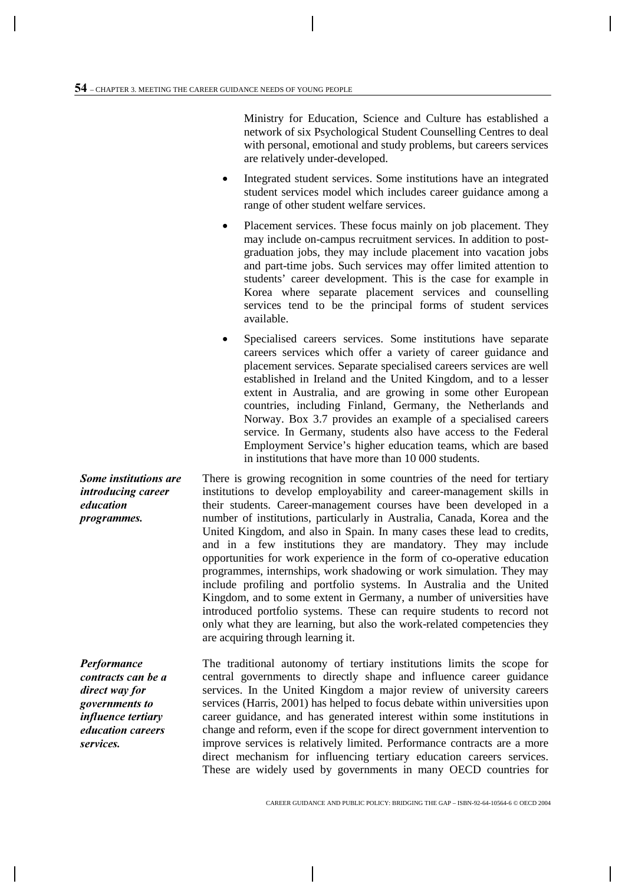Ministry for Education, Science and Culture has established a network of six Psychological Student Counselling Centres to deal with personal, emotional and study problems, but careers services are relatively under-developed.

- Integrated student services. Some institutions have an integrated student services model which includes career guidance among a range of other student welfare services.
- Placement services. These focus mainly on job placement. They may include on-campus recruitment services. In addition to postgraduation jobs, they may include placement into vacation jobs and part-time jobs. Such services may offer limited attention to students' career development. This is the case for example in Korea where separate placement services and counselling services tend to be the principal forms of student services available.
- Specialised careers services. Some institutions have separate careers services which offer a variety of career guidance and placement services. Separate specialised careers services are well established in Ireland and the United Kingdom, and to a lesser extent in Australia, and are growing in some other European countries, including Finland, Germany, the Netherlands and Norway. Box 3.7 provides an example of a specialised careers service. In Germany, students also have access to the Federal Employment Service's higher education teams, which are based in institutions that have more than 10 000 students.

*Some institutions are introducing career*  programmes. There is growing recognition in some countries of the need for tertiary institutions to develop employability and career-management skills in their students. Career-management courses have been developed in a number of institutions, particularly in Australia, Canada, Korea and the United Kingdom, and also in Spain. In many cases these lead to credits, and in a few institutions they are mandatory. They may include opportunities for work experience in the form of co-operative education programmes, internships, work shadowing or work simulation. They may include profiling and portfolio systems. In Australia and the United Kingdom, and to some extent in Germany, a number of universities have introduced portfolio systems. These can require students to record not only what they are learning, but also the work-related competencies they are acquiring through learning it.

> The traditional autonomy of tertiary institutions limits the scope for central governments to directly shape and influence career guidance services. In the United Kingdom a major review of university careers services (Harris, 2001) has helped to focus debate within universities upon career guidance, and has generated interest within some institutions in change and reform, even if the scope for direct government intervention to improve services is relatively limited. Performance contracts are a more direct mechanism for influencing tertiary education careers services. These are widely used by governments in many OECD countries for

**Performance** 

contracts can be a direct way for governments to *influence tertiarv <u>education*</u> careers *services.*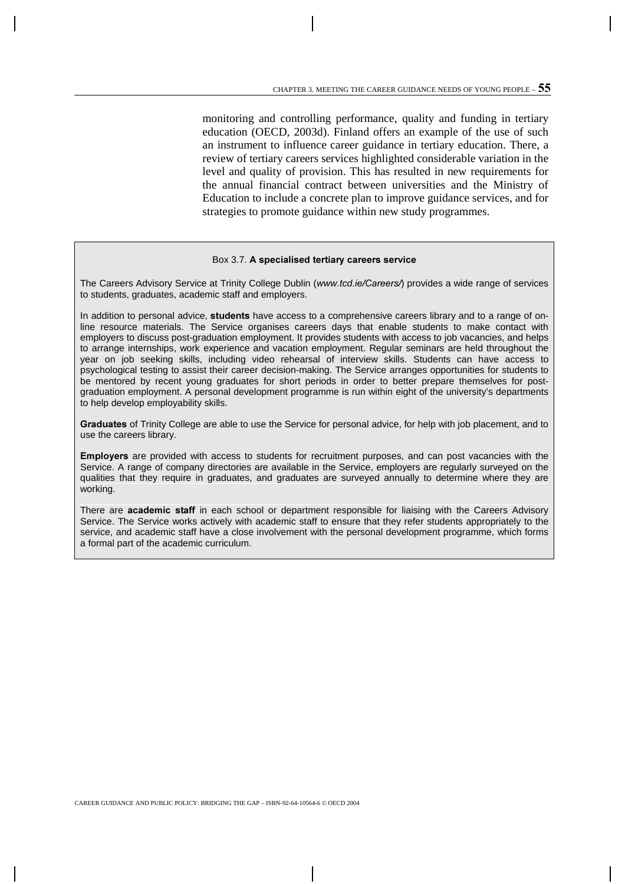monitoring and controlling performance, quality and funding in tertiary education (OECD, 2003d). Finland offers an example of the use of such an instrument to influence career guidance in tertiary education. There, a review of tertiary careers services highlighted considerable variation in the level and quality of provision. This has resulted in new requirements for the annual financial contract between universities and the Ministry of Education to include a concrete plan to improve guidance services, and for strategies to promote guidance within new study programmes.

#### Box 3.7. A specialised tertiary careers service

The Careers Advisory Service at Trinity College Dublin (*www.tcd.ie/Careers/*) provides a wide range of services to students, graduates, academic staff and employers.

In addition to personal advice, students have access to a comprehensive careers library and to a range of online resource materials. The Service organises careers days that enable students to make contact with employers to discuss post-graduation employment. It provides students with access to job vacancies, and helps to arrange internships, work experience and vacation employment. Regular seminars are held throughout the year on job seeking skills, including video rehearsal of interview skills. Students can have access to psychological testing to assist their career decision-making. The Service arranges opportunities for students to be mentored by recent young graduates for short periods in order to better prepare themselves for postgraduation employment. A personal development programme is run within eight of the university's departments to help develop employability skills.

Graduates of Trinity College are able to use the Service for personal advice, for help with job placement, and to use the careers library.

Employers are provided with access to students for recruitment purposes, and can post vacancies with the Service. A range of company directories are available in the Service, employers are regularly surveyed on the qualities that they require in graduates, and graduates are surveyed annually to determine where they are working.

There are academic staff in each school or department responsible for liaising with the Careers Advisory Service. The Service works actively with academic staff to ensure that they refer students appropriately to the service, and academic staff have a close involvement with the personal development programme, which forms a formal part of the academic curriculum.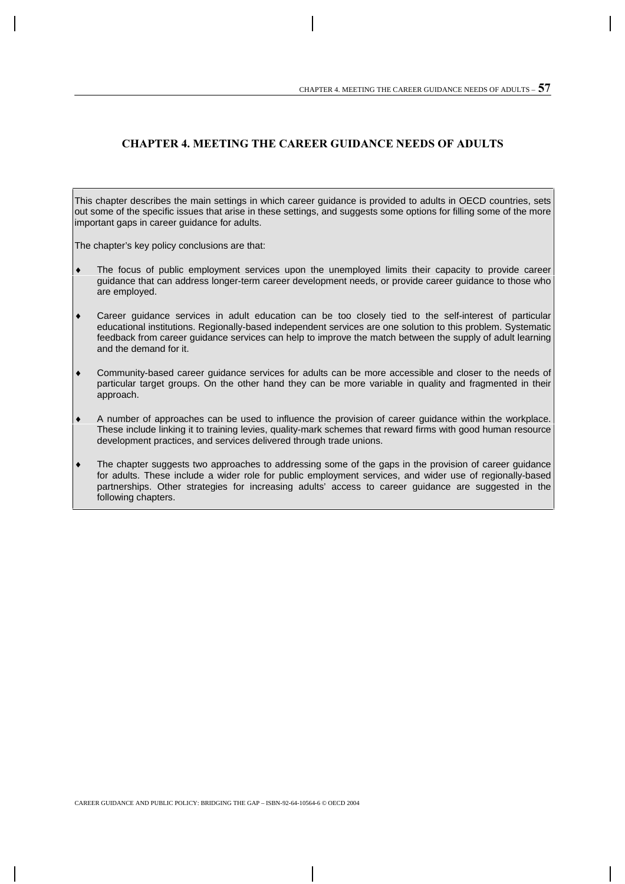# CHAPTER 4. MEETING THE CAREER GUIDANCE NEEDS OF ADULTS

This chapter describes the main settings in which career guidance is provided to adults in OECD countries, sets out some of the specific issues that arise in these settings, and suggests some options for filling some of the more important gaps in career guidance for adults.

The chapter's key policy conclusions are that:

- $\bullet$  The focus of public employment services upon the unemployed limits their capacity to provide career guidance that can address longer-term career development needs, or provide career guidance to those who are employed.
- $\blacklozenge$  Career guidance services in adult education can be too closely tied to the self-interest of particular educational institutions. Regionally-based independent services are one solution to this problem. Systematic feedback from career guidance services can help to improve the match between the supply of adult learning and the demand for it.
- $\bullet$  Community-based career guidance services for adults can be more accessible and closer to the needs of particular target groups. On the other hand they can be more variable in quality and fragmented in their approach.
- $\bullet$  A number of approaches can be used to influence the provision of career guidance within the workplace. These include linking it to training levies, quality-mark schemes that reward firms with good human resource development practices, and services delivered through trade unions.
- $\blacklozenge$  The chapter suggests two approaches to addressing some of the gaps in the provision of career guidance for adults. These include a wider role for public employment services, and wider use of regionally-based partnerships. Other strategies for increasing adults' access to career guidance are suggested in the following chapters.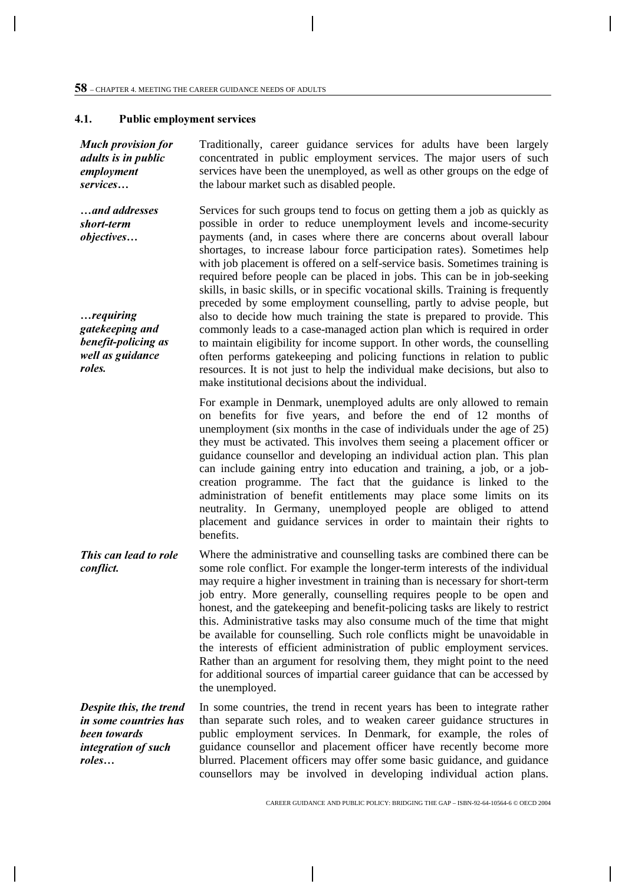# 4.1. Public employment services

*Much provision for adults is in public employment*  $s$ *ervices...* Traditionally, career guidance services for adults have been largely concentrated in public employment services. The major users of such services have been the unemployed, as well as other groups on the edge of the labour market such as disabled people. ...and addresses *-*   $\it objectives...$ ..*.requiring* gatekeeping and benefit-policing as *well as guidance* roles. Services for such groups tend to focus on getting them a job as quickly as possible in order to reduce unemployment levels and income-security payments (and, in cases where there are concerns about overall labour shortages, to increase labour force participation rates). Sometimes help with job placement is offered on a self-service basis. Sometimes training is required before people can be placed in jobs. This can be in job-seeking skills, in basic skills, or in specific vocational skills. Training is frequently preceded by some employment counselling, partly to advise people, but also to decide how much training the state is prepared to provide. This commonly leads to a case-managed action plan which is required in order to maintain eligibility for income support. In other words, the counselling often performs gatekeeping and policing functions in relation to public resources. It is not just to help the individual make decisions, but also to make institutional decisions about the individual. For example in Denmark, unemployed adults are only allowed to remain on benefits for five years, and before the end of 12 months of unemployment (six months in the case of individuals under the age of 25) they must be activated. This involves them seeing a placement officer or guidance counsellor and developing an individual action plan. This plan can include gaining entry into education and training, a job, or a jobcreation programme. The fact that the guidance is linked to the administration of benefit entitlements may place some limits on its neutrality. In Germany, unemployed people are obliged to attend placement and guidance services in order to maintain their rights to benefits. **This can lead to role** *conflict.* Where the administrative and counselling tasks are combined there can be some role conflict. For example the longer-term interests of the individual may require a higher investment in training than is necessary for short-term job entry. More generally, counselling requires people to be open and honest, and the gatekeeping and benefit-policing tasks are likely to restrict this. Administrative tasks may also consume much of the time that might be available for counselling. Such role conflicts might be unavoidable in the interests of efficient administration of public employment services. Rather than an argument for resolving them, they might point to the need for additional sources of impartial career guidance that can be accessed by the unemployed. *Despite this, the trend in some countries has been towards integration of such roles...* In some countries, the trend in recent years has been to integrate rather than separate such roles, and to weaken career guidance structures in public employment services. In Denmark, for example, the roles of guidance counsellor and placement officer have recently become more blurred. Placement officers may offer some basic guidance, and guidance

counsellors may be involved in developing individual action plans.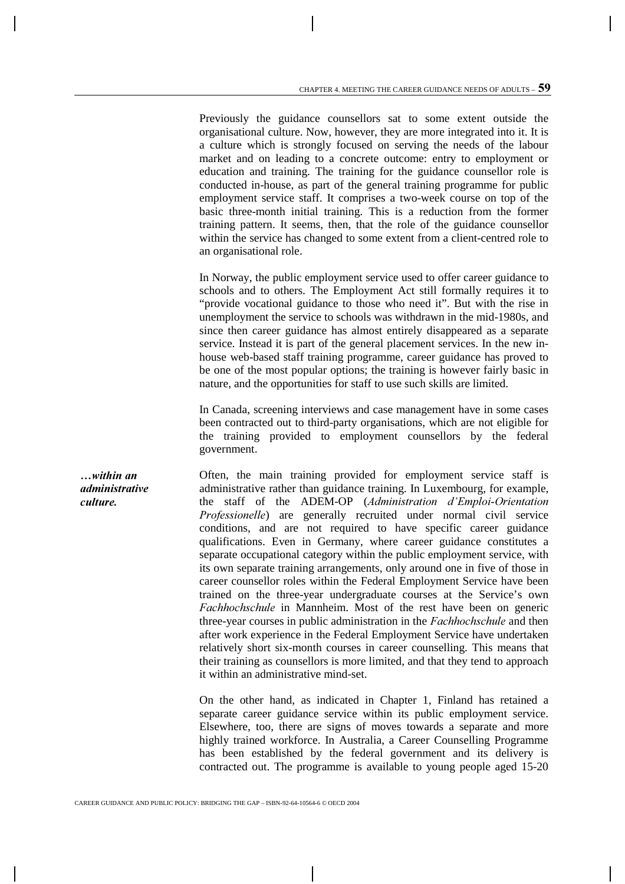Previously the guidance counsellors sat to some extent outside the organisational culture. Now, however, they are more integrated into it. It is a culture which is strongly focused on serving the needs of the labour market and on leading to a concrete outcome: entry to employment or education and training. The training for the guidance counsellor role is conducted in-house, as part of the general training programme for public employment service staff. It comprises a two-week course on top of the basic three-month initial training. This is a reduction from the former training pattern. It seems, then, that the role of the guidance counsellor within the service has changed to some extent from a client-centred role to an organisational role.

In Norway, the public employment service used to offer career guidance to schools and to others. The Employment Act still formally requires it to "provide vocational guidance to those who need it". But with the rise in unemployment the service to schools was withdrawn in the mid-1980s, and since then career guidance has almost entirely disappeared as a separate service. Instead it is part of the general placement services. In the new inhouse web-based staff training programme, career guidance has proved to be one of the most popular options; the training is however fairly basic in nature, and the opportunities for staff to use such skills are limited.

In Canada, screening interviews and case management have in some cases been contracted out to third-party organisations, which are not eligible for the training provided to employment counsellors by the federal government.

Often, the main training provided for employment service staff is administrative rather than guidance training. In Luxembourg, for example, the staff of the ADEM-OP (Administration d'Emploi-Orientation *Professionelle*) are generally recruited under normal civil service conditions, and are not required to have specific career guidance qualifications. Even in Germany, where career guidance constitutes a separate occupational category within the public employment service, with its own separate training arrangements, only around one in five of those in career counsellor roles within the Federal Employment Service have been trained on the three-year undergraduate courses at the Service's own Fachhochschule in Mannheim. Most of the rest have been on generic three-year courses in public administration in the *Fachhochschule* and then after work experience in the Federal Employment Service have undertaken relatively short six-month courses in career counselling. This means that their training as counsellors is more limited, and that they tend to approach it within an administrative mind-set.

On the other hand, as indicated in Chapter 1, Finland has retained a separate career guidance service within its public employment service. Elsewhere, too, there are signs of moves towards a separate and more highly trained workforce. In Australia, a Career Counselling Programme has been established by the federal government and its delivery is contracted out. The programme is available to young people aged 15-20

...within an  $administrative$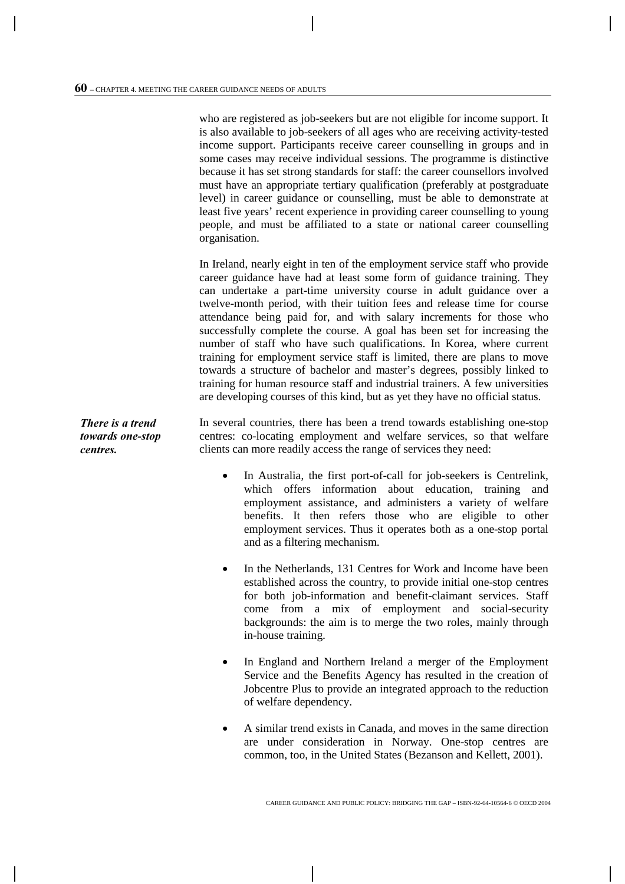who are registered as job-seekers but are not eligible for income support. It is also available to job-seekers of all ages who are receiving activity-tested income support. Participants receive career counselling in groups and in some cases may receive individual sessions. The programme is distinctive because it has set strong standards for staff: the career counsellors involved must have an appropriate tertiary qualification (preferably at postgraduate level) in career guidance or counselling, must be able to demonstrate at least five years' recent experience in providing career counselling to young people, and must be affiliated to a state or national career counselling organisation.

In Ireland, nearly eight in ten of the employment service staff who provide career guidance have had at least some form of guidance training. They can undertake a part-time university course in adult guidance over a twelve-month period, with their tuition fees and release time for course attendance being paid for, and with salary increments for those who successfully complete the course. A goal has been set for increasing the number of staff who have such qualifications. In Korea, where current training for employment service staff is limited, there are plans to move towards a structure of bachelor and master's degrees, possibly linked to training for human resource staff and industrial trainers. A few universities are developing courses of this kind, but as yet they have no official status.

**There** is a trend *towards one-stop centres.* In several countries, there has been a trend towards establishing one-stop centres: co-locating employment and welfare services, so that welfare clients can more readily access the range of services they need:

- In Australia, the first port-of-call for job-seekers is Centrelink, which offers information about education, training and employment assistance, and administers a variety of welfare benefits. It then refers those who are eligible to other employment services. Thus it operates both as a one-stop portal and as a filtering mechanism.
- In the Netherlands, 131 Centres for Work and Income have been established across the country, to provide initial one-stop centres for both job-information and benefit-claimant services. Staff come from a mix of employment and social-security backgrounds: the aim is to merge the two roles, mainly through in-house training.
- In England and Northern Ireland a merger of the Employment Service and the Benefits Agency has resulted in the creation of Jobcentre Plus to provide an integrated approach to the reduction of welfare dependency.
- A similar trend exists in Canada, and moves in the same direction are under consideration in Norway. One-stop centres are common, too, in the United States (Bezanson and Kellett, 2001).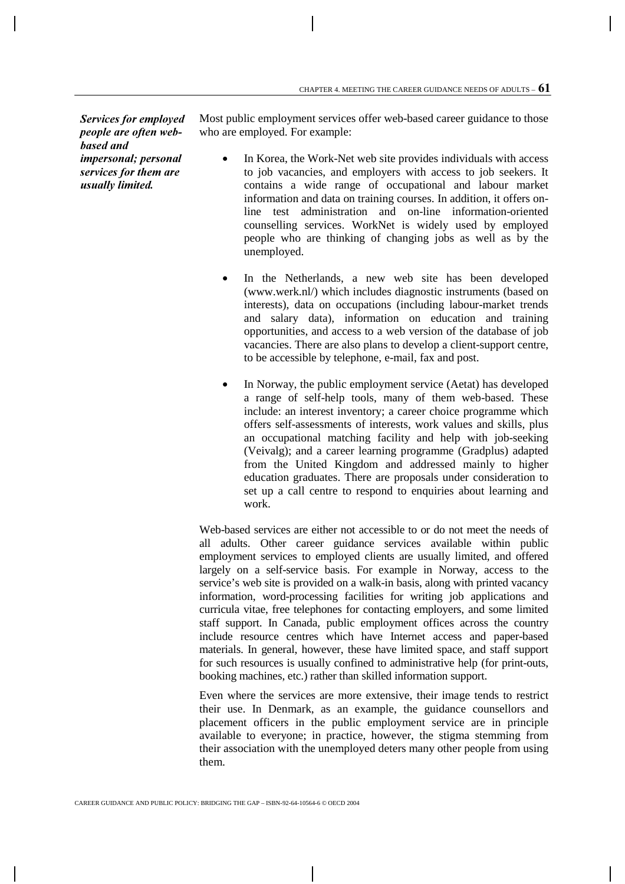**Services for employed** people are often web**based** and *impersonal*; personal services for them are usually limited.

Most public employment services offer web-based career guidance to those who are employed. For example:

- In Korea, the Work-Net web site provides individuals with access to job vacancies, and employers with access to job seekers. It contains a wide range of occupational and labour market information and data on training courses. In addition, it offers online test administration and on-line information-oriented counselling services. WorkNet is widely used by employed people who are thinking of changing jobs as well as by the unemployed.
- In the Netherlands, a new web site has been developed (www.werk.nl/) which includes diagnostic instruments (based on interests), data on occupations (including labour-market trends and salary data), information on education and training opportunities, and access to a web version of the database of job vacancies. There are also plans to develop a client-support centre, to be accessible by telephone, e-mail, fax and post.
- In Norway, the public employment service (Aetat) has developed a range of self-help tools, many of them web-based. These include: an interest inventory; a career choice programme which offers self-assessments of interests, work values and skills, plus an occupational matching facility and help with job-seeking (Veivalg); and a career learning programme (Gradplus) adapted from the United Kingdom and addressed mainly to higher education graduates. There are proposals under consideration to set up a call centre to respond to enquiries about learning and work.

Web-based services are either not accessible to or do not meet the needs of all adults. Other career guidance services available within public employment services to employed clients are usually limited, and offered largely on a self-service basis. For example in Norway, access to the service's web site is provided on a walk-in basis, along with printed vacancy information, word-processing facilities for writing job applications and curricula vitae, free telephones for contacting employers, and some limited staff support. In Canada, public employment offices across the country include resource centres which have Internet access and paper-based materials. In general, however, these have limited space, and staff support for such resources is usually confined to administrative help (for print-outs, booking machines, etc.) rather than skilled information support.

Even where the services are more extensive, their image tends to restrict their use. In Denmark, as an example, the guidance counsellors and placement officers in the public employment service are in principle available to everyone; in practice, however, the stigma stemming from their association with the unemployed deters many other people from using them.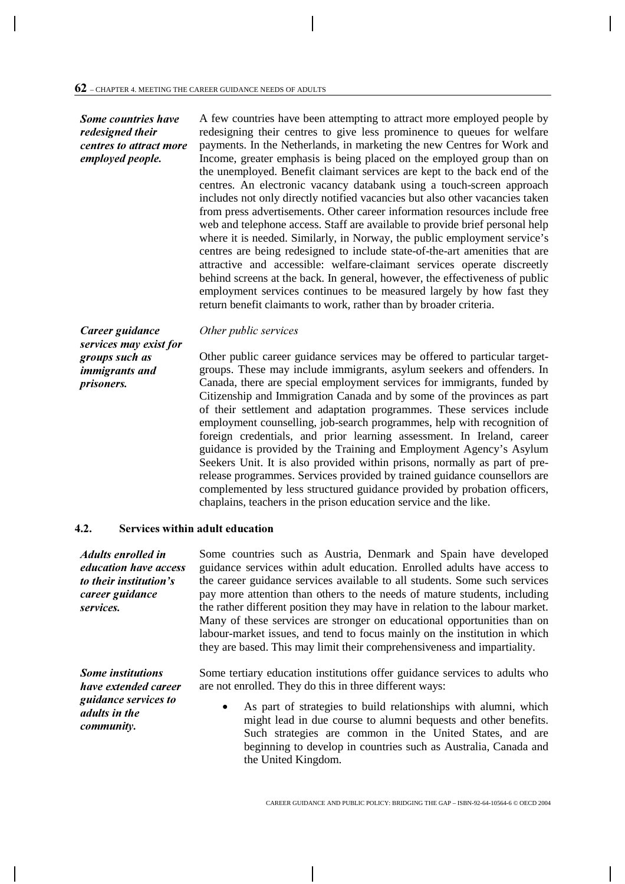# Some countries have redesigned their centres to attract more employed people.

A few countries have been attempting to attract more employed people by redesigning their centres to give less prominence to queues for welfare payments. In the Netherlands, in marketing the new Centres for Work and Income, greater emphasis is being placed on the employed group than on the unemployed. Benefit claimant services are kept to the back end of the centres. An electronic vacancy databank using a touch-screen approach includes not only directly notified vacancies but also other vacancies taken from press advertisements. Other career information resources include free web and telephone access. Staff are available to provide brief personal help where it is needed. Similarly, in Norway, the public employment service's centres are being redesigned to include state-of-the-art amenities that are attractive and accessible: welfare-claimant services operate discreetly behind screens at the back. In general, however, the effectiveness of public employment services continues to be measured largely by how fast they return benefit claimants to work, rather than by broader criteria.

## $Other public services$

Other public career guidance services may be offered to particular targetgroups. These may include immigrants, asylum seekers and offenders. In Canada, there are special employment services for immigrants, funded by Citizenship and Immigration Canada and by some of the provinces as part of their settlement and adaptation programmes. These services include employment counselling, job-search programmes, help with recognition of foreign credentials, and prior learning assessment. In Ireland, career guidance is provided by the Training and Employment Agency's Asylum Seekers Unit. It is also provided within prisons, normally as part of prerelease programmes. Services provided by trained guidance counsellors are complemented by less structured guidance provided by probation officers, chaplains, teachers in the prison education service and the like.

### 4.2. Services within adult education

*Adults enrolled in* education have access to their institution's *career guidance services.* 

Some countries such as Austria, Denmark and Spain have developed guidance services within adult education. Enrolled adults have access to the career guidance services available to all students. Some such services pay more attention than others to the needs of mature students, including the rather different position they may have in relation to the labour market. Many of these services are stronger on educational opportunities than on labour-market issues, and tend to focus mainly on the institution in which they are based. This may limit their comprehensiveness and impartiality.

**Some institutions** have extended career *<u>guidance services to</u>* adults in the *community.* 

Some tertiary education institutions offer guidance services to adults who are not enrolled. They do this in three different ways:

 As part of strategies to build relationships with alumni, which might lead in due course to alumni bequests and other benefits. Such strategies are common in the United States, and are beginning to develop in countries such as Australia, Canada and the United Kingdom.

CAREER GUIDANCE AND PUBLIC POLICY: BRIDGING THE GAP – ISBN-92-64-10564-6 © OECD 2004

*Career guidance* services may exist for  *immigrants and*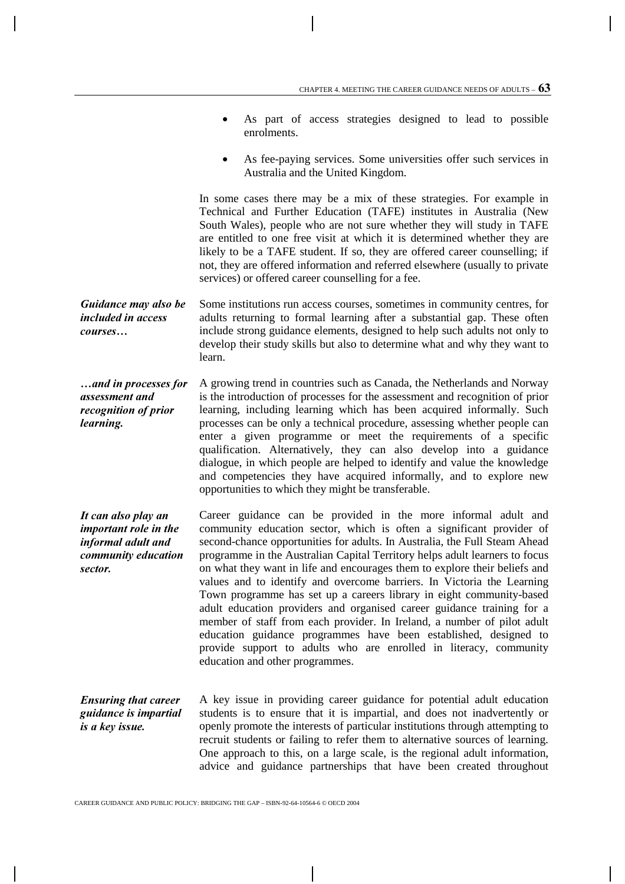- As part of access strategies designed to lead to possible enrolments.
- As fee-paying services. Some universities offer such services in Australia and the United Kingdom.

In some cases there may be a mix of these strategies. For example in Technical and Further Education (TAFE) institutes in Australia (New South Wales), people who are not sure whether they will study in TAFE are entitled to one free visit at which it is determined whether they are likely to be a TAFE student. If so, they are offered career counselling; if not, they are offered information and referred elsewhere (usually to private services) or offered career counselling for a fee.

*Guidance may also be included in access <u>courses...</u>* Some institutions run access courses, sometimes in community centres, for adults returning to formal learning after a substantial gap. These often include strong guidance elements, designed to help such adults not only to develop their study skills but also to determine what and why they want to learn.

...and in processes for assessment and *recognition of prior learning.* A growing trend in countries such as Canada, the Netherlands and Norway is the introduction of processes for the assessment and recognition of prior learning, including learning which has been acquired informally. Such processes can be only a technical procedure, assessing whether people can enter a given programme or meet the requirements of a specific qualification. Alternatively, they can also develop into a guidance dialogue, in which people are helped to identify and value the knowledge and competencies they have acquired informally, and to explore new opportunities to which they might be transferable.

It can also play an *important role in the informal adult and community education* sector. Career guidance can be provided in the more informal adult and community education sector, which is often a significant provider of second-chance opportunities for adults. In Australia, the Full Steam Ahead programme in the Australian Capital Territory helps adult learners to focus on what they want in life and encourages them to explore their beliefs and values and to identify and overcome barriers. In Victoria the Learning Town programme has set up a careers library in eight community-based adult education providers and organised career guidance training for a member of staff from each provider. In Ireland, a number of pilot adult education guidance programmes have been established, designed to provide support to adults who are enrolled in literacy, community education and other programmes.

*Ensuring that career* guidance is impartial is a key issue. A key issue in providing career guidance for potential adult education students is to ensure that it is impartial, and does not inadvertently or openly promote the interests of particular institutions through attempting to recruit students or failing to refer them to alternative sources of learning. One approach to this, on a large scale, is the regional adult information, advice and guidance partnerships that have been created throughout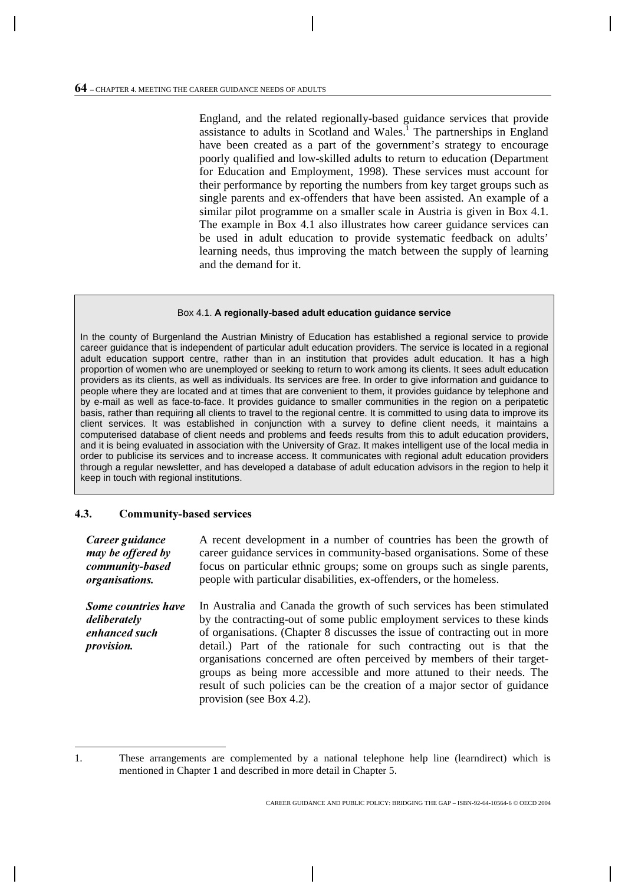England, and the related regionally-based guidance services that provide assistance to adults in Scotland and Wales.<sup>1</sup> The partnerships in England have been created as a part of the government's strategy to encourage poorly qualified and low-skilled adults to return to education (Department for Education and Employment, 1998). These services must account for their performance by reporting the numbers from key target groups such as single parents and ex-offenders that have been assisted. An example of a similar pilot programme on a smaller scale in Austria is given in Box 4.1. The example in Box 4.1 also illustrates how career guidance services can be used in adult education to provide systematic feedback on adults' learning needs, thus improving the match between the supply of learning and the demand for it.

# Box 4.1. A regionally-based adult education guidance service

In the county of Burgenland the Austrian Ministry of Education has established a regional service to provide career guidance that is independent of particular adult education providers. The service is located in a regional adult education support centre, rather than in an institution that provides adult education. It has a high proportion of women who are unemployed or seeking to return to work among its clients. It sees adult education providers as its clients, as well as individuals. Its services are free. In order to give information and guidance to people where they are located and at times that are convenient to them, it provides guidance by telephone and by e-mail as well as face-to-face. It provides guidance to smaller communities in the region on a peripatetic basis, rather than requiring all clients to travel to the regional centre. It is committed to using data to improve its client services. It was established in conjunction with a survey to define client needs, it maintains a computerised database of client needs and problems and feeds results from this to adult education providers, and it is being evaluated in association with the University of Graz. It makes intelligent use of the local media in order to publicise its services and to increase access. It communicates with regional adult education providers through a regular newsletter, and has developed a database of adult education advisors in the region to help it keep in touch with regional institutions.

# 4.3. Community-based services

 $\overline{a}$ 

| Career guidance                                                           | A recent development in a number of countries has been the growth of                                                                                                                                                                                                                                                                                                                                                                                                                                                                                                  |
|---------------------------------------------------------------------------|-----------------------------------------------------------------------------------------------------------------------------------------------------------------------------------------------------------------------------------------------------------------------------------------------------------------------------------------------------------------------------------------------------------------------------------------------------------------------------------------------------------------------------------------------------------------------|
| may be offered by                                                         | career guidance services in community-based organisations. Some of these                                                                                                                                                                                                                                                                                                                                                                                                                                                                                              |
| community-based                                                           | focus on particular ethnic groups; some on groups such as single parents,                                                                                                                                                                                                                                                                                                                                                                                                                                                                                             |
| organisations.                                                            | people with particular disabilities, ex-offenders, or the homeless.                                                                                                                                                                                                                                                                                                                                                                                                                                                                                                   |
| <b>Some countries have</b><br>deliberately<br>enhanced such<br>provision. | In Australia and Canada the growth of such services has been stimulated<br>by the contracting-out of some public employment services to these kinds<br>of organisations. (Chapter 8 discusses the issue of contracting out in more<br>detail.) Part of the rationale for such contracting out is that the<br>organisations concerned are often perceived by members of their target-<br>groups as being more accessible and more attuned to their needs. The<br>result of such policies can be the creation of a major sector of guidance<br>provision (see Box 4.2). |

<sup>1.</sup> These arrangements are complemented by a national telephone help line (learndirect) which is mentioned in Chapter 1 and described in more detail in Chapter 5.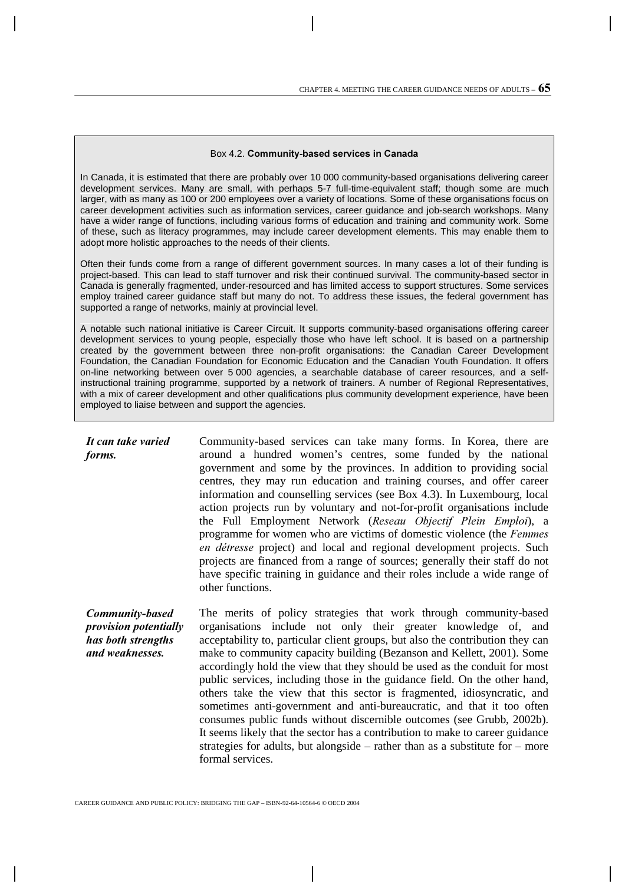# Box 4.2. Community-based services in Canada

In Canada, it is estimated that there are probably over 10 000 community-based organisations delivering career development services. Many are small, with perhaps 5-7 full-time-equivalent staff; though some are much larger, with as many as 100 or 200 employees over a variety of locations. Some of these organisations focus on career development activities such as information services, career guidance and job-search workshops. Many have a wider range of functions, including various forms of education and training and community work. Some of these, such as literacy programmes, may include career development elements. This may enable them to adopt more holistic approaches to the needs of their clients.

Often their funds come from a range of different government sources. In many cases a lot of their funding is project-based. This can lead to staff turnover and risk their continued survival. The community-based sector in Canada is generally fragmented, under-resourced and has limited access to support structures. Some services employ trained career guidance staff but many do not. To address these issues, the federal government has supported a range of networks, mainly at provincial level.

A notable such national initiative is Career Circuit. It supports community-based organisations offering career development services to young people, especially those who have left school. It is based on a partnership created by the government between three non-profit organisations: the Canadian Career Development Foundation, the Canadian Foundation for Economic Education and the Canadian Youth Foundation. It offers on-line networking between over 5 000 agencies, a searchable database of career resources, and a selfinstructional training programme, supported by a network of trainers. A number of Regional Representatives, with a mix of career development and other qualifications plus community development experience, have been employed to liaise between and support the agencies.

# It can take varied forms. Community-based services can take many forms. In Korea, there are around a hundred women's centres, some funded by the national government and some by the provinces. In addition to providing social centres, they may run education and training courses, and offer career information and counselling services (see Box 4.3). In Luxembourg, local action projects run by voluntary and not-for-profit organisations include the Full Employment Network (Reseau Objectif Plein Emploi), a programme for women who are victims of domestic violence (the *\* en détresse* project) and local and regional development projects. Such projects are financed from a range of sources; generally their staff do not have specific training in guidance and their roles include a wide range of other functions.

*Community-based provision potentially* has both strengths *and* weaknesses. The merits of policy strategies that work through community-based organisations include not only their greater knowledge of, and acceptability to, particular client groups, but also the contribution they can make to community capacity building (Bezanson and Kellett, 2001). Some accordingly hold the view that they should be used as the conduit for most public services, including those in the guidance field. On the other hand, others take the view that this sector is fragmented, idiosyncratic, and sometimes anti-government and anti-bureaucratic, and that it too often consumes public funds without discernible outcomes (see Grubb, 2002b). It seems likely that the sector has a contribution to make to career guidance strategies for adults, but alongside – rather than as a substitute for – more formal services.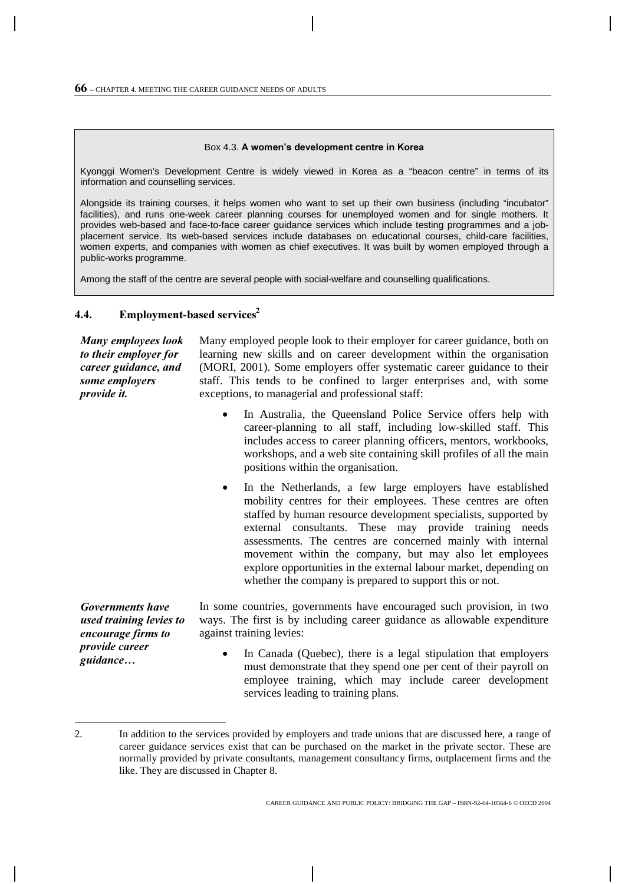## Box 4.3. A women's development centre in Korea

Kyonggi Women's Development Centre is widely viewed in Korea as a "beacon centre" in terms of its information and counselling services.

Alongside its training courses, it helps women who want to set up their own business (including "incubator" facilities), and runs one-week career planning courses for unemployed women and for single mothers. It provides web-based and face-to-face career guidance services which include testing programmes and a jobplacement service. Its web-based services include databases on educational courses, child-care facilities, women experts, and companies with women as chief executives. It was built by women employed through a public-works programme.

Among the staff of the centre are several people with social-welfare and counselling qualifications.

# 4.4. Employment-based services<sup>2</sup>

**Many employees look** to their employer for career guidance, and some employers provide it.

Many employed people look to their employer for career guidance, both on learning new skills and on career development within the organisation (MORI, 2001). Some employers offer systematic career guidance to their staff. This tends to be confined to larger enterprises and, with some exceptions, to managerial and professional staff:

- In Australia, the Queensland Police Service offers help with career-planning to all staff, including low-skilled staff. This includes access to career planning officers, mentors, workbooks, workshops, and a web site containing skill profiles of all the main positions within the organisation.
- In the Netherlands, a few large employers have established mobility centres for their employees. These centres are often staffed by human resource development specialists, supported by external consultants. These may provide training needs assessments. The centres are concerned mainly with internal movement within the company, but may also let employees explore opportunities in the external labour market, depending on whether the company is prepared to support this or not.

Governments have used training levies to *encourage firms to provide career* guidance...

 $\overline{a}$ 

In some countries, governments have encouraged such provision, in two ways. The first is by including career guidance as allowable expenditure against training levies:

 In Canada (Quebec), there is a legal stipulation that employers must demonstrate that they spend one per cent of their payroll on employee training, which may include career development services leading to training plans.

<sup>2.</sup> In addition to the services provided by employers and trade unions that are discussed here, a range of career guidance services exist that can be purchased on the market in the private sector. These are normally provided by private consultants, management consultancy firms, outplacement firms and the like. They are discussed in Chapter 8.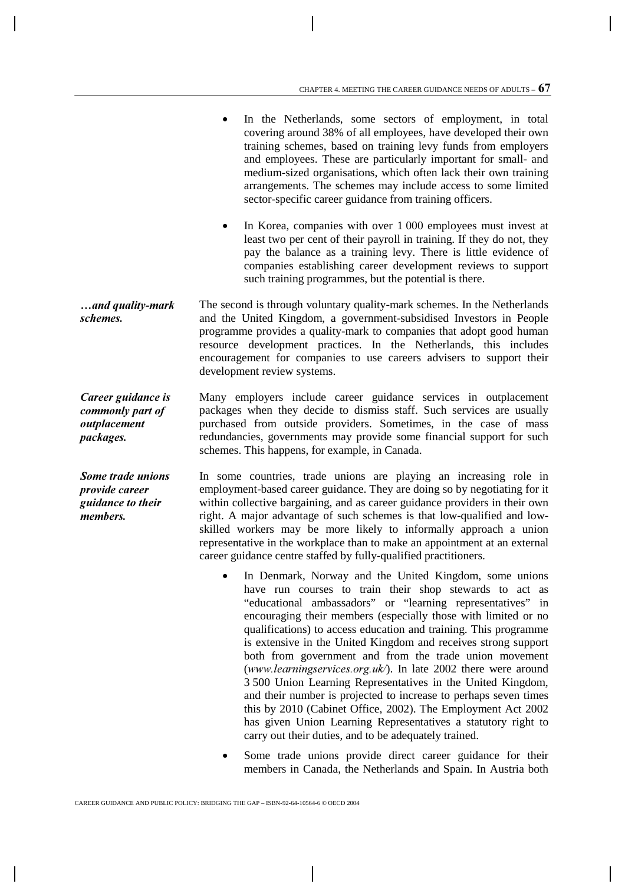- In the Netherlands, some sectors of employment, in total covering around 38% of all employees, have developed their own training schemes, based on training levy funds from employers and employees. These are particularly important for small- and medium-sized organisations, which often lack their own training arrangements. The schemes may include access to some limited sector-specific career guidance from training officers.
- In Korea, companies with over 1 000 employees must invest at least two per cent of their payroll in training. If they do not, they pay the balance as a training levy. There is little evidence of companies establishing career development reviews to support such training programmes, but the potential is there.

...and quality-mark *-* The second is through voluntary quality-mark schemes. In the Netherlands and the United Kingdom, a government-subsidised Investors in People programme provides a quality-mark to companies that adopt good human resource development practices. In the Netherlands, this includes encouragement for companies to use careers advisers to support their development review systems.

*Career guidance is* commonly part of *outplacement* packages. Many employers include career guidance services in outplacement packages when they decide to dismiss staff. Such services are usually purchased from outside providers. Sometimes, in the case of mass redundancies, governments may provide some financial support for such schemes. This happens, for example, in Canada.

*Some trade unions <u>Provide career</u>* guidance to their members.

In some countries, trade unions are playing an increasing role in employment-based career guidance. They are doing so by negotiating for it within collective bargaining, and as career guidance providers in their own right. A major advantage of such schemes is that low-qualified and lowskilled workers may be more likely to informally approach a union representative in the workplace than to make an appointment at an external career guidance centre staffed by fully-qualified practitioners.

- In Denmark, Norway and the United Kingdom, some unions have run courses to train their shop stewards to act as "educational ambassadors" or "learning representatives" in encouraging their members (especially those with limited or no qualifications) to access education and training. This programme is extensive in the United Kingdom and receives strong support both from government and from the trade union movement (www.learningservices.org.uk/). In late 2002 there were around 3 500 Union Learning Representatives in the United Kingdom, and their number is projected to increase to perhaps seven times this by 2010 (Cabinet Office, 2002). The Employment Act 2002 has given Union Learning Representatives a statutory right to carry out their duties, and to be adequately trained.
- Some trade unions provide direct career guidance for their members in Canada, the Netherlands and Spain. In Austria both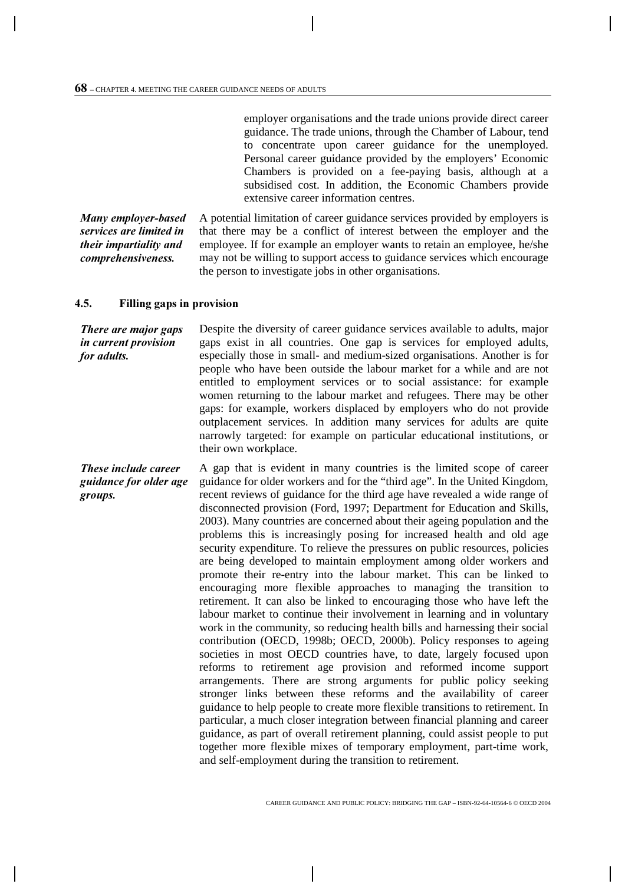employer organisations and the trade unions provide direct career guidance. The trade unions, through the Chamber of Labour, tend to concentrate upon career guidance for the unemployed. Personal career guidance provided by the employers' Economic Chambers is provided on a fee-paying basis, although at a subsidised cost. In addition, the Economic Chambers provide extensive career information centres.

**Many** employer-based services are limited in *their impartiality and -!* A potential limitation of career guidance services provided by employers is that there may be a conflict of interest between the employer and the employee. If for example an employer wants to retain an employee, he/she may not be willing to support access to guidance services which encourage the person to investigate jobs in other organisations.

#### $4.5.$ Filling gaps in provision

**There are major gaps** *in current provision for adults.* Despite the diversity of career guidance services available to adults, major gaps exist in all countries. One gap is services for employed adults, especially those in small- and medium-sized organisations. Another is for people who have been outside the labour market for a while and are not entitled to employment services or to social assistance: for example women returning to the labour market and refugees. There may be other gaps: for example, workers displaced by employers who do not provide outplacement services. In addition many services for adults are quite narrowly targeted: for example on particular educational institutions, or their own workplace.

**These include career** *<u>guidance</u>* for older age groups. A gap that is evident in many countries is the limited scope of career guidance for older workers and for the "third age". In the United Kingdom, recent reviews of guidance for the third age have revealed a wide range of disconnected provision (Ford, 1997; Department for Education and Skills, 2003). Many countries are concerned about their ageing population and the problems this is increasingly posing for increased health and old age security expenditure. To relieve the pressures on public resources, policies are being developed to maintain employment among older workers and promote their re-entry into the labour market. This can be linked to encouraging more flexible approaches to managing the transition to retirement. It can also be linked to encouraging those who have left the labour market to continue their involvement in learning and in voluntary work in the community, so reducing health bills and harnessing their social contribution (OECD, 1998b; OECD, 2000b). Policy responses to ageing societies in most OECD countries have, to date, largely focused upon reforms to retirement age provision and reformed income support arrangements. There are strong arguments for public policy seeking stronger links between these reforms and the availability of career guidance to help people to create more flexible transitions to retirement. In particular, a much closer integration between financial planning and career guidance, as part of overall retirement planning, could assist people to put together more flexible mixes of temporary employment, part-time work, and self-employment during the transition to retirement.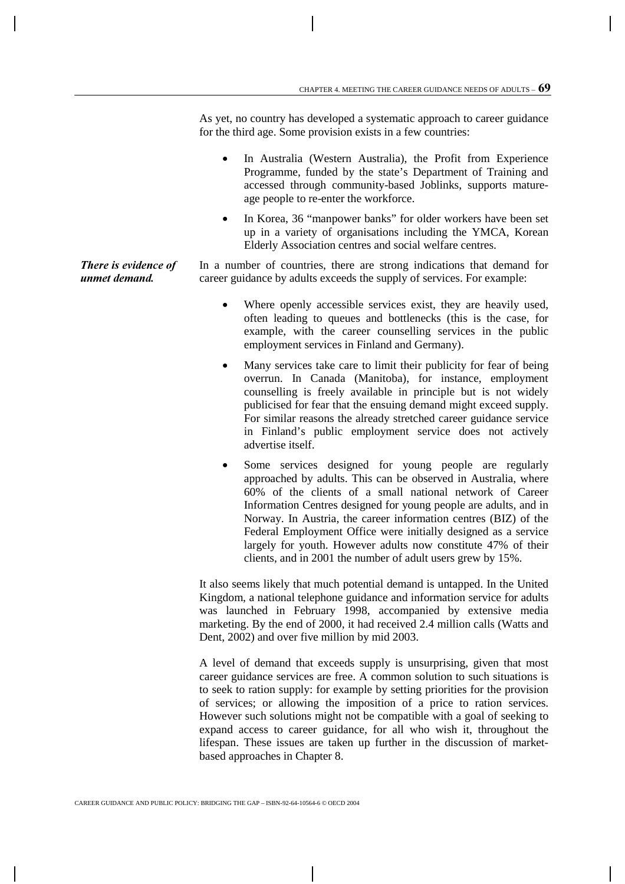As yet, no country has developed a systematic approach to career guidance for the third age. Some provision exists in a few countries:

- In Australia (Western Australia), the Profit from Experience Programme, funded by the state's Department of Training and accessed through community-based Joblinks, supports matureage people to re-enter the workforce.
- In Korea, 36 "manpower banks" for older workers have been set up in a variety of organisations including the YMCA, Korean Elderly Association centres and social welfare centres.

**There is evidence of** *unmet demand.* In a number of countries, there are strong indications that demand for career guidance by adults exceeds the supply of services. For example:

- Where openly accessible services exist, they are heavily used, often leading to queues and bottlenecks (this is the case, for example, with the career counselling services in the public employment services in Finland and Germany).
- Many services take care to limit their publicity for fear of being overrun. In Canada (Manitoba), for instance, employment counselling is freely available in principle but is not widely publicised for fear that the ensuing demand might exceed supply. For similar reasons the already stretched career guidance service in Finland's public employment service does not actively advertise itself.
- Some services designed for young people are regularly approached by adults. This can be observed in Australia, where 60% of the clients of a small national network of Career Information Centres designed for young people are adults, and in Norway. In Austria, the career information centres (BIZ) of the Federal Employment Office were initially designed as a service largely for youth. However adults now constitute 47% of their clients, and in 2001 the number of adult users grew by 15%.

It also seems likely that much potential demand is untapped. In the United Kingdom, a national telephone guidance and information service for adults was launched in February 1998, accompanied by extensive media marketing. By the end of 2000, it had received 2.4 million calls (Watts and Dent, 2002) and over five million by mid 2003.

A level of demand that exceeds supply is unsurprising, given that most career guidance services are free. A common solution to such situations is to seek to ration supply: for example by setting priorities for the provision of services; or allowing the imposition of a price to ration services. However such solutions might not be compatible with a goal of seeking to expand access to career guidance, for all who wish it, throughout the lifespan. These issues are taken up further in the discussion of marketbased approaches in Chapter 8.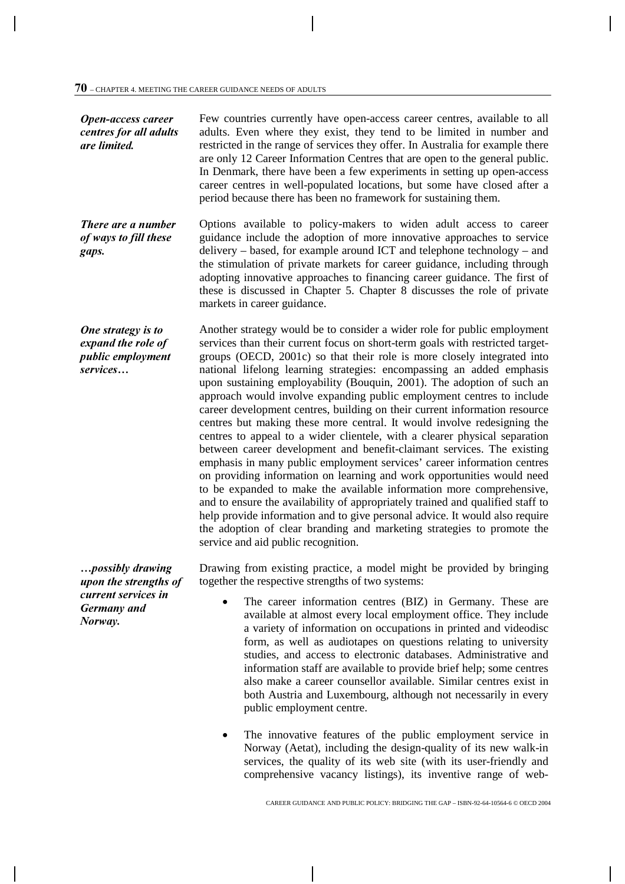**Open-access career** centres for all adults are limited. Few countries currently have open-access career centres, available to all adults. Even where they exist, they tend to be limited in number and restricted in the range of services they offer. In Australia for example there are only 12 Career Information Centres that are open to the general public. In Denmark, there have been a few experiments in setting up open-access career centres in well-populated locations, but some have closed after a period because there has been no framework for sustaining them. **There are a number** Options available to policy-makers to widen adult access to career

of ways to fill these gaps. guidance include the adoption of more innovative approaches to service delivery – based, for example around ICT and telephone technology – and the stimulation of private markets for career guidance, including through adopting innovative approaches to financing career guidance. The first of these is discussed in Chapter 5. Chapter 8 discusses the role of private markets in career guidance.

**One** strategy is to expand the role of public employment  $s$ *ervices...* Another strategy would be to consider a wider role for public employment services than their current focus on short-term goals with restricted targetgroups (OECD, 2001c) so that their role is more closely integrated into national lifelong learning strategies: encompassing an added emphasis upon sustaining employability (Bouquin, 2001). The adoption of such an approach would involve expanding public employment centres to include career development centres, building on their current information resource centres but making these more central. It would involve redesigning the centres to appeal to a wider clientele, with a clearer physical separation between career development and benefit-claimant services. The existing emphasis in many public employment services' career information centres on providing information on learning and work opportunities would need to be expanded to make the available information more comprehensive, and to ensure the availability of appropriately trained and qualified staff to help provide information and to give personal advice. It would also require the adoption of clear branding and marketing strategies to promote the service and aid public recognition.

...possibly drawing *upon the strengths of* current services in *Germany* and Norway.

Drawing from existing practice, a model might be provided by bringing together the respective strengths of two systems:

- The career information centres (BIZ) in Germany. These are available at almost every local employment office. They include a variety of information on occupations in printed and videodisc form, as well as audiotapes on questions relating to university studies, and access to electronic databases. Administrative and information staff are available to provide brief help; some centres also make a career counsellor available. Similar centres exist in both Austria and Luxembourg, although not necessarily in every public employment centre.
- The innovative features of the public employment service in Norway (Aetat), including the design-quality of its new walk-in services, the quality of its web site (with its user-friendly and comprehensive vacancy listings), its inventive range of web-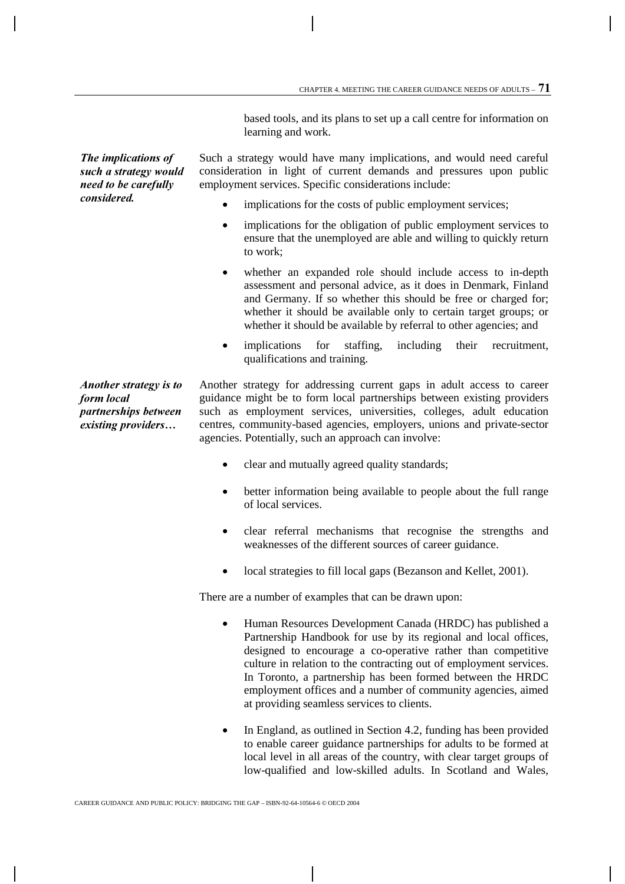based tools, and its plans to set up a call centre for information on learning and work.

**The implications of** such a strategy would *need to be carefully* considered.

Such a strategy would have many implications, and would need careful consideration in light of current demands and pressures upon public employment services. Specific considerations include:

- implications for the costs of public employment services;
- implications for the obligation of public employment services to ensure that the unemployed are able and willing to quickly return to work;
- whether an expanded role should include access to in-depth assessment and personal advice, as it does in Denmark, Finland and Germany. If so whether this should be free or charged for; whether it should be available only to certain target groups; or whether it should be available by referral to other agencies; and
- implications for staffing, including their recruitment, qualifications and training.

*Another strategy is to* form local *r* partnerships between existing providers...

Another strategy for addressing current gaps in adult access to career guidance might be to form local partnerships between existing providers such as employment services, universities, colleges, adult education centres, community-based agencies, employers, unions and private-sector agencies. Potentially, such an approach can involve:

- clear and mutually agreed quality standards;
- better information being available to people about the full range of local services.
- clear referral mechanisms that recognise the strengths and weaknesses of the different sources of career guidance.
- local strategies to fill local gaps (Bezanson and Kellet, 2001).

There are a number of examples that can be drawn upon:

- Human Resources Development Canada (HRDC) has published a Partnership Handbook for use by its regional and local offices, designed to encourage a co-operative rather than competitive culture in relation to the contracting out of employment services. In Toronto, a partnership has been formed between the HRDC employment offices and a number of community agencies, aimed at providing seamless services to clients.
- In England, as outlined in Section 4.2, funding has been provided to enable career guidance partnerships for adults to be formed at local level in all areas of the country, with clear target groups of low-qualified and low-skilled adults. In Scotland and Wales,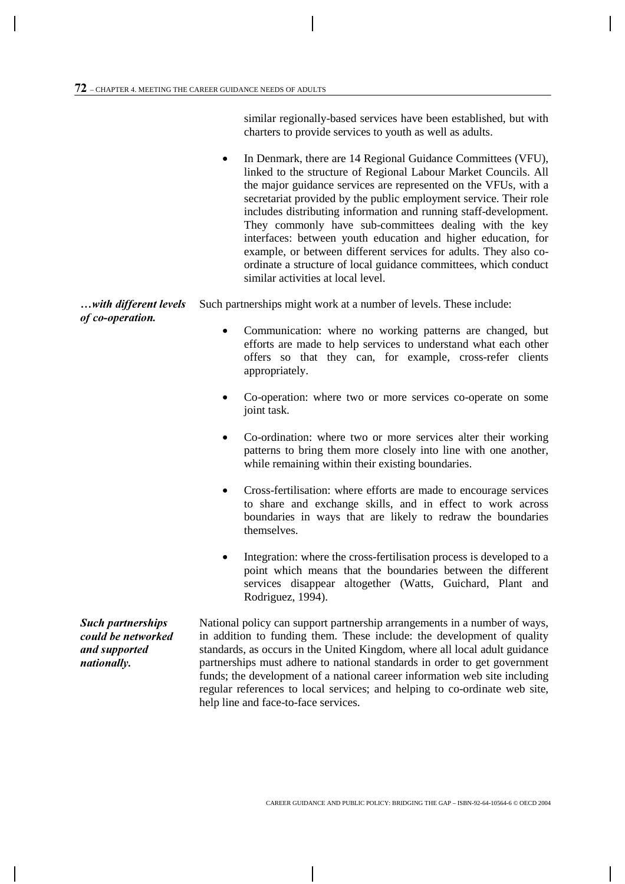similar regionally-based services have been established, but with charters to provide services to youth as well as adults.

• In Denmark, there are 14 Regional Guidance Committees (VFU), linked to the structure of Regional Labour Market Councils. All the major guidance services are represented on the VFUs, with a secretariat provided by the public employment service. Their role includes distributing information and running staff-development. They commonly have sub-committees dealing with the key interfaces: between youth education and higher education, for example, or between different services for adults. They also coordinate a structure of local guidance committees, which conduct similar activities at local level.

...with different levels of co-operation. Such partnerships might work at a number of levels. These include:

- Communication: where no working patterns are changed, but efforts are made to help services to understand what each other offers so that they can, for example, cross-refer clients appropriately.
- Co-operation: where two or more services co-operate on some joint task.
- Co-ordination: where two or more services alter their working patterns to bring them more closely into line with one another, while remaining within their existing boundaries.
- Cross-fertilisation: where efforts are made to encourage services to share and exchange skills, and in effect to work across boundaries in ways that are likely to redraw the boundaries themselves.
- Integration: where the cross-fertilisation process is developed to a point which means that the boundaries between the different services disappear altogether (Watts, Guichard, Plant and Rodriguez, 1994).

**Such partnerships** could be networked and supported *nationally.* National policy can support partnership arrangements in a number of ways, in addition to funding them. These include: the development of quality standards, as occurs in the United Kingdom, where all local adult guidance partnerships must adhere to national standards in order to get government funds; the development of a national career information web site including regular references to local services; and helping to co-ordinate web site, help line and face-to-face services.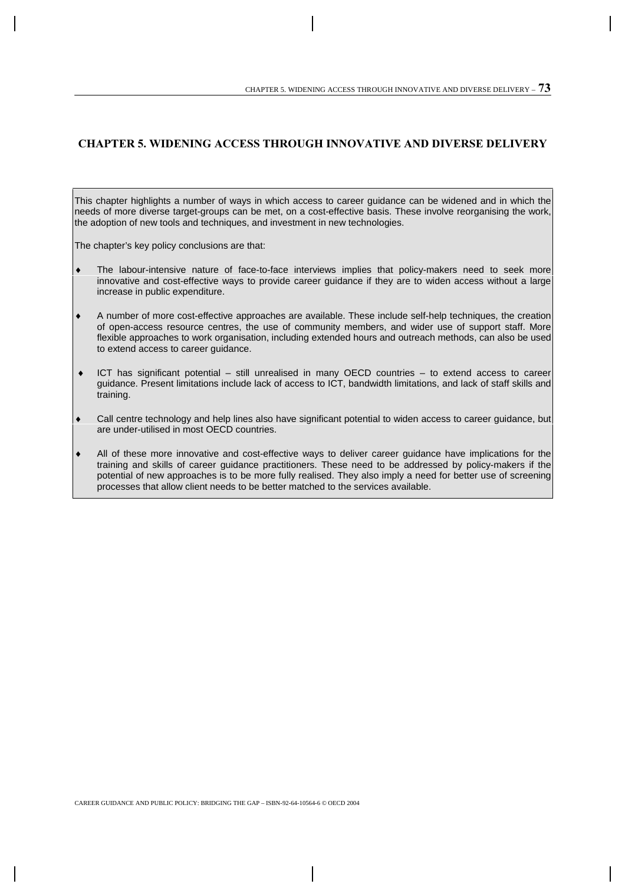# CHAPTER 5. WIDENING ACCESS THROUGH INNOVATIVE AND DIVERSE DELIVERY

This chapter highlights a number of ways in which access to career guidance can be widened and in which the needs of more diverse target-groups can be met, on a cost-effective basis. These involve reorganising the work, the adoption of new tools and techniques, and investment in new technologies.

The chapter's key policy conclusions are that:

- $\bullet$  The labour-intensive nature of face-to-face interviews implies that policy-makers need to seek more innovative and cost-effective ways to provide career guidance if they are to widen access without a large increase in public expenditure.
- $\blacklozenge$  A number of more cost-effective approaches are available. These include self-help techniques, the creation of open-access resource centres, the use of community members, and wider use of support staff. More flexible approaches to work organisation, including extended hours and outreach methods, can also be used to extend access to career guidance.
- $\blacklozenge$  ICT has significant potential – still unrealised in many OECD countries – to extend access to career guidance. Present limitations include lack of access to ICT, bandwidth limitations, and lack of staff skills and training.
- $\bullet$  Call centre technology and help lines also have significant potential to widen access to career guidance, but are under-utilised in most OECD countries.
- $\blacklozenge$  All of these more innovative and cost-effective ways to deliver career guidance have implications for the training and skills of career guidance practitioners. These need to be addressed by policy-makers if the potential of new approaches is to be more fully realised. They also imply a need for better use of screening processes that allow client needs to be better matched to the services available.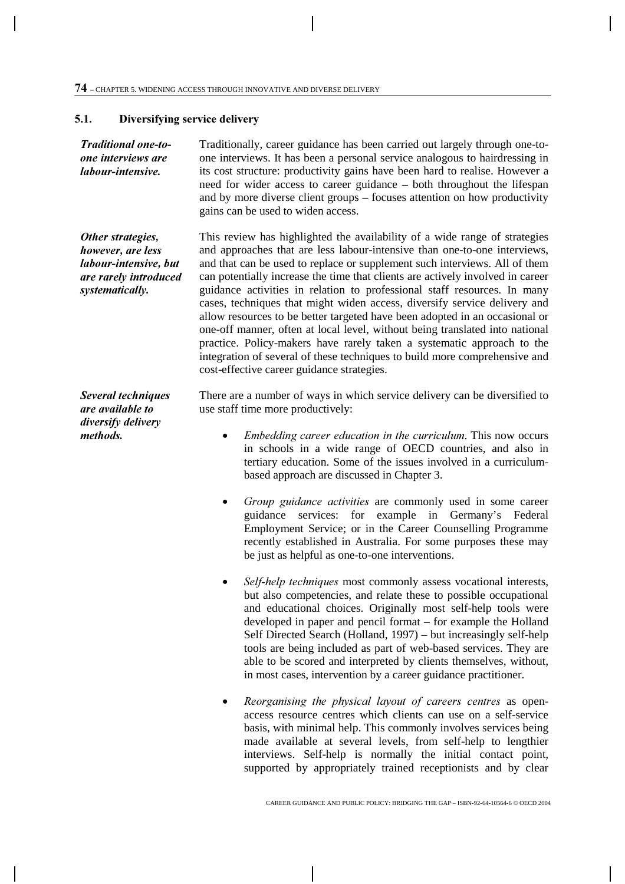# 5.1. Diversifying service delivery

**Traditional one-to***one interviews are lahour-intensive.* Traditionally, career guidance has been carried out largely through one-toone interviews. It has been a personal service analogous to hairdressing in its cost structure: productivity gains have been hard to realise. However a need for wider access to career guidance – both throughout the lifespan and by more diverse client groups – focuses attention on how productivity gains can be used to widen access.

 $Other strategies,$ *however, are less* labour-intensive, but are rarely introduced systematically.

This review has highlighted the availability of a wide range of strategies and approaches that are less labour-intensive than one-to-one interviews, and that can be used to replace or supplement such interviews. All of them can potentially increase the time that clients are actively involved in career guidance activities in relation to professional staff resources. In many cases, techniques that might widen access, diversify service delivery and allow resources to be better targeted have been adopted in an occasional or one-off manner, often at local level, without being translated into national practice. Policy-makers have rarely taken a systematic approach to the integration of several of these techniques to build more comprehensive and cost-effective career guidance strategies.

**Several techniques** *are available to* diversify delivery *-*

There are a number of ways in which service delivery can be diversified to use staff time more productively:

- Embedding career education in the curriculum. This now occurs in schools in a wide range of OECD countries, and also in tertiary education. Some of the issues involved in a curriculumbased approach are discussed in Chapter 3.
- Group guidance activities are commonly used in some career guidance services: for example in Germany's Federal Employment Service; or in the Career Counselling Programme recently established in Australia. For some purposes these may be just as helpful as one-to-one interventions.
- Self-help techniques most commonly assess vocational interests, but also competencies, and relate these to possible occupational and educational choices. Originally most self-help tools were developed in paper and pencil format – for example the Holland Self Directed Search (Holland, 1997) – but increasingly self-help tools are being included as part of web-based services. They are able to be scored and interpreted by clients themselves, without, in most cases, intervention by a career guidance practitioner.
- Reorganising the physical layout of careers centres as openaccess resource centres which clients can use on a self-service basis, with minimal help. This commonly involves services being made available at several levels, from self-help to lengthier interviews. Self-help is normally the initial contact point, supported by appropriately trained receptionists and by clear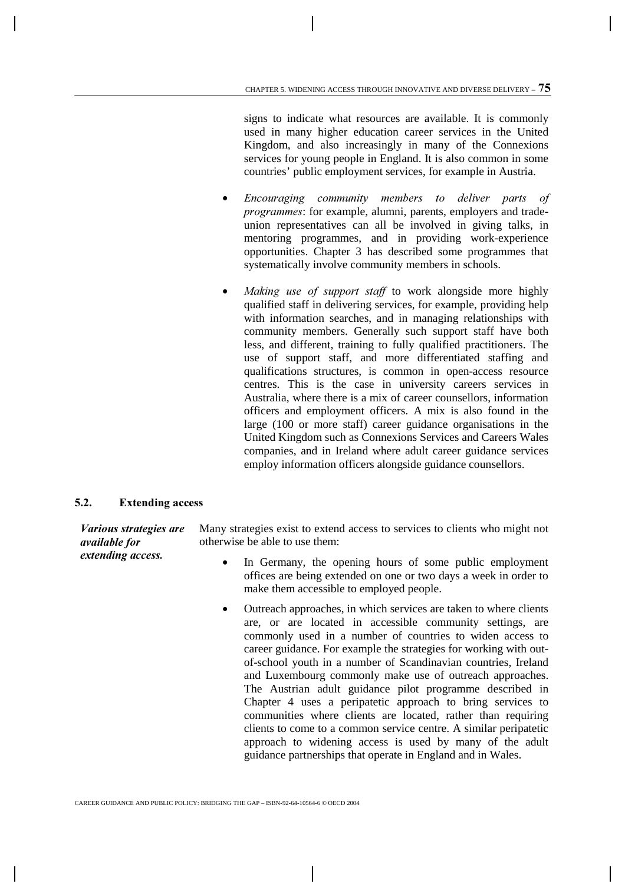signs to indicate what resources are available. It is commonly used in many higher education career services in the United Kingdom, and also increasingly in many of the Connexions services for young people in England. It is also common in some countries' public employment services, for example in Austria.

- Encouraging community members to deliver parts of programmes: for example, alumni, parents, employers and tradeunion representatives can all be involved in giving talks, in mentoring programmes, and in providing work-experience opportunities. Chapter 3 has described some programmes that systematically involve community members in schools.
- Making use of support staff to work alongside more highly qualified staff in delivering services, for example, providing help with information searches, and in managing relationships with community members. Generally such support staff have both less, and different, training to fully qualified practitioners. The use of support staff, and more differentiated staffing and qualifications structures, is common in open-access resource centres. This is the case in university careers services in Australia, where there is a mix of career counsellors, information officers and employment officers. A mix is also found in the large (100 or more staff) career guidance organisations in the United Kingdom such as Connexions Services and Careers Wales companies, and in Ireland where adult career guidance services employ information officers alongside guidance counsellors.

# 5.2. Extending access

*Various strategies are available for extending access.* Many strategies exist to extend access to services to clients who might not otherwise be able to use them:

- In Germany, the opening hours of some public employment offices are being extended on one or two days a week in order to make them accessible to employed people.
- Outreach approaches, in which services are taken to where clients are, or are located in accessible community settings, are commonly used in a number of countries to widen access to career guidance. For example the strategies for working with outof-school youth in a number of Scandinavian countries, Ireland and Luxembourg commonly make use of outreach approaches. The Austrian adult guidance pilot programme described in Chapter 4 uses a peripatetic approach to bring services to communities where clients are located, rather than requiring clients to come to a common service centre. A similar peripatetic approach to widening access is used by many of the adult guidance partnerships that operate in England and in Wales.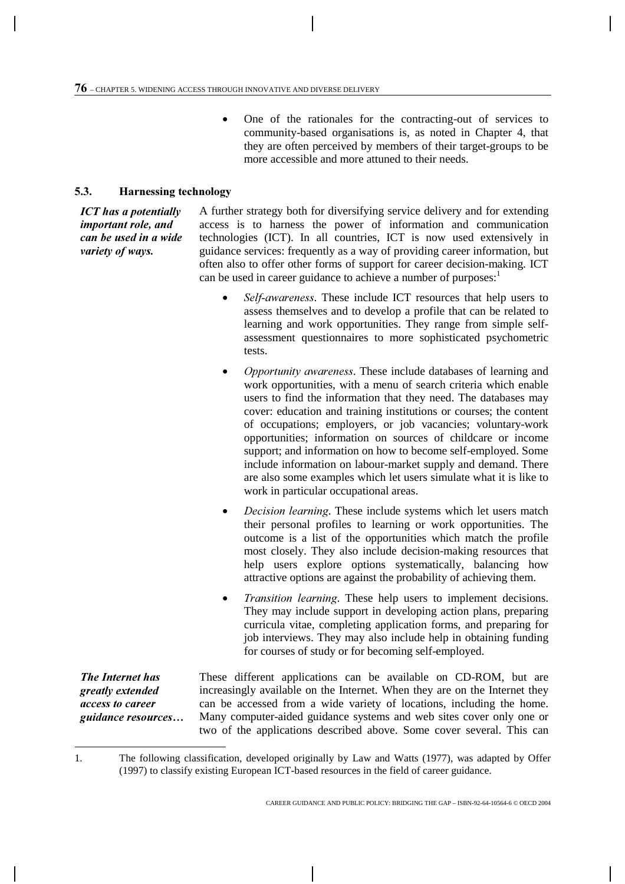One of the rationales for the contracting-out of services to community-based organisations is, as noted in Chapter 4, that they are often perceived by members of their target-groups to be more accessible and more attuned to their needs.

# 5.3. Harnessing technology

*ICT has a potentially important role, and* can be used in a wide variety of ways.

A further strategy both for diversifying service delivery and for extending access is to harness the power of information and communication technologies (ICT). In all countries, ICT is now used extensively in guidance services: frequently as a way of providing career information, but often also to offer other forms of support for career decision-making. ICT can be used in career guidance to achieve a number of purposes:<sup>1</sup>

- Self-awareness. These include ICT resources that help users to assess themselves and to develop a profile that can be related to learning and work opportunities. They range from simple selfassessment questionnaires to more sophisticated psychometric tests.
- Opportunity awareness. These include databases of learning and work opportunities, with a menu of search criteria which enable users to find the information that they need. The databases may cover: education and training institutions or courses; the content of occupations; employers, or job vacancies; voluntary-work opportunities; information on sources of childcare or income support; and information on how to become self-employed. Some include information on labour-market supply and demand. There are also some examples which let users simulate what it is like to work in particular occupational areas.
- *Decision learning*. These include systems which let users match their personal profiles to learning or work opportunities. The outcome is a list of the opportunities which match the profile most closely. They also include decision-making resources that help users explore options systematically, balancing how attractive options are against the probability of achieving them.
- *Transition learning*. These help users to implement decisions. They may include support in developing action plans, preparing curricula vitae, completing application forms, and preparing for job interviews. They may also include help in obtaining funding for courses of study or for becoming self-employed.

**The Internet has** greatly extended *access to career* guidance resources...

 $\overline{a}$ 

These different applications can be available on CD-ROM, but are increasingly available on the Internet. When they are on the Internet they can be accessed from a wide variety of locations, including the home. Many computer-aided guidance systems and web sites cover only one or two of the applications described above. Some cover several. This can

<sup>1.</sup> The following classification, developed originally by Law and Watts (1977), was adapted by Offer (1997) to classify existing European ICT-based resources in the field of career guidance.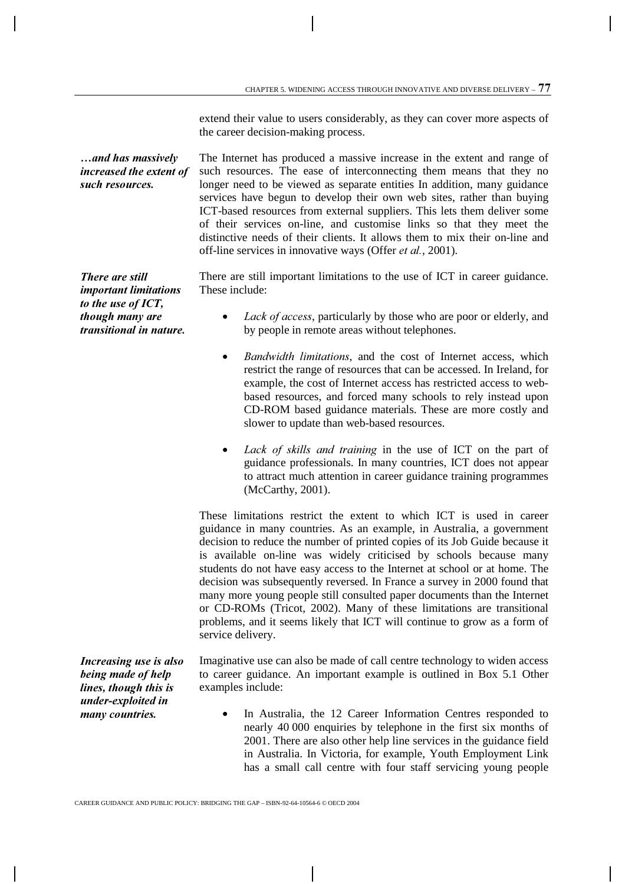extend their value to users considerably, as they can cover more aspects of the career decision-making process.

...and has massively *increased the extent of* such resources. The Internet has produced a massive increase in the extent and range of such resources. The ease of interconnecting them means that they no longer need to be viewed as separate entities In addition, many guidance services have begun to develop their own web sites, rather than buying ICT-based resources from external suppliers. This lets them deliver some of their services on-line, and customise links so that they meet the distinctive needs of their clients. It allows them to mix their on-line and off-line services in innovative ways (Offer *et al.*, 2001).

> There are still important limitations to the use of ICT in career guidance. These include:

- Lack of access, particularly by those who are poor or elderly, and by people in remote areas without telephones.
- Bandwidth limitations, and the cost of Internet access, which restrict the range of resources that can be accessed. In Ireland, for example, the cost of Internet access has restricted access to webbased resources, and forced many schools to rely instead upon CD-ROM based guidance materials. These are more costly and slower to update than web-based resources.
- *Lack of skills and training* in the use of ICT on the part of guidance professionals. In many countries, ICT does not appear to attract much attention in career guidance training programmes (McCarthy, 2001).

These limitations restrict the extent to which ICT is used in career guidance in many countries. As an example, in Australia, a government decision to reduce the number of printed copies of its Job Guide because it is available on-line was widely criticised by schools because many students do not have easy access to the Internet at school or at home. The decision was subsequently reversed. In France a survey in 2000 found that many more young people still consulted paper documents than the Internet or CD-ROMs (Tricot, 2002). Many of these limitations are transitional problems, and it seems likely that ICT will continue to grow as a form of service delivery.

*Increasing use is also being made of help lines, though this is*  many countries.

Imaginative use can also be made of call centre technology to widen access to career guidance. An important example is outlined in Box 5.1 Other examples include:

 In Australia, the 12 Career Information Centres responded to nearly 40 000 enquiries by telephone in the first six months of 2001. There are also other help line services in the guidance field in Australia. In Victoria, for example, Youth Employment Link has a small call centre with four staff servicing young people

**There are still** *important limitations to the use of ICT, <i>hough many are transitional in nature.*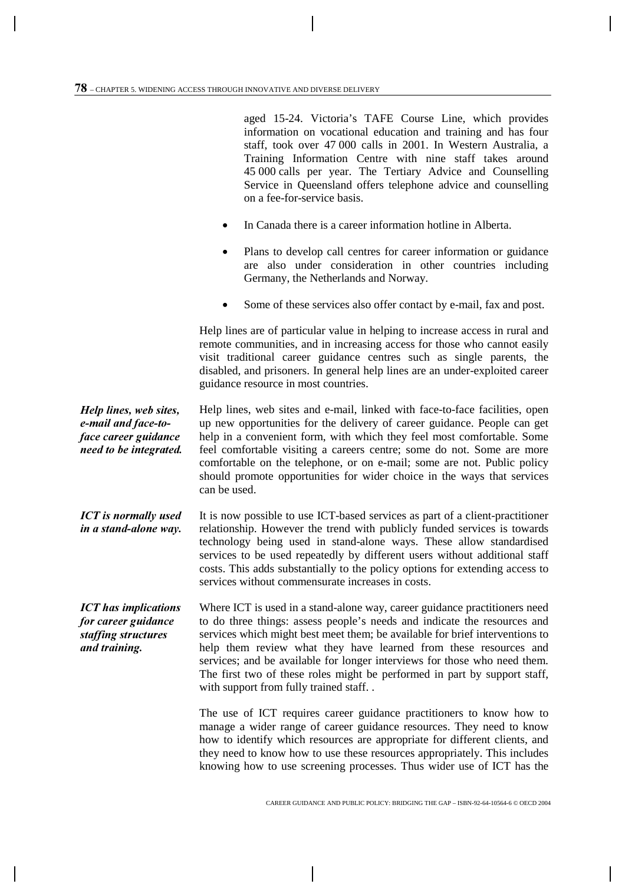aged 15-24. Victoria's TAFE Course Line, which provides information on vocational education and training and has four staff, took over 47 000 calls in 2001. In Western Australia, a Training Information Centre with nine staff takes around 45 000 calls per year. The Tertiary Advice and Counselling Service in Queensland offers telephone advice and counselling on a fee-for-service basis.

- In Canada there is a career information hotline in Alberta.
- Plans to develop call centres for career information or guidance are also under consideration in other countries including Germany, the Netherlands and Norway.
- Some of these services also offer contact by e-mail, fax and post.

Help lines are of particular value in helping to increase access in rural and remote communities, and in increasing access for those who cannot easily visit traditional career guidance centres such as single parents, the disabled, and prisoners. In general help lines are an under-exploited career guidance resource in most countries.

Help lines, web sites, e-mail and face-to*face career guidance need to be integrated.* Help lines, web sites and e-mail, linked with face-to-face facilities, open up new opportunities for the delivery of career guidance. People can get help in a convenient form, with which they feel most comfortable. Some feel comfortable visiting a careers centre; some do not. Some are more comfortable on the telephone, or on e-mail; some are not. Public policy should promote opportunities for wider choice in the ways that services can be used.

*ICT is normally used in a stand-alone way.* It is now possible to use ICT-based services as part of a client-practitioner relationship. However the trend with publicly funded services is towards technology being used in stand-alone ways. These allow standardised services to be used repeatedly by different users without additional staff costs. This adds substantially to the policy options for extending access to services without commensurate increases in costs.

*ICT has implications* for career guidance staffing structures *and training.* Where ICT is used in a stand-alone way, career guidance practitioners need to do three things: assess people's needs and indicate the resources and services which might best meet them; be available for brief interventions to help them review what they have learned from these resources and services; and be available for longer interviews for those who need them. The first two of these roles might be performed in part by support staff, with support from fully trained staff. .

> The use of ICT requires career guidance practitioners to know how to manage a wider range of career guidance resources. They need to know how to identify which resources are appropriate for different clients, and they need to know how to use these resources appropriately. This includes knowing how to use screening processes. Thus wider use of ICT has the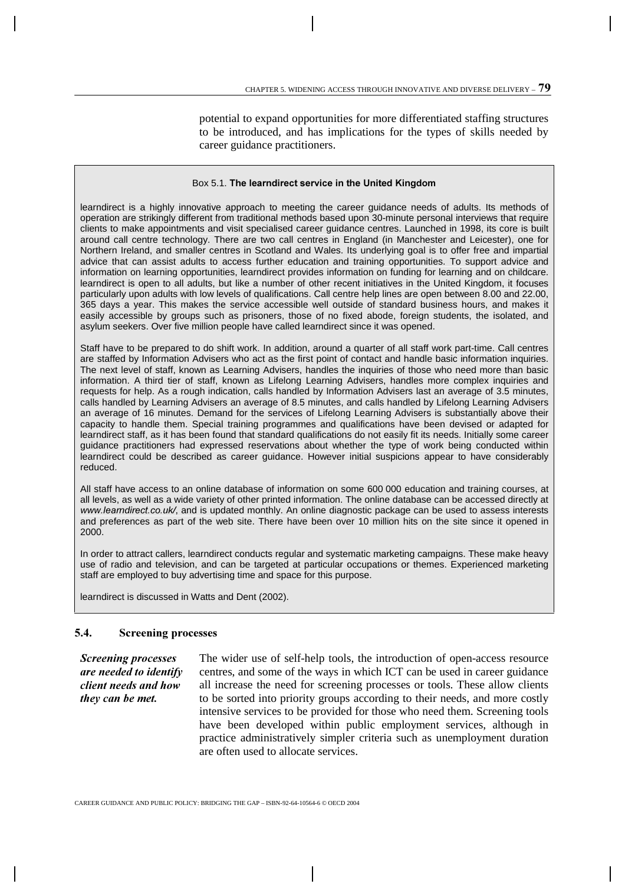potential to expand opportunities for more differentiated staffing structures to be introduced, and has implications for the types of skills needed by career guidance practitioners.

#### Box 5.1. The learndirect service in the United Kingdom

learndirect is a highly innovative approach to meeting the career guidance needs of adults. Its methods of operation are strikingly different from traditional methods based upon 30-minute personal interviews that require clients to make appointments and visit specialised career guidance centres. Launched in 1998, its core is built around call centre technology. There are two call centres in England (in Manchester and Leicester), one for Northern Ireland, and smaller centres in Scotland and Wales. Its underlying goal is to offer free and impartial advice that can assist adults to access further education and training opportunities. To support advice and information on learning opportunities, learndirect provides information on funding for learning and on childcare. learndirect is open to all adults, but like a number of other recent initiatives in the United Kingdom, it focuses particularly upon adults with low levels of qualifications. Call centre help lines are open between 8.00 and 22.00, 365 days a year. This makes the service accessible well outside of standard business hours, and makes it easily accessible by groups such as prisoners, those of no fixed abode, foreign students, the isolated, and asylum seekers. Over five million people have called learndirect since it was opened.

Staff have to be prepared to do shift work. In addition, around a quarter of all staff work part-time. Call centres are staffed by Information Advisers who act as the first point of contact and handle basic information inquiries. The next level of staff, known as Learning Advisers, handles the inquiries of those who need more than basic information. A third tier of staff, known as Lifelong Learning Advisers, handles more complex inquiries and requests for help. As a rough indication, calls handled by Information Advisers last an average of 3.5 minutes, calls handled by Learning Advisers an average of 8.5 minutes, and calls handled by Lifelong Learning Advisers an average of 16 minutes. Demand for the services of Lifelong Learning Advisers is substantially above their capacity to handle them. Special training programmes and qualifications have been devised or adapted for learndirect staff, as it has been found that standard qualifications do not easily fit its needs. Initially some career guidance practitioners had expressed reservations about whether the type of work being conducted within learndirect could be described as career guidance. However initial suspicions appear to have considerably reduced.

All staff have access to an online database of information on some 600 000 education and training courses, at all levels, as well as a wide variety of other printed information. The online database can be accessed directly at www.learndirect.co.uk/, and is updated monthly. An online diagnostic package can be used to assess interests and preferences as part of the web site. There have been over 10 million hits on the site since it opened in 2000.

In order to attract callers, learndirect conducts regular and systematic marketing campaigns. These make heavy use of radio and television, and can be targeted at particular occupations or themes. Experienced marketing staff are employed to buy advertising time and space for this purpose.

learndirect is discussed in Watts and Dent (2002).

# 5.4. Screening processes

**Screening processes** are needed to identify client needs and how they can be met.

The wider use of self-help tools, the introduction of open-access resource centres, and some of the ways in which ICT can be used in career guidance all increase the need for screening processes or tools. These allow clients to be sorted into priority groups according to their needs, and more costly intensive services to be provided for those who need them. Screening tools have been developed within public employment services, although in practice administratively simpler criteria such as unemployment duration are often used to allocate services.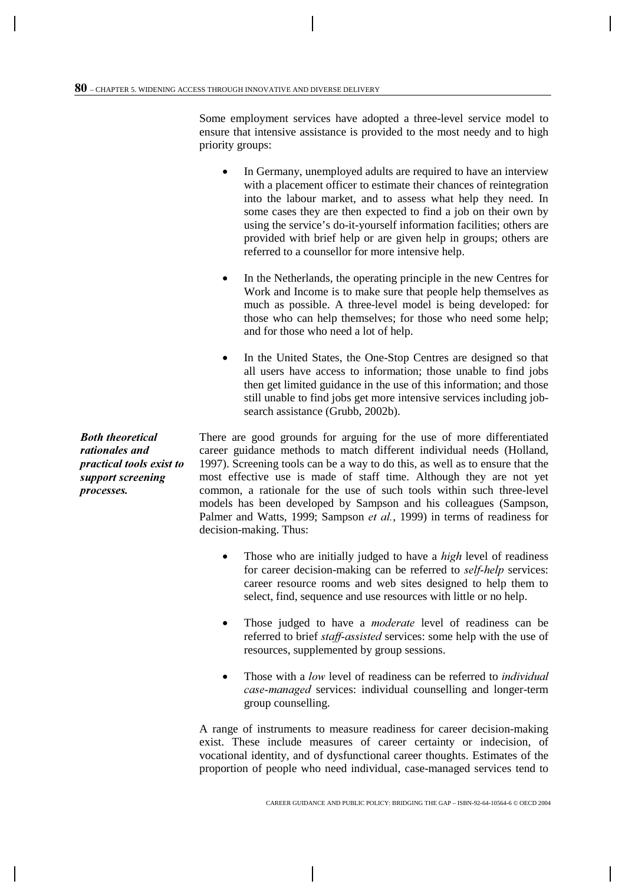Some employment services have adopted a three-level service model to ensure that intensive assistance is provided to the most needy and to high priority groups:

- In Germany, unemployed adults are required to have an interview with a placement officer to estimate their chances of reintegration into the labour market, and to assess what help they need. In some cases they are then expected to find a job on their own by using the service's do-it-yourself information facilities; others are provided with brief help or are given help in groups; others are referred to a counsellor for more intensive help.
- In the Netherlands, the operating principle in the new Centres for Work and Income is to make sure that people help themselves as much as possible. A three-level model is being developed: for those who can help themselves; for those who need some help; and for those who need a lot of help.
- In the United States, the One-Stop Centres are designed so that all users have access to information; those unable to find jobs then get limited guidance in the use of this information; and those still unable to find jobs get more intensive services including jobsearch assistance (Grubb, 2002b).

*Both theoretical rationales and* practical tools exist to support screening processes.

There are good grounds for arguing for the use of more differentiated career guidance methods to match different individual needs (Holland, 1997). Screening tools can be a way to do this, as well as to ensure that the most effective use is made of staff time. Although they are not yet common, a rationale for the use of such tools within such three-level models has been developed by Sampson and his colleagues (Sampson, Palmer and Watts, 1999; Sampson et al., 1999) in terms of readiness for decision-making. Thus:

- Those who are initially judged to have a *high* level of readiness for career decision-making can be referred to *self-help* services: career resource rooms and web sites designed to help them to select, find, sequence and use resources with little or no help.
- Those judged to have a *moderate* level of readiness can be referred to brief *staff-assisted* services: some help with the use of resources, supplemented by group sessions.
- Those with a low level of readiness can be referred to *individual case-managed* services: individual counselling and longer-term group counselling.

A range of instruments to measure readiness for career decision-making exist. These include measures of career certainty or indecision, of vocational identity, and of dysfunctional career thoughts. Estimates of the proportion of people who need individual, case-managed services tend to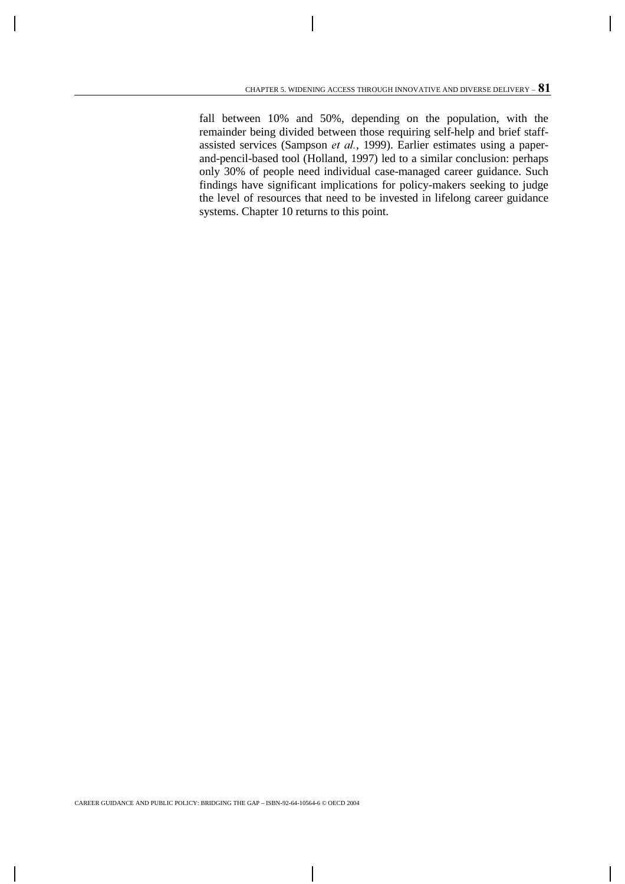fall between 10% and 50%, depending on the population, with the remainder being divided between those requiring self-help and brief staffassisted services (Sampson et al., 1999). Earlier estimates using a paperand-pencil-based tool (Holland, 1997) led to a similar conclusion: perhaps only 30% of people need individual case-managed career guidance. Such findings have significant implications for policy-makers seeking to judge the level of resources that need to be invested in lifelong career guidance systems. Chapter 10 returns to this point.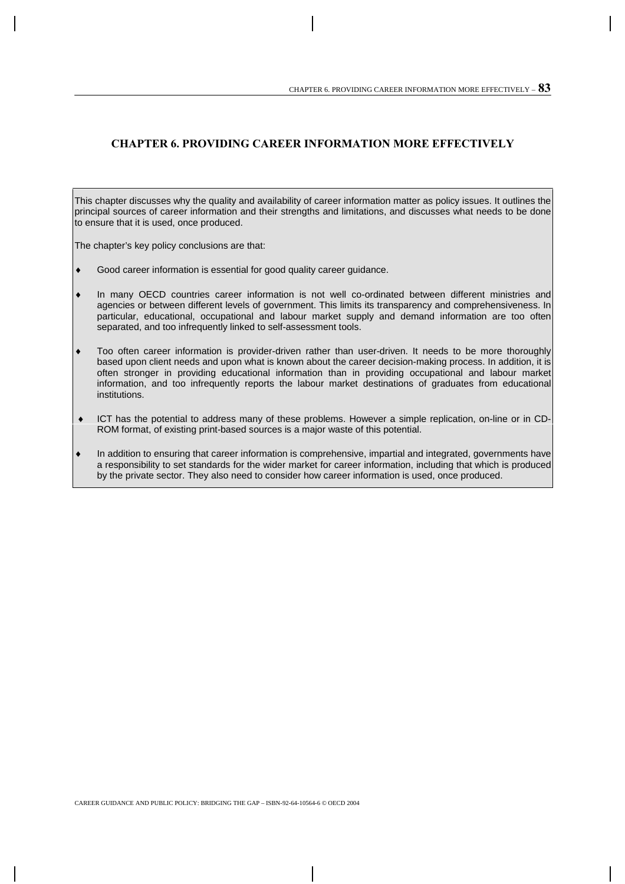# CHAPTER 6. PROVIDING CAREER INFORMATION MORE EFFECTIVELY

This chapter discusses why the quality and availability of career information matter as policy issues. It outlines the principal sources of career information and their strengths and limitations, and discusses what needs to be done to ensure that it is used, once produced.

The chapter's key policy conclusions are that:

- $\blacktriangle$ Good career information is essential for good quality career guidance.
- $\blacklozenge$  In many OECD countries career information is not well co-ordinated between different ministries and agencies or between different levels of government. This limits its transparency and comprehensiveness. In particular, educational, occupational and labour market supply and demand information are too often separated, and too infrequently linked to self-assessment tools.
- $\blacklozenge$  Too often career information is provider-driven rather than user-driven. It needs to be more thoroughly based upon client needs and upon what is known about the career decision-making process. In addition, it is often stronger in providing educational information than in providing occupational and labour market information, and too infrequently reports the labour market destinations of graduates from educational institutions.
- $\blacklozenge$  ICT has the potential to address many of these problems. However a simple replication, on-line or in CD-ROM format, of existing print-based sources is a major waste of this potential.
- $\blacklozenge$  In addition to ensuring that career information is comprehensive, impartial and integrated, governments have a responsibility to set standards for the wider market for career information, including that which is produced by the private sector. They also need to consider how career information is used, once produced.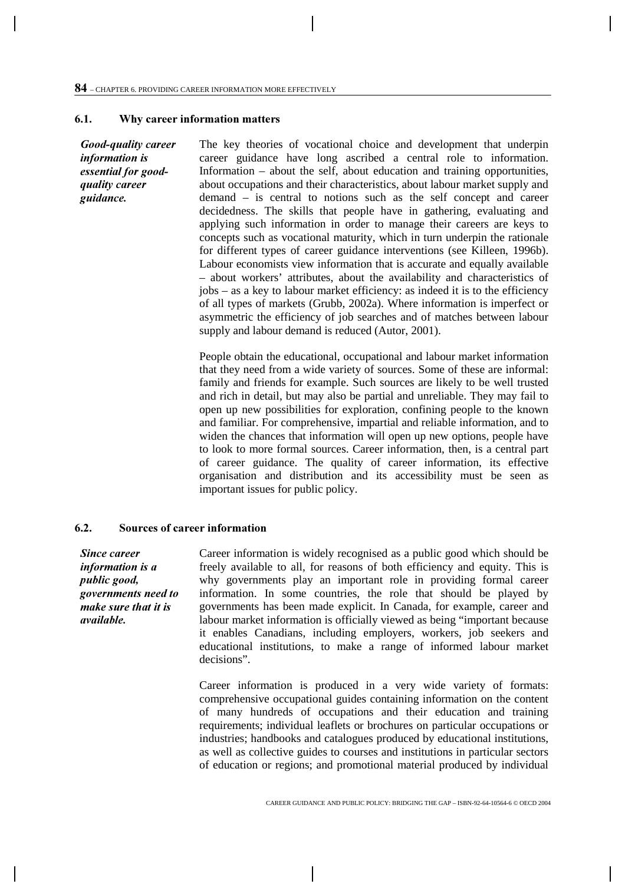#### 6.1. Why career information matters

*Good-quality career information is essential for good-' guidance.* The key theories of vocational choice and development that underpin career guidance have long ascribed a central role to information. Information – about the self, about education and training opportunities, about occupations and their characteristics, about labour market supply and demand – is central to notions such as the self concept and career decidedness. The skills that people have in gathering, evaluating and applying such information in order to manage their careers are keys to concepts such as vocational maturity, which in turn underpin the rationale for different types of career guidance interventions (see Killeen, 1996b). Labour economists view information that is accurate and equally available – about workers' attributes, about the availability and characteristics of jobs – as a key to labour market efficiency: as indeed it is to the efficiency of all types of markets (Grubb, 2002a). Where information is imperfect or asymmetric the efficiency of job searches and of matches between labour supply and labour demand is reduced (Autor, 2001).

> People obtain the educational, occupational and labour market information that they need from a wide variety of sources. Some of these are informal: family and friends for example. Such sources are likely to be well trusted and rich in detail, but may also be partial and unreliable. They may fail to open up new possibilities for exploration, confining people to the known and familiar. For comprehensive, impartial and reliable information, and to widen the chances that information will open up new options, people have to look to more formal sources. Career information, then, is a central part of career guidance. The quality of career information, its effective organisation and distribution and its accessibility must be seen as important issues for public policy.

#### 6.2. Sources of career information

**Since career** *information is a* public good, governments need to make sure that it is *<u>available</u>*.

Career information is widely recognised as a public good which should be freely available to all, for reasons of both efficiency and equity. This is why governments play an important role in providing formal career information. In some countries, the role that should be played by governments has been made explicit. In Canada, for example, career and labour market information is officially viewed as being "important because it enables Canadians, including employers, workers, job seekers and educational institutions, to make a range of informed labour market decisions".

Career information is produced in a very wide variety of formats: comprehensive occupational guides containing information on the content of many hundreds of occupations and their education and training requirements; individual leaflets or brochures on particular occupations or industries; handbooks and catalogues produced by educational institutions, as well as collective guides to courses and institutions in particular sectors of education or regions; and promotional material produced by individual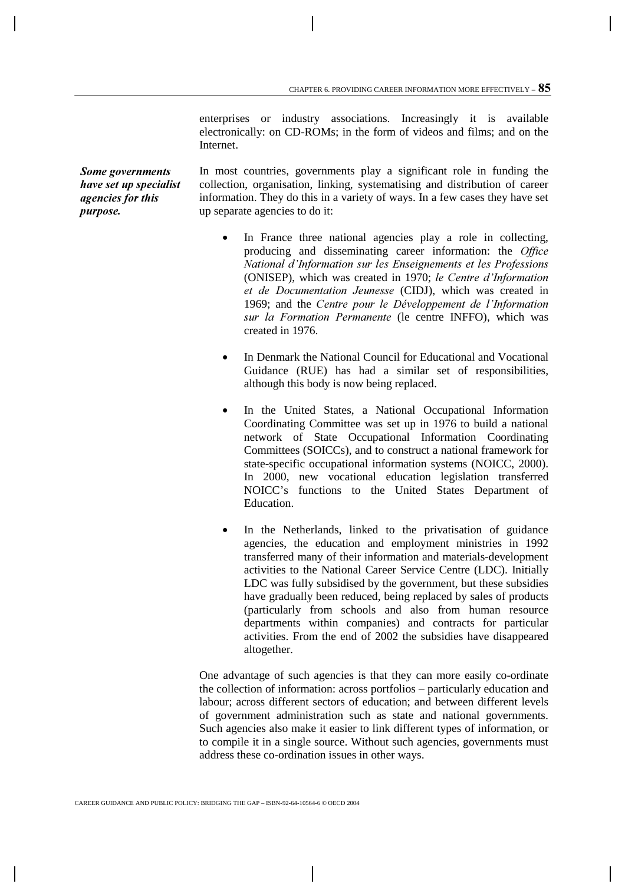enterprises or industry associations. Increasingly it is available electronically: on CD-ROMs; in the form of videos and films; and on the Internet.

**Some governments** *have set up specialist* agencies for this 

In most countries, governments play a significant role in funding the collection, organisation, linking, systematising and distribution of career information. They do this in a variety of ways. In a few cases they have set up separate agencies to do it:

- In France three national agencies play a role in collecting, producing and disseminating career information: the *Office* National d'Information sur les Enseignements et les Professions (ONISEP), which was created in 1970; *le Centre d'Information* et de Documentation Jeunesse (CIDJ), which was created in 1969; and the Centre pour le Développement de l'Information sur la Formation Permanente (le centre INFFO), which was created in 1976.
- In Denmark the National Council for Educational and Vocational Guidance (RUE) has had a similar set of responsibilities, although this body is now being replaced.
- In the United States, a National Occupational Information Coordinating Committee was set up in 1976 to build a national network of State Occupational Information Coordinating Committees (SOICCs), and to construct a national framework for state-specific occupational information systems (NOICC, 2000). In 2000, new vocational education legislation transferred NOICC's functions to the United States Department of Education.
- In the Netherlands, linked to the privatisation of guidance agencies, the education and employment ministries in 1992 transferred many of their information and materials-development activities to the National Career Service Centre (LDC). Initially LDC was fully subsidised by the government, but these subsidies have gradually been reduced, being replaced by sales of products (particularly from schools and also from human resource departments within companies) and contracts for particular activities. From the end of 2002 the subsidies have disappeared altogether.

One advantage of such agencies is that they can more easily co-ordinate the collection of information: across portfolios – particularly education and labour; across different sectors of education; and between different levels of government administration such as state and national governments. Such agencies also make it easier to link different types of information, or to compile it in a single source. Without such agencies, governments must address these co-ordination issues in other ways.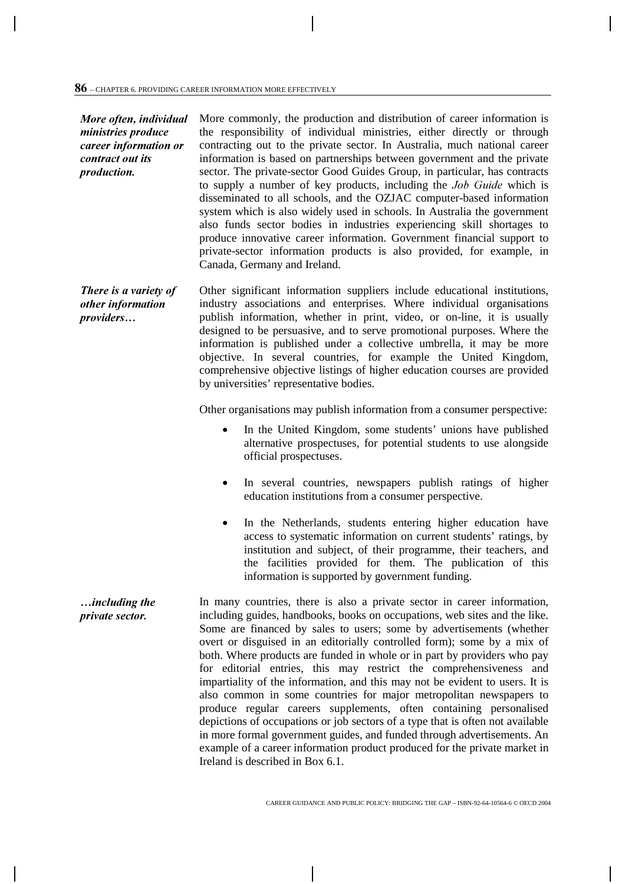*More often, individual* ministries produce career information or *contract out its* production. More commonly, the production and distribution of career information is the responsibility of individual ministries, either directly or through contracting out to the private sector. In Australia, much national career information is based on partnerships between government and the private sector. The private-sector Good Guides Group, in particular, has contracts to supply a number of key products, including the *Job Guide* which is disseminated to all schools, and the OZJAC computer-based information system which is also widely used in schools. In Australia the government also funds sector bodies in industries experiencing skill shortages to produce innovative career information. Government financial support to private-sector information products is also provided, for example, in Canada, Germany and Ireland.

**There** is a variety of *<i><u>other information</u> providers...* Other significant information suppliers include educational institutions, industry associations and enterprises. Where individual organisations publish information, whether in print, video, or on-line, it is usually designed to be persuasive, and to serve promotional purposes. Where the information is published under a collective umbrella, it may be more objective. In several countries, for example the United Kingdom, comprehensive objective listings of higher education courses are provided by universities' representative bodies.

Other organisations may publish information from a consumer perspective:

- In the United Kingdom, some students' unions have published alternative prospectuses, for potential students to use alongside official prospectuses.
- In several countries, newspapers publish ratings of higher education institutions from a consumer perspective.
- In the Netherlands, students entering higher education have access to systematic information on current students' ratings, by institution and subject, of their programme, their teachers, and the facilities provided for them. The publication of this information is supported by government funding.

..*including the private sector.* In many countries, there is also a private sector in career information, including guides, handbooks, books on occupations, web sites and the like. Some are financed by sales to users; some by advertisements (whether overt or disguised in an editorially controlled form); some by a mix of both. Where products are funded in whole or in part by providers who pay for editorial entries, this may restrict the comprehensiveness and impartiality of the information, and this may not be evident to users. It is also common in some countries for major metropolitan newspapers to produce regular careers supplements, often containing personalised depictions of occupations or job sectors of a type that is often not available in more formal government guides, and funded through advertisements. An example of a career information product produced for the private market in Ireland is described in Box 6.1.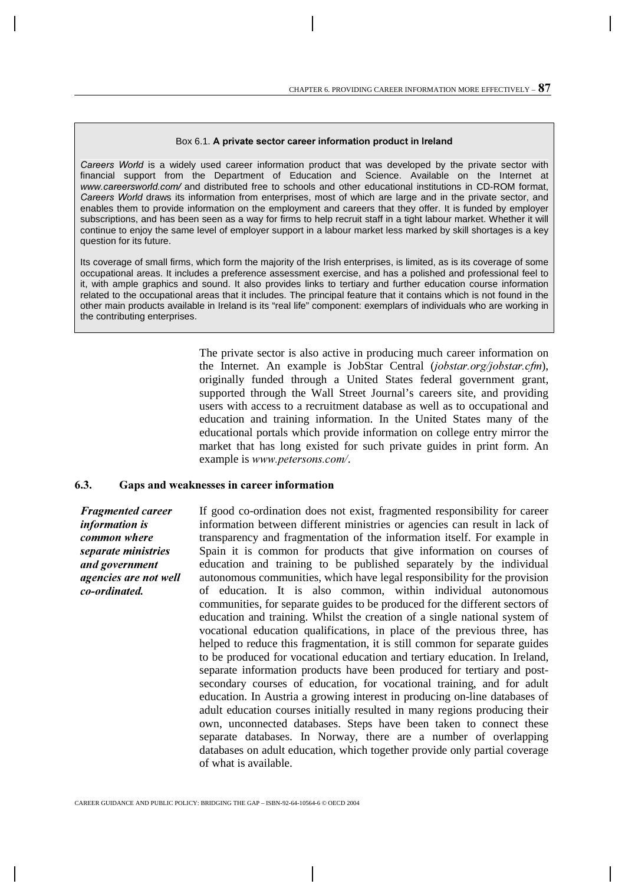#### Box 6.1. A private sector career information product in Ireland

Careers World is a widely used career information product that was developed by the private sector with financial support from the Department of Education and Science. Available on the Internet at www.careersworld.com/ and distributed free to schools and other educational institutions in CD-ROM format, Careers World draws its information from enterprises, most of which are large and in the private sector, and enables them to provide information on the employment and careers that they offer. It is funded by employer subscriptions, and has been seen as a way for firms to help recruit staff in a tight labour market. Whether it will continue to enjoy the same level of employer support in a labour market less marked by skill shortages is a key question for its future.

Its coverage of small firms, which form the majority of the Irish enterprises, is limited, as is its coverage of some occupational areas. It includes a preference assessment exercise, and has a polished and professional feel to it, with ample graphics and sound. It also provides links to tertiary and further education course information related to the occupational areas that it includes. The principal feature that it contains which is not found in the other main products available in Ireland is its "real life" component: exemplars of individuals who are working in the contributing enterprises.

> The private sector is also active in producing much career information on the Internet. An example is JobStar Central (*jobstar.org/jobstar.cfm*), originally funded through a United States federal government grant, supported through the Wall Street Journal's careers site, and providing users with access to a recruitment database as well as to occupational and education and training information. In the United States many of the educational portals which provide information on college entry mirror the market that has long existed for such private guides in print form. An example is *www.petersons.com/.*

#### 6.3. Gaps and weaknesses in career information

**Fragmented career** *information is separate ministries* and government *agencies are not well* co-ordinated.

If good co-ordination does not exist, fragmented responsibility for career information between different ministries or agencies can result in lack of transparency and fragmentation of the information itself. For example in Spain it is common for products that give information on courses of education and training to be published separately by the individual autonomous communities, which have legal responsibility for the provision of education. It is also common, within individual autonomous communities, for separate guides to be produced for the different sectors of education and training. Whilst the creation of a single national system of vocational education qualifications, in place of the previous three, has helped to reduce this fragmentation, it is still common for separate guides to be produced for vocational education and tertiary education. In Ireland, separate information products have been produced for tertiary and postsecondary courses of education, for vocational training, and for adult education. In Austria a growing interest in producing on-line databases of adult education courses initially resulted in many regions producing their own, unconnected databases. Steps have been taken to connect these separate databases. In Norway, there are a number of overlapping databases on adult education, which together provide only partial coverage of what is available.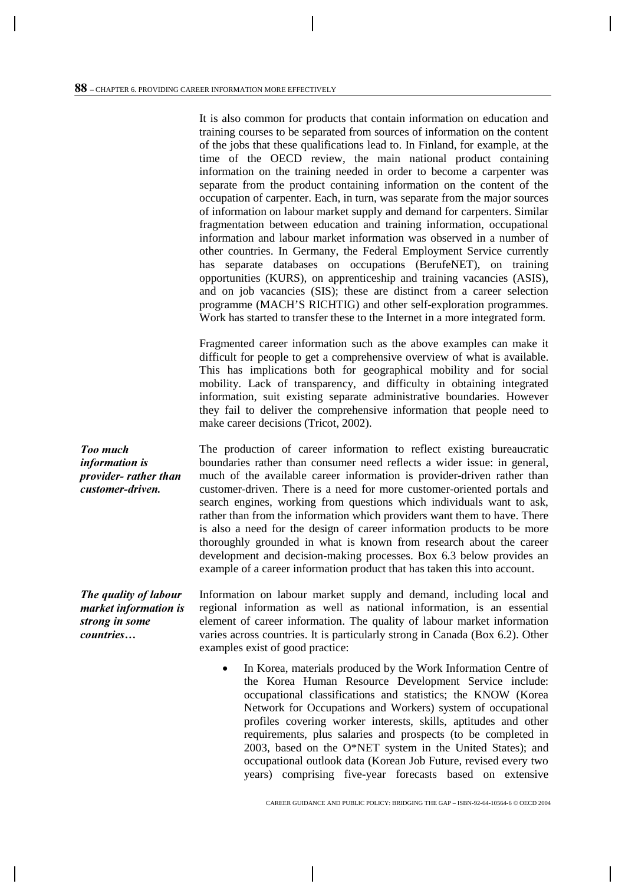It is also common for products that contain information on education and training courses to be separated from sources of information on the content of the jobs that these qualifications lead to. In Finland, for example, at the time of the OECD review, the main national product containing information on the training needed in order to become a carpenter was separate from the product containing information on the content of the occupation of carpenter. Each, in turn, was separate from the major sources of information on labour market supply and demand for carpenters. Similar fragmentation between education and training information, occupational information and labour market information was observed in a number of other countries. In Germany, the Federal Employment Service currently has separate databases on occupations (BerufeNET), on training opportunities (KURS), on apprenticeship and training vacancies (ASIS), and on job vacancies (SIS); these are distinct from a career selection programme (MACH'S RICHTIG) and other self-exploration programmes. Work has started to transfer these to the Internet in a more integrated form.

Fragmented career information such as the above examples can make it difficult for people to get a comprehensive overview of what is available. This has implications both for geographical mobility and for social mobility. Lack of transparency, and difficulty in obtaining integrated information, suit existing separate administrative boundaries. However they fail to deliver the comprehensive information that people need to make career decisions (Tricot, 2002).

*information is provider- rather than*  $\emph{customer-driven}$ . The production of career information to reflect existing bureaucratic boundaries rather than consumer need reflects a wider issue: in general, much of the available career information is provider-driven rather than customer-driven. There is a need for more customer-oriented portals and search engines, working from questions which individuals want to ask, rather than from the information which providers want them to have. There is also a need for the design of career information products to be more thoroughly grounded in what is known from research about the career development and decision-making processes. Box 6.3 below provides an example of a career information product that has taken this into account.

**The quality of labour** market information is strong in some *countries...* 

**Too** much

Information on labour market supply and demand, including local and regional information as well as national information, is an essential element of career information. The quality of labour market information varies across countries. It is particularly strong in Canada (Box 6.2). Other examples exist of good practice:

 In Korea, materials produced by the Work Information Centre of the Korea Human Resource Development Service include: occupational classifications and statistics; the KNOW (Korea Network for Occupations and Workers) system of occupational profiles covering worker interests, skills, aptitudes and other requirements, plus salaries and prospects (to be completed in 2003, based on the O\*NET system in the United States); and occupational outlook data (Korean Job Future, revised every two years) comprising five-year forecasts based on extensive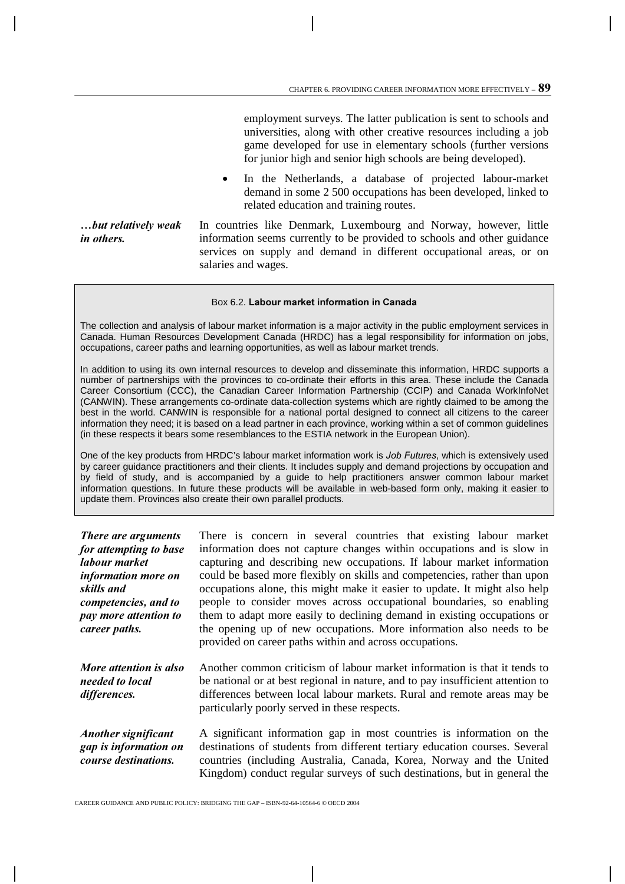employment surveys. The latter publication is sent to schools and universities, along with other creative resources including a job game developed for use in elementary schools (further versions for junior high and senior high schools are being developed).

 In the Netherlands, a database of projected labour-market demand in some 2 500 occupations has been developed, linked to related education and training routes.

...*but relatively weak* in others. In countries like Denmark, Luxembourg and Norway, however, little information seems currently to be provided to schools and other guidance services on supply and demand in different occupational areas, or on salaries and wages.

#### Box 6.2. Labour market information in Canada

The collection and analysis of labour market information is a major activity in the public employment services in Canada. Human Resources Development Canada (HRDC) has a legal responsibility for information on jobs, occupations, career paths and learning opportunities, as well as labour market trends.

In addition to using its own internal resources to develop and disseminate this information, HRDC supports a number of partnerships with the provinces to co-ordinate their efforts in this area. These include the Canada Career Consortium (CCC), the Canadian Career Information Partnership (CCIP) and Canada WorkInfoNet (CANWIN). These arrangements co-ordinate data-collection systems which are rightly claimed to be among the best in the world. CANWIN is responsible for a national portal designed to connect all citizens to the career information they need; it is based on a lead partner in each province, working within a set of common guidelines (in these respects it bears some resemblances to the ESTIA network in the European Union).

One of the key products from HRDC's labour market information work is Job Futures, which is extensively used by career guidance practitioners and their clients. It includes supply and demand projections by occupation and by field of study, and is accompanied by a guide to help practitioners answer common labour market information questions. In future these products will be available in web-based form only, making it easier to update them. Provinces also create their own parallel products.

There is concern in several countries that existing labour market

Kingdom) conduct regular surveys of such destinations, but in general the

| There are arguments        | There is concern in several countries that existing labour market               |
|----------------------------|---------------------------------------------------------------------------------|
| for attempting to base     | information does not capture changes within occupations and is slow in          |
| labour market              | capturing and describing new occupations. If labour market information          |
| information more on        | could be based more flexibly on skills and competencies, rather than upon       |
| skills and                 | occupations alone, this might make it easier to update. It might also help      |
| competencies, and to       | people to consider moves across occupational boundaries, so enabling            |
| pay more attention to      | them to adapt more easily to declining demand in existing occupations or        |
| career paths.              | the opening up of new occupations. More information also needs to be            |
|                            | provided on career paths within and across occupations.                         |
| More attention is also     | Another common criticism of labour market information is that it tends to       |
| needed to local            | be national or at best regional in nature, and to pay insufficient attention to |
| differences.               | differences between local labour markets. Rural and remote areas may be         |
|                            | particularly poorly served in these respects.                                   |
| <b>Another significant</b> | A significant information gap in most countries is information on the           |
| gap is information on      | destinations of students from different tertiary education courses. Several     |
| course destinations.       | countries (including Australia, Canada, Korea, Norway and the United            |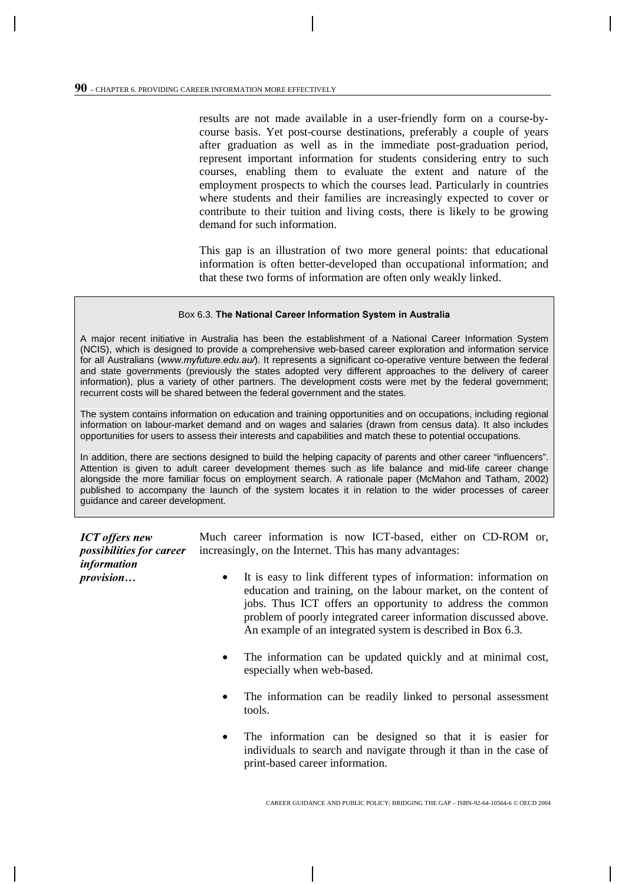results are not made available in a user-friendly form on a course-bycourse basis. Yet post-course destinations, preferably a couple of years after graduation as well as in the immediate post-graduation period, represent important information for students considering entry to such courses, enabling them to evaluate the extent and nature of the employment prospects to which the courses lead. Particularly in countries where students and their families are increasingly expected to cover or contribute to their tuition and living costs, there is likely to be growing demand for such information.

This gap is an illustration of two more general points: that educational information is often better-developed than occupational information; and that these two forms of information are often only weakly linked.

#### Box 6.3. The National Career Information System in Australia

A major recent initiative in Australia has been the establishment of a National Career Information System (NCIS), which is designed to provide a comprehensive web-based career exploration and information service for all Australians (www.myfuture.edu.au/). It represents a significant co-operative venture between the federal and state governments (previously the states adopted very different approaches to the delivery of career information), plus a variety of other partners. The development costs were met by the federal government; recurrent costs will be shared between the federal government and the states.

The system contains information on education and training opportunities and on occupations, including regional information on labour-market demand and on wages and salaries (drawn from census data). It also includes opportunities for users to assess their interests and capabilities and match these to potential occupations.

In addition, there are sections designed to build the helping capacity of parents and other career "influencers". Attention is given to adult career development themes such as life balance and mid-life career change alongside the more familiar focus on employment search. A rationale paper (McMahon and Tatham, 2002) published to accompany the launch of the system locates it in relation to the wider processes of career guidance and career development.

**ICT** offers new *possibilities for career | provision*... Much career information is now ICT-based, either on CD-ROM or, increasingly, on the Internet. This has many advantages:

- It is easy to link different types of information: information on education and training, on the labour market, on the content of jobs. Thus ICT offers an opportunity to address the common problem of poorly integrated career information discussed above. An example of an integrated system is described in Box 6.3.
- The information can be updated quickly and at minimal cost, especially when web-based.
- The information can be readily linked to personal assessment tools.
- The information can be designed so that it is easier for individuals to search and navigate through it than in the case of print-based career information.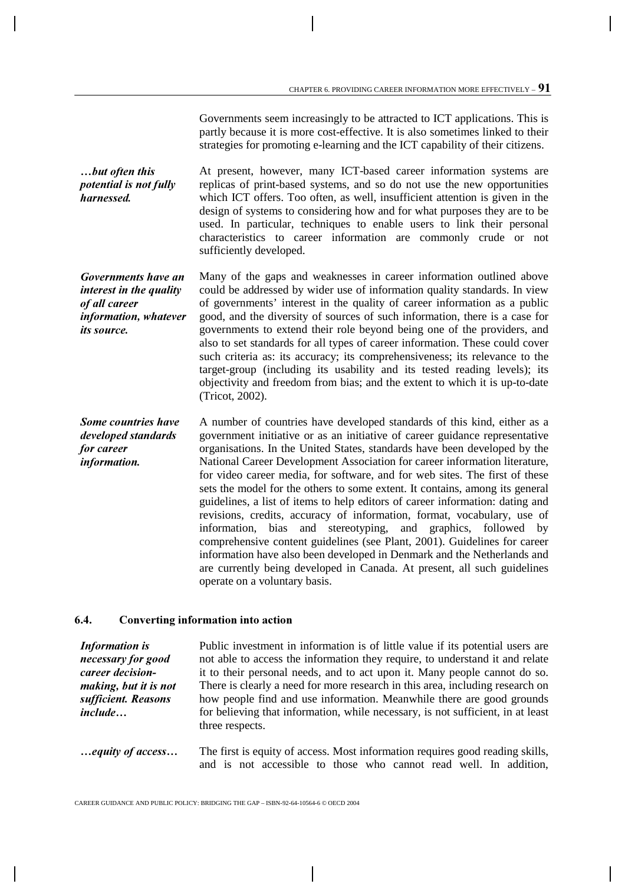Governments seem increasingly to be attracted to ICT applications. This is partly because it is more cost-effective. It is also sometimes linked to their strategies for promoting e-learning and the ICT capability of their citizens.

...*but often this potential is not fully* harnessed. At present, however, many ICT-based career information systems are replicas of print-based systems, and so do not use the new opportunities which ICT offers. Too often, as well, insufficient attention is given in the design of systems to considering how and for what purposes they are to be used. In particular, techniques to enable users to link their personal characteristics to career information are commonly crude or not sufficiently developed.

Governments have an *interest in the quality* of all career *information, whatever its source.* Many of the gaps and weaknesses in career information outlined above could be addressed by wider use of information quality standards. In view of governments' interest in the quality of career information as a public good, and the diversity of sources of such information, there is a case for governments to extend their role beyond being one of the providers, and also to set standards for all types of career information. These could cover such criteria as: its accuracy; its comprehensiveness; its relevance to the target-group (including its usability and its tested reading levels); its objectivity and freedom from bias; and the extent to which it is up-to-date (Tricot, 2002).

Some countries have developed standards for career *information.* A number of countries have developed standards of this kind, either as a government initiative or as an initiative of career guidance representative organisations. In the United States, standards have been developed by the National Career Development Association for career information literature, for video career media, for software, and for web sites. The first of these sets the model for the others to some extent. It contains, among its general guidelines, a list of items to help editors of career information: dating and revisions, credits, accuracy of information, format, vocabulary, use of information, bias and stereotyping, and graphics, followed by comprehensive content guidelines (see Plant, 2001). Guidelines for career information have also been developed in Denmark and the Netherlands and are currently being developed in Canada. At present, all such guidelines operate on a voluntary basis.

# 6.4. Converting information into action

**Information** is *necessary for good* career decisionmaking, but it is not sufficient. Reasons *include...* Public investment in information is of little value if its potential users are not able to access the information they require, to understand it and relate it to their personal needs, and to act upon it. Many people cannot do so. There is clearly a need for more research in this area, including research on how people find and use information. Meanwhile there are good grounds for believing that information, while necessary, is not sufficient, in at least three respects.

...equity of access... The first is equity of access. Most information requires good reading skills, and is not accessible to those who cannot read well. In addition,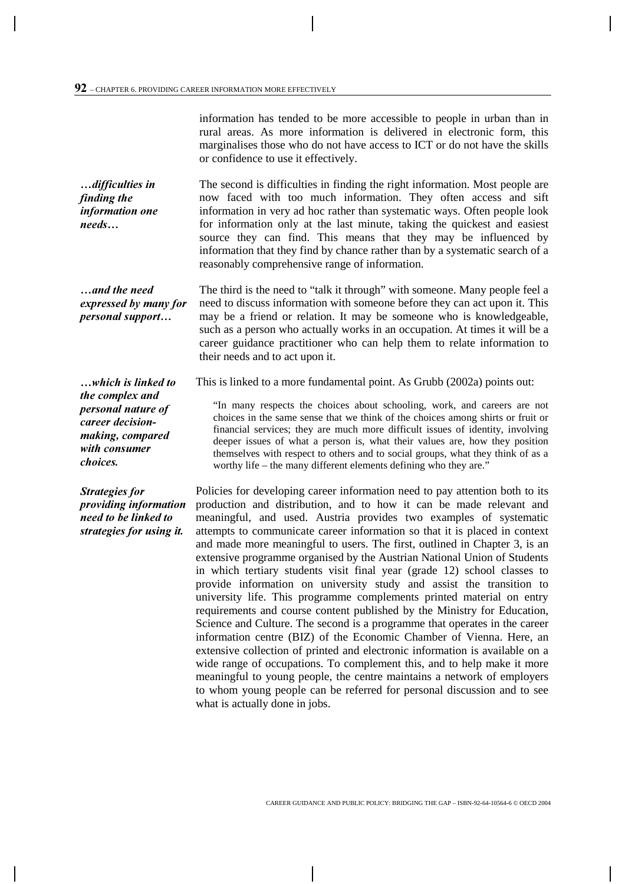information has tended to be more accessible to people in urban than in rural areas. As more information is delivered in electronic form, this marginalises those who do not have access to ICT or do not have the skills or confidence to use it effectively.

...difficulties in *finding the information* one  $\mathit{needs...}$ The second is difficulties in finding the right information. Most people are now faced with too much information. They often access and sift information in very ad hoc rather than systematic ways. Often people look for information only at the last minute, taking the quickest and easiest source they can find. This means that they may be influenced by information that they find by chance rather than by a systematic search of a reasonably comprehensive range of information.

...and the need expressed by many for *personal support...* The third is the need to "talk it through" with someone. Many people feel a need to discuss information with someone before they can act upon it. This may be a friend or relation. It may be someone who is knowledgeable, such as a person who actually works in an occupation. At times it will be a career guidance practitioner who can help them to relate information to their needs and to act upon it.

...which is linked to the complex and personal nature of career decisionmaking, compared with consumer *-*

**Strategies for** *<u>providing information</u> need to be linked to* strategies for using it.

This is linked to a more fundamental point. As Grubb (2002a) points out:

"In many respects the choices about schooling, work, and careers are not choices in the same sense that we think of the choices among shirts or fruit or financial services; they are much more difficult issues of identity, involving deeper issues of what a person is, what their values are, how they position themselves with respect to others and to social groups, what they think of as a worthy life – the many different elements defining who they are."

Policies for developing career information need to pay attention both to its production and distribution, and to how it can be made relevant and meaningful, and used. Austria provides two examples of systematic attempts to communicate career information so that it is placed in context and made more meaningful to users. The first, outlined in Chapter 3, is an extensive programme organised by the Austrian National Union of Students in which tertiary students visit final year (grade 12) school classes to provide information on university study and assist the transition to university life. This programme complements printed material on entry requirements and course content published by the Ministry for Education, Science and Culture. The second is a programme that operates in the career information centre (BIZ) of the Economic Chamber of Vienna. Here, an extensive collection of printed and electronic information is available on a wide range of occupations. To complement this, and to help make it more meaningful to young people, the centre maintains a network of employers to whom young people can be referred for personal discussion and to see what is actually done in jobs.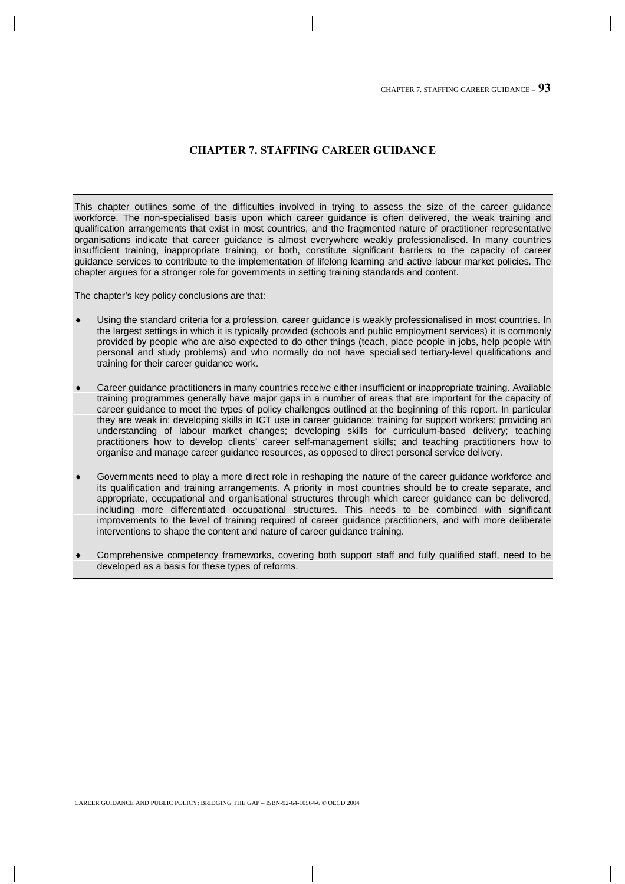# CHAPTER 7. STAFFING CAREER GUIDANCE

This chapter outlines some of the difficulties involved in trying to assess the size of the career guidance workforce. The non-specialised basis upon which career guidance is often delivered, the weak training and qualification arrangements that exist in most countries, and the fragmented nature of practitioner representative organisations indicate that career guidance is almost everywhere weakly professionalised. In many countries insufficient training, inappropriate training, or both, constitute significant barriers to the capacity of career guidance services to contribute to the implementation of lifelong learning and active labour market policies. The chapter argues for a stronger role for governments in setting training standards and content.

The chapter's key policy conclusions are that:

- $\blacklozenge$  Using the standard criteria for a profession, career guidance is weakly professionalised in most countries. In the largest settings in which it is typically provided (schools and public employment services) it is commonly provided by people who are also expected to do other things (teach, place people in jobs, help people with personal and study problems) and who normally do not have specialised tertiary-level qualifications and training for their career guidance work.
- $\blacklozenge$  Career guidance practitioners in many countries receive either insufficient or inappropriate training. Available training programmes generally have major gaps in a number of areas that are important for the capacity of career guidance to meet the types of policy challenges outlined at the beginning of this report. In particular they are weak in: developing skills in ICT use in career guidance; training for support workers; providing an understanding of labour market changes; developing skills for curriculum-based delivery; teaching practitioners how to develop clients' career self-management skills; and teaching practitioners how to organise and manage career guidance resources, as opposed to direct personal service delivery.
- $\blacklozenge$  Governments need to play a more direct role in reshaping the nature of the career guidance workforce and its qualification and training arrangements. A priority in most countries should be to create separate, and appropriate, occupational and organisational structures through which career guidance can be delivered, including more differentiated occupational structures. This needs to be combined with significant improvements to the level of training required of career guidance practitioners, and with more deliberate interventions to shape the content and nature of career guidance training.
- $\blacklozenge$  Comprehensive competency frameworks, covering both support staff and fully qualified staff, need to be developed as a basis for these types of reforms.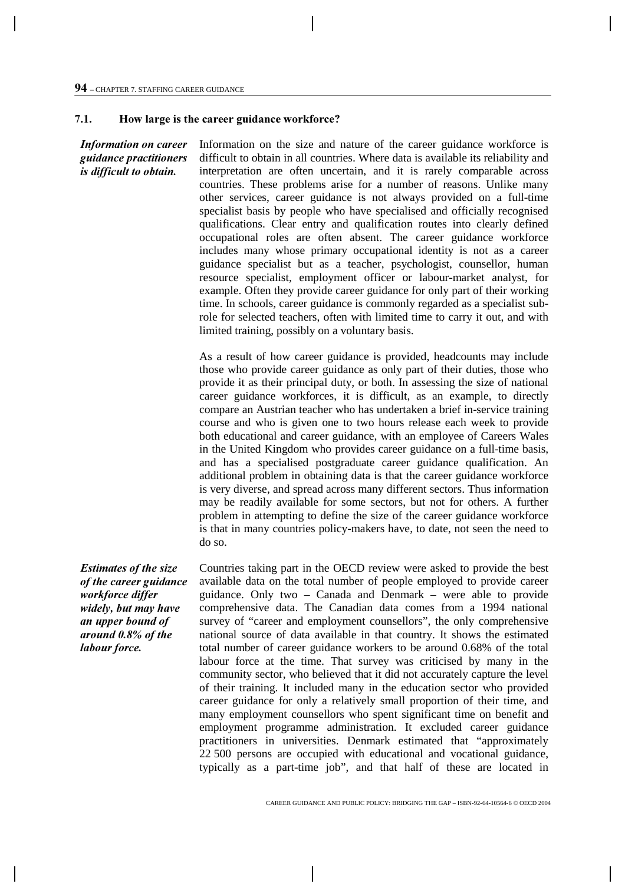#### 7.1. How large is the career guidance workforce?

**Information on career** guidance practitioners is difficult to obtain. Information on the size and nature of the career guidance workforce is difficult to obtain in all countries. Where data is available its reliability and interpretation are often uncertain, and it is rarely comparable across countries. These problems arise for a number of reasons. Unlike many other services, career guidance is not always provided on a full-time specialist basis by people who have specialised and officially recognised qualifications. Clear entry and qualification routes into clearly defined occupational roles are often absent. The career guidance workforce includes many whose primary occupational identity is not as a career guidance specialist but as a teacher, psychologist, counsellor, human resource specialist, employment officer or labour-market analyst, for example. Often they provide career guidance for only part of their working time. In schools, career guidance is commonly regarded as a specialist subrole for selected teachers, often with limited time to carry it out, and with limited training, possibly on a voluntary basis.

> As a result of how career guidance is provided, headcounts may include those who provide career guidance as only part of their duties, those who provide it as their principal duty, or both. In assessing the size of national career guidance workforces, it is difficult, as an example, to directly compare an Austrian teacher who has undertaken a brief in-service training course and who is given one to two hours release each week to provide both educational and career guidance, with an employee of Careers Wales in the United Kingdom who provides career guidance on a full-time basis, and has a specialised postgraduate career guidance qualification. An additional problem in obtaining data is that the career guidance workforce is very diverse, and spread across many different sectors. Thus information may be readily available for some sectors, but not for others. A further problem in attempting to define the size of the career guidance workforce is that in many countries policy-makers have, to date, not seen the need to do so.

Estimates of the size of the career guidance workforce differ widely, but may have an upper bound of around 0.8% of the labour force.

Countries taking part in the OECD review were asked to provide the best available data on the total number of people employed to provide career guidance. Only two – Canada and Denmark – were able to provide comprehensive data. The Canadian data comes from a 1994 national survey of "career and employment counsellors", the only comprehensive national source of data available in that country. It shows the estimated total number of career guidance workers to be around 0.68% of the total labour force at the time. That survey was criticised by many in the community sector, who believed that it did not accurately capture the level of their training. It included many in the education sector who provided career guidance for only a relatively small proportion of their time, and many employment counsellors who spent significant time on benefit and employment programme administration. It excluded career guidance practitioners in universities. Denmark estimated that "approximately 22 500 persons are occupied with educational and vocational guidance, typically as a part-time job", and that half of these are located in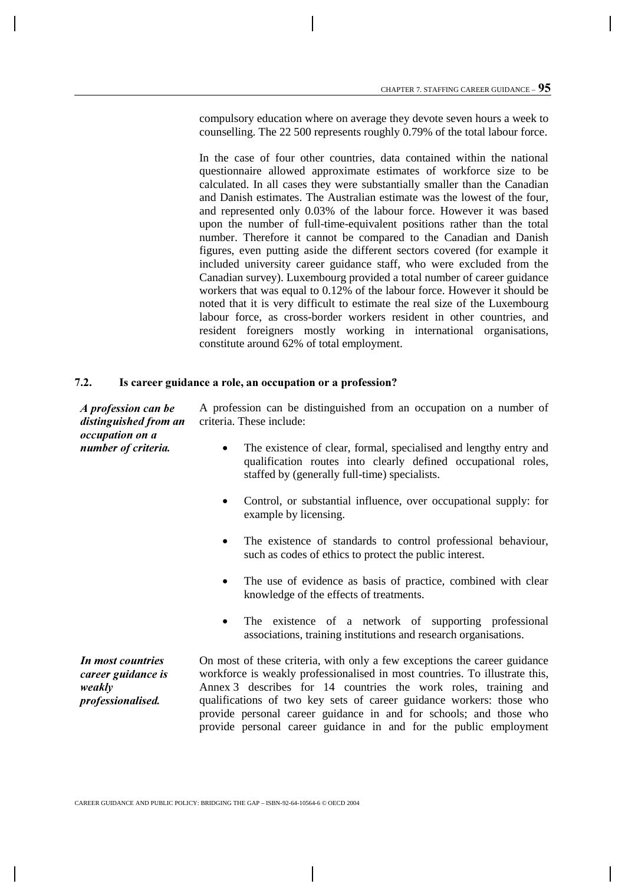compulsory education where on average they devote seven hours a week to counselling. The 22 500 represents roughly 0.79% of the total labour force.

In the case of four other countries, data contained within the national questionnaire allowed approximate estimates of workforce size to be calculated. In all cases they were substantially smaller than the Canadian and Danish estimates. The Australian estimate was the lowest of the four, and represented only 0.03% of the labour force. However it was based upon the number of full-time-equivalent positions rather than the total number. Therefore it cannot be compared to the Canadian and Danish figures, even putting aside the different sectors covered (for example it included university career guidance staff, who were excluded from the Canadian survey). Luxembourg provided a total number of career guidance workers that was equal to 0.12% of the labour force. However it should be noted that it is very difficult to estimate the real size of the Luxembourg labour force, as cross-border workers resident in other countries, and resident foreigners mostly working in international organisations, constitute around 62% of total employment.

#### 7.2. Is career guidance a role, an occupation or a profession?

*A* profession can be distinguished from an *occupation on a number of criteria.* 

A profession can be distinguished from an occupation on a number of criteria. These include:

- The existence of clear, formal, specialised and lengthy entry and qualification routes into clearly defined occupational roles, staffed by (generally full-time) specialists.
- Control, or substantial influence, over occupational supply: for example by licensing.
- The existence of standards to control professional behaviour, such as codes of ethics to protect the public interest.
- The use of evidence as basis of practice, combined with clear knowledge of the effects of treatments.
- The existence of a network of supporting professional associations, training institutions and research organisations.

In most countries career guidance is *weakly* professionalised. On most of these criteria, with only a few exceptions the career guidance workforce is weakly professionalised in most countries. To illustrate this, Annex 3 describes for 14 countries the work roles, training and qualifications of two key sets of career guidance workers: those who provide personal career guidance in and for schools; and those who provide personal career guidance in and for the public employment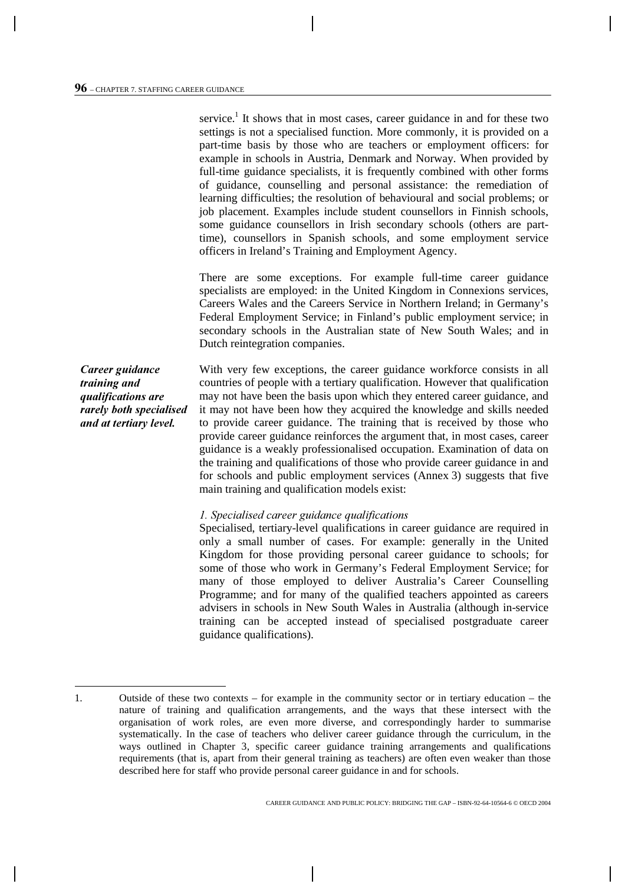service.<sup>1</sup> It shows that in most cases, career guidance in and for these two settings is not a specialised function. More commonly, it is provided on a part-time basis by those who are teachers or employment officers: for example in schools in Austria, Denmark and Norway. When provided by full-time guidance specialists, it is frequently combined with other forms of guidance, counselling and personal assistance: the remediation of learning difficulties; the resolution of behavioural and social problems; or job placement. Examples include student counsellors in Finnish schools, some guidance counsellors in Irish secondary schools (others are parttime), counsellors in Spanish schools, and some employment service officers in Ireland's Training and Employment Agency.

There are some exceptions. For example full-time career guidance specialists are employed: in the United Kingdom in Connexions services, Careers Wales and the Careers Service in Northern Ireland; in Germany's Federal Employment Service; in Finland's public employment service; in secondary schools in the Australian state of New South Wales; and in Dutch reintegration companies.

*Career guidance training and dualifications are* rarely both specialised and at tertiary level.

 $\ddot{\phantom{a}}$ 

With very few exceptions, the career guidance workforce consists in all countries of people with a tertiary qualification. However that qualification may not have been the basis upon which they entered career guidance, and it may not have been how they acquired the knowledge and skills needed to provide career guidance. The training that is received by those who provide career guidance reinforces the argument that, in most cases, career guidance is a weakly professionalised occupation. Examination of data on the training and qualifications of those who provide career guidance in and for schools and public employment services (Annex 3) suggests that five main training and qualification models exist:

# 1. Specialised career guidance qualifications

Specialised, tertiary-level qualifications in career guidance are required in only a small number of cases. For example: generally in the United Kingdom for those providing personal career guidance to schools; for some of those who work in Germany's Federal Employment Service; for many of those employed to deliver Australia's Career Counselling Programme; and for many of the qualified teachers appointed as careers advisers in schools in New South Wales in Australia (although in-service training can be accepted instead of specialised postgraduate career guidance qualifications).

<sup>1.</sup> Outside of these two contexts – for example in the community sector or in tertiary education – the nature of training and qualification arrangements, and the ways that these intersect with the organisation of work roles, are even more diverse, and correspondingly harder to summarise systematically. In the case of teachers who deliver career guidance through the curriculum, in the ways outlined in Chapter 3, specific career guidance training arrangements and qualifications requirements (that is, apart from their general training as teachers) are often even weaker than those described here for staff who provide personal career guidance in and for schools.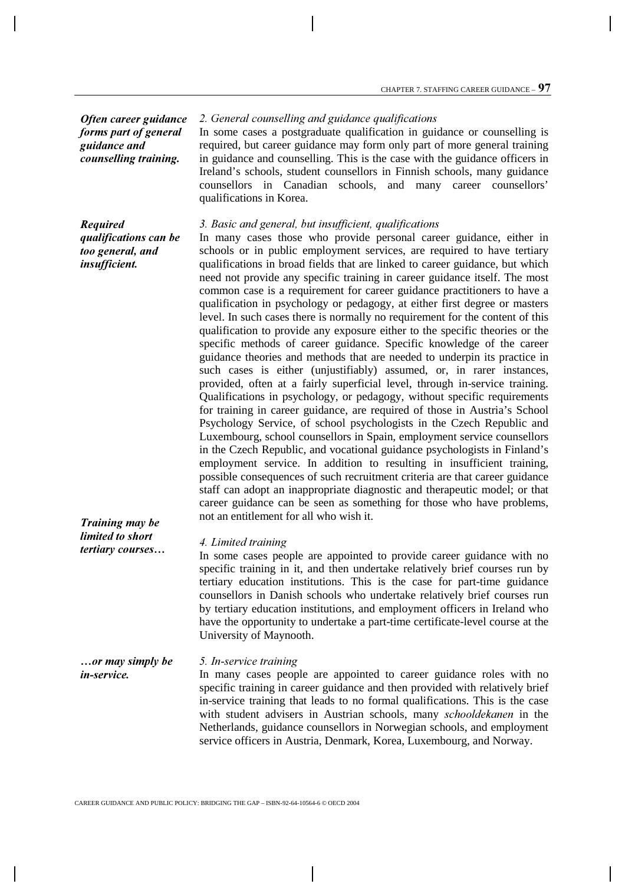*<u>Often career guidance</u>* forms part of general *guidance and counselling training.* 

# 2. General counselling and guidance qualifications

In some cases a postgraduate qualification in guidance or counselling is required, but career guidance may form only part of more general training in guidance and counselling. This is the case with the guidance officers in Ireland's schools, student counsellors in Finnish schools, many guidance counsellors in Canadian schools, and many career counsellors' qualifications in Korea.

**Required** *qualifications can be too general, and* insufficient.

# 3. Basic and general, but insufficient, qualifications

In many cases those who provide personal career guidance, either in schools or in public employment services, are required to have tertiary qualifications in broad fields that are linked to career guidance, but which need not provide any specific training in career guidance itself. The most common case is a requirement for career guidance practitioners to have a qualification in psychology or pedagogy, at either first degree or masters level. In such cases there is normally no requirement for the content of this qualification to provide any exposure either to the specific theories or the specific methods of career guidance. Specific knowledge of the career guidance theories and methods that are needed to underpin its practice in such cases is either (unjustifiably) assumed, or, in rarer instances, provided, often at a fairly superficial level, through in-service training. Qualifications in psychology, or pedagogy, without specific requirements for training in career guidance, are required of those in Austria's School Psychology Service, of school psychologists in the Czech Republic and Luxembourg, school counsellors in Spain, employment service counsellors in the Czech Republic, and vocational guidance psychologists in Finland's employment service. In addition to resulting in insufficient training, possible consequences of such recruitment criteria are that career guidance staff can adopt an inappropriate diagnostic and therapeutic model; or that career guidance can be seen as something for those who have problems, not an entitlement for all who wish it.

# 4. Limited training

In some cases people are appointed to provide career guidance with no specific training in it, and then undertake relatively brief courses run by tertiary education institutions. This is the case for part-time guidance counsellors in Danish schools who undertake relatively brief courses run by tertiary education institutions, and employment officers in Ireland who have the opportunity to undertake a part-time certificate-level course at the University of Maynooth.

#### ...or may simply be 5. In-service training

in-service.

*Training may be dimited to short*  $tertiary courses...$ 

In many cases people are appointed to career guidance roles with no specific training in career guidance and then provided with relatively brief in-service training that leads to no formal qualifications. This is the case with student advisers in Austrian schools, many *schooldekanen* in the Netherlands, guidance counsellors in Norwegian schools, and employment service officers in Austria, Denmark, Korea, Luxembourg, and Norway.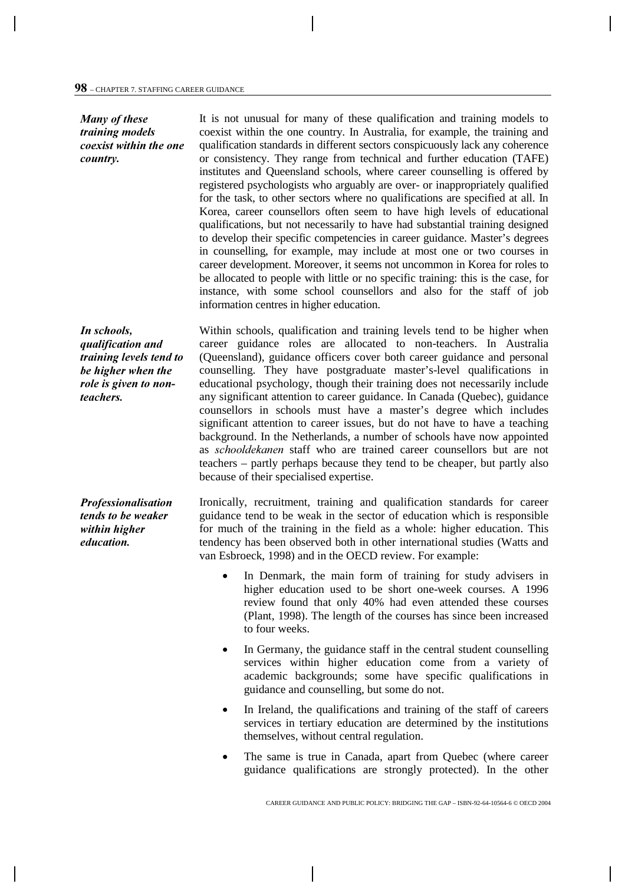#### *Many of these training models* coexist within the one *country.*

It is not unusual for many of these qualification and training models to coexist within the one country. In Australia, for example, the training and qualification standards in different sectors conspicuously lack any coherence or consistency. They range from technical and further education (TAFE) institutes and Queensland schools, where career counselling is offered by registered psychologists who arguably are over- or inappropriately qualified for the task, to other sectors where no qualifications are specified at all. In Korea, career counsellors often seem to have high levels of educational qualifications, but not necessarily to have had substantial training designed to develop their specific competencies in career guidance. Master's degrees in counselling, for example, may include at most one or two courses in career development. Moreover, it seems not uncommon in Korea for roles to be allocated to people with little or no specific training: this is the case, for instance, with some school counsellors and also for the staff of job information centres in higher education.

In schools, *dualification and training levels tend to be higher when the role is given to non*teachers. Within schools, qualification and training levels tend to be higher when career guidance roles are allocated to non-teachers. In Australia (Queensland), guidance officers cover both career guidance and personal counselling. They have postgraduate master's-level qualifications in educational psychology, though their training does not necessarily include any significant attention to career guidance. In Canada (Quebec), guidance counsellors in schools must have a master's degree which includes significant attention to career issues, but do not have to have a teaching background. In the Netherlands, a number of schools have now appointed as *schooldekanen* staff who are trained career counsellors but are not teachers – partly perhaps because they tend to be cheaper, but partly also because of their specialised expertise.

**Professionalisation** *tends to be weaker*  $with$ *in higher education.* 

Ironically, recruitment, training and qualification standards for career guidance tend to be weak in the sector of education which is responsible for much of the training in the field as a whole: higher education. This tendency has been observed both in other international studies (Watts and van Esbroeck, 1998) and in the OECD review. For example:

- In Denmark, the main form of training for study advisers in higher education used to be short one-week courses. A 1996 review found that only 40% had even attended these courses (Plant, 1998). The length of the courses has since been increased to four weeks.
- In Germany, the guidance staff in the central student counselling services within higher education come from a variety of academic backgrounds; some have specific qualifications in guidance and counselling, but some do not.
- In Ireland, the qualifications and training of the staff of careers services in tertiary education are determined by the institutions themselves, without central regulation.
- The same is true in Canada, apart from Quebec (where career guidance qualifications are strongly protected). In the other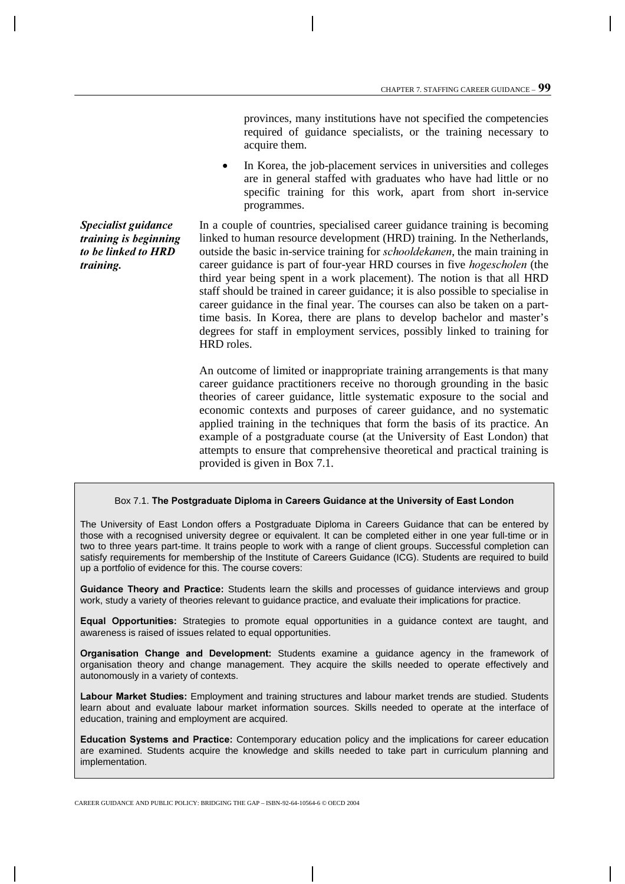provinces, many institutions have not specified the competencies required of guidance specialists, or the training necessary to acquire them.

 In Korea, the job-placement services in universities and colleges are in general staffed with graduates who have had little or no specific training for this work, apart from short in-service programmes.

In a couple of countries, specialised career guidance training is becoming linked to human resource development (HRD) training. In the Netherlands, outside the basic in-service training for *schooldekanen*, the main training in career guidance is part of four-year HRD courses in five *hogescholen* (the third year being spent in a work placement). The notion is that all HRD staff should be trained in career guidance; it is also possible to specialise in career guidance in the final year. The courses can also be taken on a parttime basis. In Korea, there are plans to develop bachelor and master's degrees for staff in employment services, possibly linked to training for HRD roles.

 An outcome of limited or inappropriate training arrangements is that many career guidance practitioners receive no thorough grounding in the basic theories of career guidance, little systematic exposure to the social and economic contexts and purposes of career guidance, and no systematic applied training in the techniques that form the basis of its practice. An example of a postgraduate course (at the University of East London) that attempts to ensure that comprehensive theoretical and practical training is provided is given in Box 7.1.

#### Box 7.1. The Postgraduate Diploma in Careers Guidance at the University of East London

The University of East London offers a Postgraduate Diploma in Careers Guidance that can be entered by those with a recognised university degree or equivalent. It can be completed either in one year full-time or in two to three years part-time. It trains people to work with a range of client groups. Successful completion can satisfy requirements for membership of the Institute of Careers Guidance (ICG). Students are required to build up a portfolio of evidence for this. The course covers:

Guidance Theory and Practice: Students learn the skills and processes of guidance interviews and group work, study a variety of theories relevant to guidance practice, and evaluate their implications for practice.

Equal Opportunities: Strategies to promote equal opportunities in a guidance context are taught, and awareness is raised of issues related to equal opportunities.

Organisation Change and Development: Students examine a guidance agency in the framework of organisation theory and change management. They acquire the skills needed to operate effectively and autonomously in a variety of contexts.

Labour Market Studies: Employment and training structures and labour market trends are studied. Students learn about and evaluate labour market information sources. Skills needed to operate at the interface of education, training and employment are acquired.

**Education Systems and Practice:** Contemporary education policy and the implications for career education are examined. Students acquire the knowledge and skills needed to take part in curriculum planning and implementation.

**Specialist guidance** *training is beginning* to be linked to HRD *training.*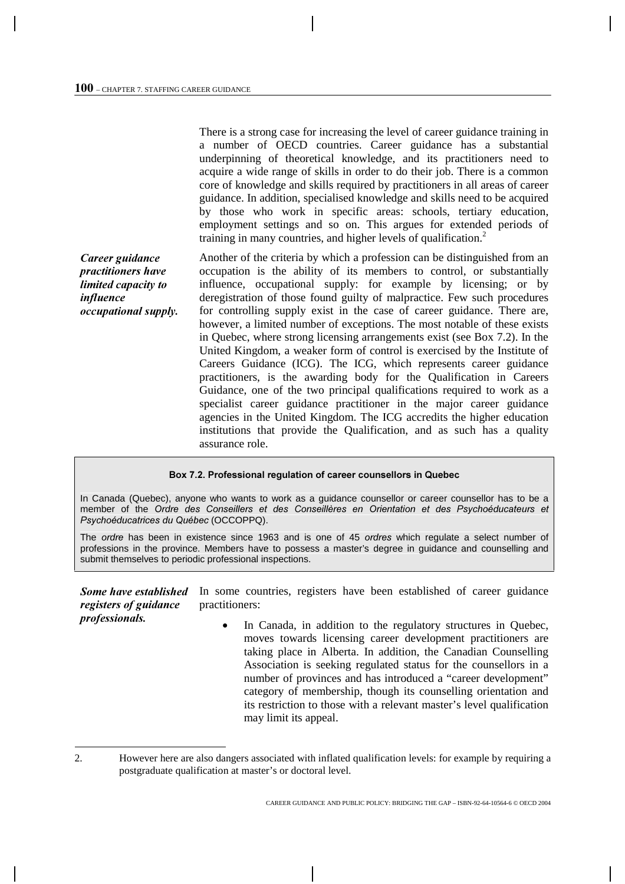$\overline{a}$ 

There is a strong case for increasing the level of career guidance training in a number of OECD countries. Career guidance has a substantial underpinning of theoretical knowledge, and its practitioners need to acquire a wide range of skills in order to do their job. There is a common core of knowledge and skills required by practitioners in all areas of career guidance. In addition, specialised knowledge and skills need to be acquired by those who work in specific areas: schools, tertiary education, employment settings and so on. This argues for extended periods of training in many countries, and higher levels of qualification. $2$ 

*Career guidance practitioners have dimited capacity to influence occupational supply.* Another of the criteria by which a profession can be distinguished from an occupation is the ability of its members to control, or substantially influence, occupational supply: for example by licensing; or by deregistration of those found guilty of malpractice. Few such procedures for controlling supply exist in the case of career guidance. There are, however, a limited number of exceptions. The most notable of these exists in Quebec, where strong licensing arrangements exist (see Box 7.2). In the United Kingdom, a weaker form of control is exercised by the Institute of Careers Guidance (ICG). The ICG, which represents career guidance practitioners, is the awarding body for the Qualification in Careers Guidance, one of the two principal qualifications required to work as a specialist career guidance practitioner in the major career guidance agencies in the United Kingdom. The ICG accredits the higher education institutions that provide the Qualification, and as such has a quality assurance role.

#### Box 7.2. Professional regulation of career counsellors in Quebec

In Canada (Quebec), anyone who wants to work as a guidance counsellor or career counsellor has to be a member of the Ordre des Conseillers et des Conseillères en Orientation et des Psychoéducateurs et Psychoéducatrices du Québec (OCCOPPQ).

The ordre has been in existence since 1963 and is one of 45 ordres which regulate a select number of professions in the province. Members have to possess a master's degree in guidance and counselling and submit themselves to periodic professional inspections.

**Some have established** In some countries, registers have been established of career guidance *registers of guidance* professionals. practitioners:

• In Canada, in addition to the regulatory structures in Quebec, moves towards licensing career development practitioners are taking place in Alberta. In addition, the Canadian Counselling Association is seeking regulated status for the counsellors in a number of provinces and has introduced a "career development" category of membership, though its counselling orientation and its restriction to those with a relevant master's level qualification may limit its appeal.

<sup>2.</sup> However here are also dangers associated with inflated qualification levels: for example by requiring a postgraduate qualification at master's or doctoral level.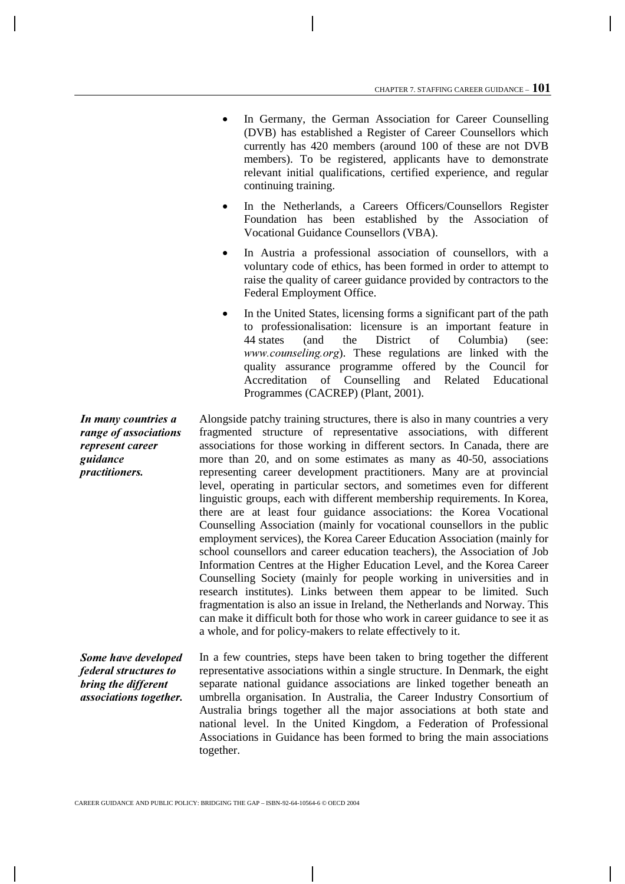- In Germany, the German Association for Career Counselling (DVB) has established a Register of Career Counsellors which currently has 420 members (around 100 of these are not DVB members). To be registered, applicants have to demonstrate relevant initial qualifications, certified experience, and regular continuing training.
- In the Netherlands, a Careers Officers/Counsellors Register Foundation has been established by the Association of Vocational Guidance Counsellors (VBA).
- In Austria a professional association of counsellors, with a voluntary code of ethics, has been formed in order to attempt to raise the quality of career guidance provided by contractors to the Federal Employment Office.
- In the United States, licensing forms a significant part of the path to professionalisation: licensure is an important feature in 44 states (and the District of Columbia) (see: www.counseling.org). These regulations are linked with the quality assurance programme offered by the Council for Accreditation of Counselling and Related Educational Programmes (CACREP) (Plant, 2001).

*range of associations represent career guidance*  Alongside patchy training structures, there is also in many countries a very fragmented structure of representative associations, with different associations for those working in different sectors. In Canada, there are more than 20, and on some estimates as many as 40-50, associations representing career development practitioners. Many are at provincial level, operating in particular sectors, and sometimes even for different linguistic groups, each with different membership requirements. In Korea, there are at least four guidance associations: the Korea Vocational Counselling Association (mainly for vocational counsellors in the public employment services), the Korea Career Education Association (mainly for school counsellors and career education teachers), the Association of Job Information Centres at the Higher Education Level, and the Korea Career Counselling Society (mainly for people working in universities and in research institutes). Links between them appear to be limited. Such fragmentation is also an issue in Ireland, the Netherlands and Norway. This can make it difficult both for those who work in career guidance to see it as a whole, and for policy-makers to relate effectively to it. **Some have developed** In a few countries, steps have been taken to bring together the different

*federal structures to bring the different* associations together. representative associations within a single structure. In Denmark, the eight separate national guidance associations are linked together beneath an umbrella organisation. In Australia, the Career Industry Consortium of Australia brings together all the major associations at both state and national level. In the United Kingdom, a Federation of Professional Associations in Guidance has been formed to bring the main associations together.

*In many countries a*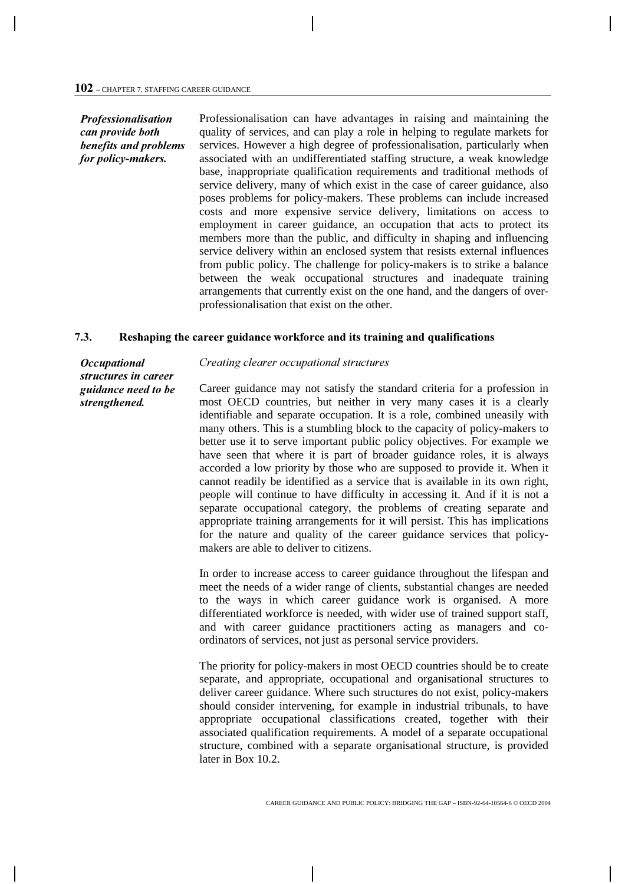# **Professionalisation** *can provide both* **benefits and problems** for policy-makers.

Professionalisation can have advantages in raising and maintaining the quality of services, and can play a role in helping to regulate markets for services. However a high degree of professionalisation, particularly when associated with an undifferentiated staffing structure, a weak knowledge base, inappropriate qualification requirements and traditional methods of service delivery, many of which exist in the case of career guidance, also poses problems for policy-makers. These problems can include increased costs and more expensive service delivery, limitations on access to employment in career guidance, an occupation that acts to protect its members more than the public, and difficulty in shaping and influencing service delivery within an enclosed system that resists external influences from public policy. The challenge for policy-makers is to strike a balance between the weak occupational structures and inadequate training arrangements that currently exist on the one hand, and the dangers of overprofessionalisation that exist on the other.

#### 7.3. Reshaping the career guidance workforce and its training and qualifications

*Occupational* structures in career *<u>guidance</u> need to be* strengthened.

*Creating clearer occupational structures* 

Career guidance may not satisfy the standard criteria for a profession in most OECD countries, but neither in very many cases it is a clearly identifiable and separate occupation. It is a role, combined uneasily with many others. This is a stumbling block to the capacity of policy-makers to better use it to serve important public policy objectives. For example we have seen that where it is part of broader guidance roles, it is always accorded a low priority by those who are supposed to provide it. When it cannot readily be identified as a service that is available in its own right, people will continue to have difficulty in accessing it. And if it is not a separate occupational category, the problems of creating separate and appropriate training arrangements for it will persist. This has implications for the nature and quality of the career guidance services that policymakers are able to deliver to citizens.

In order to increase access to career guidance throughout the lifespan and meet the needs of a wider range of clients, substantial changes are needed to the ways in which career guidance work is organised. A more differentiated workforce is needed, with wider use of trained support staff, and with career guidance practitioners acting as managers and coordinators of services, not just as personal service providers.

The priority for policy-makers in most OECD countries should be to create separate, and appropriate, occupational and organisational structures to deliver career guidance. Where such structures do not exist, policy-makers should consider intervening, for example in industrial tribunals, to have appropriate occupational classifications created, together with their associated qualification requirements. A model of a separate occupational structure, combined with a separate organisational structure, is provided later in Box 10.2.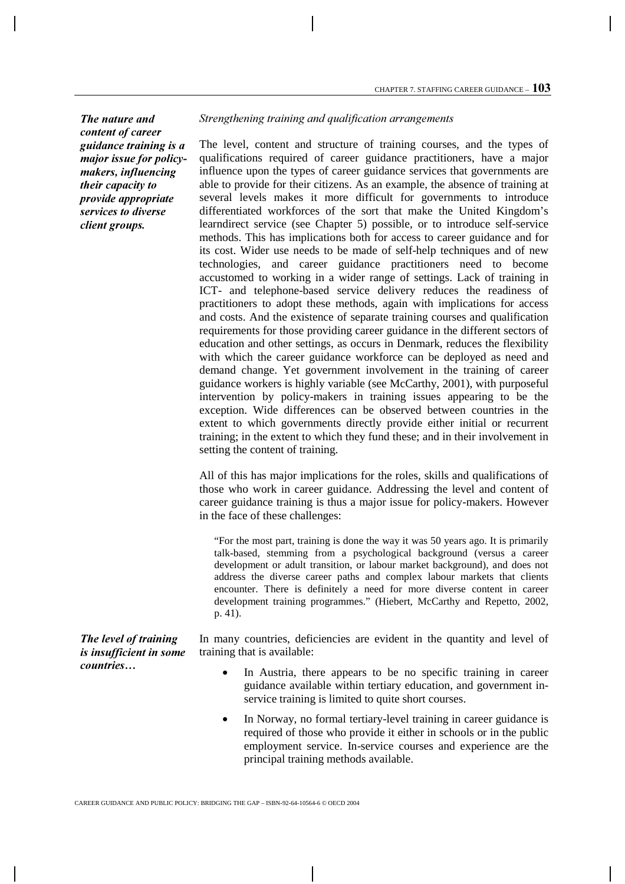**The nature and** content of career *<u>guidance</u> training is a* major issue for policy*makers, influencing their capacity to rovide* appropriate services to diverse *client groups.* 

# Strengthening training and qualification arrangements

The level, content and structure of training courses, and the types of qualifications required of career guidance practitioners, have a major influence upon the types of career guidance services that governments are able to provide for their citizens. As an example, the absence of training at several levels makes it more difficult for governments to introduce differentiated workforces of the sort that make the United Kingdom's learndirect service (see Chapter 5) possible, or to introduce self-service methods. This has implications both for access to career guidance and for its cost. Wider use needs to be made of self-help techniques and of new technologies, and career guidance practitioners need to become accustomed to working in a wider range of settings. Lack of training in ICT- and telephone-based service delivery reduces the readiness of practitioners to adopt these methods, again with implications for access and costs. And the existence of separate training courses and qualification requirements for those providing career guidance in the different sectors of education and other settings, as occurs in Denmark, reduces the flexibility with which the career guidance workforce can be deployed as need and demand change. Yet government involvement in the training of career guidance workers is highly variable (see McCarthy, 2001), with purposeful intervention by policy-makers in training issues appearing to be the exception. Wide differences can be observed between countries in the extent to which governments directly provide either initial or recurrent training; in the extent to which they fund these; and in their involvement in setting the content of training.

All of this has major implications for the roles, skills and qualifications of those who work in career guidance. Addressing the level and content of career guidance training is thus a major issue for policy-makers. However in the face of these challenges:

"For the most part, training is done the way it was 50 years ago. It is primarily talk-based, stemming from a psychological background (versus a career development or adult transition, or labour market background), and does not address the diverse career paths and complex labour markets that clients encounter. There is definitely a need for more diverse content in career development training programmes." (Hiebert, McCarthy and Repetto, 2002, p. 41).

In many countries, deficiencies are evident in the quantity and level of training that is available:

- In Austria, there appears to be no specific training in career guidance available within tertiary education, and government inservice training is limited to quite short courses.
- In Norway, no formal tertiary-level training in career guidance is required of those who provide it either in schools or in the public employment service. In-service courses and experience are the principal training methods available.

**The level of training** *is insufficient in some*  $countries...$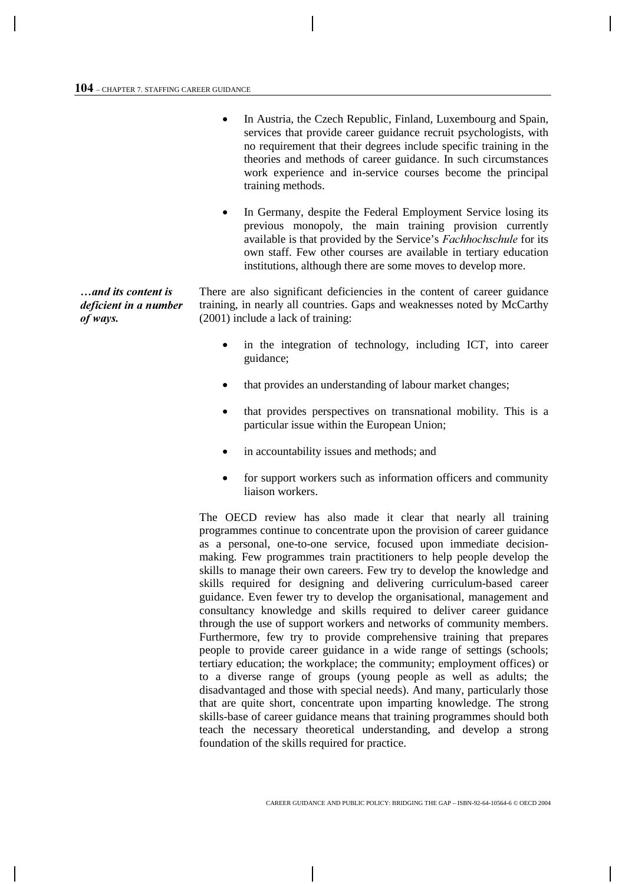- In Austria, the Czech Republic, Finland, Luxembourg and Spain, services that provide career guidance recruit psychologists, with no requirement that their degrees include specific training in the theories and methods of career guidance. In such circumstances work experience and in-service courses become the principal training methods.
- In Germany, despite the Federal Employment Service losing its previous monopoly, the main training provision currently available is that provided by the Service's Fachhochschule for its own staff. Few other courses are available in tertiary education institutions, although there are some moves to develop more.

...and its content is There are also significant deficiencies in the content of career guidance training, in nearly all countries. Gaps and weaknesses noted by McCarthy (2001) include a lack of training:

- in the integration of technology, including ICT, into career guidance;
- that provides an understanding of labour market changes;
- that provides perspectives on transnational mobility. This is a particular issue within the European Union;
- in accountability issues and methods; and
- for support workers such as information officers and community liaison workers.

The OECD review has also made it clear that nearly all training programmes continue to concentrate upon the provision of career guidance as a personal, one-to-one service, focused upon immediate decisionmaking. Few programmes train practitioners to help people develop the skills to manage their own careers. Few try to develop the knowledge and skills required for designing and delivering curriculum-based career guidance. Even fewer try to develop the organisational, management and consultancy knowledge and skills required to deliver career guidance through the use of support workers and networks of community members. Furthermore, few try to provide comprehensive training that prepares people to provide career guidance in a wide range of settings (schools; tertiary education; the workplace; the community; employment offices) or to a diverse range of groups (young people as well as adults; the disadvantaged and those with special needs). And many, particularly those that are quite short, concentrate upon imparting knowledge. The strong skills-base of career guidance means that training programmes should both teach the necessary theoretical understanding, and develop a strong foundation of the skills required for practice.

deficient in a number of ways.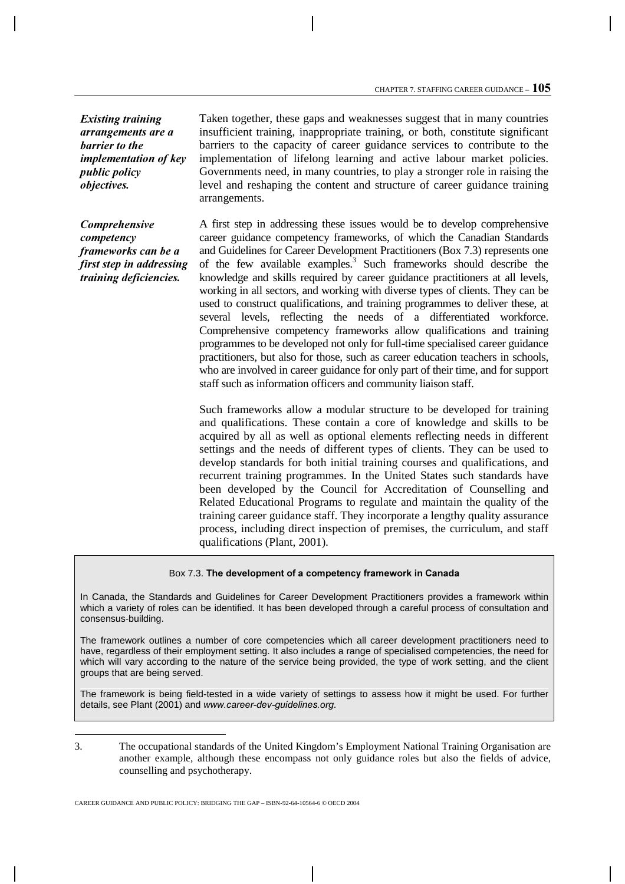*Existing training arrangements are a barrier to the implementation of key*   $objectives.$ 

Taken together, these gaps and weaknesses suggest that in many countries insufficient training, inappropriate training, or both, constitute significant barriers to the capacity of career guidance services to contribute to the implementation of lifelong learning and active labour market policies. Governments need, in many countries, to play a stronger role in raising the level and reshaping the content and structure of career guidance training arrangements.

 $Comprehensive$ *competency frameworks can be a* first step in addressing *training deficiencies.* 

A first step in addressing these issues would be to develop comprehensive career guidance competency frameworks, of which the Canadian Standards and Guidelines for Career Development Practitioners (Box 7.3) represents one of the few available examples.<sup>3</sup> Such frameworks should describe the knowledge and skills required by career guidance practitioners at all levels, working in all sectors, and working with diverse types of clients. They can be used to construct qualifications, and training programmes to deliver these, at several levels, reflecting the needs of a differentiated workforce. Comprehensive competency frameworks allow qualifications and training programmes to be developed not only for full-time specialised career guidance practitioners, but also for those, such as career education teachers in schools, who are involved in career guidance for only part of their time, and for support staff such as information officers and community liaison staff.

Such frameworks allow a modular structure to be developed for training and qualifications. These contain a core of knowledge and skills to be acquired by all as well as optional elements reflecting needs in different settings and the needs of different types of clients. They can be used to develop standards for both initial training courses and qualifications, and recurrent training programmes. In the United States such standards have been developed by the Council for Accreditation of Counselling and Related Educational Programs to regulate and maintain the quality of the training career guidance staff. They incorporate a lengthy quality assurance process, including direct inspection of premises, the curriculum, and staff qualifications (Plant, 2001).

#### Box 7.3. The development of a competency framework in Canada

In Canada, the Standards and Guidelines for Career Development Practitioners provides a framework within which a variety of roles can be identified. It has been developed through a careful process of consultation and consensus-building.

The framework outlines a number of core competencies which all career development practitioners need to have, regardless of their employment setting. It also includes a range of specialised competencies, the need for which will vary according to the nature of the service being provided, the type of work setting, and the client groups that are being served.

The framework is being field-tested in a wide variety of settings to assess how it might be used. For further details, see Plant (2001) and www.career-dev-guidelines.org.

 $\overline{a}$ 3. The occupational standards of the United Kingdom's Employment National Training Organisation are another example, although these encompass not only guidance roles but also the fields of advice, counselling and psychotherapy.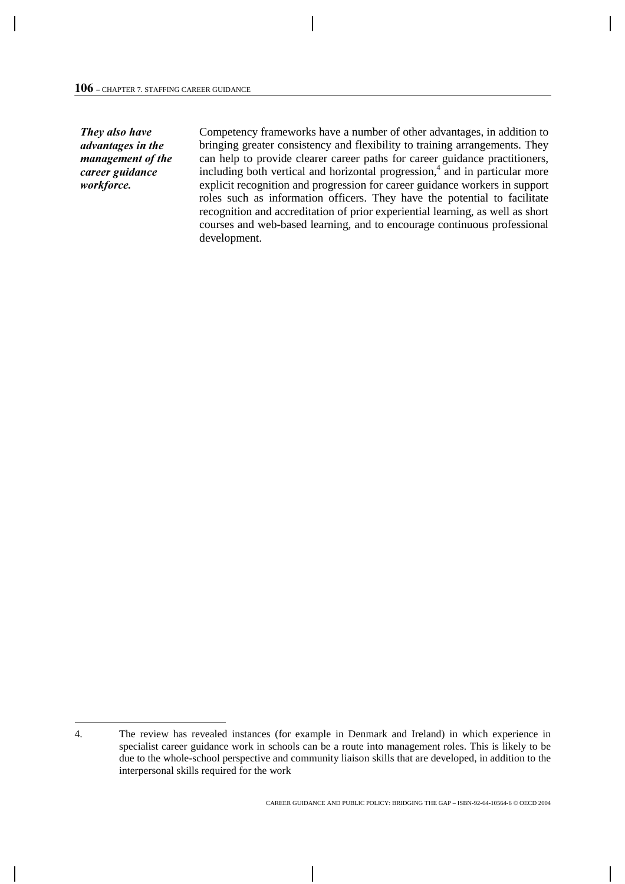*They also have* advantages in the management of the *career guidance* workforce.

Competency frameworks have a number of other advantages, in addition to bringing greater consistency and flexibility to training arrangements. They can help to provide clearer career paths for career guidance practitioners, including both vertical and horizontal progression, $4$  and in particular more explicit recognition and progression for career guidance workers in support roles such as information officers. They have the potential to facilitate recognition and accreditation of prior experiential learning, as well as short courses and web-based learning, and to encourage continuous professional development.

 $\overline{a}$ 4. The review has revealed instances (for example in Denmark and Ireland) in which experience in specialist career guidance work in schools can be a route into management roles. This is likely to be due to the whole-school perspective and community liaison skills that are developed, in addition to the interpersonal skills required for the work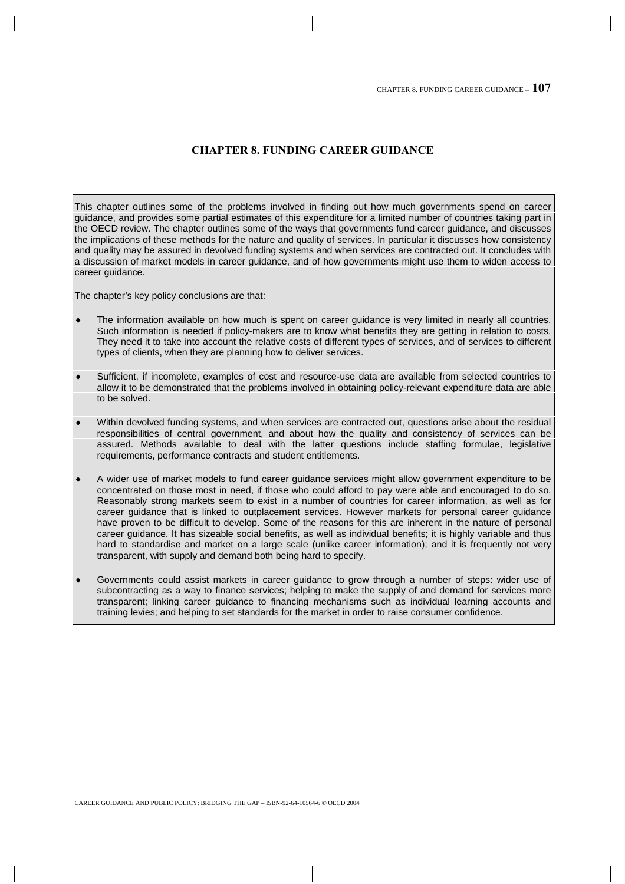# CHAPTER 8. FUNDING CAREER GUIDANCE

This chapter outlines some of the problems involved in finding out how much governments spend on career guidance, and provides some partial estimates of this expenditure for a limited number of countries taking part in the OECD review. The chapter outlines some of the ways that governments fund career guidance, and discusses the implications of these methods for the nature and quality of services. In particular it discusses how consistency and quality may be assured in devolved funding systems and when services are contracted out. It concludes with a discussion of market models in career guidance, and of how governments might use them to widen access to career guidance.

The chapter's key policy conclusions are that:

- $\blacklozenge$  The information available on how much is spent on career guidance is very limited in nearly all countries. Such information is needed if policy-makers are to know what benefits they are getting in relation to costs. They need it to take into account the relative costs of different types of services, and of services to different types of clients, when they are planning how to deliver services.
- $\blacklozenge$  Sufficient, if incomplete, examples of cost and resource-use data are available from selected countries to allow it to be demonstrated that the problems involved in obtaining policy-relevant expenditure data are able to be solved.
- $\blacklozenge$  Within devolved funding systems, and when services are contracted out, questions arise about the residual responsibilities of central government, and about how the quality and consistency of services can be assured. Methods available to deal with the latter questions include staffing formulae, legislative requirements, performance contracts and student entitlements.
- $\blacklozenge$  A wider use of market models to fund career guidance services might allow government expenditure to be concentrated on those most in need, if those who could afford to pay were able and encouraged to do so. Reasonably strong markets seem to exist in a number of countries for career information, as well as for career guidance that is linked to outplacement services. However markets for personal career guidance have proven to be difficult to develop. Some of the reasons for this are inherent in the nature of personal career guidance. It has sizeable social benefits, as well as individual benefits; it is highly variable and thus hard to standardise and market on a large scale (unlike career information); and it is frequently not very transparent, with supply and demand both being hard to specify.
- $\blacklozenge$  Governments could assist markets in career guidance to grow through a number of steps: wider use of subcontracting as a way to finance services; helping to make the supply of and demand for services more transparent; linking career guidance to financing mechanisms such as individual learning accounts and training levies; and helping to set standards for the market in order to raise consumer confidence.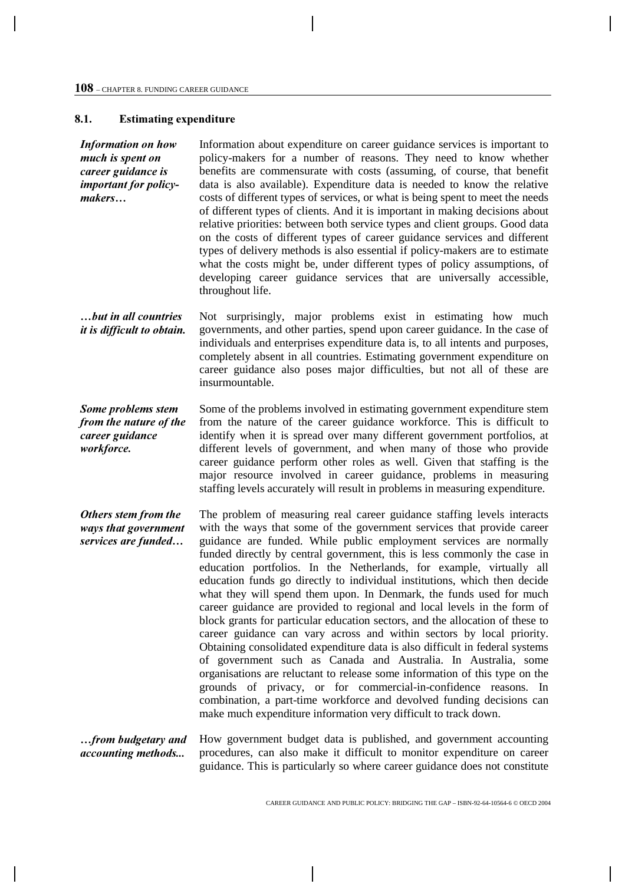### 8.1. Estimating expenditure

*Information on how* much is spent on *career guidance is important for policymakers...* Information about expenditure on career guidance services is important to policy-makers for a number of reasons. They need to know whether benefits are commensurate with costs (assuming, of course, that benefit data is also available). Expenditure data is needed to know the relative costs of different types of services, or what is being spent to meet the needs of different types of clients. And it is important in making decisions about relative priorities: between both service types and client groups. Good data on the costs of different types of career guidance services and different types of delivery methods is also essential if policy-makers are to estimate what the costs might be, under different types of policy assumptions, of developing career guidance services that are universally accessible, throughout life.

- ...but in all countries *it is difficult to obtain.* Not surprisingly, major problems exist in estimating how much governments, and other parties, spend upon career guidance. In the case of individuals and enterprises expenditure data is, to all intents and purposes, completely absent in all countries. Estimating government expenditure on career guidance also poses major difficulties, but not all of these are insurmountable.
- Some problems stem *from the nature of the* career guidance workforce. Some of the problems involved in estimating government expenditure stem from the nature of the career guidance workforce. This is difficult to identify when it is spread over many different government portfolios, at different levels of government, and when many of those who provide career guidance perform other roles as well. Given that staffing is the major resource involved in career guidance, problems in measuring staffing levels accurately will result in problems in measuring expenditure.

Others stem from the ways that government services are funded... The problem of measuring real career guidance staffing levels interacts with the ways that some of the government services that provide career guidance are funded. While public employment services are normally funded directly by central government, this is less commonly the case in education portfolios. In the Netherlands, for example, virtually all education funds go directly to individual institutions, which then decide what they will spend them upon. In Denmark, the funds used for much career guidance are provided to regional and local levels in the form of block grants for particular education sectors, and the allocation of these to career guidance can vary across and within sectors by local priority. Obtaining consolidated expenditure data is also difficult in federal systems of government such as Canada and Australia. In Australia, some organisations are reluctant to release some information of this type on the grounds of privacy, or for commercial-in-confidence reasons. In combination, a part-time workforce and devolved funding decisions can make much expenditure information very difficult to track down.

...from budgetary and accounting methods... How government budget data is published, and government accounting procedures, can also make it difficult to monitor expenditure on career guidance. This is particularly so where career guidance does not constitute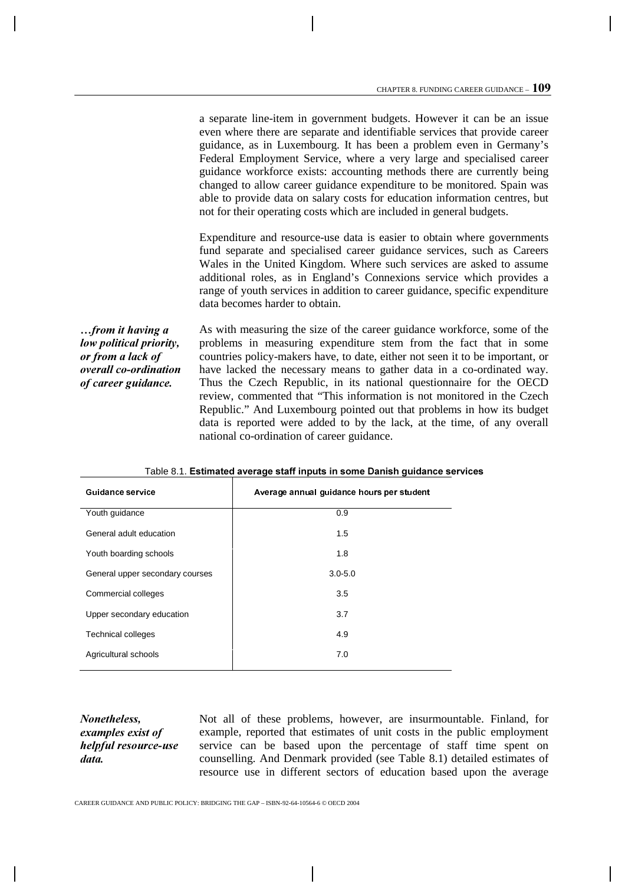a separate line-item in government budgets. However it can be an issue even where there are separate and identifiable services that provide career guidance, as in Luxembourg. It has been a problem even in Germany's Federal Employment Service, where a very large and specialised career guidance workforce exists: accounting methods there are currently being changed to allow career guidance expenditure to be monitored. Spain was able to provide data on salary costs for education information centres, but not for their operating costs which are included in general budgets.

Expenditure and resource-use data is easier to obtain where governments fund separate and specialised career guidance services, such as Careers Wales in the United Kingdom. Where such services are asked to assume additional roles, as in England's Connexions service which provides a range of youth services in addition to career guidance, specific expenditure data becomes harder to obtain.

...*from it having a low political priority,* or from a lack of *overall co-ordination <i>of career guidance.* As with measuring the size of the career guidance workforce, some of the problems in measuring expenditure stem from the fact that in some countries policy-makers have, to date, either not seen it to be important, or have lacked the necessary means to gather data in a co-ordinated way. Thus the Czech Republic, in its national questionnaire for the OECD review, commented that "This information is not monitored in the Czech Republic." And Luxembourg pointed out that problems in how its budget data is reported were added to by the lack, at the time, of any overall national co-ordination of career guidance.

| Guidance service                | Average annual guidance hours per student |
|---------------------------------|-------------------------------------------|
| Youth guidance                  | 0.9                                       |
| General adult education         | 1.5                                       |
| Youth boarding schools          | 1.8                                       |
| General upper secondary courses | $3.0 - 5.0$                               |
| Commercial colleges             | 3.5                                       |
| Upper secondary education       | 3.7                                       |
| <b>Technical colleges</b>       | 4.9                                       |
| Agricultural schools            | 7.0                                       |
|                                 |                                           |

#### Table 8.1. Estimated average staff inputs in some Danish guidance services

 $\emph{Nonetheless,}$ examples exist of helpful resource-use data.

Not all of these problems, however, are insurmountable. Finland, for example, reported that estimates of unit costs in the public employment service can be based upon the percentage of staff time spent on counselling. And Denmark provided (see Table 8.1) detailed estimates of resource use in different sectors of education based upon the average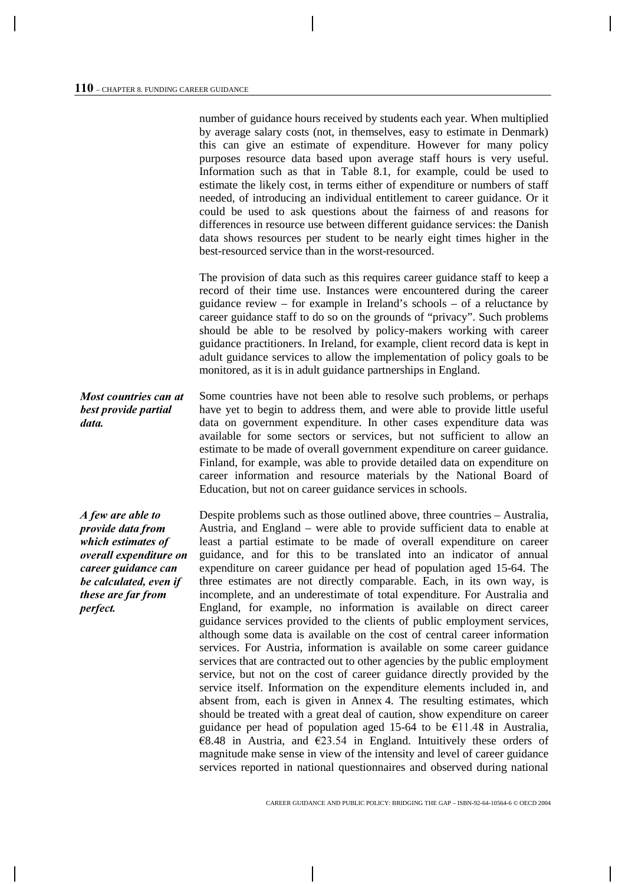number of guidance hours received by students each year. When multiplied by average salary costs (not, in themselves, easy to estimate in Denmark) this can give an estimate of expenditure. However for many policy purposes resource data based upon average staff hours is very useful. Information such as that in Table 8.1, for example, could be used to estimate the likely cost, in terms either of expenditure or numbers of staff needed, of introducing an individual entitlement to career guidance. Or it could be used to ask questions about the fairness of and reasons for differences in resource use between different guidance services: the Danish data shows resources per student to be nearly eight times higher in the best-resourced service than in the worst-resourced.

The provision of data such as this requires career guidance staff to keep a record of their time use. Instances were encountered during the career guidance review – for example in Ireland's schools – of a reluctance by career guidance staff to do so on the grounds of "privacy". Such problems should be able to be resolved by policy-makers working with career guidance practitioners. In Ireland, for example, client record data is kept in adult guidance services to allow the implementation of policy goals to be monitored, as it is in adult guidance partnerships in England.

*Most countries can at best provide partial* data. Some countries have not been able to resolve such problems, or perhaps have yet to begin to address them, and were able to provide little useful data on government expenditure. In other cases expenditure data was available for some sectors or services, but not sufficient to allow an estimate to be made of overall government expenditure on career guidance. Finland, for example, was able to provide detailed data on expenditure on career information and resource materials by the National Board of Education, but not on career guidance services in schools.

*A* few are able to *provide data from which estimates of <u>overall expenditure on*</u> career guidance can be calculated, even if these are far from 

Despite problems such as those outlined above, three countries – Australia, Austria, and England – were able to provide sufficient data to enable at least a partial estimate to be made of overall expenditure on career guidance, and for this to be translated into an indicator of annual expenditure on career guidance per head of population aged 15-64. The three estimates are not directly comparable. Each, in its own way, is incomplete, and an underestimate of total expenditure. For Australia and England, for example, no information is available on direct career guidance services provided to the clients of public employment services, although some data is available on the cost of central career information services. For Austria, information is available on some career guidance services that are contracted out to other agencies by the public employment service, but not on the cost of career guidance directly provided by the service itself. Information on the expenditure elements included in, and absent from, each is given in Annex 4. The resulting estimates, which should be treated with a great deal of caution, show expenditure on career guidance per head of population aged 15-64 to be  $\epsilon$ 11.48 in Australia,  $68.48$  in Austria, and  $623.54$  in England. Intuitively these orders of magnitude make sense in view of the intensity and level of career guidance services reported in national questionnaires and observed during national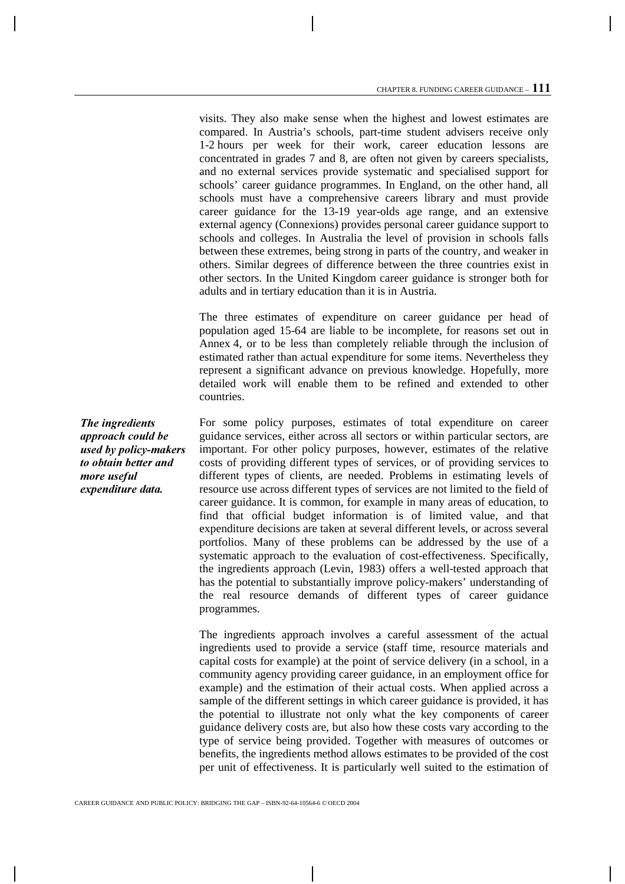visits. They also make sense when the highest and lowest estimates are compared. In Austria's schools, part-time student advisers receive only 1-2 hours per week for their work, career education lessons are concentrated in grades 7 and 8, are often not given by careers specialists, and no external services provide systematic and specialised support for schools' career guidance programmes. In England, on the other hand, all schools must have a comprehensive careers library and must provide career guidance for the 13-19 year-olds age range, and an extensive external agency (Connexions) provides personal career guidance support to schools and colleges. In Australia the level of provision in schools falls between these extremes, being strong in parts of the country, and weaker in others. Similar degrees of difference between the three countries exist in other sectors. In the United Kingdom career guidance is stronger both for adults and in tertiary education than it is in Austria.

The three estimates of expenditure on career guidance per head of population aged 15-64 are liable to be incomplete, for reasons set out in Annex 4, or to be less than completely reliable through the inclusion of estimated rather than actual expenditure for some items. Nevertheless they represent a significant advance on previous knowledge. Hopefully, more detailed work will enable them to be refined and extended to other countries.

For some policy purposes, estimates of total expenditure on career guidance services, either across all sectors or within particular sectors, are important. For other policy purposes, however, estimates of the relative costs of providing different types of services, or of providing services to different types of clients, are needed. Problems in estimating levels of resource use across different types of services are not limited to the field of career guidance. It is common, for example in many areas of education, to find that official budget information is of limited value, and that expenditure decisions are taken at several different levels, or across several portfolios. Many of these problems can be addressed by the use of a systematic approach to the evaluation of cost-effectiveness. Specifically, the ingredients approach (Levin, 1983) offers a well-tested approach that has the potential to substantially improve policy-makers' understanding of the real resource demands of different types of career guidance programmes.

The ingredients approach involves a careful assessment of the actual ingredients used to provide a service (staff time, resource materials and capital costs for example) at the point of service delivery (in a school, in a community agency providing career guidance, in an employment office for example) and the estimation of their actual costs. When applied across a sample of the different settings in which career guidance is provided, it has the potential to illustrate not only what the key components of career guidance delivery costs are, but also how these costs vary according to the type of service being provided. Together with measures of outcomes or benefits, the ingredients method allows estimates to be provided of the cost per unit of effectiveness. It is particularly well suited to the estimation of

**The ingredients** approach could be used by policy-makers to obtain better and more useful expenditure data.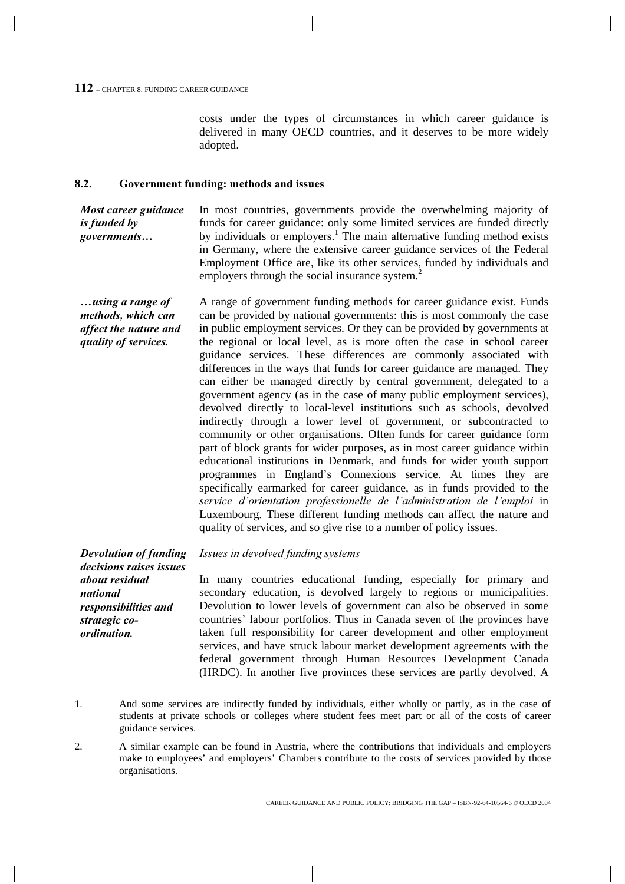costs under the types of circumstances in which career guidance is delivered in many OECD countries, and it deserves to be more widely adopted.

## 8.2. Government funding: methods and issues

*Most career guidance is funded by* governments... In most countries, governments provide the overwhelming majority of funds for career guidance: only some limited services are funded directly by individuals or employers.<sup>1</sup> The main alternative funding method exists in Germany, where the extensive career guidance services of the Federal Employment Office are, like its other services, funded by individuals and employers through the social insurance system.<sup>2</sup>

...using a range of methods, which can affect the nature and *quality of services.* A range of government funding methods for career guidance exist. Funds can be provided by national governments: this is most commonly the case in public employment services. Or they can be provided by governments at the regional or local level, as is more often the case in school career guidance services. These differences are commonly associated with differences in the ways that funds for career guidance are managed. They can either be managed directly by central government, delegated to a government agency (as in the case of many public employment services), devolved directly to local-level institutions such as schools, devolved indirectly through a lower level of government, or subcontracted to community or other organisations. Often funds for career guidance form part of block grants for wider purposes, as in most career guidance within educational institutions in Denmark, and funds for wider youth support programmes in England's Connexions service. At times they are specifically earmarked for career guidance, as in funds provided to the service d'orientation professionelle de l'administration de l'emploi in Luxembourg. These different funding methods can affect the nature and quality of services, and so give rise to a number of policy issues.

**Devolution of funding** decisions raises issues *about residual national responsibilities and* strategic coordination.

### Issues in devolved funding systems

In many countries educational funding, especially for primary and secondary education, is devolved largely to regions or municipalities. Devolution to lower levels of government can also be observed in some countries' labour portfolios. Thus in Canada seven of the provinces have taken full responsibility for career development and other employment services, and have struck labour market development agreements with the federal government through Human Resources Development Canada (HRDC). In another five provinces these services are partly devolved. A

 $\overline{a}$ 1. And some services are indirectly funded by individuals, either wholly or partly, as in the case of students at private schools or colleges where student fees meet part or all of the costs of career guidance services.

<sup>2.</sup> A similar example can be found in Austria, where the contributions that individuals and employers make to employees' and employers' Chambers contribute to the costs of services provided by those organisations.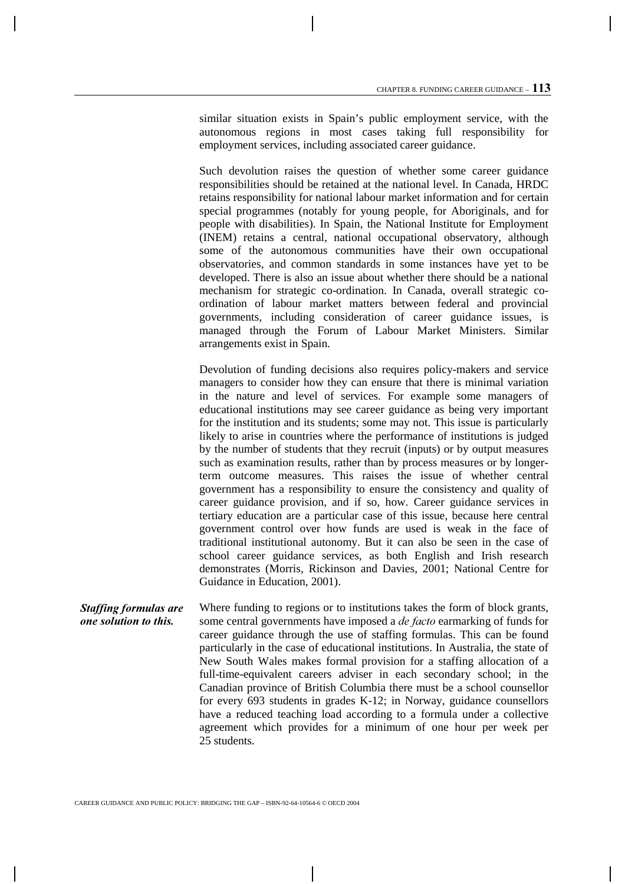similar situation exists in Spain's public employment service, with the autonomous regions in most cases taking full responsibility for employment services, including associated career guidance.

Such devolution raises the question of whether some career guidance responsibilities should be retained at the national level. In Canada, HRDC retains responsibility for national labour market information and for certain special programmes (notably for young people, for Aboriginals, and for people with disabilities). In Spain, the National Institute for Employment (INEM) retains a central, national occupational observatory, although some of the autonomous communities have their own occupational observatories, and common standards in some instances have yet to be developed. There is also an issue about whether there should be a national mechanism for strategic co-ordination. In Canada, overall strategic coordination of labour market matters between federal and provincial governments, including consideration of career guidance issues, is managed through the Forum of Labour Market Ministers. Similar arrangements exist in Spain.

Devolution of funding decisions also requires policy-makers and service managers to consider how they can ensure that there is minimal variation in the nature and level of services. For example some managers of educational institutions may see career guidance as being very important for the institution and its students; some may not. This issue is particularly likely to arise in countries where the performance of institutions is judged by the number of students that they recruit (inputs) or by output measures such as examination results, rather than by process measures or by longerterm outcome measures. This raises the issue of whether central government has a responsibility to ensure the consistency and quality of career guidance provision, and if so, how. Career guidance services in tertiary education are a particular case of this issue, because here central government control over how funds are used is weak in the face of traditional institutional autonomy. But it can also be seen in the case of school career guidance services, as both English and Irish research demonstrates (Morris, Rickinson and Davies, 2001; National Centre for Guidance in Education, 2001).

**Staffing formulas are** one solution to this. Where funding to regions or to institutions takes the form of block grants, some central governments have imposed a de facto earmarking of funds for career guidance through the use of staffing formulas. This can be found particularly in the case of educational institutions. In Australia, the state of New South Wales makes formal provision for a staffing allocation of a full-time-equivalent careers adviser in each secondary school; in the Canadian province of British Columbia there must be a school counsellor for every 693 students in grades K-12; in Norway, guidance counsellors have a reduced teaching load according to a formula under a collective agreement which provides for a minimum of one hour per week per 25 students.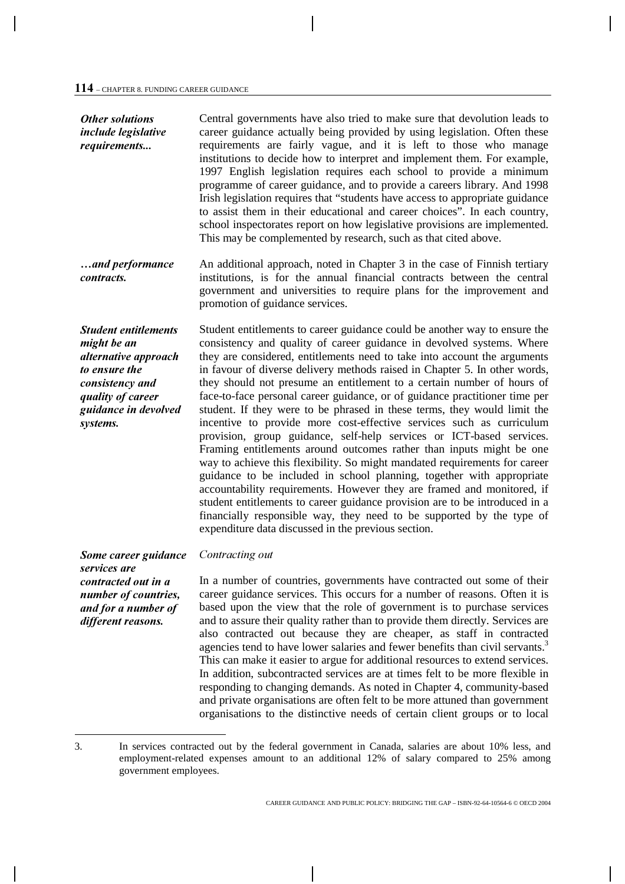| <b>Other solutions</b><br>include legislative<br>requirements                                                                                                   | Central governments have also tried to make sure that devolution leads to<br>career guidance actually being provided by using legislation. Often these<br>requirements are fairly vague, and it is left to those who manage<br>institutions to decide how to interpret and implement them. For example,<br>1997 English legislation requires each school to provide a minimum<br>programme of career guidance, and to provide a careers library. And 1998<br>Irish legislation requires that "students have access to appropriate guidance<br>to assist them in their educational and career choices". In each country,<br>school inspectorates report on how legislative provisions are implemented.<br>This may be complemented by research, such as that cited above.                                                                                                                                                                                                                                                                                                                                                                                                                                                    |
|-----------------------------------------------------------------------------------------------------------------------------------------------------------------|-----------------------------------------------------------------------------------------------------------------------------------------------------------------------------------------------------------------------------------------------------------------------------------------------------------------------------------------------------------------------------------------------------------------------------------------------------------------------------------------------------------------------------------------------------------------------------------------------------------------------------------------------------------------------------------------------------------------------------------------------------------------------------------------------------------------------------------------------------------------------------------------------------------------------------------------------------------------------------------------------------------------------------------------------------------------------------------------------------------------------------------------------------------------------------------------------------------------------------|
| and performance<br>contracts.                                                                                                                                   | An additional approach, noted in Chapter 3 in the case of Finnish tertiary<br>institutions, is for the annual financial contracts between the central<br>government and universities to require plans for the improvement and<br>promotion of guidance services.                                                                                                                                                                                                                                                                                                                                                                                                                                                                                                                                                                                                                                                                                                                                                                                                                                                                                                                                                            |
| <b>Student entitlements</b><br>might be an<br>alternative approach<br>to ensure the<br>consistency and<br>quality of career<br>guidance in devolved<br>systems. | Student entitlements to career guidance could be another way to ensure the<br>consistency and quality of career guidance in devolved systems. Where<br>they are considered, entitlements need to take into account the arguments<br>in favour of diverse delivery methods raised in Chapter 5. In other words,<br>they should not presume an entitlement to a certain number of hours of<br>face-to-face personal career guidance, or of guidance practitioner time per<br>student. If they were to be phrased in these terms, they would limit the<br>incentive to provide more cost-effective services such as curriculum<br>provision, group guidance, self-help services or ICT-based services.<br>Framing entitlements around outcomes rather than inputs might be one<br>way to achieve this flexibility. So might mandated requirements for career<br>guidance to be included in school planning, together with appropriate<br>accountability requirements. However they are framed and monitored, if<br>student entitlements to career guidance provision are to be introduced in a<br>financially responsible way, they need to be supported by the type of<br>expenditure data discussed in the previous section. |
| Some career guidance                                                                                                                                            | Contracting out                                                                                                                                                                                                                                                                                                                                                                                                                                                                                                                                                                                                                                                                                                                                                                                                                                                                                                                                                                                                                                                                                                                                                                                                             |

services are contracted out in a number of countries, and for a number of different reasons.

 $\overline{a}$ 

In a number of countries, governments have contracted out some of their career guidance services. This occurs for a number of reasons. Often it is based upon the view that the role of government is to purchase services and to assure their quality rather than to provide them directly. Services are also contracted out because they are cheaper, as staff in contracted agencies tend to have lower salaries and fewer benefits than civil servants.<sup>3</sup> This can make it easier to argue for additional resources to extend services. In addition, subcontracted services are at times felt to be more flexible in responding to changing demands. As noted in Chapter 4, community-based and private organisations are often felt to be more attuned than government organisations to the distinctive needs of certain client groups or to local

<sup>3.</sup> In services contracted out by the federal government in Canada, salaries are about 10% less, and employment-related expenses amount to an additional 12% of salary compared to 25% among government employees.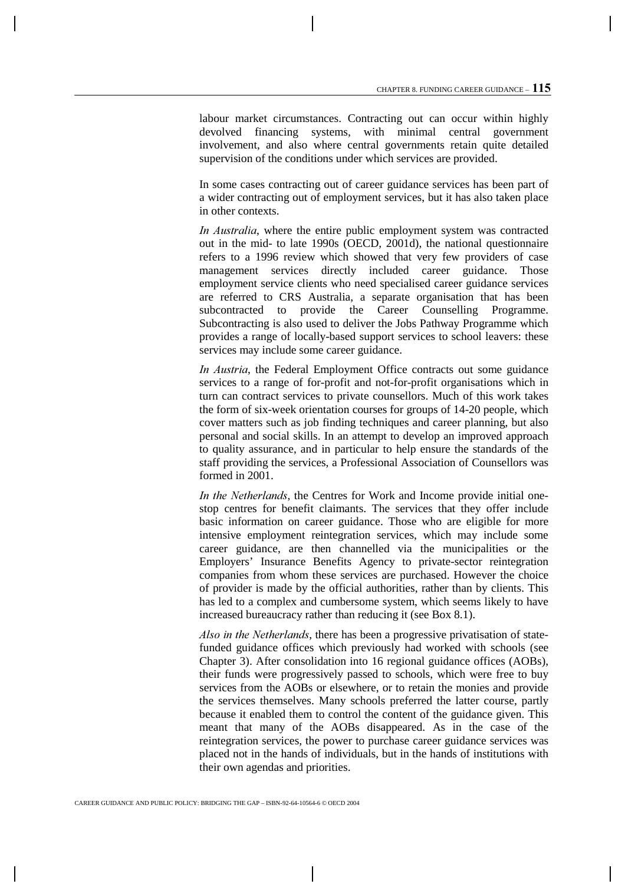labour market circumstances. Contracting out can occur within highly devolved financing systems, with minimal central government involvement, and also where central governments retain quite detailed supervision of the conditions under which services are provided.

In some cases contracting out of career guidance services has been part of a wider contracting out of employment services, but it has also taken place in other contexts.

In Australia, where the entire public employment system was contracted out in the mid- to late 1990s (OECD, 2001d), the national questionnaire refers to a 1996 review which showed that very few providers of case management services directly included career guidance. Those employment service clients who need specialised career guidance services are referred to CRS Australia, a separate organisation that has been subcontracted to provide the Career Counselling Programme. Subcontracting is also used to deliver the Jobs Pathway Programme which provides a range of locally-based support services to school leavers: these services may include some career guidance.

In Austria, the Federal Employment Office contracts out some guidance services to a range of for-profit and not-for-profit organisations which in turn can contract services to private counsellors. Much of this work takes the form of six-week orientation courses for groups of 14-20 people, which cover matters such as job finding techniques and career planning, but also personal and social skills. In an attempt to develop an improved approach to quality assurance, and in particular to help ensure the standards of the staff providing the services, a Professional Association of Counsellors was formed in 2001.

In the Netherlands, the Centres for Work and Income provide initial onestop centres for benefit claimants. The services that they offer include basic information on career guidance. Those who are eligible for more intensive employment reintegration services, which may include some career guidance, are then channelled via the municipalities or the Employers' Insurance Benefits Agency to private-sector reintegration companies from whom these services are purchased. However the choice of provider is made by the official authorities, rather than by clients. This has led to a complex and cumbersome system, which seems likely to have increased bureaucracy rather than reducing it (see Box 8.1).

Also in the Netherlands, there has been a progressive privatisation of statefunded guidance offices which previously had worked with schools (see Chapter 3). After consolidation into 16 regional guidance offices (AOBs), their funds were progressively passed to schools, which were free to buy services from the AOBs or elsewhere, or to retain the monies and provide the services themselves. Many schools preferred the latter course, partly because it enabled them to control the content of the guidance given. This meant that many of the AOBs disappeared. As in the case of the reintegration services, the power to purchase career guidance services was placed not in the hands of individuals, but in the hands of institutions with their own agendas and priorities.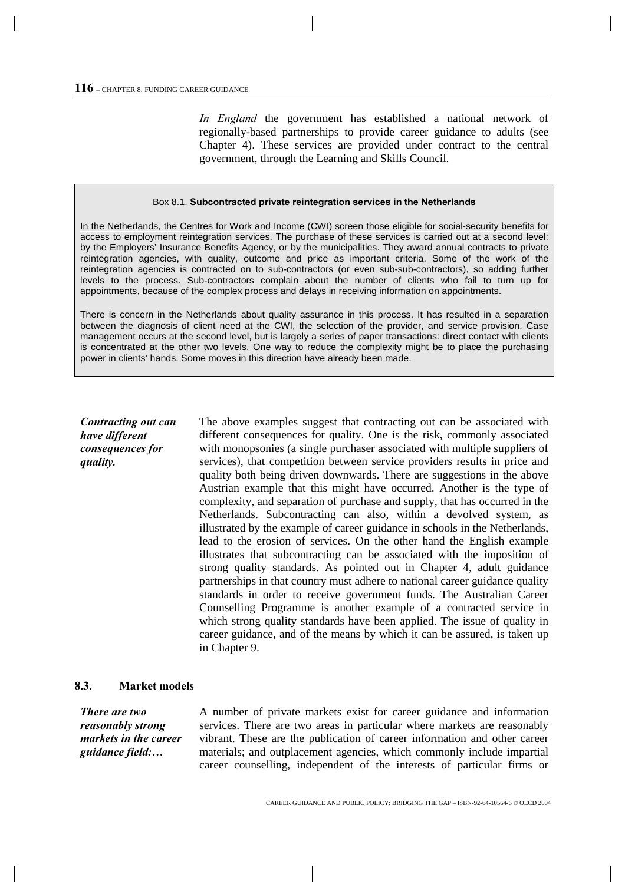In England the government has established a national network of regionally-based partnerships to provide career guidance to adults (see Chapter 4). These services are provided under contract to the central government, through the Learning and Skills Council.

#### Box 8.1. Subcontracted private reintegration services in the Netherlands

In the Netherlands, the Centres for Work and Income (CWI) screen those eligible for social-security benefits for access to employment reintegration services. The purchase of these services is carried out at a second level: by the Employers' Insurance Benefits Agency, or by the municipalities. They award annual contracts to private reintegration agencies, with quality, outcome and price as important criteria. Some of the work of the reintegration agencies is contracted on to sub-contractors (or even sub-sub-contractors), so adding further levels to the process. Sub-contractors complain about the number of clients who fail to turn up for appointments, because of the complex process and delays in receiving information on appointments.

There is concern in the Netherlands about quality assurance in this process. It has resulted in a separation between the diagnosis of client need at the CWI, the selection of the provider, and service provision. Case management occurs at the second level, but is largely a series of paper transactions: direct contact with clients is concentrated at the other two levels. One way to reduce the complexity might be to place the purchasing power in clients' hands. Some moves in this direction have already been made.

## **Contracting out can** *have different ' guality.*

The above examples suggest that contracting out can be associated with different consequences for quality. One is the risk, commonly associated with monopsonies (a single purchaser associated with multiple suppliers of services), that competition between service providers results in price and quality both being driven downwards. There are suggestions in the above Austrian example that this might have occurred. Another is the type of complexity, and separation of purchase and supply, that has occurred in the Netherlands. Subcontracting can also, within a devolved system, as illustrated by the example of career guidance in schools in the Netherlands, lead to the erosion of services. On the other hand the English example illustrates that subcontracting can be associated with the imposition of strong quality standards. As pointed out in Chapter 4, adult guidance partnerships in that country must adhere to national career guidance quality standards in order to receive government funds. The Australian Career Counselling Programme is another example of a contracted service in which strong quality standards have been applied. The issue of quality in career guidance, and of the means by which it can be assured, is taken up in Chapter 9.

### 8.3. Market models

**There are two** *reasonably strong* markets in the career guidance field:...

A number of private markets exist for career guidance and information services. There are two areas in particular where markets are reasonably vibrant. These are the publication of career information and other career materials; and outplacement agencies, which commonly include impartial career counselling, independent of the interests of particular firms or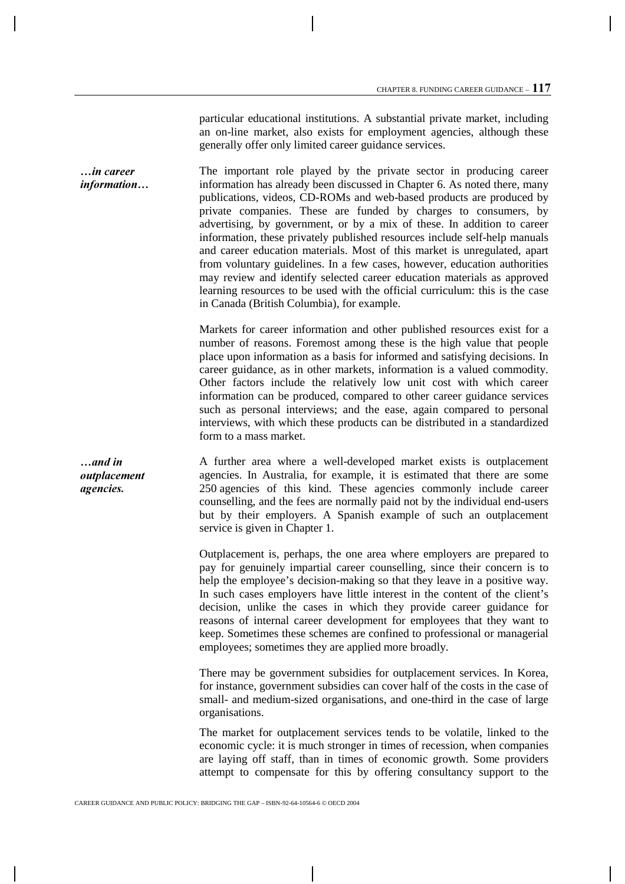particular educational institutions. A substantial private market, including an on-line market, also exists for employment agencies, although these generally offer only limited career guidance services.

...*in* career  $information...$ The important role played by the private sector in producing career information has already been discussed in Chapter 6. As noted there, many publications, videos, CD-ROMs and web-based products are produced by private companies. These are funded by charges to consumers, by advertising, by government, or by a mix of these. In addition to career information, these privately published resources include self-help manuals and career education materials. Most of this market is unregulated, apart from voluntary guidelines. In a few cases, however, education authorities may review and identify selected career education materials as approved learning resources to be used with the official curriculum: this is the case in Canada (British Columbia), for example.

> Markets for career information and other published resources exist for a number of reasons. Foremost among these is the high value that people place upon information as a basis for informed and satisfying decisions. In career guidance, as in other markets, information is a valued commodity. Other factors include the relatively low unit cost with which career information can be produced, compared to other career guidance services such as personal interviews; and the ease, again compared to personal interviews, with which these products can be distributed in a standardized form to a mass market.

A further area where a well-developed market exists is outplacement agencies. In Australia, for example, it is estimated that there are some 250 agencies of this kind. These agencies commonly include career counselling, and the fees are normally paid not by the individual end-users but by their employers. A Spanish example of such an outplacement service is given in Chapter 1.

Outplacement is, perhaps, the one area where employers are prepared to pay for genuinely impartial career counselling, since their concern is to help the employee's decision-making so that they leave in a positive way. In such cases employers have little interest in the content of the client's decision, unlike the cases in which they provide career guidance for reasons of internal career development for employees that they want to keep. Sometimes these schemes are confined to professional or managerial employees; sometimes they are applied more broadly.

There may be government subsidies for outplacement services. In Korea, for instance, government subsidies can cover half of the costs in the case of small- and medium-sized organisations, and one-third in the case of large organisations.

The market for outplacement services tends to be volatile, linked to the economic cycle: it is much stronger in times of recession, when companies are laying off staff, than in times of economic growth. Some providers attempt to compensate for this by offering consultancy support to the

 $...$ and in *outplacement agencies.*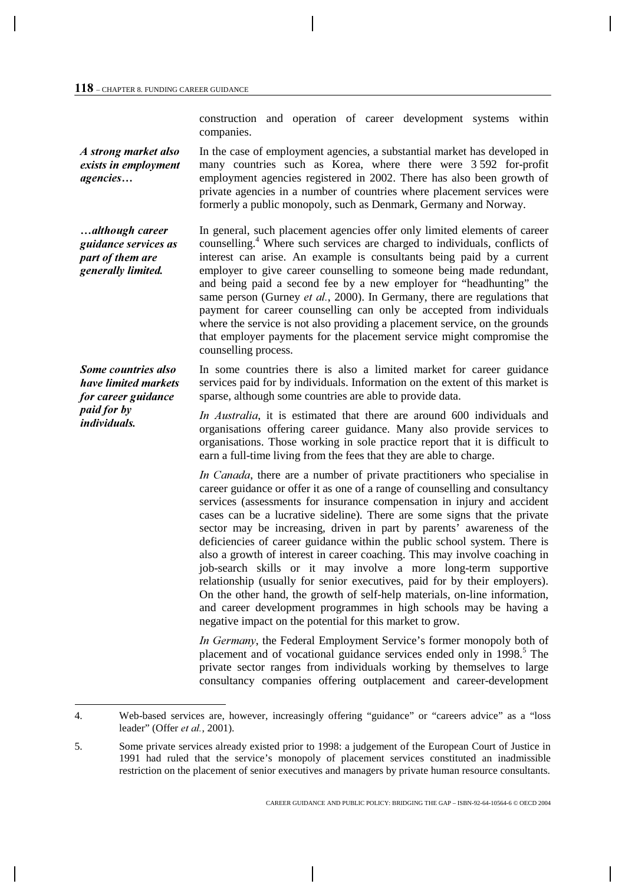construction and operation of career development systems within companies.

A strong market also exists in employment *agencies...* 

In the case of employment agencies, a substantial market has developed in many countries such as Korea, where there were 3 592 for-profit employment agencies registered in 2002. There has also been growth of private agencies in a number of countries where placement services were formerly a public monopoly, such as Denmark, Germany and Norway.

...although career guidance services as *part of them are <u>generally limited.</u>* In general, such placement agencies offer only limited elements of career counselling.<sup>4</sup> Where such services are charged to individuals, conflicts of interest can arise. An example is consultants being paid by a current employer to give career counselling to someone being made redundant, and being paid a second fee by a new employer for "headhunting" the same person (Gurney et al., 2000). In Germany, there are regulations that payment for career counselling can only be accepted from individuals where the service is not also providing a placement service, on the grounds that employer payments for the placement service might compromise the counselling process.

*Some countries also* have limited markets for career guidance *paid for by individuals.* 

 $\overline{a}$ 

In some countries there is also a limited market for career guidance services paid for by individuals. Information on the extent of this market is sparse, although some countries are able to provide data.

In Australia, it is estimated that there are around 600 individuals and organisations offering career guidance. Many also provide services to organisations. Those working in sole practice report that it is difficult to earn a full-time living from the fees that they are able to charge.

In Canada, there are a number of private practitioners who specialise in career guidance or offer it as one of a range of counselling and consultancy services (assessments for insurance compensation in injury and accident cases can be a lucrative sideline). There are some signs that the private sector may be increasing, driven in part by parents' awareness of the deficiencies of career guidance within the public school system. There is also a growth of interest in career coaching. This may involve coaching in job-search skills or it may involve a more long-term supportive relationship (usually for senior executives, paid for by their employers). On the other hand, the growth of self-help materials, on-line information, and career development programmes in high schools may be having a negative impact on the potential for this market to grow.

In Germany, the Federal Employment Service's former monopoly both of placement and of vocational guidance services ended only in 1998.<sup>5</sup> The private sector ranges from individuals working by themselves to large consultancy companies offering outplacement and career-development

<sup>4.</sup> Web-based services are, however, increasingly offering "guidance" or "careers advice" as a "loss leader" (Offer *et al.*, 2001).

<sup>5.</sup> Some private services already existed prior to 1998: a judgement of the European Court of Justice in 1991 had ruled that the service's monopoly of placement services constituted an inadmissible restriction on the placement of senior executives and managers by private human resource consultants.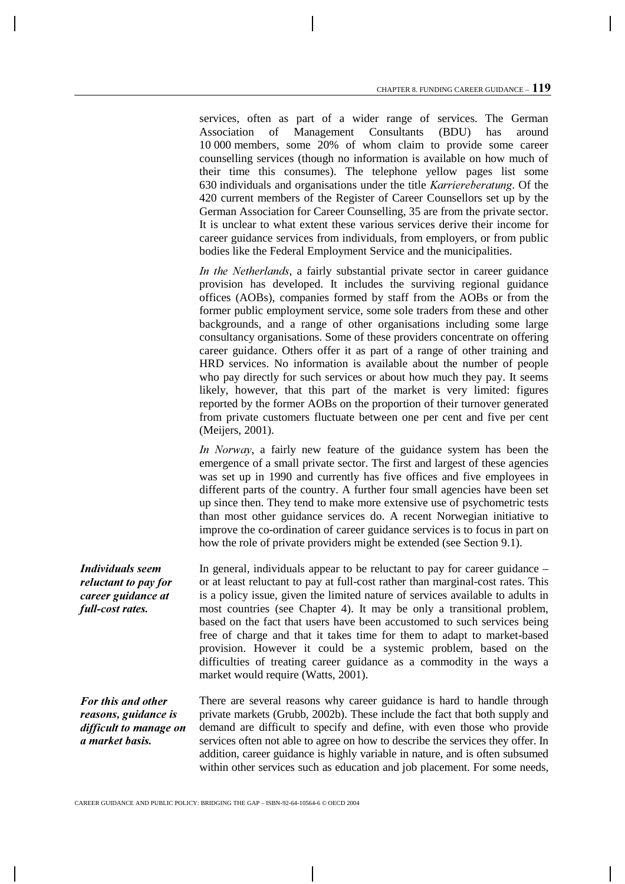services, often as part of a wider range of services. The German Association of Management Consultants (BDU) has around 10 000 members, some 20% of whom claim to provide some career counselling services (though no information is available on how much of their time this consumes). The telephone yellow pages list some 630 individuals and organisations under the title *Karriereberatung*. Of the 420 current members of the Register of Career Counsellors set up by the German Association for Career Counselling, 35 are from the private sector. It is unclear to what extent these various services derive their income for career guidance services from individuals, from employers, or from public bodies like the Federal Employment Service and the municipalities.

In the Netherlands, a fairly substantial private sector in career guidance provision has developed. It includes the surviving regional guidance offices (AOBs), companies formed by staff from the AOBs or from the former public employment service, some sole traders from these and other backgrounds, and a range of other organisations including some large consultancy organisations. Some of these providers concentrate on offering career guidance. Others offer it as part of a range of other training and HRD services. No information is available about the number of people who pay directly for such services or about how much they pay. It seems likely, however, that this part of the market is very limited: figures reported by the former AOBs on the proportion of their turnover generated from private customers fluctuate between one per cent and five per cent (Meijers, 2001).

In Norway, a fairly new feature of the guidance system has been the emergence of a small private sector. The first and largest of these agencies was set up in 1990 and currently has five offices and five employees in different parts of the country. A further four small agencies have been set up since then. They tend to make more extensive use of psychometric tests than most other guidance services do. A recent Norwegian initiative to improve the co-ordination of career guidance services is to focus in part on how the role of private providers might be extended (see Section 9.1).

*Individuals seem reluctant to pay for* career guidance at full-cost rates. In general, individuals appear to be reluctant to pay for career guidance – or at least reluctant to pay at full-cost rather than marginal-cost rates. This is a policy issue, given the limited nature of services available to adults in most countries (see Chapter 4). It may be only a transitional problem, based on the fact that users have been accustomed to such services being free of charge and that it takes time for them to adapt to market-based provision. However it could be a systemic problem, based on the difficulties of treating career guidance as a commodity in the ways a market would require (Watts, 2001).

For this and other *reasons, guidance is* difficult to manage on *a* market basis.

There are several reasons why career guidance is hard to handle through private markets (Grubb, 2002b). These include the fact that both supply and demand are difficult to specify and define, with even those who provide services often not able to agree on how to describe the services they offer. In addition, career guidance is highly variable in nature, and is often subsumed within other services such as education and job placement. For some needs,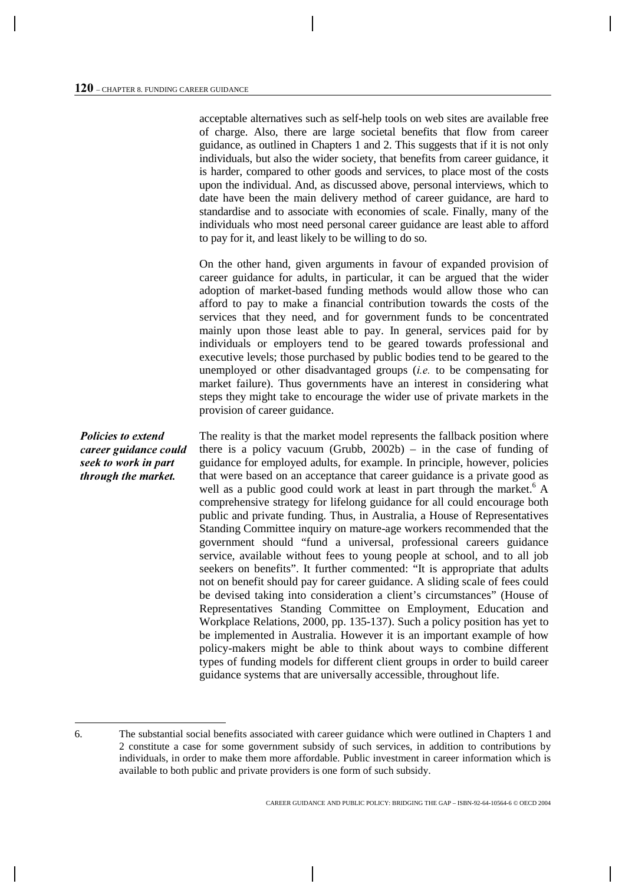acceptable alternatives such as self-help tools on web sites are available free of charge. Also, there are large societal benefits that flow from career guidance, as outlined in Chapters 1 and 2. This suggests that if it is not only individuals, but also the wider society, that benefits from career guidance, it is harder, compared to other goods and services, to place most of the costs upon the individual. And, as discussed above, personal interviews, which to date have been the main delivery method of career guidance, are hard to standardise and to associate with economies of scale. Finally, many of the individuals who most need personal career guidance are least able to afford to pay for it, and least likely to be willing to do so.

On the other hand, given arguments in favour of expanded provision of career guidance for adults, in particular, it can be argued that the wider adoption of market-based funding methods would allow those who can afford to pay to make a financial contribution towards the costs of the services that they need, and for government funds to be concentrated mainly upon those least able to pay. In general, services paid for by individuals or employers tend to be geared towards professional and executive levels; those purchased by public bodies tend to be geared to the unemployed or other disadvantaged groups (*i.e.* to be compensating for market failure). Thus governments have an interest in considering what steps they might take to encourage the wider use of private markets in the provision of career guidance.

The reality is that the market model represents the fallback position where there is a policy vacuum (Grubb,  $2002b$ ) – in the case of funding of guidance for employed adults, for example. In principle, however, policies that were based on an acceptance that career guidance is a private good as well as a public good could work at least in part through the market.<sup>6</sup> A comprehensive strategy for lifelong guidance for all could encourage both public and private funding. Thus, in Australia, a House of Representatives Standing Committee inquiry on mature-age workers recommended that the government should "fund a universal, professional careers guidance service, available without fees to young people at school, and to all job seekers on benefits". It further commented: "It is appropriate that adults not on benefit should pay for career guidance. A sliding scale of fees could be devised taking into consideration a client's circumstances" (House of Representatives Standing Committee on Employment, Education and Workplace Relations, 2000, pp. 135-137). Such a policy position has yet to be implemented in Australia. However it is an important example of how policy-makers might be able to think about ways to combine different types of funding models for different client groups in order to build career guidance systems that are universally accessible, throughout life.

**Policies to extend** career guidance could seek to work in part through the market.

 $\overline{a}$ 

<sup>6.</sup> The substantial social benefits associated with career guidance which were outlined in Chapters 1 and 2 constitute a case for some government subsidy of such services, in addition to contributions by individuals, in order to make them more affordable. Public investment in career information which is available to both public and private providers is one form of such subsidy.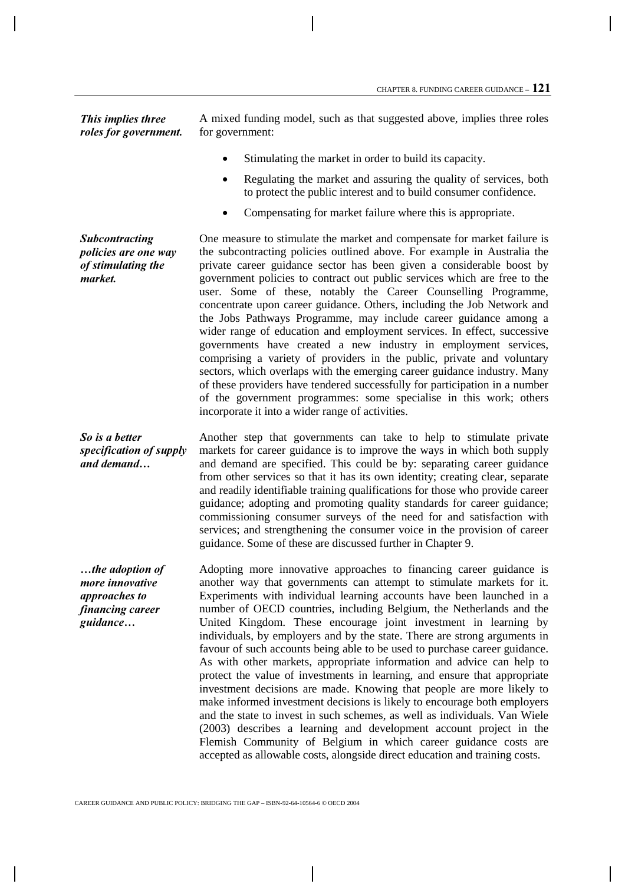**This implies three** *roles for government.* A mixed funding model, such as that suggested above, implies three roles for government:

- Stimulating the market in order to build its capacity.
- Regulating the market and assuring the quality of services, both to protect the public interest and to build consumer confidence.
- Compensating for market failure where this is appropriate.

*Subcontracting policies are one way* of stimulating the market. One measure to stimulate the market and compensate for market failure is the subcontracting policies outlined above. For example in Australia the private career guidance sector has been given a considerable boost by government policies to contract out public services which are free to the user. Some of these, notably the Career Counselling Programme, concentrate upon career guidance. Others, including the Job Network and the Jobs Pathways Programme, may include career guidance among a wider range of education and employment services. In effect, successive governments have created a new industry in employment services, comprising a variety of providers in the public, private and voluntary sectors, which overlaps with the emerging career guidance industry. Many of these providers have tendered successfully for participation in a number of the government programmes: some specialise in this work; others incorporate it into a wider range of activities.

*So is a hetter specification of supply* and demand... Another step that governments can take to help to stimulate private markets for career guidance is to improve the ways in which both supply and demand are specified. This could be by: separating career guidance from other services so that it has its own identity; creating clear, separate and readily identifiable training qualifications for those who provide career guidance; adopting and promoting quality standards for career guidance; commissioning consumer surveys of the need for and satisfaction with services; and strengthening the consumer voice in the provision of career guidance. Some of these are discussed further in Chapter 9.

...the adoption of *more innovative approaches to financing career guidance...* Adopting more innovative approaches to financing career guidance is another way that governments can attempt to stimulate markets for it. Experiments with individual learning accounts have been launched in a number of OECD countries, including Belgium, the Netherlands and the United Kingdom. These encourage joint investment in learning by individuals, by employers and by the state. There are strong arguments in favour of such accounts being able to be used to purchase career guidance. As with other markets, appropriate information and advice can help to protect the value of investments in learning, and ensure that appropriate investment decisions are made. Knowing that people are more likely to make informed investment decisions is likely to encourage both employers and the state to invest in such schemes, as well as individuals. Van Wiele (2003) describes a learning and development account project in the Flemish Community of Belgium in which career guidance costs are accepted as allowable costs, alongside direct education and training costs.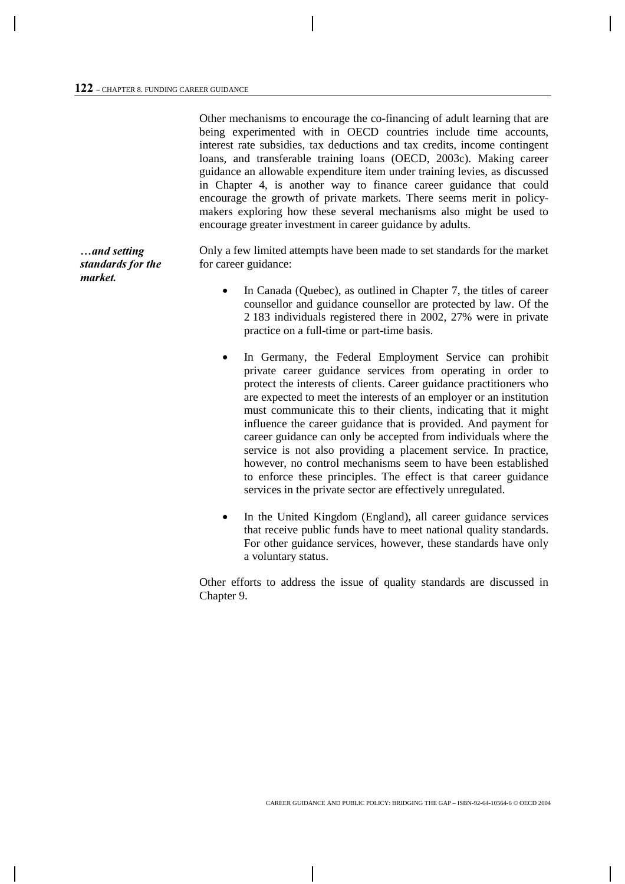Other mechanisms to encourage the co-financing of adult learning that are being experimented with in OECD countries include time accounts, interest rate subsidies, tax deductions and tax credits, income contingent loans, and transferable training loans (OECD, 2003c). Making career guidance an allowable expenditure item under training levies, as discussed in Chapter 4, is another way to finance career guidance that could encourage the growth of private markets. There seems merit in policymakers exploring how these several mechanisms also might be used to encourage greater investment in career guidance by adults.

Only a few limited attempts have been made to set standards for the market for career guidance:

- In Canada (Quebec), as outlined in Chapter 7, the titles of career counsellor and guidance counsellor are protected by law. Of the 2 183 individuals registered there in 2002, 27% were in private practice on a full-time or part-time basis.
- In Germany, the Federal Employment Service can prohibit private career guidance services from operating in order to protect the interests of clients. Career guidance practitioners who are expected to meet the interests of an employer or an institution must communicate this to their clients, indicating that it might influence the career guidance that is provided. And payment for career guidance can only be accepted from individuals where the service is not also providing a placement service. In practice, however, no control mechanisms seem to have been established to enforce these principles. The effect is that career guidance services in the private sector are effectively unregulated.
- In the United Kingdom (England), all career guidance services that receive public funds have to meet national quality standards. For other guidance services, however, these standards have only a voluntary status.

Other efforts to address the issue of quality standards are discussed in Chapter 9.

...and setting standards for the *market.*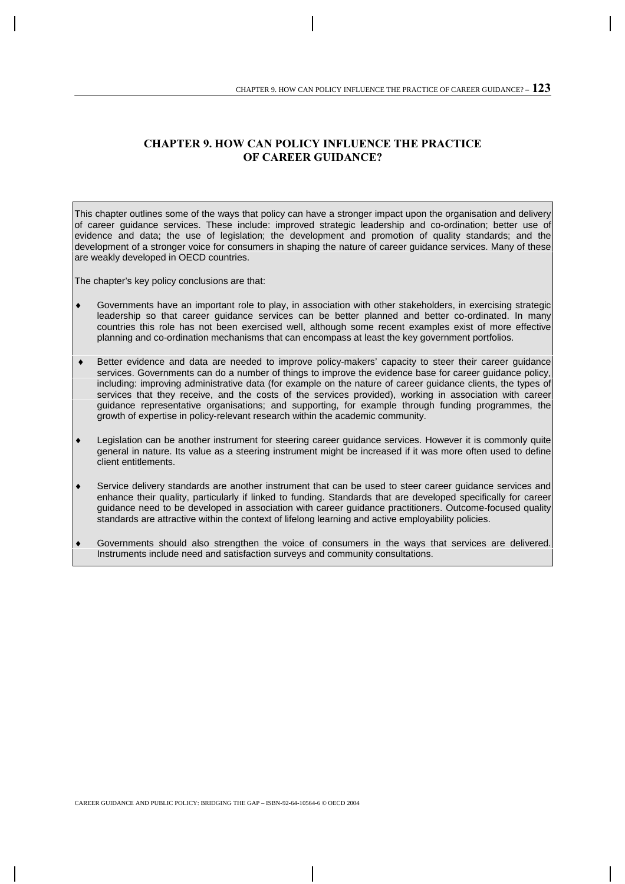# CHAPTER 9. HOW CAN POLICY INFLUENCE THE PRACTICE OF CAREER GUIDANCE?

This chapter outlines some of the ways that policy can have a stronger impact upon the organisation and delivery of career guidance services. These include: improved strategic leadership and co-ordination; better use of evidence and data; the use of legislation; the development and promotion of quality standards; and the development of a stronger voice for consumers in shaping the nature of career guidance services. Many of these are weakly developed in OECD countries.

The chapter's key policy conclusions are that:

- $\blacklozenge$  Governments have an important role to play, in association with other stakeholders, in exercising strategic leadership so that career guidance services can be better planned and better co-ordinated. In many countries this role has not been exercised well, although some recent examples exist of more effective planning and co-ordination mechanisms that can encompass at least the key government portfolios.
- $\blacklozenge$  Better evidence and data are needed to improve policy-makers' capacity to steer their career guidance services. Governments can do a number of things to improve the evidence base for career guidance policy, including: improving administrative data (for example on the nature of career guidance clients, the types of services that they receive, and the costs of the services provided), working in association with career guidance representative organisations; and supporting, for example through funding programmes, the growth of expertise in policy-relevant research within the academic community.
- $\bullet$  Legislation can be another instrument for steering career guidance services. However it is commonly quite general in nature. Its value as a steering instrument might be increased if it was more often used to define client entitlements.
- $\blacklozenge$  Service delivery standards are another instrument that can be used to steer career guidance services and enhance their quality, particularly if linked to funding. Standards that are developed specifically for career guidance need to be developed in association with career guidance practitioners. Outcome-focused quality standards are attractive within the context of lifelong learning and active employability policies.
- $\blacklozenge$  Governments should also strengthen the voice of consumers in the ways that services are delivered. Instruments include need and satisfaction surveys and community consultations.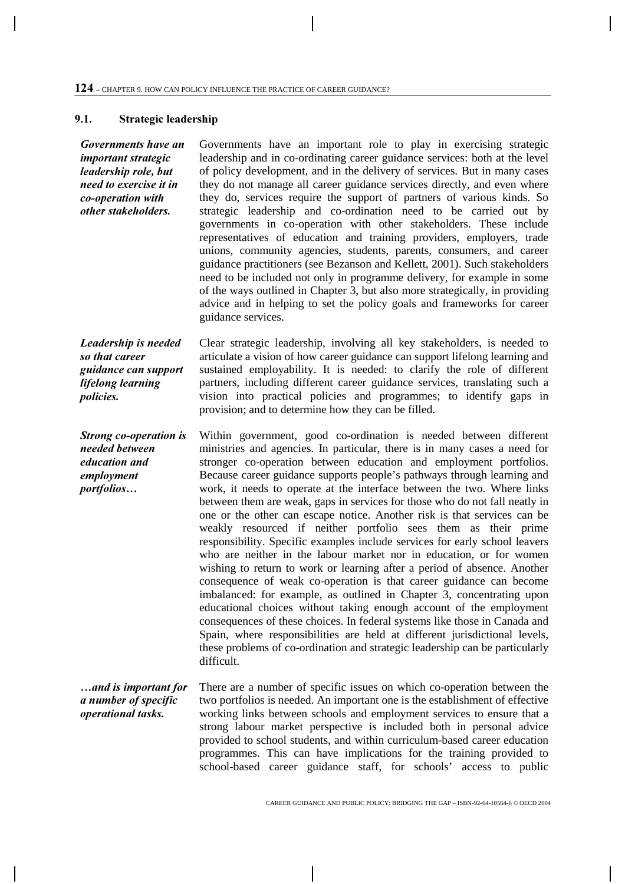## 9.1. Strategic leadership

Governments have an *important strategic leadership role, but need to exercise it in* co-operation with other stakeholders. Governments have an important role to play in exercising strategic leadership and in co-ordinating career guidance services: both at the level of policy development, and in the delivery of services. But in many cases they do not manage all career guidance services directly, and even where they do, services require the support of partners of various kinds. So strategic leadership and co-ordination need to be carried out by governments in co-operation with other stakeholders. These include representatives of education and training providers, employers, trade unions, community agencies, students, parents, consumers, and career guidance practitioners (see Bezanson and Kellett, 2001). Such stakeholders need to be included not only in programme delivery, for example in some of the ways outlined in Chapter 3, but also more strategically, in providing advice and in helping to set the policy goals and frameworks for career guidance services.

Leadership is needed so that career *guidance can support lifelong* learning policies. Clear strategic leadership, involving all key stakeholders, is needed to articulate a vision of how career guidance can support lifelong learning and sustained employability. It is needed: to clarify the role of different partners, including different career guidance services, translating such a vision into practical policies and programmes; to identify gaps in provision; and to determine how they can be filled.

**Strong co-operation is** needed between *education* and *employment portfolios...* Within government, good co-ordination is needed between different ministries and agencies. In particular, there is in many cases a need for stronger co-operation between education and employment portfolios. Because career guidance supports people's pathways through learning and work, it needs to operate at the interface between the two. Where links between them are weak, gaps in services for those who do not fall neatly in one or the other can escape notice. Another risk is that services can be weakly resourced if neither portfolio sees them as their prime responsibility. Specific examples include services for early school leavers who are neither in the labour market nor in education, or for women wishing to return to work or learning after a period of absence. Another consequence of weak co-operation is that career guidance can become imbalanced: for example, as outlined in Chapter 3, concentrating upon educational choices without taking enough account of the employment consequences of these choices. In federal systems like those in Canada and Spain, where responsibilities are held at different jurisdictional levels, these problems of co-ordination and strategic leadership can be particularly difficult.

...and is important for a number of specific *<i>operational* tasks. There are a number of specific issues on which co-operation between the two portfolios is needed. An important one is the establishment of effective working links between schools and employment services to ensure that a strong labour market perspective is included both in personal advice provided to school students, and within curriculum-based career education programmes. This can have implications for the training provided to school-based career guidance staff, for schools' access to public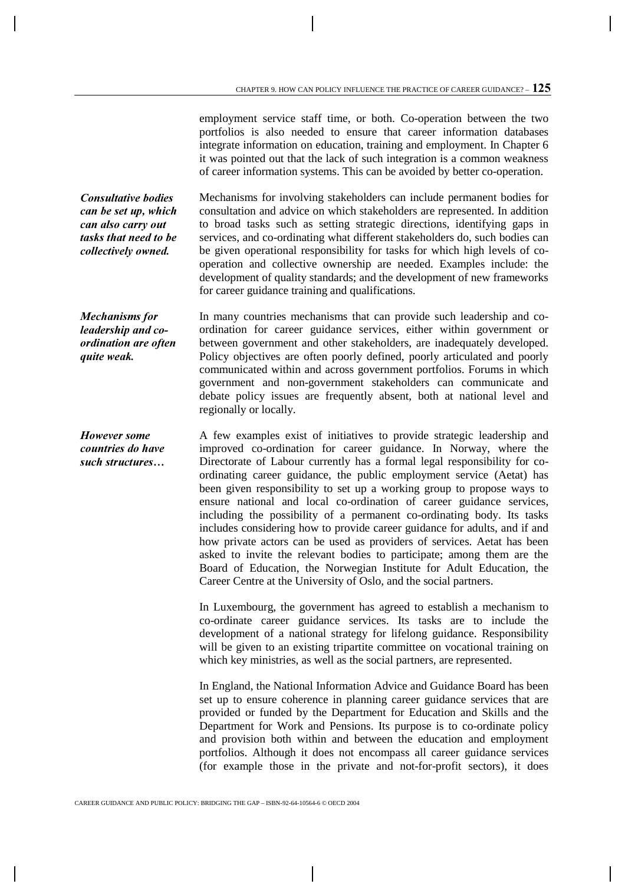employment service staff time, or both. Co-operation between the two portfolios is also needed to ensure that career information databases integrate information on education, training and employment. In Chapter 6 it was pointed out that the lack of such integration is a common weakness of career information systems. This can be avoided by better co-operation.

**Consultative bodies** can be set up, which can also carry out tasks that need to be collectively owned.

Mechanisms for involving stakeholders can include permanent bodies for consultation and advice on which stakeholders are represented. In addition to broad tasks such as setting strategic directions, identifying gaps in services, and co-ordinating what different stakeholders do, such bodies can be given operational responsibility for tasks for which high levels of cooperation and collective ownership are needed. Examples include: the development of quality standards; and the development of new frameworks for career guidance training and qualifications.

*Mechanisms for*  ordination are often *guite* weak. In many countries mechanisms that can provide such leadership and coordination for career guidance services, either within government or between government and other stakeholders, are inadequately developed. Policy objectives are often poorly defined, poorly articulated and poorly communicated within and across government portfolios. Forums in which government and non-government stakeholders can communicate and debate policy issues are frequently absent, both at national level and regionally or locally.

**However** some *countries do have* such structures... A few examples exist of initiatives to provide strategic leadership and improved co-ordination for career guidance. In Norway, where the Directorate of Labour currently has a formal legal responsibility for coordinating career guidance, the public employment service (Aetat) has been given responsibility to set up a working group to propose ways to ensure national and local co-ordination of career guidance services, including the possibility of a permanent co-ordinating body. Its tasks includes considering how to provide career guidance for adults, and if and how private actors can be used as providers of services. Aetat has been asked to invite the relevant bodies to participate; among them are the Board of Education, the Norwegian Institute for Adult Education, the Career Centre at the University of Oslo, and the social partners.

> In Luxembourg, the government has agreed to establish a mechanism to co-ordinate career guidance services. Its tasks are to include the development of a national strategy for lifelong guidance. Responsibility will be given to an existing tripartite committee on vocational training on which key ministries, as well as the social partners, are represented.

> In England, the National Information Advice and Guidance Board has been set up to ensure coherence in planning career guidance services that are provided or funded by the Department for Education and Skills and the Department for Work and Pensions. Its purpose is to co-ordinate policy and provision both within and between the education and employment portfolios. Although it does not encompass all career guidance services (for example those in the private and not-for-profit sectors), it does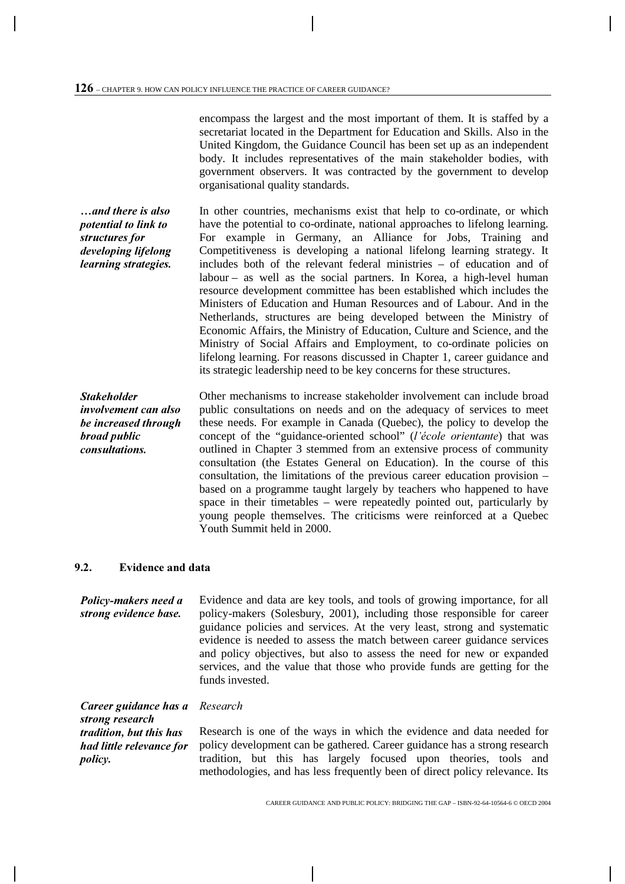encompass the largest and the most important of them. It is staffed by a secretariat located in the Department for Education and Skills. Also in the United Kingdom, the Guidance Council has been set up as an independent body. It includes representatives of the main stakeholder bodies, with government observers. It was contracted by the government to develop organisational quality standards.

...and there is also potential to link to structures for developing lifelong *learning strategies.* In other countries, mechanisms exist that help to co-ordinate, or which have the potential to co-ordinate, national approaches to lifelong learning. For example in Germany, an Alliance for Jobs, Training and Competitiveness is developing a national lifelong learning strategy. It includes both of the relevant federal ministries – of education and of labour – as well as the social partners. In Korea, a high-level human resource development committee has been established which includes the Ministers of Education and Human Resources and of Labour. And in the Netherlands, structures are being developed between the Ministry of Economic Affairs, the Ministry of Education, Culture and Science, and the Ministry of Social Affairs and Employment, to co-ordinate policies on lifelong learning. For reasons discussed in Chapter 1, career guidance and its strategic leadership need to be key concerns for these structures.

 *involvement can also be increased through broad* public  $constultations.$ Other mechanisms to increase stakeholder involvement can include broad public consultations on needs and on the adequacy of services to meet these needs. For example in Canada (Quebec), the policy to develop the concept of the "guidance-oriented school" (*l'école orientante*) that was outlined in Chapter 3 stemmed from an extensive process of community consultation (the Estates General on Education). In the course of this consultation, the limitations of the previous career education provision – based on a programme taught largely by teachers who happened to have space in their timetables – were repeatedly pointed out, particularly by young people themselves. The criticisms were reinforced at a Quebec Youth Summit held in 2000.

### 9.2. Evidence and data

Policy-makers need a strong evidence base. Evidence and data are key tools, and tools of growing importance, for all policy-makers (Solesbury, 2001), including those responsible for career guidance policies and services. At the very least, strong and systematic evidence is needed to assess the match between career guidance services and policy objectives, but also to assess the need for new or expanded services, and the value that those who provide funds are getting for the funds invested.

**Career guidance has a** *strong research* tradition, but this has had little relevance for *policy. Research* Research is one of the ways in which the evidence and data needed for policy development can be gathered. Career guidance has a strong research tradition, but this has largely focused upon theories, tools and methodologies, and has less frequently been of direct policy relevance. Its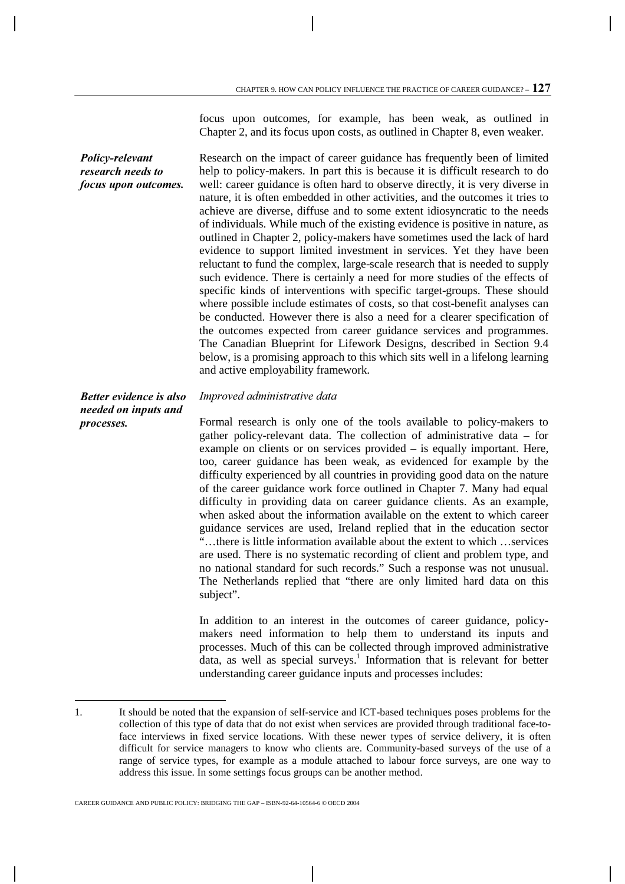focus upon outcomes, for example, has been weak, as outlined in Chapter 2, and its focus upon costs, as outlined in Chapter 8, even weaker.

**Policy-relevant** research needs to focus upon outcomes. Research on the impact of career guidance has frequently been of limited help to policy-makers. In part this is because it is difficult research to do well: career guidance is often hard to observe directly, it is very diverse in nature, it is often embedded in other activities, and the outcomes it tries to achieve are diverse, diffuse and to some extent idiosyncratic to the needs of individuals. While much of the existing evidence is positive in nature, as outlined in Chapter 2, policy-makers have sometimes used the lack of hard evidence to support limited investment in services. Yet they have been reluctant to fund the complex, large-scale research that is needed to supply such evidence. There is certainly a need for more studies of the effects of specific kinds of interventions with specific target-groups. These should where possible include estimates of costs, so that cost-benefit analyses can be conducted. However there is also a need for a clearer specification of the outcomes expected from career guidance services and programmes. The Canadian Blueprint for Lifework Designs, described in Section 9.4 below, is a promising approach to this which sits well in a lifelong learning and active employability framework.

## *Better evidence is also needed on inputs and* processes.

 $\overline{a}$ 

#### Improved administrative data

Formal research is only one of the tools available to policy-makers to gather policy-relevant data. The collection of administrative data – for example on clients or on services provided – is equally important. Here, too, career guidance has been weak, as evidenced for example by the difficulty experienced by all countries in providing good data on the nature of the career guidance work force outlined in Chapter 7. Many had equal difficulty in providing data on career guidance clients. As an example, when asked about the information available on the extent to which career guidance services are used, Ireland replied that in the education sector "…there is little information available about the extent to which …services are used. There is no systematic recording of client and problem type, and no national standard for such records." Such a response was not unusual. The Netherlands replied that "there are only limited hard data on this subject".

In addition to an interest in the outcomes of career guidance, policymakers need information to help them to understand its inputs and processes. Much of this can be collected through improved administrative data, as well as special surveys.<sup>1</sup> Information that is relevant for better understanding career guidance inputs and processes includes:

<sup>1.</sup> It should be noted that the expansion of self-service and ICT-based techniques poses problems for the collection of this type of data that do not exist when services are provided through traditional face-toface interviews in fixed service locations. With these newer types of service delivery, it is often difficult for service managers to know who clients are. Community-based surveys of the use of a range of service types, for example as a module attached to labour force surveys, are one way to address this issue. In some settings focus groups can be another method.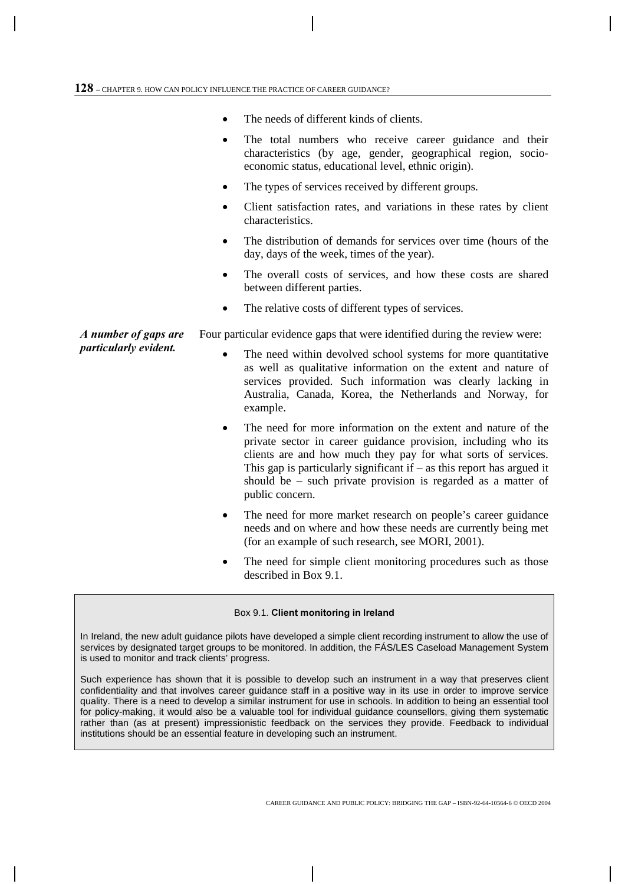- The needs of different kinds of clients.
- The total numbers who receive career guidance and their characteristics (by age, gender, geographical region, socioeconomic status, educational level, ethnic origin).
- The types of services received by different groups.
- Client satisfaction rates, and variations in these rates by client characteristics.
- The distribution of demands for services over time (hours of the day, days of the week, times of the year).
- The overall costs of services, and how these costs are shared between different parties.
- The relative costs of different types of services.

*A* number of gaps are Four particular evidence gaps that were identified during the review were:

*particularly evident.* 

- The need within devolved school systems for more quantitative as well as qualitative information on the extent and nature of services provided. Such information was clearly lacking in Australia, Canada, Korea, the Netherlands and Norway, for example.
- The need for more information on the extent and nature of the private sector in career guidance provision, including who its clients are and how much they pay for what sorts of services. This gap is particularly significant if  $-$  as this report has argued it should be – such private provision is regarded as a matter of public concern.
- The need for more market research on people's career guidance needs and on where and how these needs are currently being met (for an example of such research, see MORI, 2001).
- The need for simple client monitoring procedures such as those described in Box 9.1.

### Box 9.1. Client monitoring in Ireland

In Ireland, the new adult guidance pilots have developed a simple client recording instrument to allow the use of services by designated target groups to be monitored. In addition, the FÁS/LES Caseload Management System is used to monitor and track clients' progress.

Such experience has shown that it is possible to develop such an instrument in a way that preserves client confidentiality and that involves career guidance staff in a positive way in its use in order to improve service quality. There is a need to develop a similar instrument for use in schools. In addition to being an essential tool for policy-making, it would also be a valuable tool for individual guidance counsellors, giving them systematic rather than (as at present) impressionistic feedback on the services they provide. Feedback to individual institutions should be an essential feature in developing such an instrument.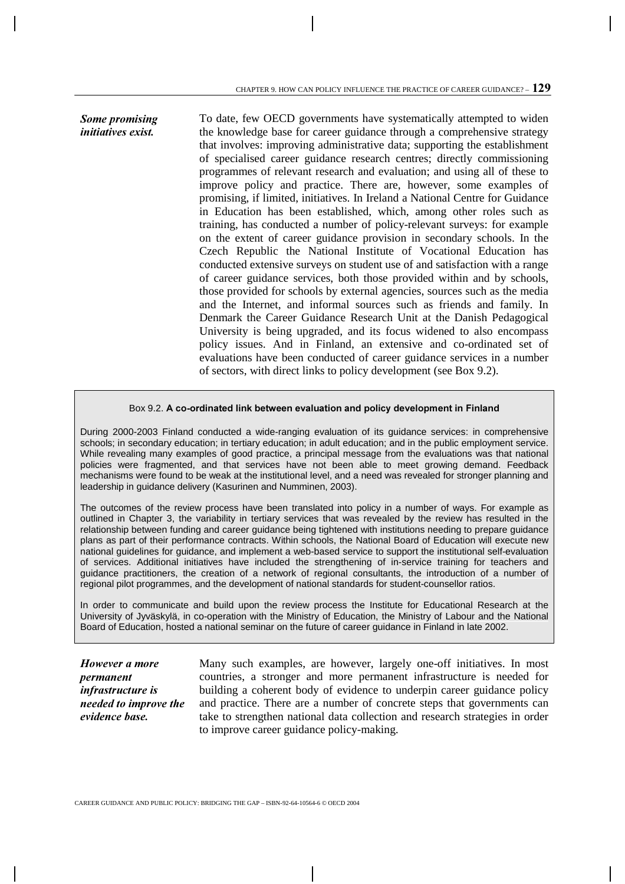Some promising *initiatives exist.* To date, few OECD governments have systematically attempted to widen the knowledge base for career guidance through a comprehensive strategy that involves: improving administrative data; supporting the establishment of specialised career guidance research centres; directly commissioning programmes of relevant research and evaluation; and using all of these to improve policy and practice. There are, however, some examples of promising, if limited, initiatives. In Ireland a National Centre for Guidance in Education has been established, which, among other roles such as training, has conducted a number of policy-relevant surveys: for example on the extent of career guidance provision in secondary schools. In the Czech Republic the National Institute of Vocational Education has conducted extensive surveys on student use of and satisfaction with a range of career guidance services, both those provided within and by schools, those provided for schools by external agencies, sources such as the media and the Internet, and informal sources such as friends and family. In Denmark the Career Guidance Research Unit at the Danish Pedagogical University is being upgraded, and its focus widened to also encompass policy issues. And in Finland, an extensive and co-ordinated set of evaluations have been conducted of career guidance services in a number of sectors, with direct links to policy development (see Box 9.2).

#### Box 9.2. A co-ordinated link between evaluation and policy development in Finland

During 2000-2003 Finland conducted a wide-ranging evaluation of its guidance services: in comprehensive schools; in secondary education; in tertiary education; in adult education; and in the public employment service. While revealing many examples of good practice, a principal message from the evaluations was that national policies were fragmented, and that services have not been able to meet growing demand. Feedback mechanisms were found to be weak at the institutional level, and a need was revealed for stronger planning and leadership in guidance delivery (Kasurinen and Numminen, 2003).

The outcomes of the review process have been translated into policy in a number of ways. For example as outlined in Chapter 3, the variability in tertiary services that was revealed by the review has resulted in the relationship between funding and career guidance being tightened with institutions needing to prepare guidance plans as part of their performance contracts. Within schools, the National Board of Education will execute new national guidelines for guidance, and implement a web-based service to support the institutional self-evaluation of services. Additional initiatives have included the strengthening of in-service training for teachers and guidance practitioners, the creation of a network of regional consultants, the introduction of a number of regional pilot programmes, and the development of national standards for student-counsellor ratios.

In order to communicate and build upon the review process the Institute for Educational Research at the University of Jyväskylä, in co-operation with the Ministry of Education, the Ministry of Labour and the National Board of Education, hosted a national seminar on the future of career guidance in Finland in late 2002.

**However a more**  *infrastructure is needed to improve the*  $e$ *vidence base*.

Many such examples, are however, largely one-off initiatives. In most countries, a stronger and more permanent infrastructure is needed for building a coherent body of evidence to underpin career guidance policy and practice. There are a number of concrete steps that governments can take to strengthen national data collection and research strategies in order to improve career guidance policy-making.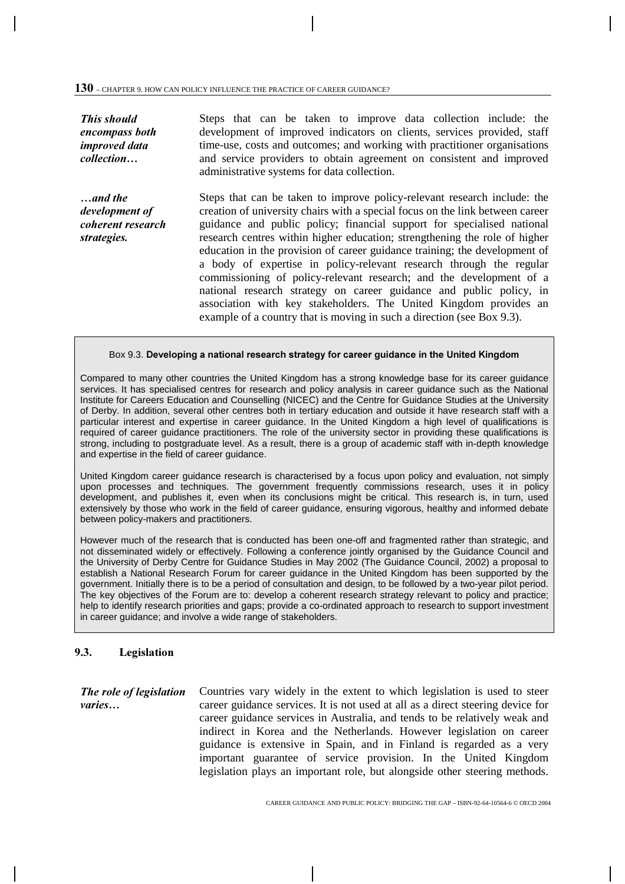**This should** encompass both *improved* data *collection...* Steps that can be taken to improve data collection include: the development of improved indicators on clients, services provided, staff time-use, costs and outcomes; and working with practitioner organisations and service providers to obtain agreement on consistent and improved administrative systems for data collection. ...and the development of coherent research strategies. Steps that can be taken to improve policy-relevant research include: the creation of university chairs with a special focus on the link between career guidance and public policy; financial support for specialised national research centres within higher education; strengthening the role of higher education in the provision of career guidance training; the development of a body of expertise in policy-relevant research through the regular commissioning of policy-relevant research; and the development of a

example of a country that is moving in such a direction (see Box 9.3).

national research strategy on career guidance and public policy, in association with key stakeholders. The United Kingdom provides an

#### Box 9.3. Developing a national research strategy for career guidance in the United Kingdom

Compared to many other countries the United Kingdom has a strong knowledge base for its career guidance services. It has specialised centres for research and policy analysis in career guidance such as the National Institute for Careers Education and Counselling (NICEC) and the Centre for Guidance Studies at the University of Derby. In addition, several other centres both in tertiary education and outside it have research staff with a particular interest and expertise in career guidance. In the United Kingdom a high level of qualifications is required of career guidance practitioners. The role of the university sector in providing these qualifications is strong, including to postgraduate level. As a result, there is a group of academic staff with in-depth knowledge and expertise in the field of career guidance.

United Kingdom career guidance research is characterised by a focus upon policy and evaluation, not simply upon processes and techniques. The government frequently commissions research, uses it in policy development, and publishes it, even when its conclusions might be critical. This research is, in turn, used extensively by those who work in the field of career guidance, ensuring vigorous, healthy and informed debate between policy-makers and practitioners.

However much of the research that is conducted has been one-off and fragmented rather than strategic, and not disseminated widely or effectively. Following a conference jointly organised by the Guidance Council and the University of Derby Centre for Guidance Studies in May 2002 (The Guidance Council, 2002) a proposal to establish a National Research Forum for career guidance in the United Kingdom has been supported by the government. Initially there is to be a period of consultation and design, to be followed by a two-year pilot period. The key objectives of the Forum are to: develop a coherent research strategy relevant to policy and practice; help to identify research priorities and gaps; provide a co-ordinated approach to research to support investment in career guidance; and involve a wide range of stakeholders.

## 9.3. Legislation

**The role of legislation** *varies...* Countries vary widely in the extent to which legislation is used to steer career guidance services. It is not used at all as a direct steering device for career guidance services in Australia, and tends to be relatively weak and indirect in Korea and the Netherlands. However legislation on career guidance is extensive in Spain, and in Finland is regarded as a very important guarantee of service provision. In the United Kingdom legislation plays an important role, but alongside other steering methods.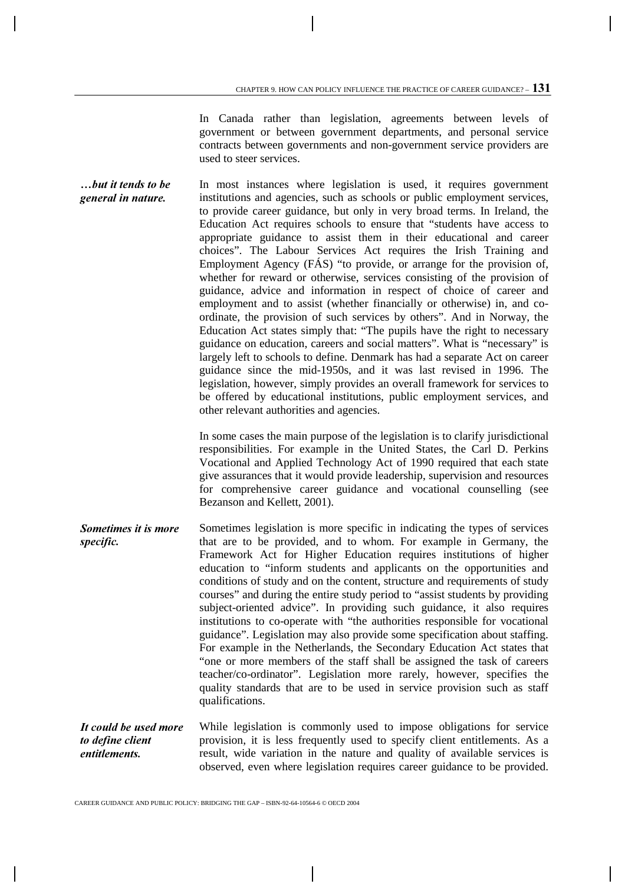In Canada rather than legislation, agreements between levels of government or between government departments, and personal service contracts between governments and non-government service providers are used to steer services.

...but it tends to be *<u>general</u>* in nature. In most instances where legislation is used, it requires government institutions and agencies, such as schools or public employment services, to provide career guidance, but only in very broad terms. In Ireland, the Education Act requires schools to ensure that "students have access to appropriate guidance to assist them in their educational and career choices". The Labour Services Act requires the Irish Training and Employment Agency (FÁS) "to provide, or arrange for the provision of, whether for reward or otherwise, services consisting of the provision of guidance, advice and information in respect of choice of career and employment and to assist (whether financially or otherwise) in, and coordinate, the provision of such services by others". And in Norway, the Education Act states simply that: "The pupils have the right to necessary guidance on education, careers and social matters". What is "necessary" is largely left to schools to define. Denmark has had a separate Act on career guidance since the mid-1950s, and it was last revised in 1996. The legislation, however, simply provides an overall framework for services to be offered by educational institutions, public employment services, and other relevant authorities and agencies.

> In some cases the main purpose of the legislation is to clarify jurisdictional responsibilities. For example in the United States, the Carl D. Perkins Vocational and Applied Technology Act of 1990 required that each state give assurances that it would provide leadership, supervision and resources for comprehensive career guidance and vocational counselling (see Bezanson and Kellett, 2001).

**Sometimes it is more** specific. Sometimes legislation is more specific in indicating the types of services that are to be provided, and to whom. For example in Germany, the Framework Act for Higher Education requires institutions of higher education to "inform students and applicants on the opportunities and conditions of study and on the content, structure and requirements of study courses" and during the entire study period to "assist students by providing subject-oriented advice". In providing such guidance, it also requires institutions to co-operate with "the authorities responsible for vocational guidance". Legislation may also provide some specification about staffing. For example in the Netherlands, the Secondary Education Act states that "one or more members of the staff shall be assigned the task of careers teacher/co-ordinator". Legislation more rarely, however, specifies the quality standards that are to be used in service provision such as staff qualifications.

It could be used more to define client *entitlements.* While legislation is commonly used to impose obligations for service provision, it is less frequently used to specify client entitlements. As a result, wide variation in the nature and quality of available services is observed, even where legislation requires career guidance to be provided.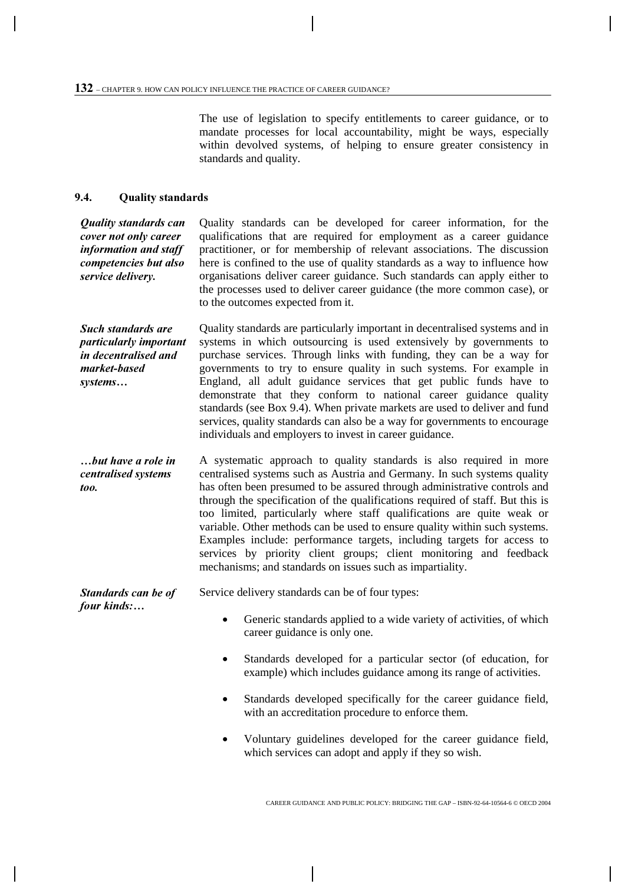The use of legislation to specify entitlements to career guidance, or to mandate processes for local accountability, might be ways, especially within devolved systems, of helping to ensure greater consistency in standards and quality.

## 9.4. Quality standards

**Quality standards can** *cover not only career information and staff* competencies but also service delivery. Quality standards can be developed for career information, for the qualifications that are required for employment as a career guidance practitioner, or for membership of relevant associations. The discussion here is confined to the use of quality standards as a way to influence how organisations deliver career guidance. Such standards can apply either to the processes used to deliver career guidance (the more common case), or to the outcomes expected from it.

Such standards are *particularly important in decentralised and* market-based  $s$ *vstems...* Quality standards are particularly important in decentralised systems and in systems in which outsourcing is used extensively by governments to purchase services. Through links with funding, they can be a way for governments to try to ensure quality in such systems. For example in England, all adult guidance services that get public funds have to demonstrate that they conform to national career guidance quality standards (see Box 9.4). When private markets are used to deliver and fund services, quality standards can also be a way for governments to encourage individuals and employers to invest in career guidance.

...*but have a role in* centralised systems *too.* A systematic approach to quality standards is also required in more centralised systems such as Austria and Germany. In such systems quality has often been presumed to be assured through administrative controls and through the specification of the qualifications required of staff. But this is too limited, particularly where staff qualifications are quite weak or variable. Other methods can be used to ensure quality within such systems. Examples include: performance targets, including targets for access to services by priority client groups; client monitoring and feedback mechanisms; and standards on issues such as impartiality.

**Standards can be of** Service delivery standards can be of four types:

*four kinds:...* 

- Generic standards applied to a wide variety of activities, of which career guidance is only one.
- Standards developed for a particular sector (of education, for example) which includes guidance among its range of activities.
- Standards developed specifically for the career guidance field, with an accreditation procedure to enforce them.
- Voluntary guidelines developed for the career guidance field, which services can adopt and apply if they so wish.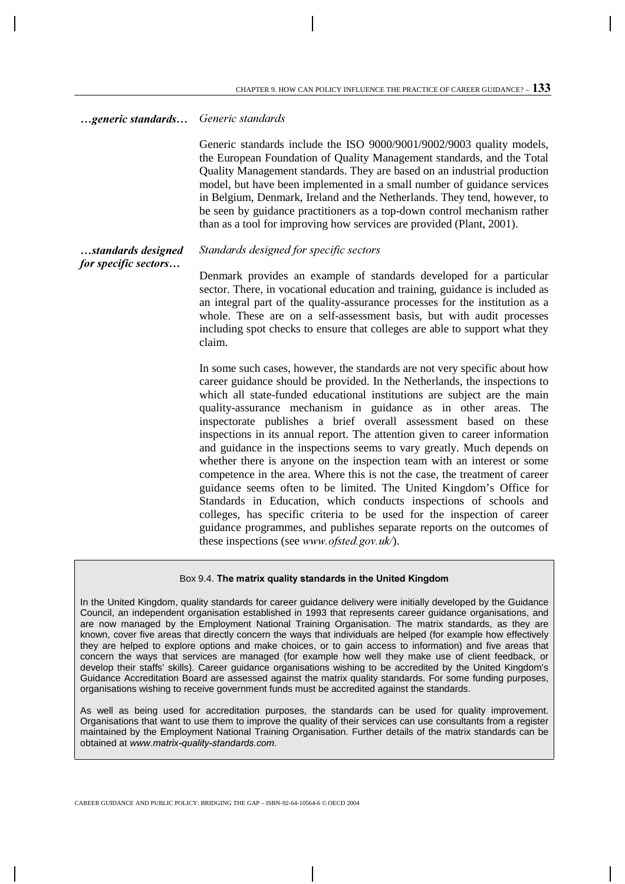### ... generic standards... Generic standards

Generic standards include the ISO 9000/9001/9002/9003 quality models, the European Foundation of Quality Management standards, and the Total Quality Management standards. They are based on an industrial production model, but have been implemented in a small number of guidance services in Belgium, Denmark, Ireland and the Netherlands. They tend, however, to be seen by guidance practitioners as a top-down control mechanism rather than as a tool for improving how services are provided (Plant, 2001).

...standards designed for specific sectors...

### **Standards designed for specific sectors**

Denmark provides an example of standards developed for a particular sector. There, in vocational education and training, guidance is included as an integral part of the quality-assurance processes for the institution as a whole. These are on a self-assessment basis, but with audit processes including spot checks to ensure that colleges are able to support what they claim.

In some such cases, however, the standards are not very specific about how career guidance should be provided. In the Netherlands, the inspections to which all state-funded educational institutions are subject are the main quality-assurance mechanism in guidance as in other areas. The inspectorate publishes a brief overall assessment based on these inspections in its annual report. The attention given to career information and guidance in the inspections seems to vary greatly. Much depends on whether there is anyone on the inspection team with an interest or some competence in the area. Where this is not the case, the treatment of career guidance seems often to be limited. The United Kingdom's Office for Standards in Education, which conducts inspections of schools and colleges, has specific criteria to be used for the inspection of career guidance programmes, and publishes separate reports on the outcomes of these inspections (see *www.ofsted.gov.uk*).

#### Box 9.4. The matrix quality standards in the United Kingdom

In the United Kingdom, quality standards for career guidance delivery were initially developed by the Guidance Council, an independent organisation established in 1993 that represents career guidance organisations, and are now managed by the Employment National Training Organisation. The matrix standards, as they are known, cover five areas that directly concern the ways that individuals are helped (for example how effectively they are helped to explore options and make choices, or to gain access to information) and five areas that concern the ways that services are managed (for example how well they make use of client feedback, or develop their staffs' skills). Career guidance organisations wishing to be accredited by the United Kingdom's Guidance Accreditation Board are assessed against the matrix quality standards. For some funding purposes, organisations wishing to receive government funds must be accredited against the standards.

As well as being used for accreditation purposes, the standards can be used for quality improvement. Organisations that want to use them to improve the quality of their services can use consultants from a register maintained by the Employment National Training Organisation. Further details of the matrix standards can be obtained at www.matrix-quality-standards.com.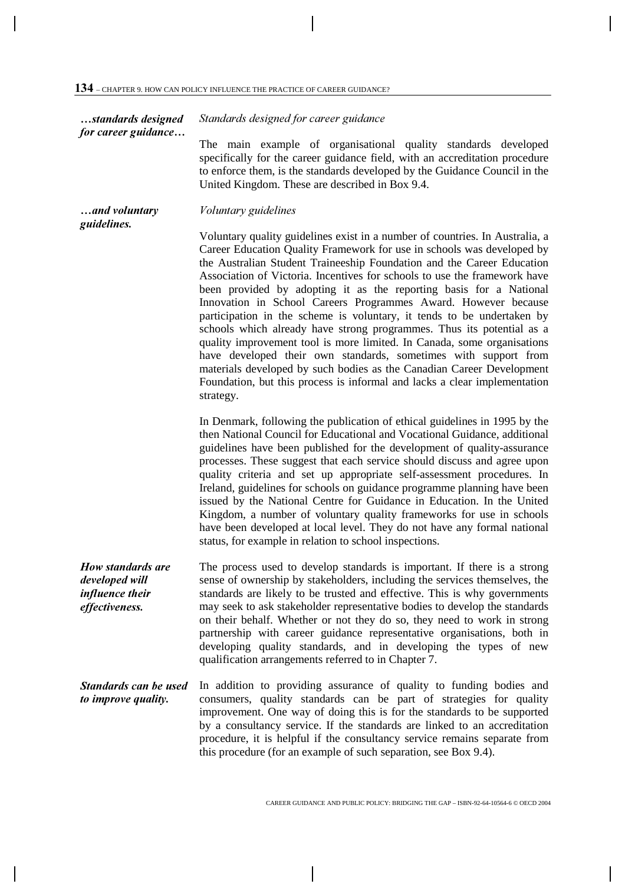*Voluntary guidelines* 

...standards designed *for career guidance...* 

...and voluntary

# Standards designed for career guidance

The main example of organisational quality standards developed specifically for the career guidance field, with an accreditation procedure to enforce them, is the standards developed by the Guidance Council in the United Kingdom. These are described in Box 9.4.

*<u>guidelines.</u>* Voluntary quality guidelines exist in a number of countries. In Australia, a Career Education Quality Framework for use in schools was developed by the Australian Student Traineeship Foundation and the Career Education Association of Victoria. Incentives for schools to use the framework have been provided by adopting it as the reporting basis for a National Innovation in School Careers Programmes Award. However because participation in the scheme is voluntary, it tends to be undertaken by schools which already have strong programmes. Thus its potential as a quality improvement tool is more limited. In Canada, some organisations have developed their own standards, sometimes with support from materials developed by such bodies as the Canadian Career Development Foundation, but this process is informal and lacks a clear implementation strategy.

In Denmark, following the publication of ethical guidelines in 1995 by the then National Council for Educational and Vocational Guidance, additional guidelines have been published for the development of quality-assurance processes. These suggest that each service should discuss and agree upon quality criteria and set up appropriate self-assessment procedures. In Ireland, guidelines for schools on guidance programme planning have been issued by the National Centre for Guidance in Education. In the United Kingdom, a number of voluntary quality frameworks for use in schools have been developed at local level. They do not have any formal national status, for example in relation to school inspections.

- **How standards are** developed will   $effectiveness.$ The process used to develop standards is important. If there is a strong sense of ownership by stakeholders, including the services themselves, the standards are likely to be trusted and effective. This is why governments may seek to ask stakeholder representative bodies to develop the standards on their behalf. Whether or not they do so, they need to work in strong partnership with career guidance representative organisations, both in developing quality standards, and in developing the types of new qualification arrangements referred to in Chapter 7.
- **Standards can be used** *to improve quality.* In addition to providing assurance of quality to funding bodies and consumers, quality standards can be part of strategies for quality improvement. One way of doing this is for the standards to be supported by a consultancy service. If the standards are linked to an accreditation procedure, it is helpful if the consultancy service remains separate from this procedure (for an example of such separation, see Box 9.4).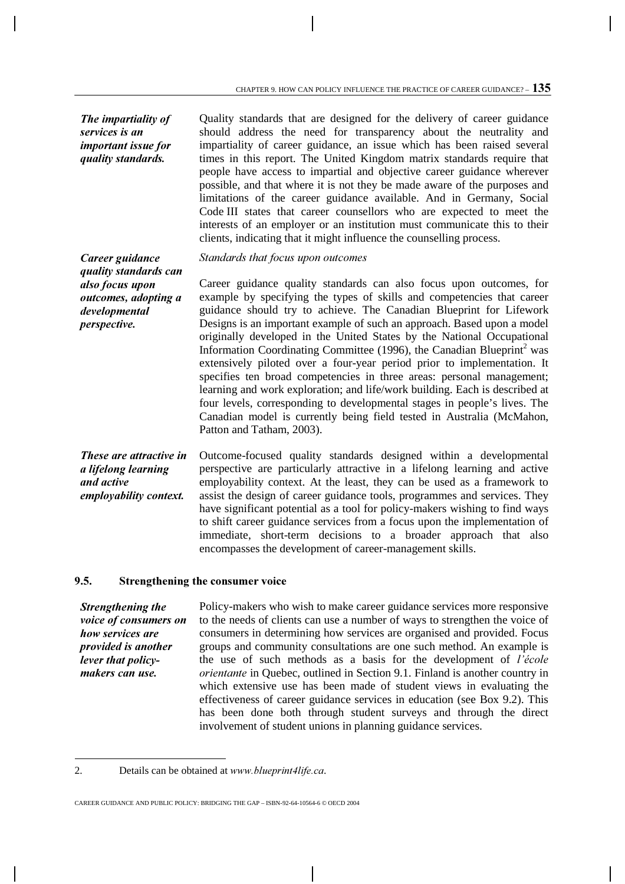| The impartiality of<br>services is an<br><i>important issue for</i><br>quality standards.                            | Quality standards that are designed for the delivery of career guidance<br>should address the need for transparency about the neutrality and<br>impartiality of career guidance, an issue which has been raised several<br>times in this report. The United Kingdom matrix standards require that<br>people have access to impartial and objective career guidance wherever<br>possible, and that where it is not they be made aware of the purposes and<br>limitations of the career guidance available. And in Germany, Social<br>Code III states that career counsellors who are expected to meet the<br>interests of an employer or an institution must communicate this to their<br>clients, indicating that it might influence the counselling process.                                                                                                                                                               |
|----------------------------------------------------------------------------------------------------------------------|-----------------------------------------------------------------------------------------------------------------------------------------------------------------------------------------------------------------------------------------------------------------------------------------------------------------------------------------------------------------------------------------------------------------------------------------------------------------------------------------------------------------------------------------------------------------------------------------------------------------------------------------------------------------------------------------------------------------------------------------------------------------------------------------------------------------------------------------------------------------------------------------------------------------------------|
| Career guidance<br>quality standards can<br>also focus upon<br>outcomes, adopting a<br>developmental<br>perspective. | Standards that focus upon outcomes<br>Career guidance quality standards can also focus upon outcomes, for<br>example by specifying the types of skills and competencies that career<br>guidance should try to achieve. The Canadian Blueprint for Lifework<br>Designs is an important example of such an approach. Based upon a model<br>originally developed in the United States by the National Occupational<br>Information Coordinating Committee (1996), the Canadian Blueprint <sup>2</sup> was<br>extensively piloted over a four-year period prior to implementation. It<br>specifies ten broad competencies in three areas: personal management;<br>learning and work exploration; and life/work building. Each is described at<br>four levels, corresponding to developmental stages in people's lives. The<br>Canadian model is currently being field tested in Australia (McMahon,<br>Patton and Tatham, 2003). |
| These are attractive in<br>a lifelong learning<br>and active<br>employability context.                               | Outcome-focused quality standards designed within a developmental<br>perspective are particularly attractive in a lifelong learning and active<br>employability context. At the least, they can be used as a framework to<br>assist the design of career guidance tools, programmes and services. They<br>have significant potential as a tool for policy-makers wishing to find ways<br>to shift career guidance services from a focus upon the implementation of<br>immediate, short-term decisions to a broader approach that also<br>encompasses the development of career-management skills.                                                                                                                                                                                                                                                                                                                           |

## 9.5. Strengthening the consumer voice

**Strengthening the** voice of consumers on *how services are provided is another lever that policy*makers can use.

 $\ddot{\phantom{a}}$ 

Policy-makers who wish to make career guidance services more responsive to the needs of clients can use a number of ways to strengthen the voice of consumers in determining how services are organised and provided. Focus groups and community consultations are one such method. An example is the use of such methods as a basis for the development of *l'école orientante* in Quebec, outlined in Section 9.1. Finland is another country in which extensive use has been made of student views in evaluating the effectiveness of career guidance services in education (see Box 9.2). This has been done both through student surveys and through the direct involvement of student unions in planning guidance services.

<sup>2.</sup> Details can be obtained at *www.blueprint4life.ca.*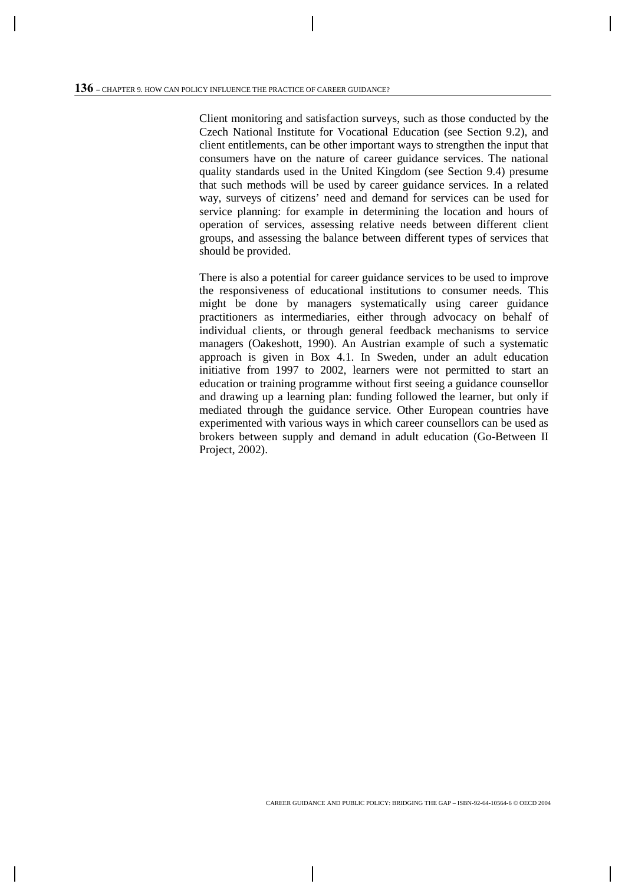Client monitoring and satisfaction surveys, such as those conducted by the Czech National Institute for Vocational Education (see Section 9.2), and client entitlements, can be other important ways to strengthen the input that consumers have on the nature of career guidance services. The national quality standards used in the United Kingdom (see Section 9.4) presume that such methods will be used by career guidance services. In a related way, surveys of citizens' need and demand for services can be used for service planning: for example in determining the location and hours of operation of services, assessing relative needs between different client groups, and assessing the balance between different types of services that should be provided.

There is also a potential for career guidance services to be used to improve the responsiveness of educational institutions to consumer needs. This might be done by managers systematically using career guidance practitioners as intermediaries, either through advocacy on behalf of individual clients, or through general feedback mechanisms to service managers (Oakeshott, 1990). An Austrian example of such a systematic approach is given in Box 4.1. In Sweden, under an adult education initiative from 1997 to 2002, learners were not permitted to start an education or training programme without first seeing a guidance counsellor and drawing up a learning plan: funding followed the learner, but only if mediated through the guidance service. Other European countries have experimented with various ways in which career counsellors can be used as brokers between supply and demand in adult education (Go-Between II Project, 2002).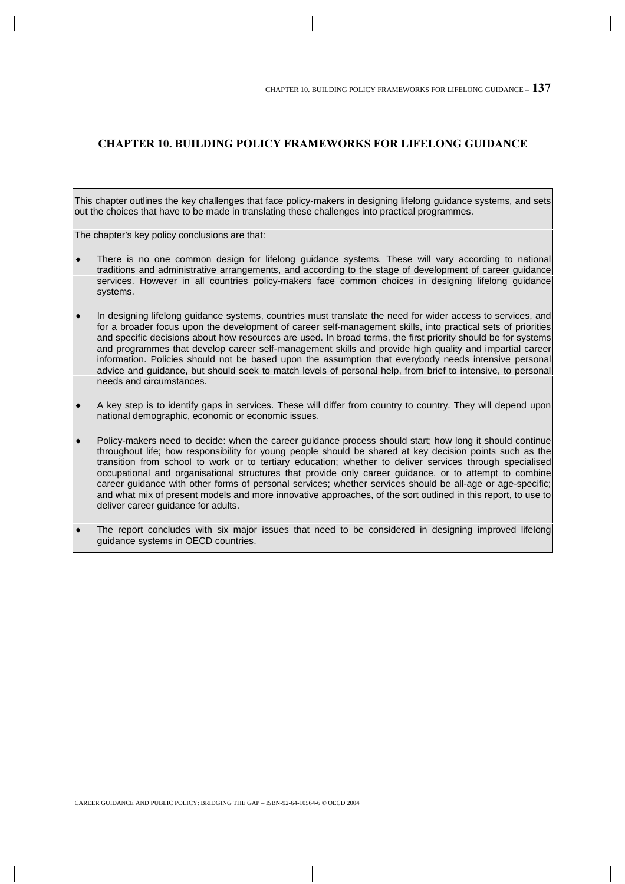# CHAPTER 10. BUILDING POLICY FRAMEWORKS FOR LIFELONG GUIDANCE

This chapter outlines the key challenges that face policy-makers in designing lifelong guidance systems, and sets out the choices that have to be made in translating these challenges into practical programmes.

The chapter's key policy conclusions are that:

- $\blacklozenge$  There is no one common design for lifelong guidance systems. These will vary according to national traditions and administrative arrangements, and according to the stage of development of career guidance services. However in all countries policy-makers face common choices in designing lifelong guidance systems.
- $\blacklozenge$  In designing lifelong guidance systems, countries must translate the need for wider access to services, and for a broader focus upon the development of career self-management skills, into practical sets of priorities and specific decisions about how resources are used. In broad terms, the first priority should be for systems and programmes that develop career self-management skills and provide high quality and impartial career information. Policies should not be based upon the assumption that everybody needs intensive personal advice and guidance, but should seek to match levels of personal help, from brief to intensive, to personal needs and circumstances.
- $\bullet$  A key step is to identify gaps in services. These will differ from country to country. They will depend upon national demographic, economic or economic issues.
- $\blacklozenge$  Policy-makers need to decide: when the career guidance process should start; how long it should continue throughout life; how responsibility for young people should be shared at key decision points such as the transition from school to work or to tertiary education; whether to deliver services through specialised occupational and organisational structures that provide only career guidance, or to attempt to combine career guidance with other forms of personal services; whether services should be all-age or age-specific; and what mix of present models and more innovative approaches, of the sort outlined in this report, to use to deliver career guidance for adults.
- $\blacklozenge$  The report concludes with six major issues that need to be considered in designing improved lifelong guidance systems in OECD countries.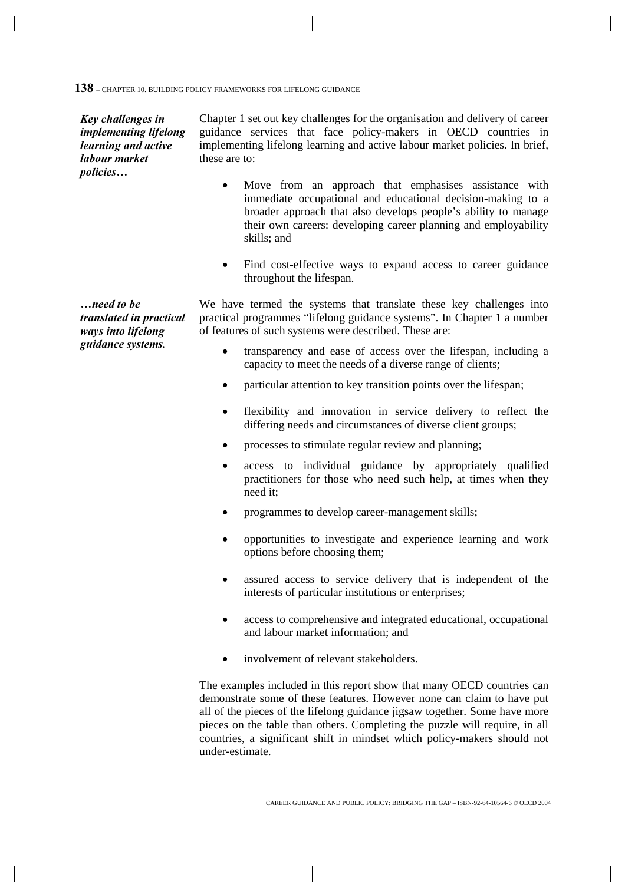*Key challenges in implementing lifelong learning and active labour market policies*...

Chapter 1 set out key challenges for the organisation and delivery of career guidance services that face policy-makers in OECD countries in implementing lifelong learning and active labour market policies. In brief, these are to:

- Move from an approach that emphasises assistance with immediate occupational and educational decision-making to a broader approach that also develops people's ability to manage their own careers: developing career planning and employability skills; and
- Find cost-effective ways to expand access to career guidance throughout the lifespan.

...*need to be translated in practical* ways into lifelong *guidance systems.* 

We have termed the systems that translate these key challenges into practical programmes "lifelong guidance systems". In Chapter 1 a number of features of such systems were described. These are:

- transparency and ease of access over the lifespan, including a capacity to meet the needs of a diverse range of clients;
- particular attention to key transition points over the lifespan;
- flexibility and innovation in service delivery to reflect the differing needs and circumstances of diverse client groups;
- processes to stimulate regular review and planning;
- access to individual guidance by appropriately qualified practitioners for those who need such help, at times when they need it;
- programmes to develop career-management skills;
- opportunities to investigate and experience learning and work options before choosing them;
- assured access to service delivery that is independent of the interests of particular institutions or enterprises;
- access to comprehensive and integrated educational, occupational and labour market information; and
- involvement of relevant stakeholders.

The examples included in this report show that many OECD countries can demonstrate some of these features. However none can claim to have put all of the pieces of the lifelong guidance jigsaw together. Some have more pieces on the table than others. Completing the puzzle will require, in all countries, a significant shift in mindset which policy-makers should not under-estimate.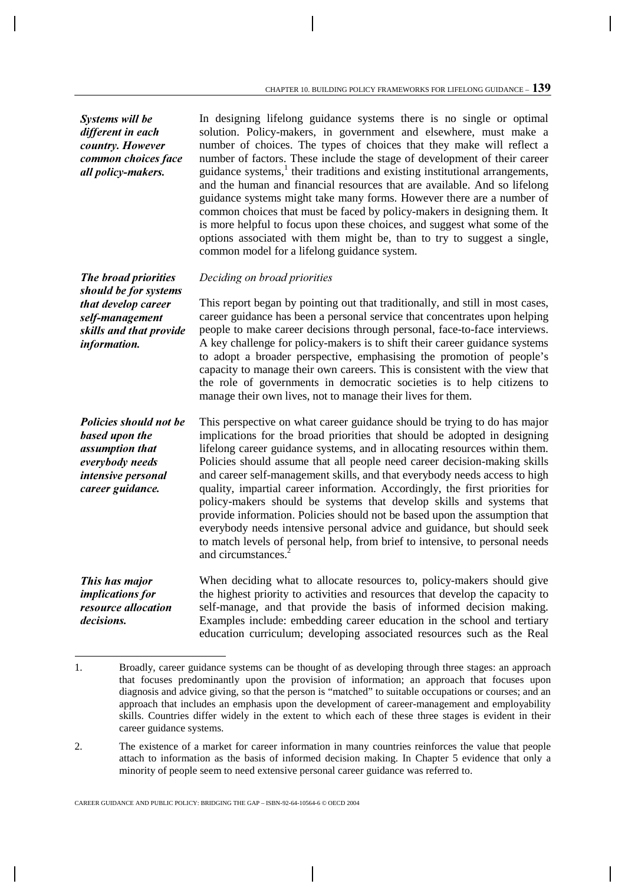**Systems** will be different in each country. However common choices face all policy-makers.

**The broad priorities** should be for systems *that develop career* self-management skills and that provide

information.

 $\overline{a}$ 

In designing lifelong guidance systems there is no single or optimal solution. Policy-makers, in government and elsewhere, must make a number of choices. The types of choices that they make will reflect a number of factors. These include the stage of development of their career guidance systems,<sup>1</sup> their traditions and existing institutional arrangements, and the human and financial resources that are available. And so lifelong guidance systems might take many forms. However there are a number of common choices that must be faced by policy-makers in designing them. It is more helpful to focus upon these choices, and suggest what some of the options associated with them might be, than to try to suggest a single, common model for a lifelong guidance system.

Deciding on broad priorities

This report began by pointing out that traditionally, and still in most cases, career guidance has been a personal service that concentrates upon helping people to make career decisions through personal, face-to-face interviews. A key challenge for policy-makers is to shift their career guidance systems to adopt a broader perspective, emphasising the promotion of people's capacity to manage their own careers. This is consistent with the view that the role of governments in democratic societies is to help citizens to manage their own lives, not to manage their lives for them.

**Policies should not be** *based upon the* assumption that everybody needs *intensive personal career guidance.* This perspective on what career guidance should be trying to do has major implications for the broad priorities that should be adopted in designing lifelong career guidance systems, and in allocating resources within them. Policies should assume that all people need career decision-making skills and career self-management skills, and that everybody needs access to high quality, impartial career information. Accordingly, the first priorities for policy-makers should be systems that develop skills and systems that provide information. Policies should not be based upon the assumption that everybody needs intensive personal advice and guidance, but should seek to match levels of personal help, from brief to intensive, to personal needs and circumstances.<sup>2</sup>

*This has major implications for resource* allocation decisions. When deciding what to allocate resources to, policy-makers should give the highest priority to activities and resources that develop the capacity to self-manage, and that provide the basis of informed decision making. Examples include: embedding career education in the school and tertiary education curriculum; developing associated resources such as the Real

<sup>1.</sup> Broadly, career guidance systems can be thought of as developing through three stages: an approach that focuses predominantly upon the provision of information; an approach that focuses upon diagnosis and advice giving, so that the person is "matched" to suitable occupations or courses; and an approach that includes an emphasis upon the development of career-management and employability skills. Countries differ widely in the extent to which each of these three stages is evident in their career guidance systems.

<sup>2.</sup> The existence of a market for career information in many countries reinforces the value that people attach to information as the basis of informed decision making. In Chapter 5 evidence that only a minority of people seem to need extensive personal career guidance was referred to.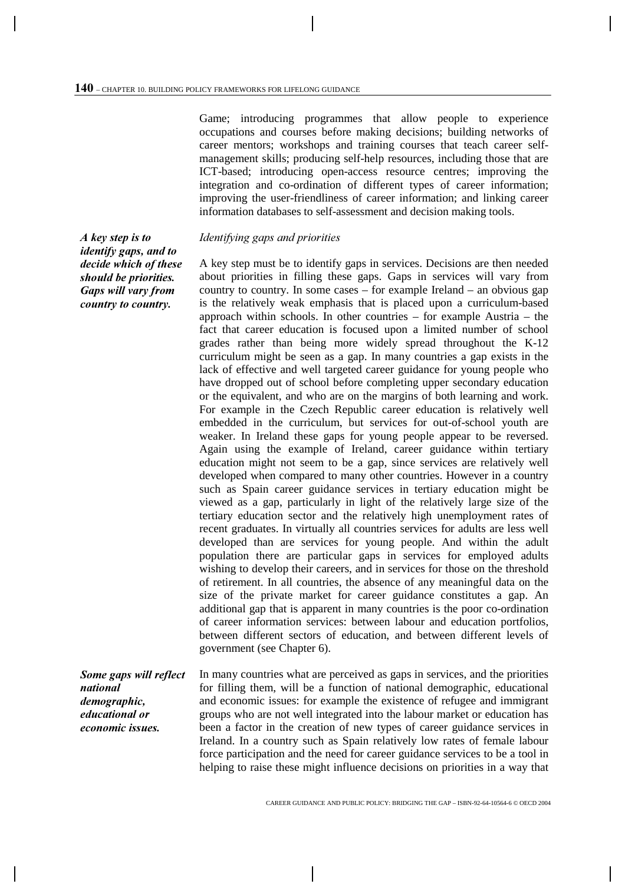Game; introducing programmes that allow people to experience occupations and courses before making decisions; building networks of career mentors; workshops and training courses that teach career selfmanagement skills; producing self-help resources, including those that are ICT-based; introducing open-access resource centres; improving the integration and co-ordination of different types of career information; improving the user-friendliness of career information; and linking career information databases to self-assessment and decision making tools.

Identifying gaps and priorities

A key step must be to identify gaps in services. Decisions are then needed about priorities in filling these gaps. Gaps in services will vary from country to country. In some cases – for example Ireland – an obvious gap is the relatively weak emphasis that is placed upon a curriculum-based approach within schools. In other countries – for example Austria – the fact that career education is focused upon a limited number of school grades rather than being more widely spread throughout the K-12 curriculum might be seen as a gap. In many countries a gap exists in the lack of effective and well targeted career guidance for young people who have dropped out of school before completing upper secondary education or the equivalent, and who are on the margins of both learning and work. For example in the Czech Republic career education is relatively well embedded in the curriculum, but services for out-of-school youth are weaker. In Ireland these gaps for young people appear to be reversed. Again using the example of Ireland, career guidance within tertiary education might not seem to be a gap, since services are relatively well developed when compared to many other countries. However in a country such as Spain career guidance services in tertiary education might be viewed as a gap, particularly in light of the relatively large size of the tertiary education sector and the relatively high unemployment rates of recent graduates. In virtually all countries services for adults are less well developed than are services for young people. And within the adult population there are particular gaps in services for employed adults wishing to develop their careers, and in services for those on the threshold of retirement. In all countries, the absence of any meaningful data on the size of the private market for career guidance constitutes a gap. An additional gap that is apparent in many countries is the poor co-ordination of career information services: between labour and education portfolios, between different sectors of education, and between different levels of government (see Chapter 6).

Some gaps will reflect *national demographic, educational* or *economic issues.* In many countries what are perceived as gaps in services, and the priorities for filling them, will be a function of national demographic, educational and economic issues: for example the existence of refugee and immigrant groups who are not well integrated into the labour market or education has been a factor in the creation of new types of career guidance services in Ireland. In a country such as Spain relatively low rates of female labour force participation and the need for career guidance services to be a tool in helping to raise these might influence decisions on priorities in a way that

*A* key step is to *identify gaps, and to* decide which of these *chould be priorities.* Gaps will vary from country to country.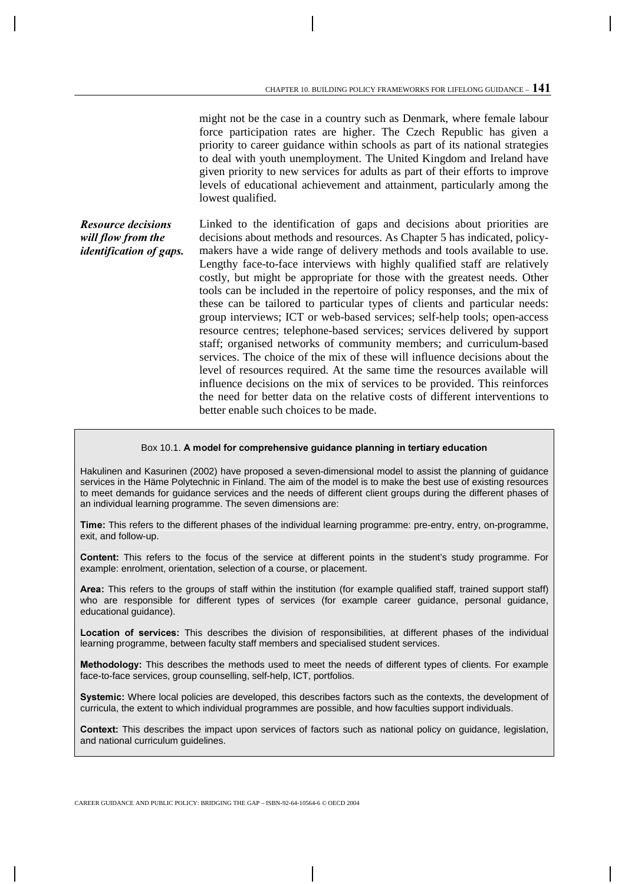might not be the case in a country such as Denmark, where female labour force participation rates are higher. The Czech Republic has given a priority to career guidance within schools as part of its national strategies to deal with youth unemployment. The United Kingdom and Ireland have given priority to new services for adults as part of their efforts to improve levels of educational achievement and attainment, particularly among the lowest qualified.

*Resource decisions* will flow from the *identification of gaps.* Linked to the identification of gaps and decisions about priorities are decisions about methods and resources. As Chapter 5 has indicated, policymakers have a wide range of delivery methods and tools available to use. Lengthy face-to-face interviews with highly qualified staff are relatively costly, but might be appropriate for those with the greatest needs. Other tools can be included in the repertoire of policy responses, and the mix of these can be tailored to particular types of clients and particular needs: group interviews; ICT or web-based services; self-help tools; open-access resource centres; telephone-based services; services delivered by support staff; organised networks of community members; and curriculum-based services. The choice of the mix of these will influence decisions about the level of resources required. At the same time the resources available will influence decisions on the mix of services to be provided. This reinforces the need for better data on the relative costs of different interventions to better enable such choices to be made.

### Box 10.1. A model for comprehensive guidance planning in tertiary education

Hakulinen and Kasurinen (2002) have proposed a seven-dimensional model to assist the planning of guidance services in the Häme Polytechnic in Finland. The aim of the model is to make the best use of existing resources to meet demands for guidance services and the needs of different client groups during the different phases of an individual learning programme. The seven dimensions are:

Time: This refers to the different phases of the individual learning programme: pre-entry, entry, on-programme, exit, and follow-up.

Content: This refers to the focus of the service at different points in the student's study programme. For example: enrolment, orientation, selection of a course, or placement.

Area: This refers to the groups of staff within the institution (for example qualified staff, trained support staff) who are responsible for different types of services (for example career guidance, personal guidance, educational guidance).

Location of services: This describes the division of responsibilities, at different phases of the individual learning programme, between faculty staff members and specialised student services.

Methodology: This describes the methods used to meet the needs of different types of clients. For example face-to-face services, group counselling, self-help, ICT, portfolios.

Systemic: Where local policies are developed, this describes factors such as the contexts, the development of curricula, the extent to which individual programmes are possible, and how faculties support individuals.

Context: This describes the impact upon services of factors such as national policy on guidance, legislation, and national curriculum guidelines.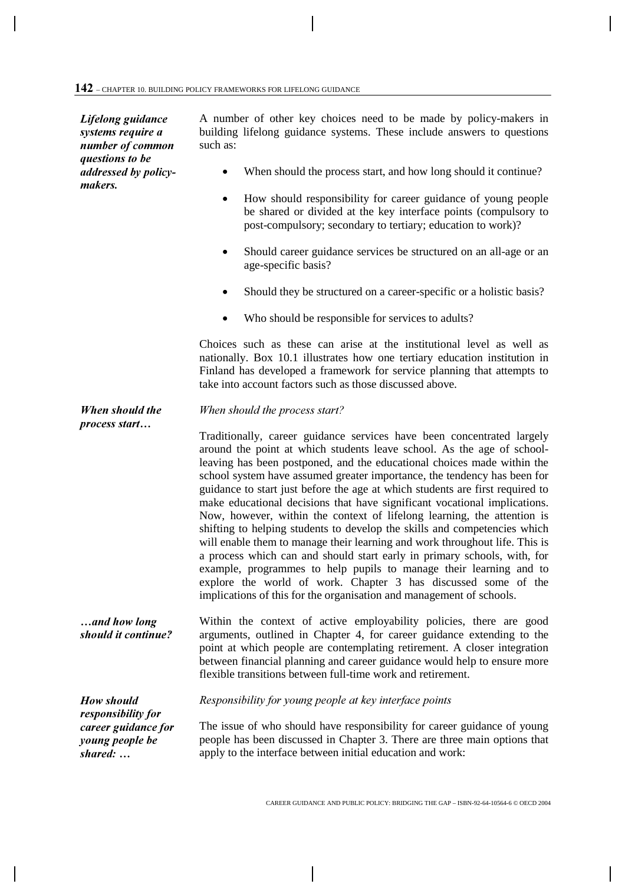*Lifelong guidance* systems require a number of common *duestions to be addressed by policy*makers. A number of other key choices need to be made by policy-makers in building lifelong guidance systems. These include answers to questions such as: • When should the process start, and how long should it continue? • How should responsibility for career guidance of young people be shared or divided at the key interface points (compulsory to post-compulsory; secondary to tertiary; education to work)? Should career guidance services be structured on an all-age or an age-specific basis? • Should they be structured on a career-specific or a holistic basis? Who should be responsible for services to adults? Choices such as these can arise at the institutional level as well as nationally. Box 10.1 illustrates how one tertiary education institution in Finland has developed a framework for service planning that attempts to take into account factors such as those discussed above. *When should the* process start... *When should the process start?* Traditionally, career guidance services have been concentrated largely around the point at which students leave school. As the age of schoolleaving has been postponed, and the educational choices made within the school system have assumed greater importance, the tendency has been for guidance to start just before the age at which students are first required to make educational decisions that have significant vocational implications. Now, however, within the context of lifelong learning, the attention is shifting to helping students to develop the skills and competencies which will enable them to manage their learning and work throughout life. This is a process which can and should start early in primary schools, with, for example, programmes to help pupils to manage their learning and to explore the world of work. Chapter 3 has discussed some of the implications of this for the organisation and management of schools. ...and how long *should it continue?* Within the context of active employability policies, there are good arguments, outlined in Chapter 4, for career guidance extending to the point at which people are contemplating retirement. A closer integration between financial planning and career guidance would help to ensure more flexible transitions between full-time work and retirement. How should *responsibility for* career guidance for  *shared:* ... Responsibility for young people at key interface points The issue of who should have responsibility for career guidance of young people has been discussed in Chapter 3. There are three main options that apply to the interface between initial education and work: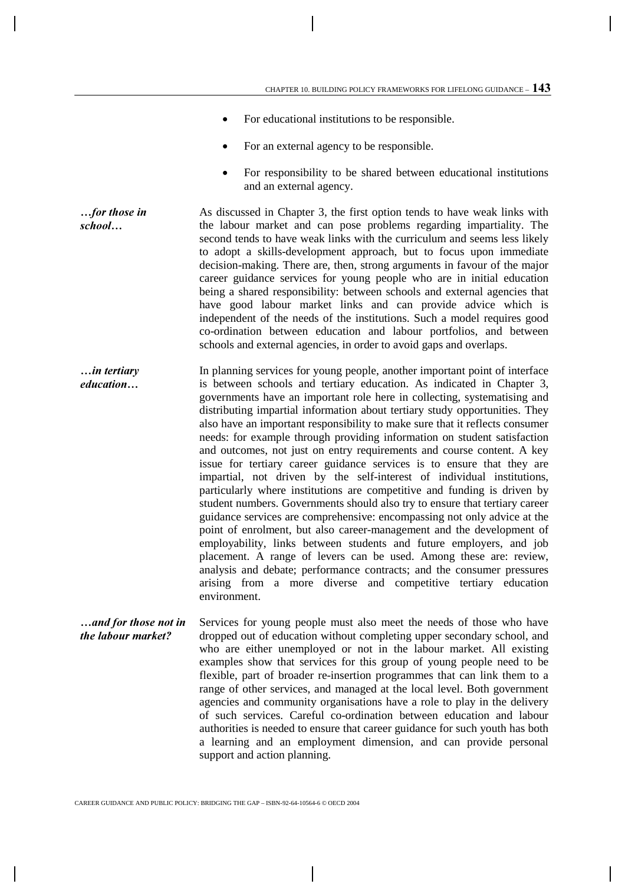- For educational institutions to be responsible.
- For an external agency to be responsible.
- For responsibility to be shared between educational institutions and an external agency.

..*for those in -\$* As discussed in Chapter 3, the first option tends to have weak links with the labour market and can pose problems regarding impartiality. The second tends to have weak links with the curriculum and seems less likely to adopt a skills-development approach, but to focus upon immediate decision-making. There are, then, strong arguments in favour of the major career guidance services for young people who are in initial education being a shared responsibility: between schools and external agencies that have good labour market links and can provide advice which is independent of the needs of the institutions. Such a model requires good co-ordination between education and labour portfolios, and between schools and external agencies, in order to avoid gaps and overlaps.

..*in tertiary* education... In planning services for young people, another important point of interface is between schools and tertiary education. As indicated in Chapter 3, governments have an important role here in collecting, systematising and distributing impartial information about tertiary study opportunities. They also have an important responsibility to make sure that it reflects consumer needs: for example through providing information on student satisfaction and outcomes, not just on entry requirements and course content. A key issue for tertiary career guidance services is to ensure that they are impartial, not driven by the self-interest of individual institutions, particularly where institutions are competitive and funding is driven by student numbers. Governments should also try to ensure that tertiary career guidance services are comprehensive: encompassing not only advice at the point of enrolment, but also career-management and the development of employability, links between students and future employers, and job placement. A range of levers can be used. Among these are: review, analysis and debate; performance contracts; and the consumer pressures arising from a more diverse and competitive tertiary education environment.

...and for those not in the labour market? Services for young people must also meet the needs of those who have dropped out of education without completing upper secondary school, and who are either unemployed or not in the labour market. All existing examples show that services for this group of young people need to be flexible, part of broader re-insertion programmes that can link them to a range of other services, and managed at the local level. Both government agencies and community organisations have a role to play in the delivery of such services. Careful co-ordination between education and labour authorities is needed to ensure that career guidance for such youth has both a learning and an employment dimension, and can provide personal support and action planning.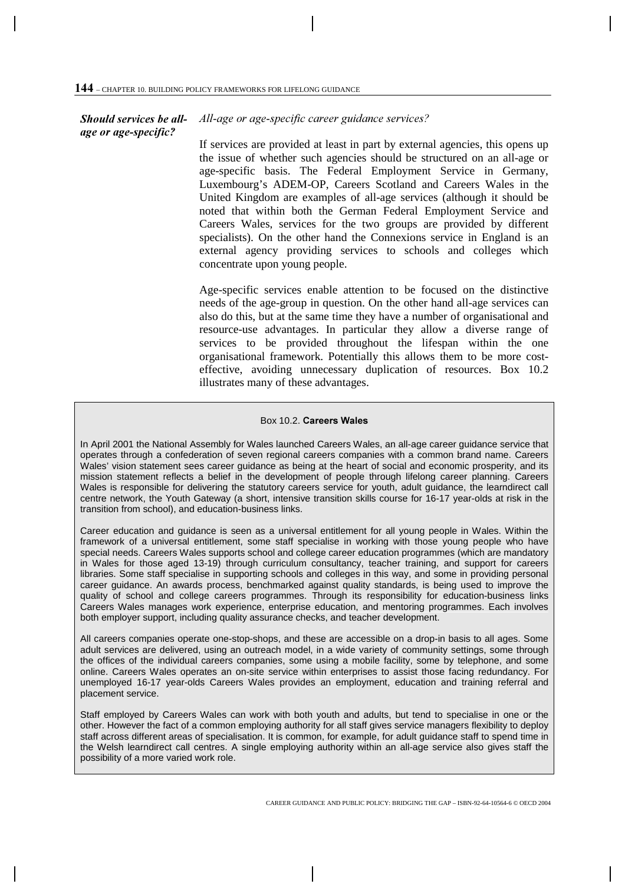Should services be allage or age-specific?

All-age or age-specific career guidance services?

If services are provided at least in part by external agencies, this opens up the issue of whether such agencies should be structured on an all-age or age-specific basis. The Federal Employment Service in Germany, Luxembourg's ADEM-OP, Careers Scotland and Careers Wales in the United Kingdom are examples of all-age services (although it should be noted that within both the German Federal Employment Service and Careers Wales, services for the two groups are provided by different specialists). On the other hand the Connexions service in England is an external agency providing services to schools and colleges which concentrate upon young people.

Age-specific services enable attention to be focused on the distinctive needs of the age-group in question. On the other hand all-age services can also do this, but at the same time they have a number of organisational and resource-use advantages. In particular they allow a diverse range of services to be provided throughout the lifespan within the one organisational framework. Potentially this allows them to be more costeffective, avoiding unnecessary duplication of resources. Box 10.2 illustrates many of these advantages.

## Box 10.2. Careers Wales

In April 2001 the National Assembly for Wales launched Careers Wales, an all-age career guidance service that operates through a confederation of seven regional careers companies with a common brand name. Careers Wales' vision statement sees career guidance as being at the heart of social and economic prosperity, and its mission statement reflects a belief in the development of people through lifelong career planning. Careers Wales is responsible for delivering the statutory careers service for youth, adult guidance, the learndirect call centre network, the Youth Gateway (a short, intensive transition skills course for 16-17 year-olds at risk in the transition from school), and education-business links.

Career education and guidance is seen as a universal entitlement for all young people in Wales. Within the framework of a universal entitlement, some staff specialise in working with those young people who have special needs. Careers Wales supports school and college career education programmes (which are mandatory in Wales for those aged 13-19) through curriculum consultancy, teacher training, and support for careers libraries. Some staff specialise in supporting schools and colleges in this way, and some in providing personal career guidance. An awards process, benchmarked against quality standards, is being used to improve the quality of school and college careers programmes. Through its responsibility for education-business links Careers Wales manages work experience, enterprise education, and mentoring programmes. Each involves both employer support, including quality assurance checks, and teacher development.

All careers companies operate one-stop-shops, and these are accessible on a drop-in basis to all ages. Some adult services are delivered, using an outreach model, in a wide variety of community settings, some through the offices of the individual careers companies, some using a mobile facility, some by telephone, and some online. Careers Wales operates an on-site service within enterprises to assist those facing redundancy. For unemployed 16-17 year-olds Careers Wales provides an employment, education and training referral and placement service.

Staff employed by Careers Wales can work with both youth and adults, but tend to specialise in one or the other. However the fact of a common employing authority for all staff gives service managers flexibility to deploy staff across different areas of specialisation. It is common, for example, for adult guidance staff to spend time in the Welsh learndirect call centres. A single employing authority within an all-age service also gives staff the possibility of a more varied work role.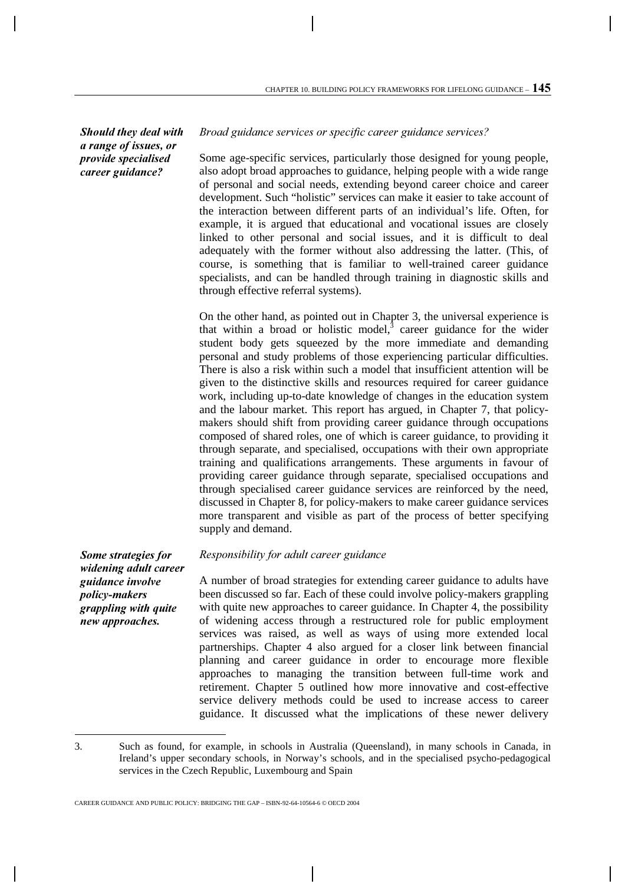**Should they deal with** *a range of issues, or provide specialised career guidance?* 

## *Broad guidance services or specific career guidance services?*

Some age-specific services, particularly those designed for young people, also adopt broad approaches to guidance, helping people with a wide range of personal and social needs, extending beyond career choice and career development. Such "holistic" services can make it easier to take account of the interaction between different parts of an individual's life. Often, for example, it is argued that educational and vocational issues are closely linked to other personal and social issues, and it is difficult to deal adequately with the former without also addressing the latter. (This, of course, is something that is familiar to well-trained career guidance specialists, and can be handled through training in diagnostic skills and through effective referral systems).

On the other hand, as pointed out in Chapter 3, the universal experience is that within a broad or holistic model, $\bar{3}$  career guidance for the wider student body gets squeezed by the more immediate and demanding personal and study problems of those experiencing particular difficulties. There is also a risk within such a model that insufficient attention will be given to the distinctive skills and resources required for career guidance work, including up-to-date knowledge of changes in the education system and the labour market. This report has argued, in Chapter 7, that policymakers should shift from providing career guidance through occupations composed of shared roles, one of which is career guidance, to providing it through separate, and specialised, occupations with their own appropriate training and qualifications arrangements. These arguments in favour of providing career guidance through separate, specialised occupations and through specialised career guidance services are reinforced by the need, discussed in Chapter 8, for policy-makers to make career guidance services more transparent and visible as part of the process of better specifying supply and demand.

Some strategies for *widening adult career* guidance involve policy-makers *grappling with quite new approaches.* 

 $\overline{a}$ 

## Responsibility for adult career guidance

A number of broad strategies for extending career guidance to adults have been discussed so far. Each of these could involve policy-makers grappling with quite new approaches to career guidance. In Chapter 4, the possibility of widening access through a restructured role for public employment services was raised, as well as ways of using more extended local partnerships. Chapter 4 also argued for a closer link between financial planning and career guidance in order to encourage more flexible approaches to managing the transition between full-time work and retirement. Chapter 5 outlined how more innovative and cost-effective service delivery methods could be used to increase access to career guidance. It discussed what the implications of these newer delivery

3. Such as found, for example, in schools in Australia (Queensland), in many schools in Canada, in Ireland's upper secondary schools, in Norway's schools, and in the specialised psycho-pedagogical services in the Czech Republic, Luxembourg and Spain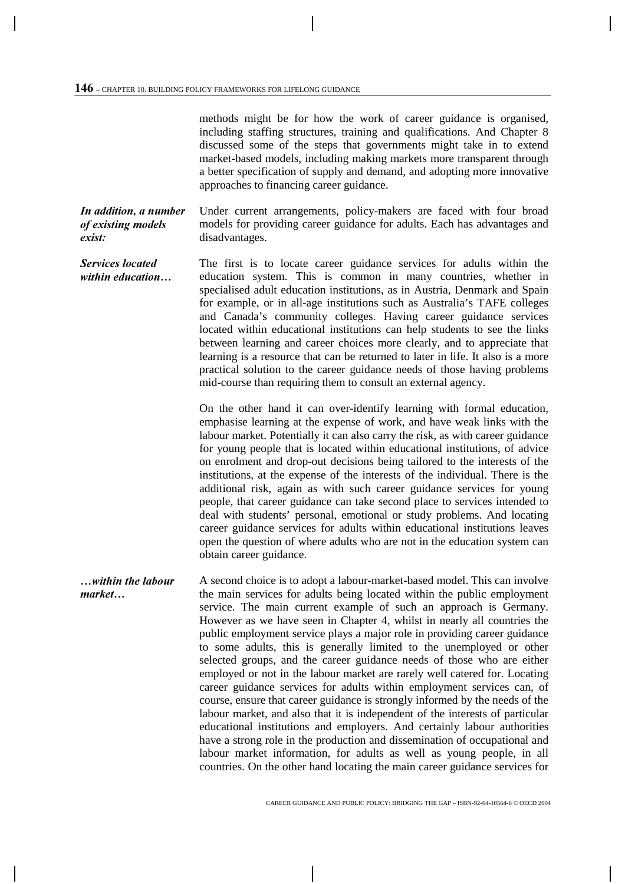methods might be for how the work of career guidance is organised, including staffing structures, training and qualifications. And Chapter 8 discussed some of the steps that governments might take in to extend market-based models, including making markets more transparent through a better specification of supply and demand, and adopting more innovative approaches to financing career guidance.

*In addition, a number* of existing models *exist:* Under current arrangements, policy-makers are faced with four broad models for providing career guidance for adults. Each has advantages and disadvantages.

**Services** *located* within education... The first is to locate career guidance services for adults within the education system. This is common in many countries, whether in specialised adult education institutions, as in Austria, Denmark and Spain for example, or in all-age institutions such as Australia's TAFE colleges and Canada's community colleges. Having career guidance services located within educational institutions can help students to see the links between learning and career choices more clearly, and to appreciate that learning is a resource that can be returned to later in life. It also is a more practical solution to the career guidance needs of those having problems mid-course than requiring them to consult an external agency.

> On the other hand it can over-identify learning with formal education, emphasise learning at the expense of work, and have weak links with the labour market. Potentially it can also carry the risk, as with career guidance for young people that is located within educational institutions, of advice on enrolment and drop-out decisions being tailored to the interests of the institutions, at the expense of the interests of the individual. There is the additional risk, again as with such career guidance services for young people, that career guidance can take second place to services intended to deal with students' personal, emotional or study problems. And locating career guidance services for adults within educational institutions leaves open the question of where adults who are not in the education system can obtain career guidance.

...within the labour *market...* A second choice is to adopt a labour-market-based model. This can involve the main services for adults being located within the public employment service. The main current example of such an approach is Germany. However as we have seen in Chapter 4, whilst in nearly all countries the public employment service plays a major role in providing career guidance to some adults, this is generally limited to the unemployed or other selected groups, and the career guidance needs of those who are either employed or not in the labour market are rarely well catered for. Locating career guidance services for adults within employment services can, of course, ensure that career guidance is strongly informed by the needs of the labour market, and also that it is independent of the interests of particular educational institutions and employers. And certainly labour authorities have a strong role in the production and dissemination of occupational and labour market information, for adults as well as young people, in all countries. On the other hand locating the main career guidance services for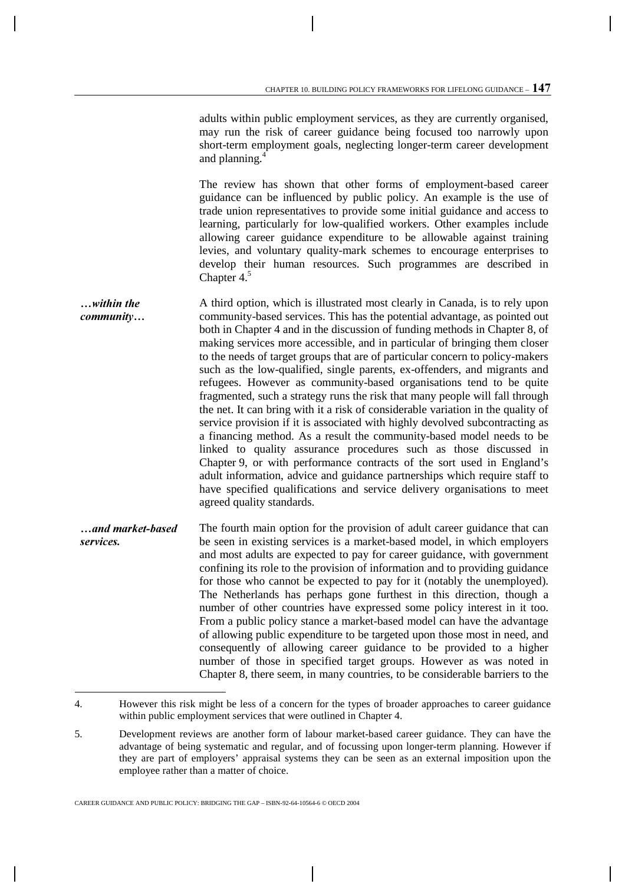adults within public employment services, as they are currently organised, may run the risk of career guidance being focused too narrowly upon short-term employment goals, neglecting longer-term career development and planning.<sup>4</sup>

The review has shown that other forms of employment-based career guidance can be influenced by public policy. An example is the use of trade union representatives to provide some initial guidance and access to learning, particularly for low-qualified workers. Other examples include allowing career guidance expenditure to be allowable against training levies, and voluntary quality-mark schemes to encourage enterprises to develop their human resources. Such programmes are described in Chapter 4.<sup>5</sup>

...within the  $community...$ A third option, which is illustrated most clearly in Canada, is to rely upon community-based services. This has the potential advantage, as pointed out both in Chapter 4 and in the discussion of funding methods in Chapter 8, of making services more accessible, and in particular of bringing them closer to the needs of target groups that are of particular concern to policy-makers such as the low-qualified, single parents, ex-offenders, and migrants and refugees. However as community-based organisations tend to be quite fragmented, such a strategy runs the risk that many people will fall through the net. It can bring with it a risk of considerable variation in the quality of service provision if it is associated with highly devolved subcontracting as a financing method. As a result the community-based model needs to be linked to quality assurance procedures such as those discussed in Chapter 9, or with performance contracts of the sort used in England's adult information, advice and guidance partnerships which require staff to have specified qualifications and service delivery organisations to meet agreed quality standards.

...and market-based services. The fourth main option for the provision of adult career guidance that can be seen in existing services is a market-based model, in which employers and most adults are expected to pay for career guidance, with government confining its role to the provision of information and to providing guidance for those who cannot be expected to pay for it (notably the unemployed). The Netherlands has perhaps gone furthest in this direction, though a number of other countries have expressed some policy interest in it too. From a public policy stance a market-based model can have the advantage of allowing public expenditure to be targeted upon those most in need, and consequently of allowing career guidance to be provided to a higher number of those in specified target groups. However as was noted in Chapter 8, there seem, in many countries, to be considerable barriers to the

 $\overline{a}$ 

<sup>4.</sup> However this risk might be less of a concern for the types of broader approaches to career guidance within public employment services that were outlined in Chapter 4.

<sup>5.</sup> Development reviews are another form of labour market-based career guidance. They can have the advantage of being systematic and regular, and of focussing upon longer-term planning. However if they are part of employers' appraisal systems they can be seen as an external imposition upon the employee rather than a matter of choice.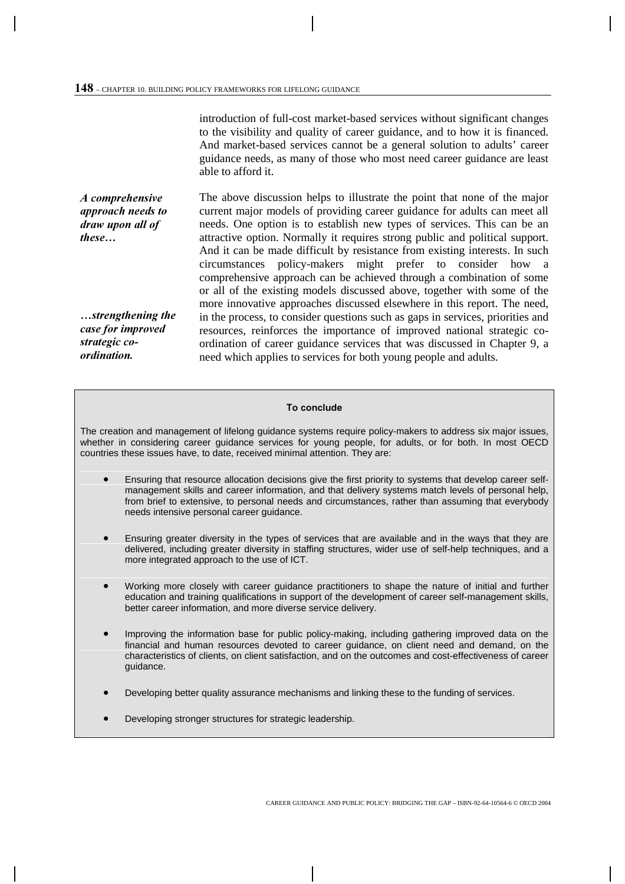introduction of full-cost market-based services without significant changes to the visibility and quality of career guidance, and to how it is financed. And market-based services cannot be a general solution to adults' career guidance needs, as many of those who most need career guidance are least able to afford it.

*+ -! approach needs to* draw upon all of *these...* ...strengthening the *case for improved* strategic coordination. The above discussion helps to illustrate the point that none of the major current major models of providing career guidance for adults can meet all needs. One option is to establish new types of services. This can be an attractive option. Normally it requires strong public and political support. And it can be made difficult by resistance from existing interests. In such circumstances policy-makers might prefer to consider how a comprehensive approach can be achieved through a combination of some or all of the existing models discussed above, together with some of the more innovative approaches discussed elsewhere in this report. The need, in the process, to consider questions such as gaps in services, priorities and resources, reinforces the importance of improved national strategic coordination of career guidance services that was discussed in Chapter 9, a need which applies to services for both young people and adults.

#### To conclude

The creation and management of lifelong guidance systems require policy-makers to address six major issues, whether in considering career guidance services for young people, for adults, or for both. In most OECD countries these issues have, to date, received minimal attention. They are:

- Ensuring that resource allocation decisions give the first priority to systems that develop career selfmanagement skills and career information, and that delivery systems match levels of personal help, from brief to extensive, to personal needs and circumstances, rather than assuming that everybody needs intensive personal career guidance.
- Ensuring greater diversity in the types of services that are available and in the ways that they are delivered, including greater diversity in staffing structures, wider use of self-help techniques, and a more integrated approach to the use of ICT.
- Working more closely with career guidance practitioners to shape the nature of initial and further education and training qualifications in support of the development of career self-management skills, better career information, and more diverse service delivery.
- Improving the information base for public policy-making, including gathering improved data on the financial and human resources devoted to career guidance, on client need and demand, on the characteristics of clients, on client satisfaction, and on the outcomes and cost-effectiveness of career guidance.
- Developing better quality assurance mechanisms and linking these to the funding of services.
- Developing stronger structures for strategic leadership.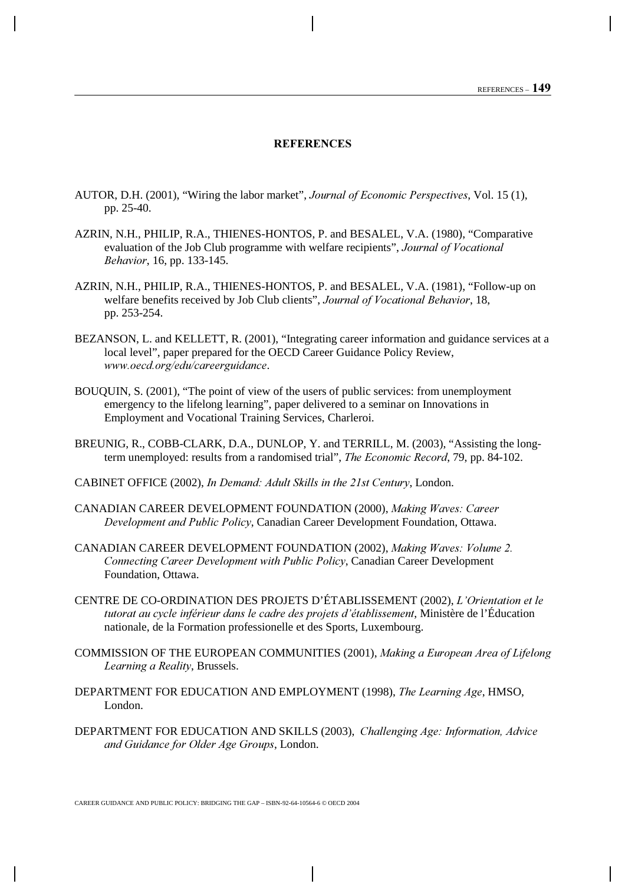# **REFERENCES**

- AUTOR, D.H. (2001), "Wiring the labor market", *Journal of Economic Perspectives*, Vol. 15 (1), pp. 25-40.
- AZRIN, N.H., PHILIP, R.A., THIENES-HONTOS, P. and BESALEL, V.A. (1980), "Comparative evaluation of the Job Club programme with welfare recipients", Journal of Vocational *Behavior*, 16, pp. 133-145.
- AZRIN, N.H., PHILIP, R.A., THIENES-HONTOS, P. and BESALEL, V.A. (1981), "Follow-up on welfare benefits received by Job Club clients", Journal of Vocational Behavior, 18, pp. 253-254.
- BEZANSON, L. and KELLETT, R. (2001), "Integrating career information and guidance services at a local level", paper prepared for the OECD Career Guidance Policy Review, *www.oecd.org/edu/careerguidance.*
- BOUQUIN, S. (2001), "The point of view of the users of public services: from unemployment emergency to the lifelong learning", paper delivered to a seminar on Innovations in Employment and Vocational Training Services, Charleroi.
- BREUNIG, R., COBB-CLARK, D.A., DUNLOP, Y. and TERRILL, M. (2003), "Assisting the longterm unemployed: results from a randomised trial", *The Economic Record*, 79, pp. 84-102.
- CABINET OFFICE (2002), *In Demand: Adult Skills in the 21st Century*, London.
- CANADIAN CAREER DEVELOPMENT FOUNDATION (2000), Making Waves: Career Development and Public Policy, Canadian Career Development Foundation, Ottawa.
- CANADIAN CAREER DEVELOPMENT FOUNDATION (2002), Making Waves: Volume 2. Connecting Career Development with Public Policy, Canadian Career Development Foundation, Ottawa.
- CENTRE DE CO-ORDINATION DES PROJETS D'ÉTABLISSEMENT (2002), *L'Orientation et le* tutorat au cycle inférieur dans le cadre des projets d'établissement, Ministère de l'Éducation nationale, de la Formation professionelle et des Sports, Luxembourg.
- COMMISSION OF THE EUROPEAN COMMUNITIES (2001), Making a European Area of Lifelong Learning a Reality, Brussels.
- DEPARTMENT FOR EDUCATION AND EMPLOYMENT (1998), The Learning Age, HMSO, London.
- DEPARTMENT FOR EDUCATION AND SKILLS (2003), *Challenging Age: Information, Advice* and Guidance for Older Age Groups, London.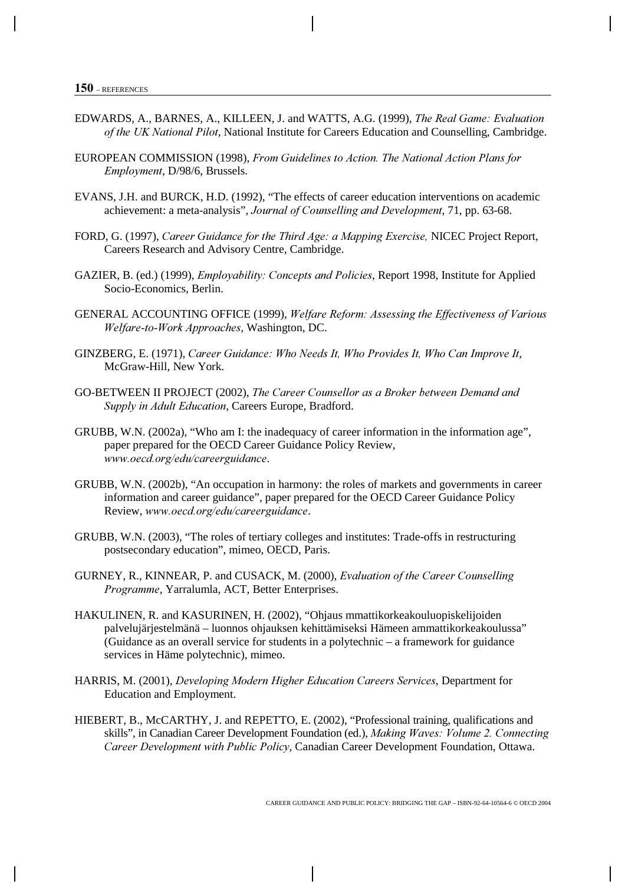- EDWARDS, A., BARNES, A., KILLEEN, J. and WATTS, A.G. (1999), *The Real Game: Evaluation* of the UK National Pilot, National Institute for Careers Education and Counselling, Cambridge.
- EUROPEAN COMMISSION (1998), *From Guidelines to Action. The National Action Plans for* Employment, D/98/6, Brussels.
- EVANS, J.H. and BURCK, H.D. (1992), "The effects of career education interventions on academic achievement: a meta-analysis", *Journal of Counselling and Development*, 71, pp. 63-68.
- FORD, G. (1997), Career Guidance for the Third Age: a Mapping Exercise, NICEC Project Report, Careers Research and Advisory Centre, Cambridge.
- GAZIER, B. (ed.) (1999), *Employability: Concepts and Policies*, Report 1998, Institute for Applied Socio-Economics, Berlin.
- GENERAL ACCOUNTING OFFICE (1999), Welfare Reform: Assessing the Effectiveness of Various *Welfare-to-Work Approaches, Washington, DC.*
- GINZBERG, E. (1971), Career Guidance: Who Needs It, Who Provides It, Who Can Improve It, McGraw-Hill, New York.
- GO-BETWEEN II PROJECT (2002), The Career Counsellor as a Broker between Demand and Supply in Adult Education, Careers Europe, Bradford.
- GRUBB, W.N. (2002a), "Who am I: the inadequacy of career information in the information age", paper prepared for the OECD Career Guidance Policy Review,  $www. oecd. org/edu/careerguidance.$
- GRUBB, W.N. (2002b), "An occupation in harmony: the roles of markets and governments in career information and career guidance", paper prepared for the OECD Career Guidance Policy Review, www.oecd.org/edu/careerguidance.
- GRUBB, W.N. (2003), "The roles of tertiary colleges and institutes: Trade-offs in restructuring postsecondary education", mimeo, OECD, Paris.
- GURNEY, R., KINNEAR, P. and CUSACK, M. (2000), *Evaluation of the Career Counselling Programme, Yarralumla, ACT, Better Enterprises.*
- HAKULINEN, R. and KASURINEN, H. (2002), "Ohjaus mmattikorkeakouluopiskelijoiden palvelujärjestelmänä – luonnos ohjauksen kehittämiseksi Hämeen ammattikorkeakoulussa" (Guidance as an overall service for students in a polytechnic – a framework for guidance services in Häme polytechnic), mimeo.
- HARRIS, M. (2001), *Developing Modern Higher Education Careers Services*, Department for Education and Employment.
- HIEBERT, B., McCARTHY, J. and REPETTO, E. (2002), "Professional training, qualifications and skills", in Canadian Career Development Foundation (ed.), Making Waves: Volume 2. Connecting Career Development with Public Policy, Canadian Career Development Foundation, Ottawa.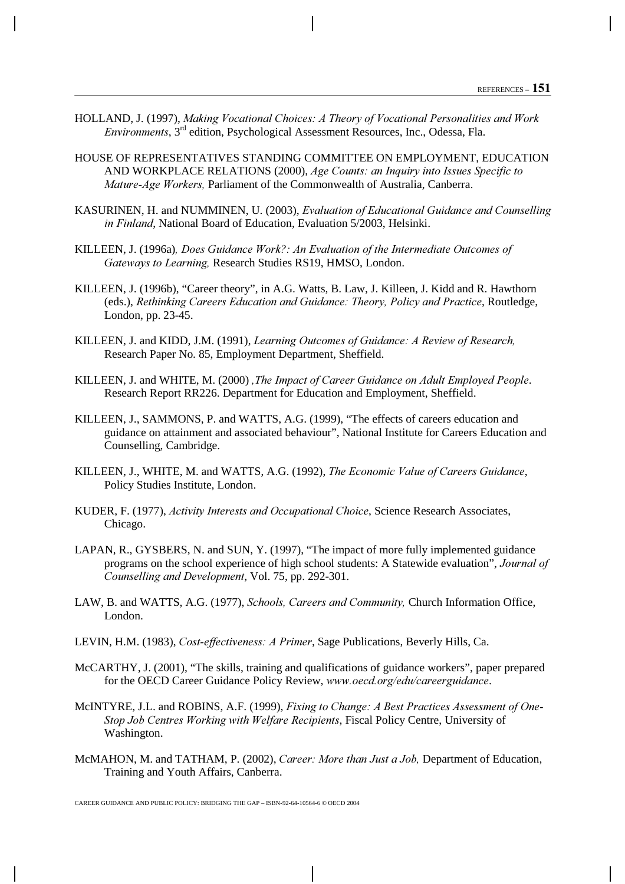- HOLLAND, J. (1997), Making Vocational Choices: A Theory of Vocational Personalities and Work *Environments*, 3<sup>rd</sup> edition, Psychological Assessment Resources, Inc., Odessa, Fla.
- HOUSE OF REPRESENTATIVES STANDING COMMITTEE ON EMPLOYMENT, EDUCATION AND WORKPLACE RELATIONS (2000), Age Counts: an Inquiry into Issues Specific to Mature-Age Workers, Parliament of the Commonwealth of Australia, Canberra.
- KASURINEN, H. and NUMMINEN, U. (2003), *Evaluation of Educational Guidance and Counselling in Finland*, National Board of Education, Evaluation 5/2003, Helsinki.
- KILLEEN, J. (1996a), *Does Guidance Work?: An Evaluation of the Intermediate Outcomes of* Gateways to Learning, Research Studies RS19, HMSO, London.
- KILLEEN, J. (1996b), "Career theory", in A.G. Watts, B. Law, J. Killeen, J. Kidd and R. Hawthorn (eds.), Rethinking Careers Education and Guidance: Theory, Policy and Practice, Routledge, London, pp. 23-45.
- KILLEEN, J. and KIDD, J.M. (1991), Learning Outcomes of Guidance: A Review of Research, Research Paper No. 85, Employment Department, Sheffield.
- KILLEEN, J. and WHITE, M. (2000) *, The Impact of Career Guidance on Adult Employed People.* Research Report RR226. Department for Education and Employment, Sheffield.
- KILLEEN, J., SAMMONS, P. and WATTS, A.G. (1999), "The effects of careers education and guidance on attainment and associated behaviour", National Institute for Careers Education and Counselling, Cambridge.
- KILLEEN, J., WHITE, M. and WATTS, A.G. (1992), The Economic Value of Careers Guidance, Policy Studies Institute, London.
- KUDER, F. (1977), Activity Interests and Occupational Choice, Science Research Associates, Chicago.
- LAPAN, R., GYSBERS, N. and SUN, Y. (1997), "The impact of more fully implemented guidance programs on the school experience of high school students: A Statewide evaluation", *Journal of* Counselling and Development, Vol. 75, pp. 292-301.
- LAW, B. and WATTS, A.G. (1977), *Schools, Careers and Community*, Church Information Office, London.
- LEVIN, H.M. (1983), *Cost-effectiveness: A Primer*, Sage Publications, Beverly Hills, Ca.
- McCARTHY, J. (2001), "The skills, training and qualifications of guidance workers", paper prepared for the OECD Career Guidance Policy Review, www.oecd.org/edu/careerguidance.
- McINTYRE, J.L. and ROBINS, A.F. (1999), *Fixing to Change: A Best Practices Assessment of One-*Stop Job Centres Working with Welfare Recipients, Fiscal Policy Centre, University of Washington.
- McMAHON, M. and TATHAM, P. (2002), *Career: More than Just a Job*, Department of Education, Training and Youth Affairs, Canberra.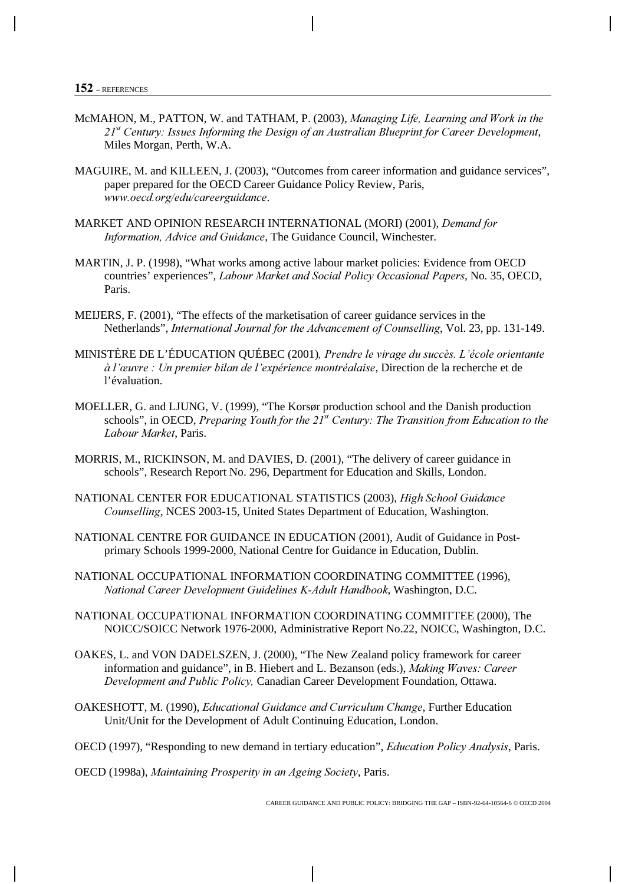- McMAHON, M., PATTON, W. and TATHAM, P. (2003), *Managing Life, Learning and Work in the* 21<sup>st</sup> Century: Issues Informing the Design of an Australian Blueprint for Career Development, Miles Morgan, Perth, W.A.
- MAGUIRE, M. and KILLEEN, J. (2003), "Outcomes from career information and guidance services", paper prepared for the OECD Career Guidance Policy Review, Paris, *www.oecd.org/edu/careerguidance.*
- MARKET AND OPINION RESEARCH INTERNATIONAL (MORI) (2001), *Demand for* Information, Advice and Guidance, The Guidance Council, Winchester.
- MARTIN, J. P. (1998), "What works among active labour market policies: Evidence from OECD countries' experiences", Labour Market and Social Policy Occasional Papers, No. 35, OECD, Paris.
- MEIJERS, F. (2001), "The effects of the marketisation of career guidance services in the Netherlands", *International Journal for the Advancement of Counselling*, Vol. 23, pp. 131-149.
- MINISTÈRE DE L'ÉDUCATION QUÉBEC (2001), *Prendre le virage du succès. L'école orientante* à l'œuvre : Un premier bilan de l'expérience montréalaise, Direction de la recherche et de l'évaluation.
- MOELLER, G. and LJUNG, V. (1999), "The Korsør production school and the Danish production schools", in OECD, *Preparing Youth for the*  $21<sup>st</sup>$  Century: The Transition from Education to the *Labour Market*, Paris.
- MORRIS, M., RICKINSON, M. and DAVIES, D. (2001), "The delivery of career guidance in schools", Research Report No. 296, Department for Education and Skills, London.
- NATIONAL CENTER FOR EDUCATIONAL STATISTICS (2003), *High School Guidance* Counselling, NCES 2003-15, United States Department of Education, Washington.
- NATIONAL CENTRE FOR GUIDANCE IN EDUCATION (2001), Audit of Guidance in Postprimary Schools 1999-2000, National Centre for Guidance in Education, Dublin.
- NATIONAL OCCUPATIONAL INFORMATION COORDINATING COMMITTEE (1996), National Career Development Guidelines K-Adult Handbook, Washington, D.C.
- NATIONAL OCCUPATIONAL INFORMATION COORDINATING COMMITTEE (2000), The NOICC/SOICC Network 1976-2000, Administrative Report No.22, NOICC, Washington, D.C.
- OAKES, L. and VON DADELSZEN, J. (2000), "The New Zealand policy framework for career information and guidance", in B. Hiebert and L. Bezanson (eds.), *Making Waves: Career* Development and Public Policy, Canadian Career Development Foundation, Ottawa.
- OAKESHOTT, M. (1990), *Educational Guidance and Curriculum Change*, Further Education Unit/Unit for the Development of Adult Continuing Education, London.
- OECD (1997), "Responding to new demand in tertiary education", *Education Policy Analysis*, Paris.
- OECD (1998a), Maintaining Prosperity in an Ageing Society, Paris.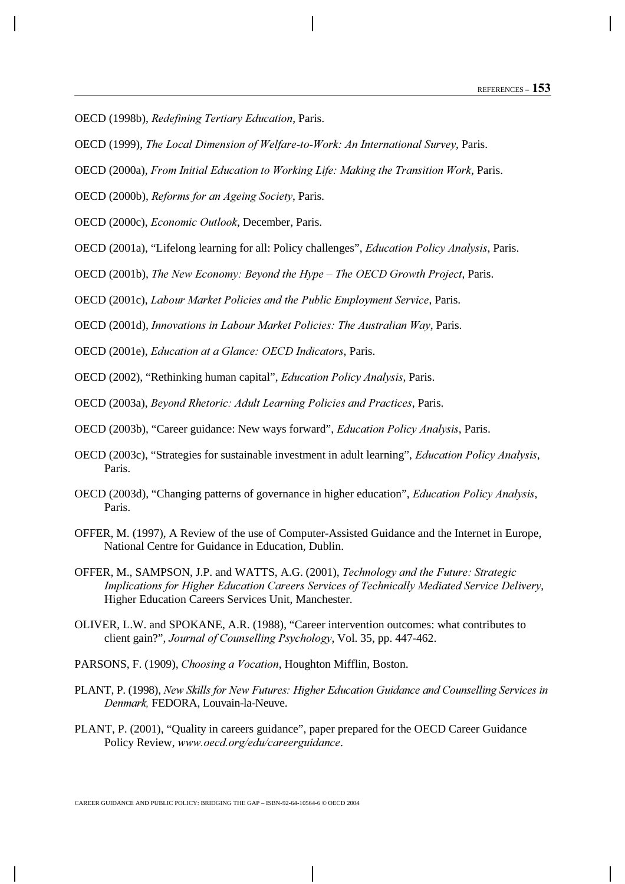- OECD (1998b), Redefining Tertiary Education, Paris.
- OECD (1999), *The Local Dimension of Welfare-to-Work: An International Survey, Paris.*
- OECD (2000a), *From Initial Education to Working Life: Making the Transition Work*, Paris.
- OECD (2000b), *Reforms for an Ageing Society*, Paris.
- OECD (2000c), *Economic Outlook*, December, Paris.
- OECD (2001a), "Lifelong learning for all: Policy challenges", *Education Policy Analysis*, Paris.
- OECD (2001b), *The New Economy: Beyond the Hype The OECD Growth Project*, Paris.
- OECD (2001c), *Labour Market Policies and the Public Employment Service*, Paris.
- OECD (2001d), *Innovations in Labour Market Policies: The Australian Way*, Paris.
- OECD (2001e), *Education at a Glance: OECD Indicators*, Paris.
- OECD (2002), "Rethinking human capital", *Education Policy Analysis*, Paris.
- OECD (2003a), *Beyond Rhetoric: Adult Learning Policies and Practices*, Paris.
- OECD (2003b), "Career guidance: New ways forward", *Education Policy Analysis*, Paris.
- OECD (2003c), "Strategies for sustainable investment in adult learning", *Education Policy Analysis*, Paris.
- OECD (2003d), "Changing patterns of governance in higher education", *Education Policy Analysis*, Paris.
- OFFER, M. (1997), A Review of the use of Computer-Assisted Guidance and the Internet in Europe, National Centre for Guidance in Education, Dublin.
- OFFER, M., SAMPSON, J.P. and WATTS, A.G. (2001), *Technology and the Future: Strategic* Implications for Higher Education Careers Services of Technically Mediated Service Delivery, Higher Education Careers Services Unit, Manchester.
- OLIVER, L.W. and SPOKANE, A.R. (1988), "Career intervention outcomes: what contributes to client gain?", *Journal of Counselling Psychology*, Vol. 35, pp. 447-462.
- PARSONS, F. (1909), *Choosing a Vocation*, Houghton Mifflin, Boston.
- PLANT, P. (1998), *New Skills for New Futures: Higher Education Guidance and Counselling Services in* Denmark, FEDORA, Louvain-la-Neuve.
- PLANT, P. (2001), "Quality in careers guidance", paper prepared for the OECD Career Guidance Policy Review, www.oecd.org/edu/careerguidance.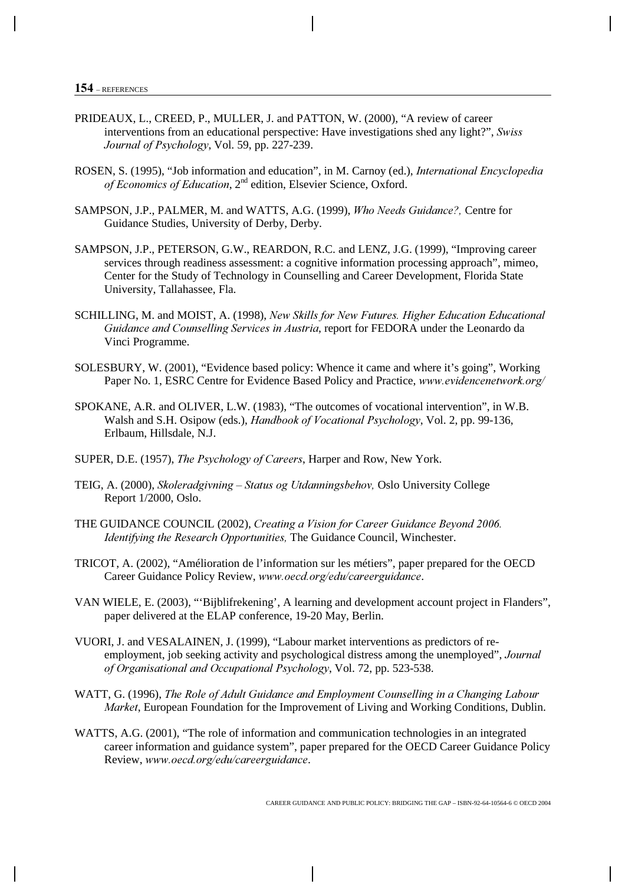- PRIDEAUX, L., CREED, P., MULLER, J. and PATTON, W. (2000), "A review of career interventions from an educational perspective: Have investigations shed any light?",  *Journal of Psychology*, Vol. 59, pp. 227-239.
- ROSEN, S. (1995), "Job information and education", in M. Carnoy (ed.), *International Encyclopedia* of Economics of Education, 2<sup>nd</sup> edition, Elsevier Science, Oxford.
- SAMPSON, J.P., PALMER, M. and WATTS, A.G. (1999), *Who Needs Guidance?*, Centre for Guidance Studies, University of Derby, Derby.
- SAMPSON, J.P., PETERSON, G.W., REARDON, R.C. and LENZ, J.G. (1999), "Improving career services through readiness assessment: a cognitive information processing approach", mimeo, Center for the Study of Technology in Counselling and Career Development, Florida State University, Tallahassee, Fla.
- SCHILLING, M. and MOIST, A. (1998), *New Skills for New Futures. Higher Education Educational* Guidance and Counselling Services in Austria, report for FEDORA under the Leonardo da Vinci Programme.
- SOLESBURY, W. (2001), "Evidence based policy: Whence it came and where it's going", Working Paper No. 1, ESRC Centre for Evidence Based Policy and Practice, www.evidencenetwork.org/
- SPOKANE, A.R. and OLIVER, L.W. (1983), "The outcomes of vocational intervention", in W.B. Walsh and S.H. Osipow (eds.), *Handbook of Vocational Psychology*, Vol. 2, pp. 99-136, Erlbaum, Hillsdale, N.J.
- SUPER, D.E. (1957), *The Psychology of Careers*, Harper and Row, New York.
- TEIG, A. (2000), Skoleradgivning Status og Utdanningsbehov, Oslo University College Report 1/2000, Oslo.
- THE GUIDANCE COUNCIL (2002), Creating a Vision for Career Guidance Beyond 2006. Identifying the Research Opportunities, The Guidance Council, Winchester.
- TRICOT, A. (2002), "Amélioration de l'information sur les métiers", paper prepared for the OECD Career Guidance Policy Review, www.oecd.org/edu/careerguidance.
- VAN WIELE, E. (2003), "'Bijblifrekening', A learning and development account project in Flanders", paper delivered at the ELAP conference, 19-20 May, Berlin.
- VUORI, J. and VESALAINEN, J. (1999), "Labour market interventions as predictors of reemployment, job seeking activity and psychological distress among the unemployed", *Journal* of Organisational and Occupational Psychology, Vol. 72, pp. 523-538.
- WATT, G. (1996), The Role of Adult Guidance and Employment Counselling in a Changing Labour *Market*, European Foundation for the Improvement of Living and Working Conditions, Dublin.
- WATTS, A.G. (2001), "The role of information and communication technologies in an integrated career information and guidance system", paper prepared for the OECD Career Guidance Policy Review, www.oecd.org/edu/careerguidance.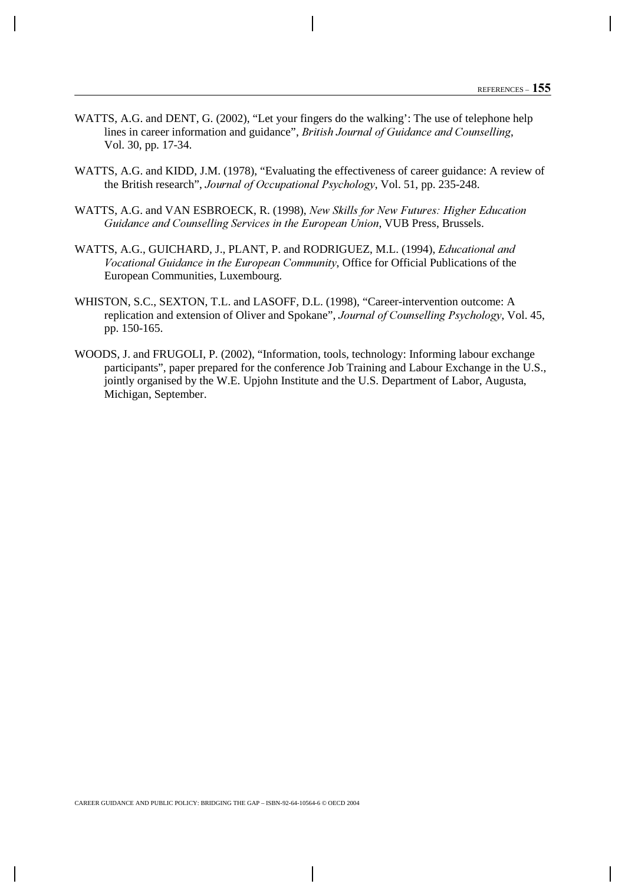- WATTS, A.G. and DENT, G. (2002), "Let your fingers do the walking': The use of telephone help lines in career information and guidance", *British Journal of Guidance and Counselling*, Vol. 30, pp. 17-34.
- WATTS, A.G. and KIDD, J.M. (1978), "Evaluating the effectiveness of career guidance: A review of the British research", *Journal of Occupational Psychology*, Vol. 51, pp. 235-248.
- WATTS, A.G. and VAN ESBROECK, R. (1998), *New Skills for New Futures: Higher Education* Guidance and Counselling Services in the European Union, VUB Press, Brussels.
- WATTS, A.G., GUICHARD, J., PLANT, P. and RODRIGUEZ, M.L. (1994), *Educational and* Vocational Guidance in the European Community, Office for Official Publications of the European Communities, Luxembourg.
- WHISTON, S.C., SEXTON, T.L. and LASOFF, D.L. (1998), "Career-intervention outcome: A replication and extension of Oliver and Spokane", *Journal of Counselling Psychology*, Vol. 45, pp. 150-165.
- WOODS, J. and FRUGOLI, P. (2002), "Information, tools, technology: Informing labour exchange participants", paper prepared for the conference Job Training and Labour Exchange in the U.S., jointly organised by the W.E. Upjohn Institute and the U.S. Department of Labor, Augusta, Michigan, September.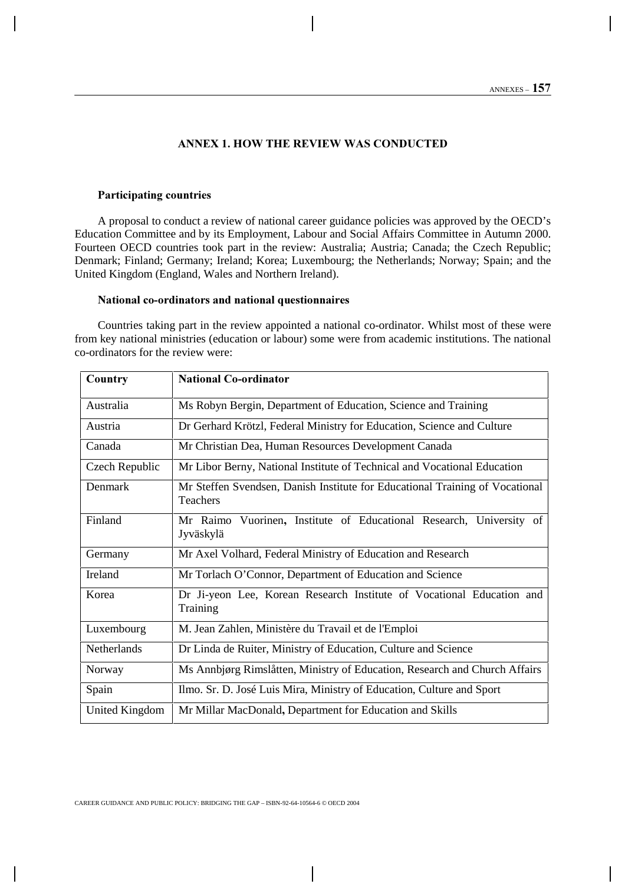# ANNEX 1. HOW THE REVIEW WAS CONDUCTED

# Participating countries

A proposal to conduct a review of national career guidance policies was approved by the OECD's Education Committee and by its Employment, Labour and Social Affairs Committee in Autumn 2000. Fourteen OECD countries took part in the review: Australia; Austria; Canada; the Czech Republic; Denmark; Finland; Germany; Ireland; Korea; Luxembourg; the Netherlands; Norway; Spain; and the United Kingdom (England, Wales and Northern Ireland).

## National co-ordinators and national questionnaires

Countries taking part in the review appointed a national co-ordinator. Whilst most of these were from key national ministries (education or labour) some were from academic institutions. The national co-ordinators for the review were:

| Country        | <b>National Co-ordinator</b>                                                             |
|----------------|------------------------------------------------------------------------------------------|
| Australia      | Ms Robyn Bergin, Department of Education, Science and Training                           |
| Austria        | Dr Gerhard Krötzl, Federal Ministry for Education, Science and Culture                   |
| Canada         | Mr Christian Dea, Human Resources Development Canada                                     |
| Czech Republic | Mr Libor Berny, National Institute of Technical and Vocational Education                 |
| Denmark        | Mr Steffen Svendsen, Danish Institute for Educational Training of Vocational<br>Teachers |
| Finland        | Mr Raimo Vuorinen, Institute of Educational Research, University of<br>Jyväskylä         |
| Germany        | Mr Axel Volhard, Federal Ministry of Education and Research                              |
| Ireland        | Mr Torlach O'Connor, Department of Education and Science                                 |
| Korea          | Dr Ji-yeon Lee, Korean Research Institute of Vocational Education and<br>Training        |
| Luxembourg     | M. Jean Zahlen, Ministère du Travail et de l'Emploi                                      |
| Netherlands    | Dr Linda de Ruiter, Ministry of Education, Culture and Science                           |
| Norway         | Ms Annbjørg Rimslåtten, Ministry of Education, Research and Church Affairs               |
| Spain          | Ilmo. Sr. D. José Luis Mira, Ministry of Education, Culture and Sport                    |
| United Kingdom | Mr Millar MacDonald, Department for Education and Skills                                 |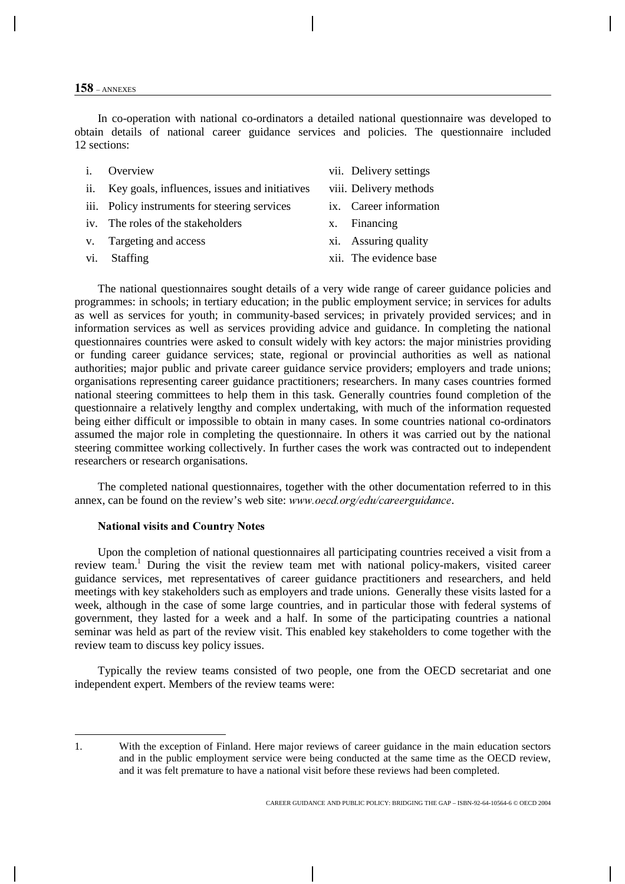In co-operation with national co-ordinators a detailed national questionnaire was developed to obtain details of national career guidance services and policies. The questionnaire included 12 sections:

- i. Overview vii. Delivery settings
- ii. Key goals, influences, issues and initiatives viii. Delivery methods
- iii. Policy instruments for steering services ix. Career information
- iv. The roles of the stakeholders x. Financing
- v. Targeting and access  $xi$  xi. Assuring quality
- 
- 
- -
- 
- vi. Staffing xii. The evidence base

The national questionnaires sought details of a very wide range of career guidance policies and programmes: in schools; in tertiary education; in the public employment service; in services for adults as well as services for youth; in community-based services; in privately provided services; and in information services as well as services providing advice and guidance. In completing the national questionnaires countries were asked to consult widely with key actors: the major ministries providing or funding career guidance services; state, regional or provincial authorities as well as national authorities; major public and private career guidance service providers; employers and trade unions; organisations representing career guidance practitioners; researchers. In many cases countries formed national steering committees to help them in this task. Generally countries found completion of the questionnaire a relatively lengthy and complex undertaking, with much of the information requested being either difficult or impossible to obtain in many cases. In some countries national co-ordinators assumed the major role in completing the questionnaire. In others it was carried out by the national steering committee working collectively. In further cases the work was contracted out to independent researchers or research organisations.

The completed national questionnaires, together with the other documentation referred to in this annex, can be found on the review's web site: *www.oecd.org/edu/careerguidance.* 

# **National visits and Country Notes**

Upon the completion of national questionnaires all participating countries received a visit from a review team.<sup>1</sup> During the visit the review team met with national policy-makers, visited career guidance services, met representatives of career guidance practitioners and researchers, and held meetings with key stakeholders such as employers and trade unions. Generally these visits lasted for a week, although in the case of some large countries, and in particular those with federal systems of government, they lasted for a week and a half. In some of the participating countries a national seminar was held as part of the review visit. This enabled key stakeholders to come together with the review team to discuss key policy issues.

Typically the review teams consisted of two people, one from the OECD secretariat and one independent expert. Members of the review teams were:

 $\overline{a}$ 1. With the exception of Finland. Here major reviews of career guidance in the main education sectors and in the public employment service were being conducted at the same time as the OECD review, and it was felt premature to have a national visit before these reviews had been completed.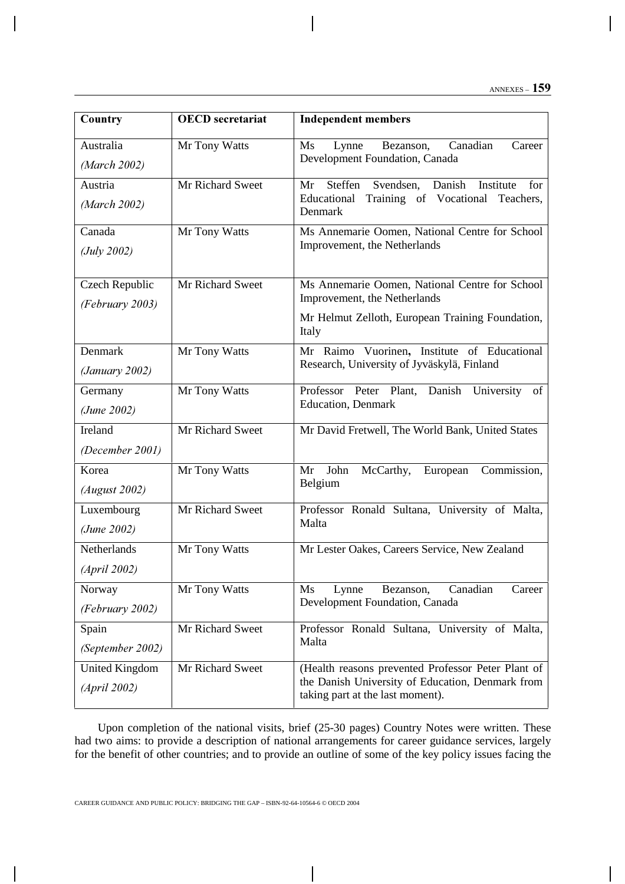| Country                           | <b>OECD</b> secretariat | <b>Independent members</b>                                                                                                                  |
|-----------------------------------|-------------------------|---------------------------------------------------------------------------------------------------------------------------------------------|
| Australia<br>(March 2002)         | Mr Tony Watts           | Canadian<br>Ms<br>Lynne<br>Bezanson,<br>Career<br>Development Foundation, Canada                                                            |
| Austria<br>(March 2002)           | Mr Richard Sweet        | Steffen<br>Danish<br>Svendsen,<br>Institute<br>Mr<br>for<br>Educational<br>Training of Vocational<br>Teachers,<br>Denmark                   |
| Canada<br>(July 2002)             | Mr Tony Watts           | Ms Annemarie Oomen, National Centre for School<br>Improvement, the Netherlands                                                              |
| Czech Republic<br>(February 2003) | Mr Richard Sweet        | Ms Annemarie Oomen, National Centre for School<br>Improvement, the Netherlands<br>Mr Helmut Zelloth, European Training Foundation,<br>Italy |
| Denmark<br>(January 2002)         | Mr Tony Watts           | Mr Raimo Vuorinen, Institute of Educational<br>Research, University of Jyväskylä, Finland                                                   |
| Germany<br>(June 2002)            | Mr Tony Watts           | Professor Peter Plant,<br>Danish<br>University<br>of<br><b>Education</b> , Denmark                                                          |
| Ireland<br>(December 2001)        | Mr Richard Sweet        | Mr David Fretwell, The World Bank, United States                                                                                            |
| Korea<br>(August 2002)            | Mr Tony Watts           | Commission,<br>John<br>McCarthy,<br>European<br>Mr<br>Belgium                                                                               |
| Luxembourg<br>(June 2002)         | Mr Richard Sweet        | Professor Ronald Sultana, University of Malta,<br>Malta                                                                                     |
| Netherlands<br>(April 2002)       | Mr Tony Watts           | Mr Lester Oakes, Careers Service, New Zealand                                                                                               |
| Norway<br>(February 2002)         | Mr Tony Watts           | Canadian<br>Ms<br>Bezanson,<br>Lynne<br>Career<br>Development Foundation, Canada                                                            |
| Spain<br>(September 2002)         | Mr Richard Sweet        | Professor Ronald Sultana, University of Malta,<br>Malta                                                                                     |
| United Kingdom<br>(April 2002)    | Mr Richard Sweet        | (Health reasons prevented Professor Peter Plant of<br>the Danish University of Education, Denmark from<br>taking part at the last moment).  |

Upon completion of the national visits, brief (25-30 pages) Country Notes were written. These had two aims: to provide a description of national arrangements for career guidance services, largely for the benefit of other countries; and to provide an outline of some of the key policy issues facing the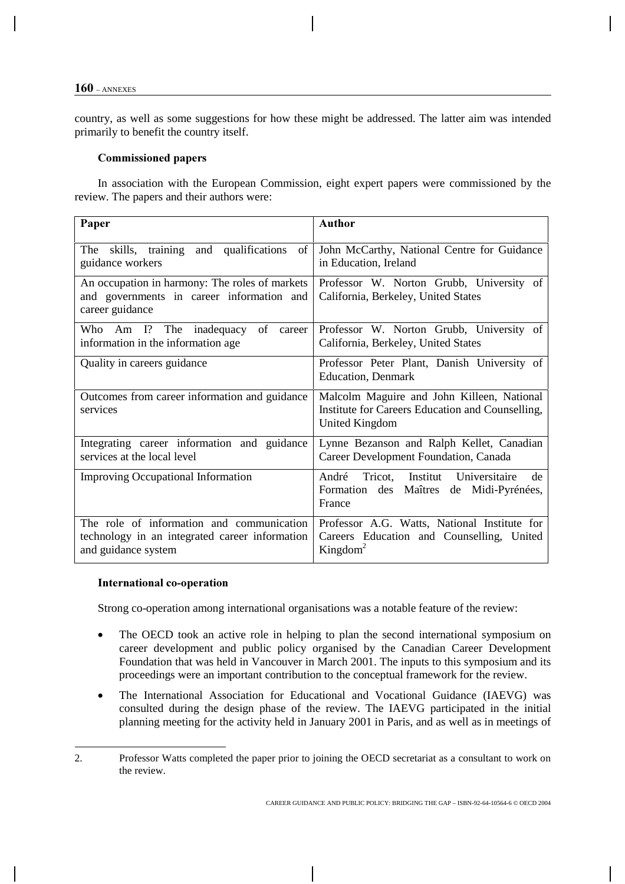country, as well as some suggestions for how these might be addressed. The latter aim was intended primarily to benefit the country itself.

# **Commissioned papers**

In association with the European Commission, eight expert papers were commissioned by the review. The papers and their authors were:

| Paper                                                                                                              | <b>Author</b>                                                                                                     |
|--------------------------------------------------------------------------------------------------------------------|-------------------------------------------------------------------------------------------------------------------|
| skills, training and qualifications<br>The<br>of<br>guidance workers                                               | John McCarthy, National Centre for Guidance<br>in Education, Ireland                                              |
| An occupation in harmony: The roles of markets<br>and governments in career information and<br>career guidance     | Professor W. Norton Grubb, University of<br>California, Berkeley, United States                                   |
| Who Am I? The inadequacy<br>of<br>career<br>information in the information age                                     | Professor W. Norton Grubb, University of<br>California, Berkeley, United States                                   |
| Quality in careers guidance                                                                                        | Professor Peter Plant, Danish University of<br><b>Education</b> , Denmark                                         |
| Outcomes from career information and guidance<br>services                                                          | Malcolm Maguire and John Killeen, National<br>Institute for Careers Education and Counselling,<br>United Kingdom  |
| Integrating career information and guidance<br>services at the local level                                         | Lynne Bezanson and Ralph Kellet, Canadian<br>Career Development Foundation, Canada                                |
| <b>Improving Occupational Information</b>                                                                          | André Tricot, Institut Universitaire<br>de<br>Formation des Maîtres de Midi-Pyrénées,<br>France                   |
| The role of information and communication<br>technology in an integrated career information<br>and guidance system | Professor A.G. Watts, National Institute for<br>Careers Education and Counselling, United<br>Kingdom <sup>2</sup> |

# International co-operation

 $\overline{a}$ 

Strong co-operation among international organisations was a notable feature of the review:

- The OECD took an active role in helping to plan the second international symposium on career development and public policy organised by the Canadian Career Development Foundation that was held in Vancouver in March 2001. The inputs to this symposium and its proceedings were an important contribution to the conceptual framework for the review.
- The International Association for Educational and Vocational Guidance (IAEVG) was consulted during the design phase of the review. The IAEVG participated in the initial planning meeting for the activity held in January 2001 in Paris, and as well as in meetings of

<sup>2.</sup> Professor Watts completed the paper prior to joining the OECD secretariat as a consultant to work on the review.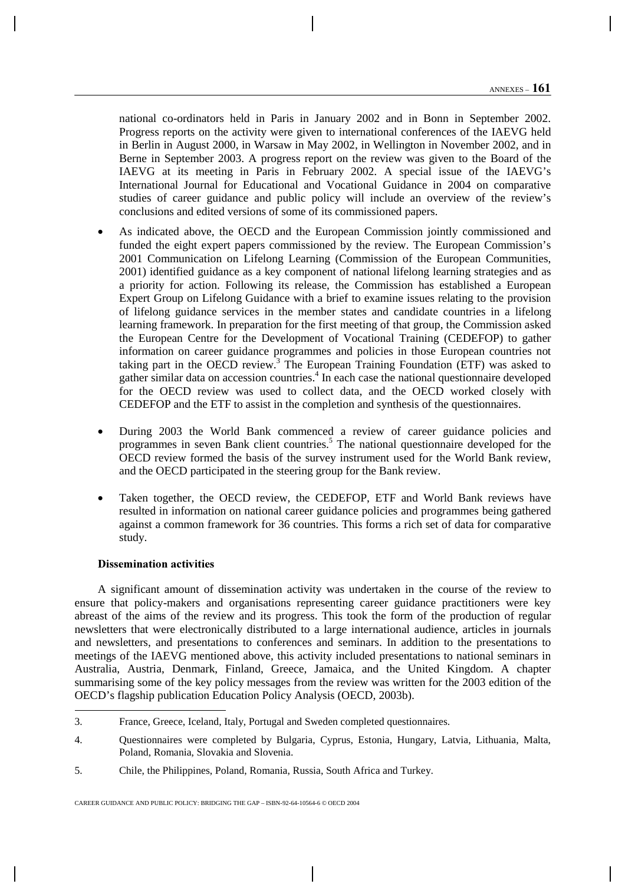national co-ordinators held in Paris in January 2002 and in Bonn in September 2002. Progress reports on the activity were given to international conferences of the IAEVG held in Berlin in August 2000, in Warsaw in May 2002, in Wellington in November 2002, and in Berne in September 2003. A progress report on the review was given to the Board of the IAEVG at its meeting in Paris in February 2002. A special issue of the IAEVG's International Journal for Educational and Vocational Guidance in 2004 on comparative studies of career guidance and public policy will include an overview of the review's conclusions and edited versions of some of its commissioned papers.

- As indicated above, the OECD and the European Commission jointly commissioned and funded the eight expert papers commissioned by the review. The European Commission's 2001 Communication on Lifelong Learning (Commission of the European Communities, 2001) identified guidance as a key component of national lifelong learning strategies and as a priority for action. Following its release, the Commission has established a European Expert Group on Lifelong Guidance with a brief to examine issues relating to the provision of lifelong guidance services in the member states and candidate countries in a lifelong learning framework. In preparation for the first meeting of that group, the Commission asked the European Centre for the Development of Vocational Training (CEDEFOP) to gather information on career guidance programmes and policies in those European countries not taking part in the OECD review.<sup>3</sup> The European Training Foundation (ETF) was asked to gather similar data on accession countries.<sup>4</sup> In each case the national questionnaire developed for the OECD review was used to collect data, and the OECD worked closely with CEDEFOP and the ETF to assist in the completion and synthesis of the questionnaires.
- During 2003 the World Bank commenced a review of career guidance policies and programmes in seven Bank client countries.<sup>5</sup> The national questionnaire developed for the OECD review formed the basis of the survey instrument used for the World Bank review, and the OECD participated in the steering group for the Bank review.
- Taken together, the OECD review, the CEDEFOP, ETF and World Bank reviews have resulted in information on national career guidance policies and programmes being gathered against a common framework for 36 countries. This forms a rich set of data for comparative study.

# **Dissemination activities**

 $\overline{a}$ 

A significant amount of dissemination activity was undertaken in the course of the review to ensure that policy-makers and organisations representing career guidance practitioners were key abreast of the aims of the review and its progress. This took the form of the production of regular newsletters that were electronically distributed to a large international audience, articles in journals and newsletters, and presentations to conferences and seminars. In addition to the presentations to meetings of the IAEVG mentioned above, this activity included presentations to national seminars in Australia, Austria, Denmark, Finland, Greece, Jamaica, and the United Kingdom. A chapter summarising some of the key policy messages from the review was written for the 2003 edition of the OECD's flagship publication Education Policy Analysis (OECD, 2003b).

<sup>3.</sup> France, Greece, Iceland, Italy, Portugal and Sweden completed questionnaires.

<sup>4.</sup> Questionnaires were completed by Bulgaria, Cyprus, Estonia, Hungary, Latvia, Lithuania, Malta, Poland, Romania, Slovakia and Slovenia.

<sup>5.</sup> Chile, the Philippines, Poland, Romania, Russia, South Africa and Turkey.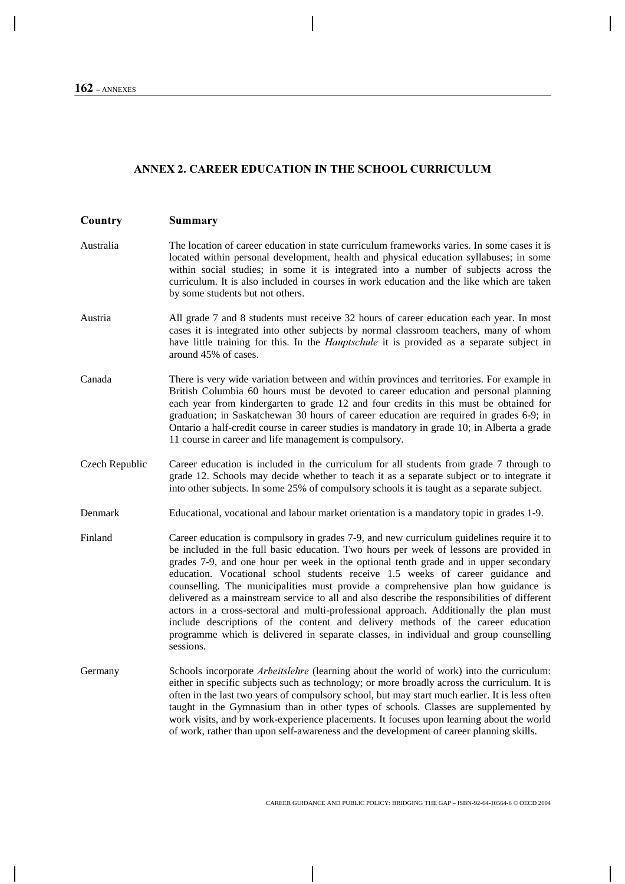# ANNEX 2. CAREER EDUCATION IN THE SCHOOL CURRICULUM

- Country Summary
- Australia The location of career education in state curriculum frameworks varies. In some cases it is located within personal development, health and physical education syllabuses; in some within social studies; in some it is integrated into a number of subjects across the curriculum. It is also included in courses in work education and the like which are taken by some students but not others.
- Austria All grade 7 and 8 students must receive 32 hours of career education each year. In most cases it is integrated into other subjects by normal classroom teachers, many of whom have little training for this. In the *Hauptschule* it is provided as a separate subject in around 45% of cases.
- Canada There is very wide variation between and within provinces and territories. For example in British Columbia 60 hours must be devoted to career education and personal planning each year from kindergarten to grade 12 and four credits in this must be obtained for graduation; in Saskatchewan 30 hours of career education are required in grades 6-9; in Ontario a half-credit course in career studies is mandatory in grade 10; in Alberta a grade 11 course in career and life management is compulsory.
- Czech Republic Career education is included in the curriculum for all students from grade 7 through to grade 12. Schools may decide whether to teach it as a separate subject or to integrate it into other subjects. In some 25% of compulsory schools it is taught as a separate subject.
- Denmark Educational, vocational and labour market orientation is a mandatory topic in grades 1-9.
- Finland Career education is compulsory in grades 7-9, and new curriculum guidelines require it to be included in the full basic education. Two hours per week of lessons are provided in grades 7-9, and one hour per week in the optional tenth grade and in upper secondary education. Vocational school students receive 1.5 weeks of career guidance and counselling. The municipalities must provide a comprehensive plan how guidance is delivered as a mainstream service to all and also describe the responsibilities of different actors in a cross-sectoral and multi-professional approach. Additionally the plan must include descriptions of the content and delivery methods of the career education programme which is delivered in separate classes, in individual and group counselling sessions.
- Germany Schools incorporate *Arbeitslehre* (learning about the world of work) into the curriculum: either in specific subjects such as technology; or more broadly across the curriculum. It is often in the last two years of compulsory school, but may start much earlier. It is less often taught in the Gymnasium than in other types of schools. Classes are supplemented by work visits, and by work-experience placements. It focuses upon learning about the world of work, rather than upon self-awareness and the development of career planning skills.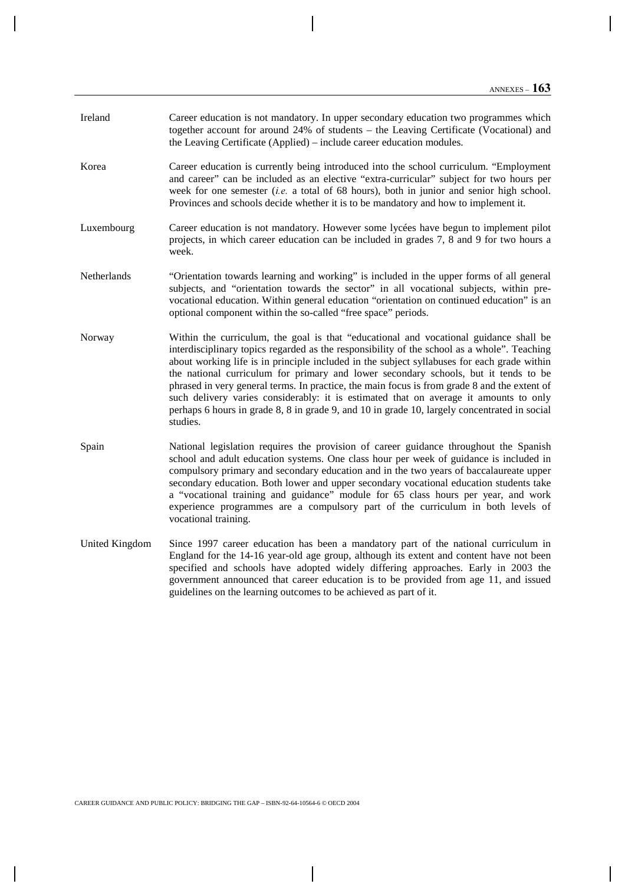- Ireland Career education is not mandatory. In upper secondary education two programmes which together account for around 24% of students – the Leaving Certificate (Vocational) and the Leaving Certificate (Applied) – include career education modules.
- Korea Career education is currently being introduced into the school curriculum. "Employment and career" can be included as an elective "extra-curricular" subject for two hours per week for one semester (*i.e.* a total of 68 hours), both in junior and senior high school. Provinces and schools decide whether it is to be mandatory and how to implement it.
- Luxembourg Career education is not mandatory. However some lycées have begun to implement pilot projects, in which career education can be included in grades 7, 8 and 9 for two hours a week.
- Netherlands "Orientation towards learning and working" is included in the upper forms of all general subjects, and "orientation towards the sector" in all vocational subjects, within prevocational education. Within general education "orientation on continued education" is an optional component within the so-called "free space" periods.
- Norway Within the curriculum, the goal is that "educational and vocational guidance shall be interdisciplinary topics regarded as the responsibility of the school as a whole". Teaching about working life is in principle included in the subject syllabuses for each grade within the national curriculum for primary and lower secondary schools, but it tends to be phrased in very general terms. In practice, the main focus is from grade 8 and the extent of such delivery varies considerably: it is estimated that on average it amounts to only perhaps 6 hours in grade 8, 8 in grade 9, and 10 in grade 10, largely concentrated in social studies.
- Spain National legislation requires the provision of career guidance throughout the Spanish school and adult education systems. One class hour per week of guidance is included in compulsory primary and secondary education and in the two years of baccalaureate upper secondary education. Both lower and upper secondary vocational education students take a "vocational training and guidance" module for 65 class hours per year, and work experience programmes are a compulsory part of the curriculum in both levels of vocational training.
- United Kingdom Since 1997 career education has been a mandatory part of the national curriculum in England for the 14-16 year-old age group, although its extent and content have not been specified and schools have adopted widely differing approaches. Early in 2003 the government announced that career education is to be provided from age 11, and issued guidelines on the learning outcomes to be achieved as part of it.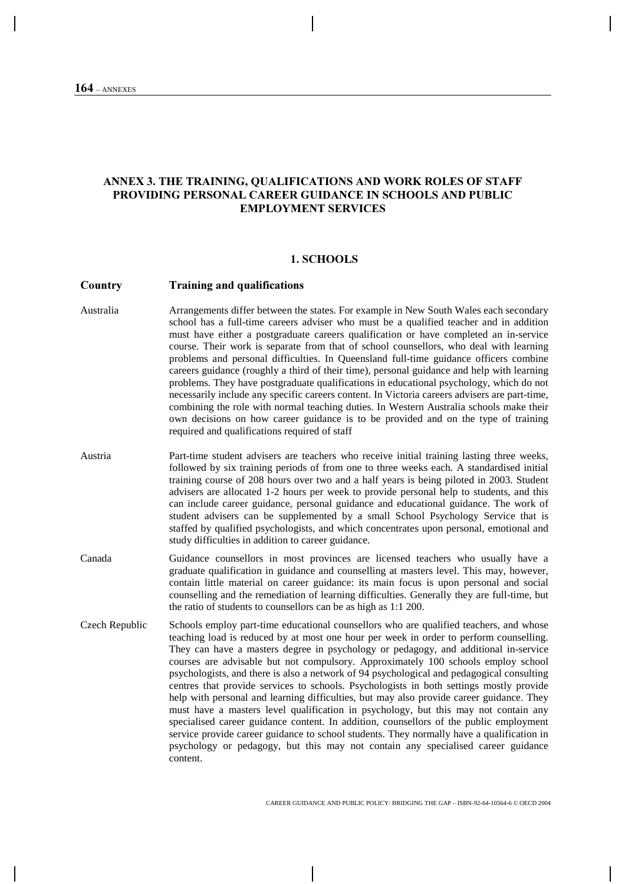# ANNEX 3. THE TRAINING, QUALIFICATIONS AND WORK ROLES OF STAFF PROVIDING PERSONAL CAREER GUIDANCE IN SCHOOLS AND PUBLIC **EMPLOYMENT SERVICES**

#### 1. SCHOOLS

#### Country Training and qualifications

- Australia Arrangements differ between the states. For example in New South Wales each secondary school has a full-time careers adviser who must be a qualified teacher and in addition must have either a postgraduate careers qualification or have completed an in-service course. Their work is separate from that of school counsellors, who deal with learning problems and personal difficulties. In Queensland full-time guidance officers combine careers guidance (roughly a third of their time), personal guidance and help with learning problems. They have postgraduate qualifications in educational psychology, which do not necessarily include any specific careers content. In Victoria careers advisers are part-time, combining the role with normal teaching duties. In Western Australia schools make their own decisions on how career guidance is to be provided and on the type of training required and qualifications required of staff
- Austria Part-time student advisers are teachers who receive initial training lasting three weeks, followed by six training periods of from one to three weeks each. A standardised initial training course of 208 hours over two and a half years is being piloted in 2003. Student advisers are allocated 1-2 hours per week to provide personal help to students, and this can include career guidance, personal guidance and educational guidance. The work of student advisers can be supplemented by a small School Psychology Service that is staffed by qualified psychologists, and which concentrates upon personal, emotional and study difficulties in addition to career guidance.
- Canada Guidance counsellors in most provinces are licensed teachers who usually have a graduate qualification in guidance and counselling at masters level. This may, however, contain little material on career guidance: its main focus is upon personal and social counselling and the remediation of learning difficulties. Generally they are full-time, but the ratio of students to counsellors can be as high as 1:1 200.
- Czech Republic Schools employ part-time educational counsellors who are qualified teachers, and whose teaching load is reduced by at most one hour per week in order to perform counselling. They can have a masters degree in psychology or pedagogy, and additional in-service courses are advisable but not compulsory. Approximately 100 schools employ school psychologists, and there is also a network of 94 psychological and pedagogical consulting centres that provide services to schools. Psychologists in both settings mostly provide help with personal and learning difficulties, but may also provide career guidance. They must have a masters level qualification in psychology, but this may not contain any specialised career guidance content. In addition, counsellors of the public employment service provide career guidance to school students. They normally have a qualification in psychology or pedagogy, but this may not contain any specialised career guidance content.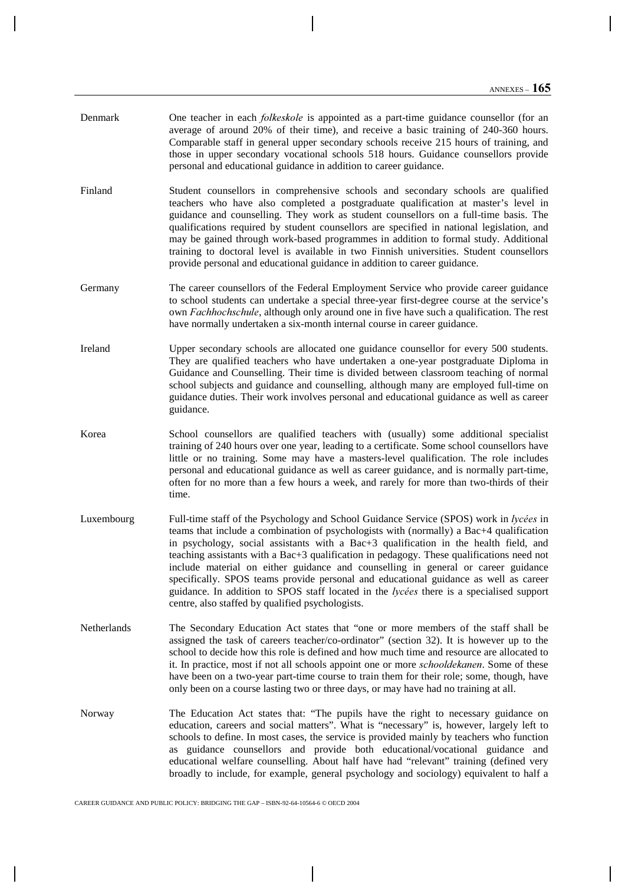- Denmark One teacher in each *folkeskole* is appointed as a part-time guidance counsellor (for an average of around 20% of their time), and receive a basic training of 240-360 hours. Comparable staff in general upper secondary schools receive 215 hours of training, and those in upper secondary vocational schools 518 hours. Guidance counsellors provide personal and educational guidance in addition to career guidance.
- Finland Student counsellors in comprehensive schools and secondary schools are qualified teachers who have also completed a postgraduate qualification at master's level in guidance and counselling. They work as student counsellors on a full-time basis. The qualifications required by student counsellors are specified in national legislation, and may be gained through work-based programmes in addition to formal study. Additional training to doctoral level is available in two Finnish universities. Student counsellors provide personal and educational guidance in addition to career guidance.
- Germany The career counsellors of the Federal Employment Service who provide career guidance to school students can undertake a special three-year first-degree course at the service's own *Fachhochschule*, although only around one in five have such a qualification. The rest have normally undertaken a six-month internal course in career guidance.
- Ireland Upper secondary schools are allocated one guidance counsellor for every 500 students. They are qualified teachers who have undertaken a one-year postgraduate Diploma in Guidance and Counselling. Their time is divided between classroom teaching of normal school subjects and guidance and counselling, although many are employed full-time on guidance duties. Their work involves personal and educational guidance as well as career guidance.
- Korea School counsellors are qualified teachers with (usually) some additional specialist training of 240 hours over one year, leading to a certificate. Some school counsellors have little or no training. Some may have a masters-level qualification. The role includes personal and educational guidance as well as career guidance, and is normally part-time, often for no more than a few hours a week, and rarely for more than two-thirds of their time.
- Luxembourg Full-time staff of the Psychology and School Guidance Service (SPOS) work in *lycées* in teams that include a combination of psychologists with (normally) a Bac+4 qualification in psychology, social assistants with a Bac+3 qualification in the health field, and teaching assistants with a Bac+3 qualification in pedagogy. These qualifications need not include material on either guidance and counselling in general or career guidance specifically. SPOS teams provide personal and educational guidance as well as career guidance. In addition to SPOS staff located in the *lycées* there is a specialised support centre, also staffed by qualified psychologists.
- Netherlands The Secondary Education Act states that "one or more members of the staff shall be assigned the task of careers teacher/co-ordinator" (section 32). It is however up to the school to decide how this role is defined and how much time and resource are allocated to it. In practice, most if not all schools appoint one or more *schooldekanen*. Some of these have been on a two-year part-time course to train them for their role; some, though, have only been on a course lasting two or three days, or may have had no training at all.
- Norway The Education Act states that: "The pupils have the right to necessary guidance on education, careers and social matters". What is "necessary" is, however, largely left to schools to define. In most cases, the service is provided mainly by teachers who function as guidance counsellors and provide both educational/vocational guidance and educational welfare counselling. About half have had "relevant" training (defined very broadly to include, for example, general psychology and sociology) equivalent to half a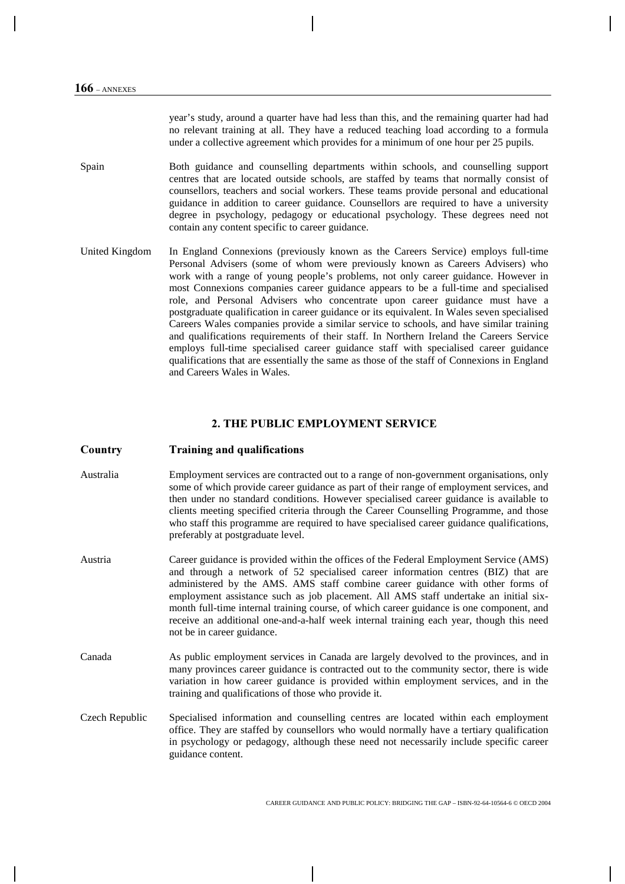year's study, around a quarter have had less than this, and the remaining quarter had had no relevant training at all. They have a reduced teaching load according to a formula under a collective agreement which provides for a minimum of one hour per 25 pupils.

- Spain Both guidance and counselling departments within schools, and counselling support centres that are located outside schools, are staffed by teams that normally consist of counsellors, teachers and social workers. These teams provide personal and educational guidance in addition to career guidance. Counsellors are required to have a university degree in psychology, pedagogy or educational psychology. These degrees need not contain any content specific to career guidance.
- United Kingdom In England Connexions (previously known as the Careers Service) employs full-time Personal Advisers (some of whom were previously known as Careers Advisers) who work with a range of young people's problems, not only career guidance. However in most Connexions companies career guidance appears to be a full-time and specialised role, and Personal Advisers who concentrate upon career guidance must have a postgraduate qualification in career guidance or its equivalent. In Wales seven specialised Careers Wales companies provide a similar service to schools, and have similar training and qualifications requirements of their staff. In Northern Ireland the Careers Service employs full-time specialised career guidance staff with specialised career guidance qualifications that are essentially the same as those of the staff of Connexions in England and Careers Wales in Wales.

## 2. THE PUBLIC EMPLOYMENT SERVICE

#### Country Training and qualifications

- Australia Employment services are contracted out to a range of non-government organisations, only some of which provide career guidance as part of their range of employment services, and then under no standard conditions. However specialised career guidance is available to clients meeting specified criteria through the Career Counselling Programme, and those who staff this programme are required to have specialised career guidance qualifications, preferably at postgraduate level.
- Austria Career guidance is provided within the offices of the Federal Employment Service (AMS) and through a network of 52 specialised career information centres (BIZ) that are administered by the AMS. AMS staff combine career guidance with other forms of employment assistance such as job placement. All AMS staff undertake an initial sixmonth full-time internal training course, of which career guidance is one component, and receive an additional one-and-a-half week internal training each year, though this need not be in career guidance.
- Canada As public employment services in Canada are largely devolved to the provinces, and in many provinces career guidance is contracted out to the community sector, there is wide variation in how career guidance is provided within employment services, and in the training and qualifications of those who provide it.
- Czech Republic Specialised information and counselling centres are located within each employment office. They are staffed by counsellors who would normally have a tertiary qualification in psychology or pedagogy, although these need not necessarily include specific career guidance content.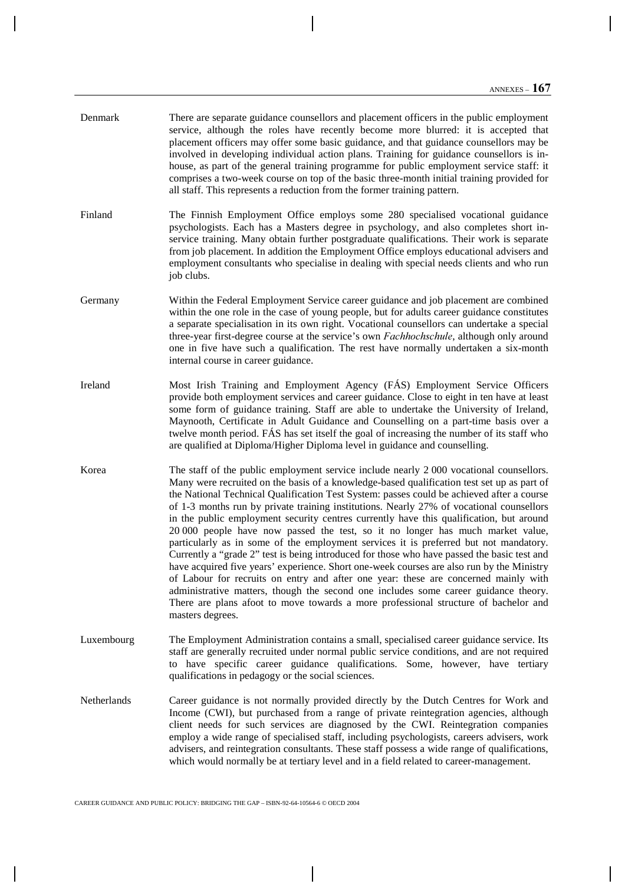| Denmark     | There are separate guidance counsellors and placement officers in the public employment<br>service, although the roles have recently become more blurred: it is accepted that<br>placement officers may offer some basic guidance, and that guidance counsellors may be<br>involved in developing individual action plans. Training for guidance counsellors is in-<br>house, as part of the general training programme for public employment service staff: it<br>comprises a two-week course on top of the basic three-month initial training provided for<br>all staff. This represents a reduction from the former training pattern.                                                                                                                                                                                                                                                                                                                                                                                                                                                                                                  |
|-------------|-------------------------------------------------------------------------------------------------------------------------------------------------------------------------------------------------------------------------------------------------------------------------------------------------------------------------------------------------------------------------------------------------------------------------------------------------------------------------------------------------------------------------------------------------------------------------------------------------------------------------------------------------------------------------------------------------------------------------------------------------------------------------------------------------------------------------------------------------------------------------------------------------------------------------------------------------------------------------------------------------------------------------------------------------------------------------------------------------------------------------------------------|
| Finland     | The Finnish Employment Office employs some 280 specialised vocational guidance<br>psychologists. Each has a Masters degree in psychology, and also completes short in-<br>service training. Many obtain further postgraduate qualifications. Their work is separate<br>from job placement. In addition the Employment Office employs educational advisers and<br>employment consultants who specialise in dealing with special needs clients and who run<br>job clubs.                                                                                                                                                                                                                                                                                                                                                                                                                                                                                                                                                                                                                                                                    |
| Germany     | Within the Federal Employment Service career guidance and job placement are combined<br>within the one role in the case of young people, but for adults career guidance constitutes<br>a separate specialisation in its own right. Vocational counsellors can undertake a special<br>three-year first-degree course at the service's own Fachhochschule, although only around<br>one in five have such a qualification. The rest have normally undertaken a six-month<br>internal course in career guidance.                                                                                                                                                                                                                                                                                                                                                                                                                                                                                                                                                                                                                              |
| Ireland     | Most Irish Training and Employment Agency (FÁS) Employment Service Officers<br>provide both employment services and career guidance. Close to eight in ten have at least<br>some form of guidance training. Staff are able to undertake the University of Ireland,<br>Maynooth, Certificate in Adult Guidance and Counselling on a part-time basis over a<br>twelve month period. FAS has set itself the goal of increasing the number of its staff who<br>are qualified at Diploma/Higher Diploma level in guidance and counselling.                                                                                                                                                                                                                                                                                                                                                                                                                                                                                                                                                                                                     |
| Korea       | The staff of the public employment service include nearly 2 000 vocational counsellors.<br>Many were recruited on the basis of a knowledge-based qualification test set up as part of<br>the National Technical Qualification Test System: passes could be achieved after a course<br>of 1-3 months run by private training institutions. Nearly 27% of vocational counsellors<br>in the public employment security centres currently have this qualification, but around<br>20 000 people have now passed the test, so it no longer has much market value,<br>particularly as in some of the employment services it is preferred but not mandatory.<br>Currently a "grade 2" test is being introduced for those who have passed the basic test and<br>have acquired five years' experience. Short one-week courses are also run by the Ministry<br>of Labour for recruits on entry and after one year: these are concerned mainly with<br>administrative matters, though the second one includes some career guidance theory.<br>There are plans afoot to move towards a more professional structure of bachelor and<br>masters degrees. |
| Luxembourg  | The Employment Administration contains a small, specialised career guidance service. Its<br>staff are generally recruited under normal public service conditions, and are not required<br>to have specific career guidance qualifications. Some, however, have tertiary<br>qualifications in pedagogy or the social sciences.                                                                                                                                                                                                                                                                                                                                                                                                                                                                                                                                                                                                                                                                                                                                                                                                             |
| Netherlands | Career guidance is not normally provided directly by the Dutch Centres for Work and<br>Income (CWI), but purchased from a range of private reintegration agencies, although<br>client needs for such services are diagnosed by the CWI. Reintegration companies<br>employ a wide range of specialised staff, including psychologists, careers advisers, work<br>advisers, and reintegration consultants. These staff possess a wide range of qualifications,<br>which would normally be at tertiary level and in a field related to career-management.                                                                                                                                                                                                                                                                                                                                                                                                                                                                                                                                                                                    |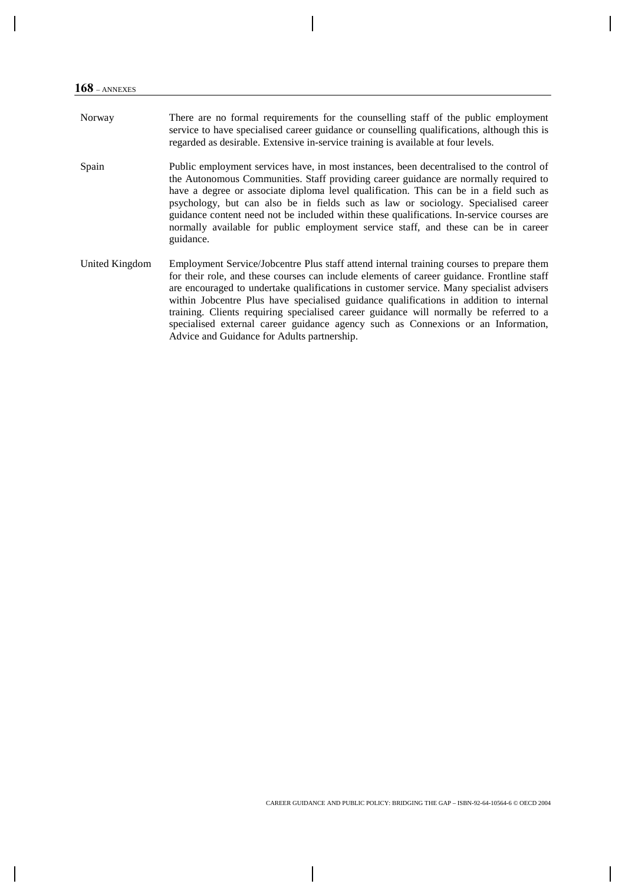| Norway         | There are no formal requirements for the counselling staff of the public employment<br>service to have specialised career guidance or counselling qualifications, although this is<br>regarded as desirable. Extensive in-service training is available at four levels.                                                                                                                                                                                                                                                                                          |
|----------------|------------------------------------------------------------------------------------------------------------------------------------------------------------------------------------------------------------------------------------------------------------------------------------------------------------------------------------------------------------------------------------------------------------------------------------------------------------------------------------------------------------------------------------------------------------------|
| Spain          | Public employment services have, in most instances, been decentralised to the control of<br>the Autonomous Communities. Staff providing career guidance are normally required to<br>have a degree or associate diploma level qualification. This can be in a field such as<br>psychology, but can also be in fields such as law or sociology. Specialised career<br>guidance content need not be included within these qualifications. In-service courses are<br>normally available for public employment service staff, and these can be in career<br>guidance. |
| United Kingdom | Employment Service/Jobcentre Plus staff attend internal training courses to prepare them<br>for their role, and these courses can include elements of career guidance. Frontline staff<br>are encouraged to undertake qualifications in customer service. Many specialist advisers<br>within Jobcentre Plus have specialised guidance qualifications in addition to internal<br>training. Clients requiring specialised career guidance will normally be referred to a                                                                                           |

Advice and Guidance for Adults partnership.

specialised external career guidance agency such as Connexions or an Information,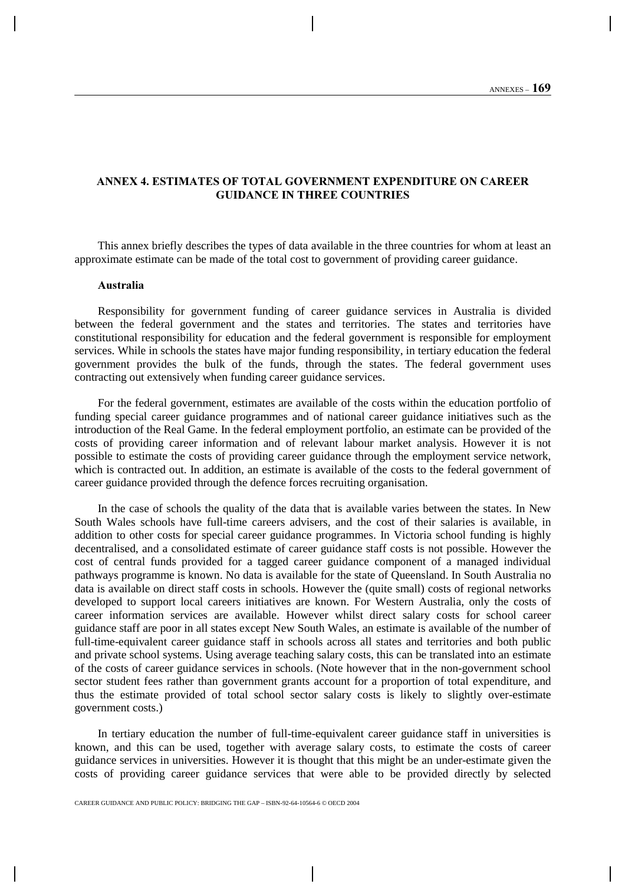# ANNEX 4. ESTIMATES OF TOTAL GOVERNMENT EXPENDITURE ON CAREER **GUIDANCE IN THREE COUNTRIES**

This annex briefly describes the types of data available in the three countries for whom at least an approximate estimate can be made of the total cost to government of providing career guidance.

#### **Australia**

Responsibility for government funding of career guidance services in Australia is divided between the federal government and the states and territories. The states and territories have constitutional responsibility for education and the federal government is responsible for employment services. While in schools the states have major funding responsibility, in tertiary education the federal government provides the bulk of the funds, through the states. The federal government uses contracting out extensively when funding career guidance services.

For the federal government, estimates are available of the costs within the education portfolio of funding special career guidance programmes and of national career guidance initiatives such as the introduction of the Real Game. In the federal employment portfolio, an estimate can be provided of the costs of providing career information and of relevant labour market analysis. However it is not possible to estimate the costs of providing career guidance through the employment service network, which is contracted out. In addition, an estimate is available of the costs to the federal government of career guidance provided through the defence forces recruiting organisation.

In the case of schools the quality of the data that is available varies between the states. In New South Wales schools have full-time careers advisers, and the cost of their salaries is available, in addition to other costs for special career guidance programmes. In Victoria school funding is highly decentralised, and a consolidated estimate of career guidance staff costs is not possible. However the cost of central funds provided for a tagged career guidance component of a managed individual pathways programme is known. No data is available for the state of Queensland. In South Australia no data is available on direct staff costs in schools. However the (quite small) costs of regional networks developed to support local careers initiatives are known. For Western Australia, only the costs of career information services are available. However whilst direct salary costs for school career guidance staff are poor in all states except New South Wales, an estimate is available of the number of full-time-equivalent career guidance staff in schools across all states and territories and both public and private school systems. Using average teaching salary costs, this can be translated into an estimate of the costs of career guidance services in schools. (Note however that in the non-government school sector student fees rather than government grants account for a proportion of total expenditure, and thus the estimate provided of total school sector salary costs is likely to slightly over-estimate government costs.)

In tertiary education the number of full-time-equivalent career guidance staff in universities is known, and this can be used, together with average salary costs, to estimate the costs of career guidance services in universities. However it is thought that this might be an under-estimate given the costs of providing career guidance services that were able to be provided directly by selected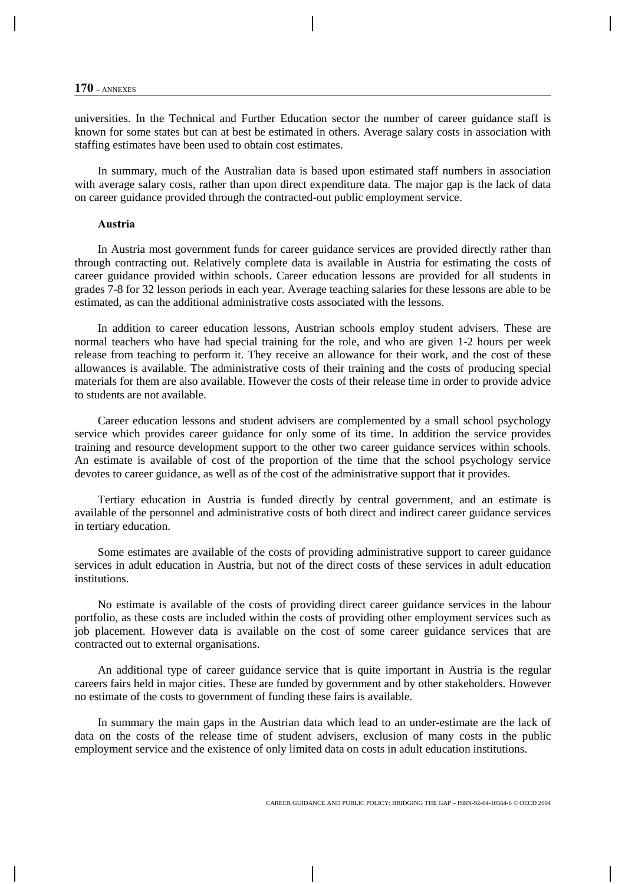universities. In the Technical and Further Education sector the number of career guidance staff is known for some states but can at best be estimated in others. Average salary costs in association with staffing estimates have been used to obtain cost estimates.

In summary, much of the Australian data is based upon estimated staff numbers in association with average salary costs, rather than upon direct expenditure data. The major gap is the lack of data on career guidance provided through the contracted-out public employment service.

#### Austria

In Austria most government funds for career guidance services are provided directly rather than through contracting out. Relatively complete data is available in Austria for estimating the costs of career guidance provided within schools. Career education lessons are provided for all students in grades 7-8 for 32 lesson periods in each year. Average teaching salaries for these lessons are able to be estimated, as can the additional administrative costs associated with the lessons.

In addition to career education lessons, Austrian schools employ student advisers. These are normal teachers who have had special training for the role, and who are given 1-2 hours per week release from teaching to perform it. They receive an allowance for their work, and the cost of these allowances is available. The administrative costs of their training and the costs of producing special materials for them are also available. However the costs of their release time in order to provide advice to students are not available.

Career education lessons and student advisers are complemented by a small school psychology service which provides career guidance for only some of its time. In addition the service provides training and resource development support to the other two career guidance services within schools. An estimate is available of cost of the proportion of the time that the school psychology service devotes to career guidance, as well as of the cost of the administrative support that it provides.

Tertiary education in Austria is funded directly by central government, and an estimate is available of the personnel and administrative costs of both direct and indirect career guidance services in tertiary education.

Some estimates are available of the costs of providing administrative support to career guidance services in adult education in Austria, but not of the direct costs of these services in adult education institutions.

No estimate is available of the costs of providing direct career guidance services in the labour portfolio, as these costs are included within the costs of providing other employment services such as job placement. However data is available on the cost of some career guidance services that are contracted out to external organisations.

An additional type of career guidance service that is quite important in Austria is the regular careers fairs held in major cities. These are funded by government and by other stakeholders. However no estimate of the costs to government of funding these fairs is available.

In summary the main gaps in the Austrian data which lead to an under-estimate are the lack of data on the costs of the release time of student advisers, exclusion of many costs in the public employment service and the existence of only limited data on costs in adult education institutions.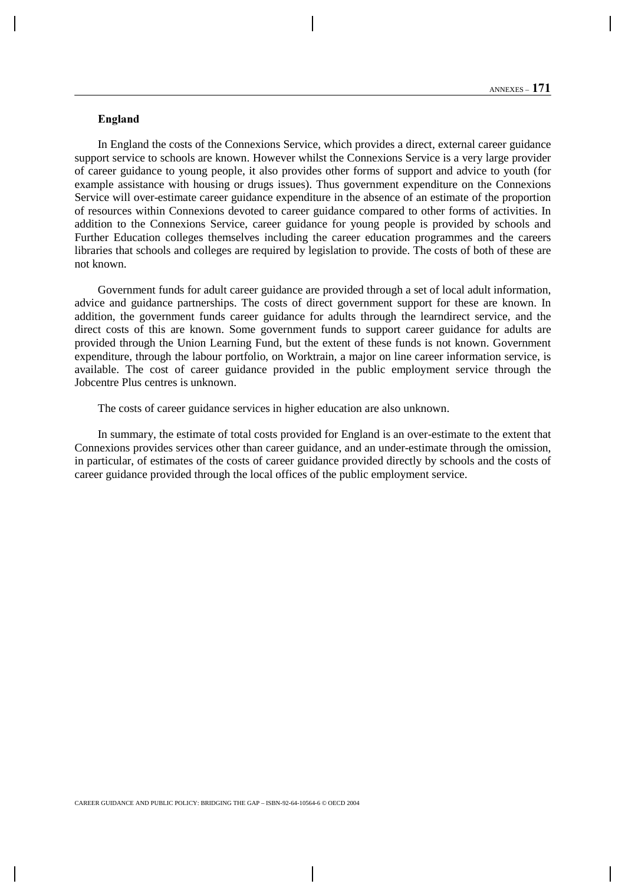## England

In England the costs of the Connexions Service, which provides a direct, external career guidance support service to schools are known. However whilst the Connexions Service is a very large provider of career guidance to young people, it also provides other forms of support and advice to youth (for example assistance with housing or drugs issues). Thus government expenditure on the Connexions Service will over-estimate career guidance expenditure in the absence of an estimate of the proportion of resources within Connexions devoted to career guidance compared to other forms of activities. In addition to the Connexions Service, career guidance for young people is provided by schools and Further Education colleges themselves including the career education programmes and the careers libraries that schools and colleges are required by legislation to provide. The costs of both of these are not known.

Government funds for adult career guidance are provided through a set of local adult information, advice and guidance partnerships. The costs of direct government support for these are known. In addition, the government funds career guidance for adults through the learndirect service, and the direct costs of this are known. Some government funds to support career guidance for adults are provided through the Union Learning Fund, but the extent of these funds is not known. Government expenditure, through the labour portfolio, on Worktrain, a major on line career information service, is available. The cost of career guidance provided in the public employment service through the Jobcentre Plus centres is unknown.

The costs of career guidance services in higher education are also unknown.

In summary, the estimate of total costs provided for England is an over-estimate to the extent that Connexions provides services other than career guidance, and an under-estimate through the omission, in particular, of estimates of the costs of career guidance provided directly by schools and the costs of career guidance provided through the local offices of the public employment service.